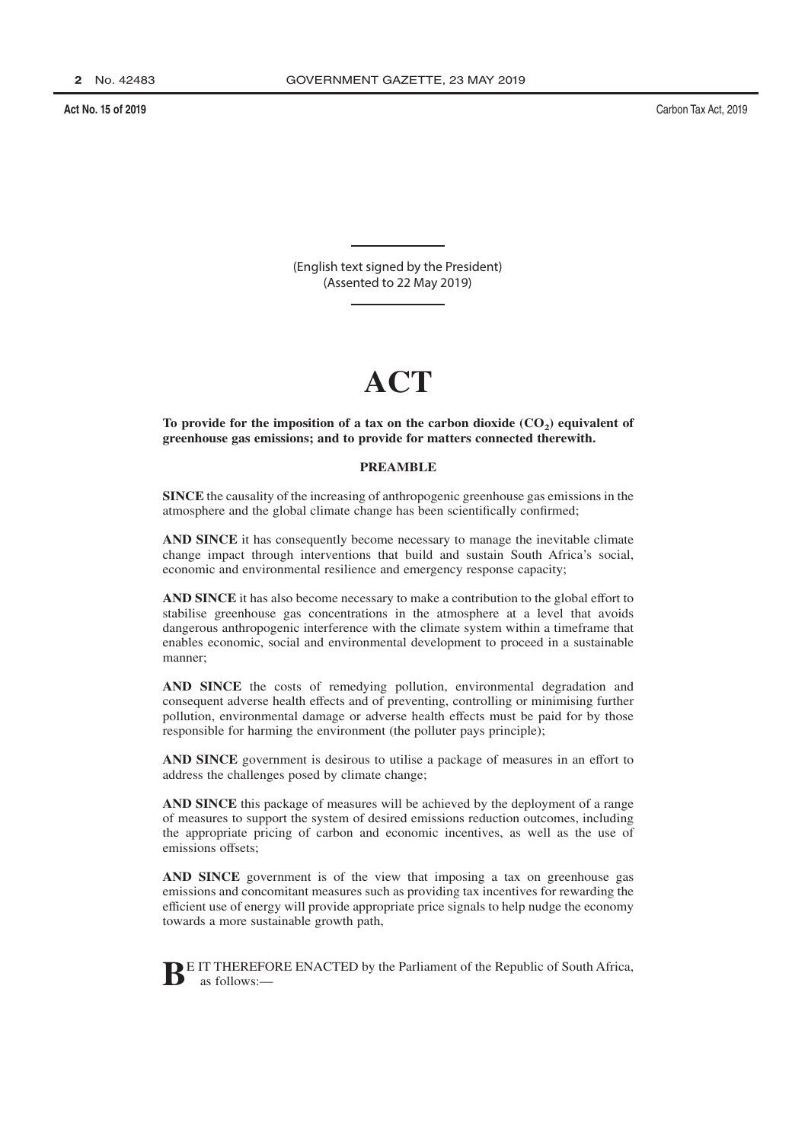Carbon Tax Act, 2019

(English text signed by the President) (Assented to 22 May 2019)

# $ACT$

To provide for the imposition of a tax on the carbon dioxide  $(CO_2)$  equivalent of greenhouse gas emissions; and to provide for matters connected therewith.

## **PREAMBLE**

SINCE the causality of the increasing of anthropogenic greenhouse gas emissions in the atmosphere and the global climate change has been scientifically confirmed;

AND SINCE it has consequently become necessary to manage the inevitable climate change impact through interventions that build and sustain South Africa's social, economic and environmental resilience and emergency response capacity;

AND SINCE it has also become necessary to make a contribution to the global effort to stabilise greenhouse gas concentrations in the atmosphere at a level that avoids dangerous anthropogenic interference with the climate system within a timeframe that enables economic, social and environmental development to proceed in a sustainable manner;

AND SINCE the costs of remedying pollution, environmental degradation and consequent adverse health effects and of preventing, controlling or minimising further pollution, environmental damage or adverse health effects must be paid for by those responsible for harming the environment (the polluter pays principle);

AND SINCE government is desirous to utilise a package of measures in an effort to address the challenges posed by climate change;

**AND SINCE** this package of measures will be achieved by the deployment of a range of measures to support the system of desired emissions reduction outcomes, including the appropriate pricing of carbon and economic incentives, as well as the use of emissions offsets;

AND SINCE government is of the view that imposing a tax on greenhouse gas emissions and concomitant measures such as providing tax incentives for rewarding the efficient use of energy will provide appropriate price signals to help nudge the economy towards a more sustainable growth path,



E IT THEREFORE ENACTED by the Parliament of the Republic of South Africa,  $as$  follows  $-$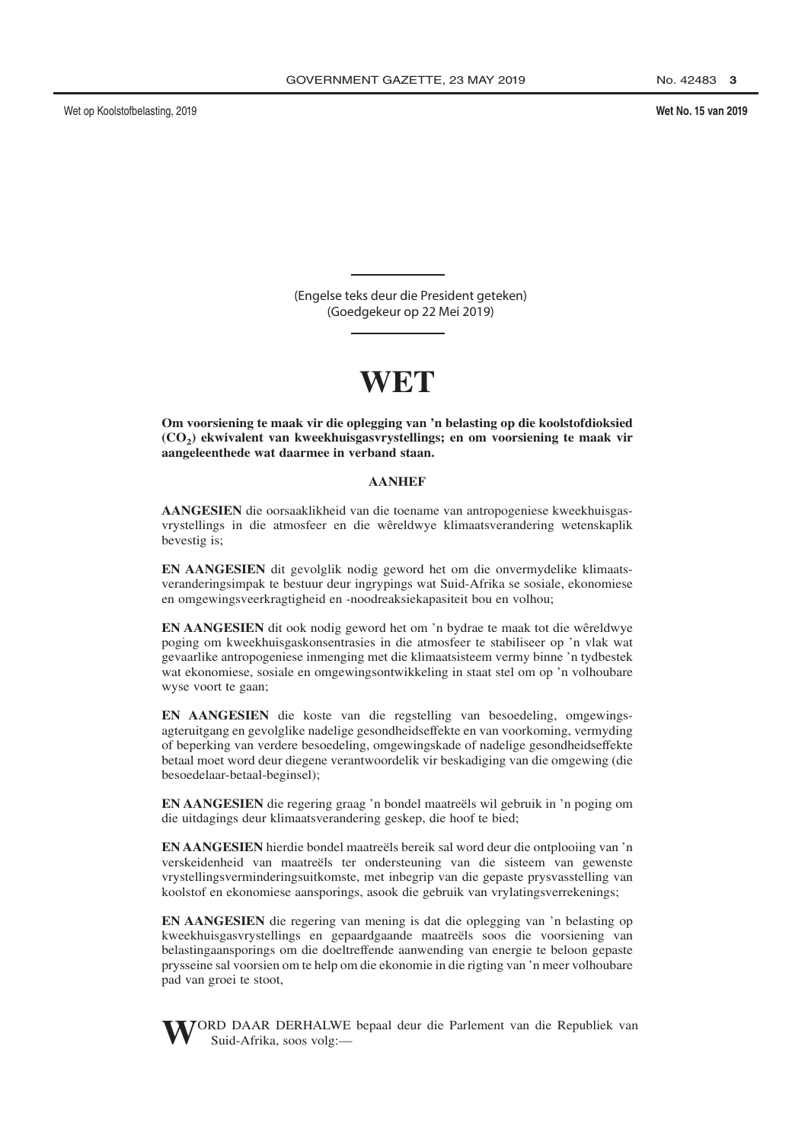Wet No. 15 van 2019

(Engelse teks deur die President geteken) (Goedgekeur op 22 Mei 2019)

Om voorsiening te maak vir die oplegging van 'n belasting op die koolstofdioksied (CO<sub>2</sub>) ekwivalent van kweekhuisgasvrystellings; en om voorsiening te maak vir aangeleenthede wat daarmee in verband staan.

## **AANHEF**

AANGESIEN die oorsaaklikheid van die toename van antropogeniese kweekhuisgasvrystellings in die atmosfeer en die wêreldwye klimaatsverandering wetenskaplik bevestig is;

EN AANGESIEN dit gevolglik nodig geword het om die onvermydelike klimaatsveranderingsimpak te bestuur deur ingrypings wat Suid-Afrika se sosiale, ekonomiese en omgewingsveerkragtigheid en -noodreaksiekapasiteit bou en volhou;

**EN AANGESIEN** dit ook nodig geword het om 'n bydrae te maak tot die wêreldwye poging om kweekhuisgaskonsentrasies in die atmosfeer te stabiliseer op 'n vlak wat gevaarlike antropogeniese inmenging met die klimaatsisteem vermy binne 'n tydbestek wat ekonomiese, sosiale en omgewingsontwikkeling in staat stel om op 'n volhoubare wyse voort te gaan;

EN AANGESIEN die koste van die regstelling van besoedeling, omgewingsagteruitgang en gevolglike nadelige gesondheidseffekte en van voorkoming, vermyding of beperking van verdere besoedeling, omgewingskade of nadelige gesondheidseffekte betaal moet word deur diegene verantwoordelik vir beskadiging van die omgewing (die besoedelaar-betaal-beginsel);

EN AANGESIEN die regering graag 'n bondel maatreëls wil gebruik in 'n poging om die uitdagings deur klimaatsverandering geskep, die hoof te bied;

**EN AANGESIEN** hierdie bondel maatreëls bereik sal word deur die ontplooiing van 'n verskeidenheid van maatreëls ter ondersteuning van die sisteem van gewenste vrystellingsverminderingsuitkomste, met inbegrip van die gepaste prysvasstelling van koolstof en ekonomiese aansporings, asook die gebruik van vrylatingsverrekenings;

EN AANGESIEN die regering van mening is dat die oplegging van 'n belasting op kweekhuisgasvrystellings en gepaardgaande maatreëls soos die voorsiening van belastingaansporings om die doeltreffende aanwending van energie te beloon gepaste prysseine sal voorsien om te help om die ekonomie in die rigting van 'n meer volhoubare pad van groei te stoot,



JORD DAAR DERHALWE bepaal deur die Parlement van die Republiek van Suid-Afrika, soos volg:-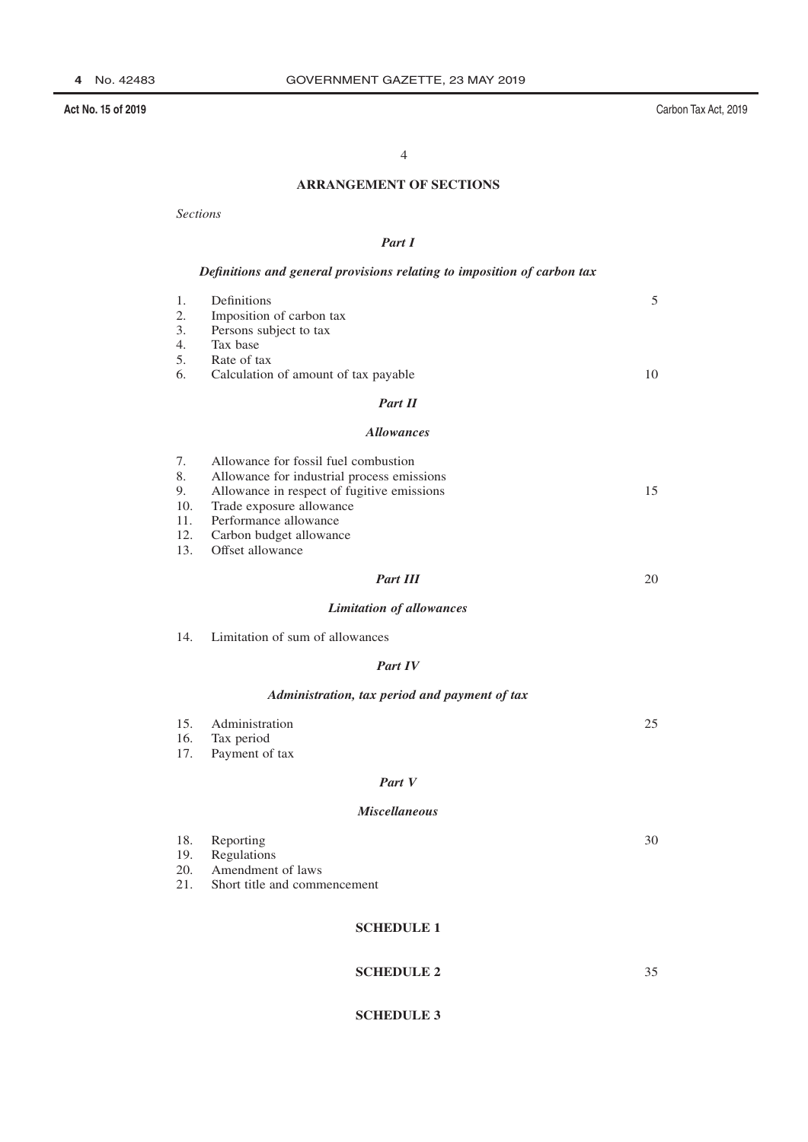Carbon Tax Act, 2019

## $\overline{4}$

## **ARRANGEMENT OF SECTIONS**

**Sections** 

## Part I

## Definitions and general provisions relating to imposition of carbon tax

| 1. | Definitions                          | 5  |
|----|--------------------------------------|----|
| 2. | Imposition of carbon tax             |    |
| 3. | Persons subject to tax               |    |
| 4. | Tax base                             |    |
| 5. | Rate of tax                          |    |
| 6. | Calculation of amount of tax payable | 10 |
|    | <b>Part II</b>                       |    |
|    | <i>Allowanoos</i>                    |    |

#### **Allowances**

|     | Part III                                   | 20 |
|-----|--------------------------------------------|----|
|     | 13. Offset allowance                       |    |
|     | 12. Carbon budget allowance                |    |
| 11. | Performance allowance                      |    |
| 10. | Trade exposure allowance                   |    |
| 9.  | Allowance in respect of fugitive emissions | 15 |
| 8.  | Allowance for industrial process emissions |    |
| 7.  | Allowance for fossil fuel combustion       |    |
|     |                                            |    |

Part III

## **Limitation of allowances**

| Limitation of sum of allowances<br>14. |  |
|----------------------------------------|--|
|----------------------------------------|--|

## Part IV

## Administration, tax period and payment of tax

|                                                 | 15. Administration | ገ ና |
|-------------------------------------------------|--------------------|-----|
|                                                 | 16. Tax period     |     |
| the contract of the contract of the contract of |                    |     |

17. Payment of tax

## Part V

## **Miscellaneous**

|     | 18. Reporting                | 30 |
|-----|------------------------------|----|
|     | 19. Regulations              |    |
|     | 20. Amendment of laws        |    |
| 21. | Short title and commencement |    |
|     |                              |    |

## **SCHEDULE 1**

## **SCHEDULE 2**

35

## **SCHEDULE 3**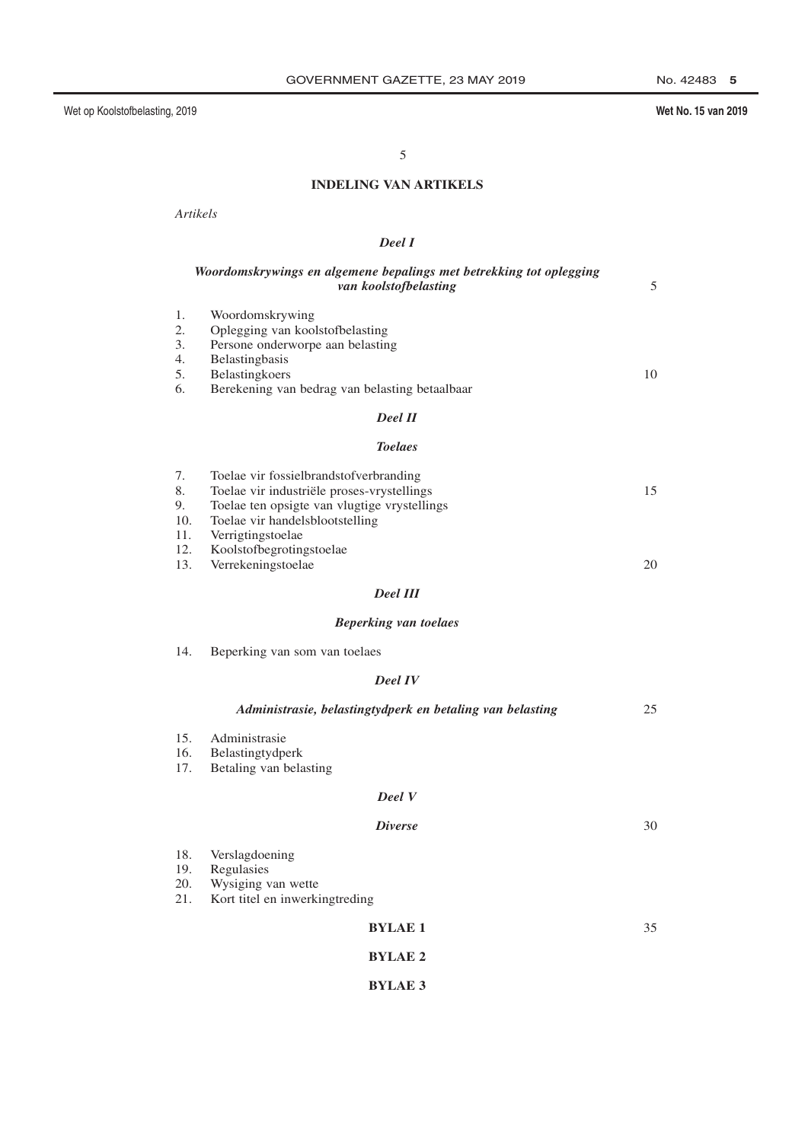## Wet No. 15 van 2019

5

## **INDELING VAN ARTIKELS**

Artikels

## Deel I

|                                     | Woordomskrywings en algemene bepalings met betrekking tot oplegging<br>van koolstofbelasting                                                                                                                             | 5  |
|-------------------------------------|--------------------------------------------------------------------------------------------------------------------------------------------------------------------------------------------------------------------------|----|
| 1.<br>2.<br>3.<br>4.<br>5.<br>6.    | Woordomskrywing<br>Oplegging van koolstofbelasting<br>Persone onderworpe aan belasting<br>Belastingbasis<br>Belastingkoers<br>Berekening van bedrag van belasting betaalbaar                                             | 10 |
|                                     | <b>Deel II</b>                                                                                                                                                                                                           |    |
|                                     | <b>Toelaes</b>                                                                                                                                                                                                           |    |
| 7.<br>8.<br>9.<br>10.<br>11.<br>12. | Toelae vir fossielbrandstofverbranding<br>Toelae vir industriële proses-vrystellings<br>Toelae ten opsigte van vlugtige vrystellings<br>Toelae vir handelsblootstelling<br>Verrigtingstoelae<br>Koolstofbegrotingstoelae | 15 |
| 13.                                 | Verrekeningstoelae                                                                                                                                                                                                       | 20 |
|                                     | <b>Deel III</b>                                                                                                                                                                                                          |    |
|                                     | <b>Beperking van toelaes</b>                                                                                                                                                                                             |    |
| 14.                                 | Beperking van som van toelaes                                                                                                                                                                                            |    |
|                                     | <b>Deel IV</b>                                                                                                                                                                                                           |    |
|                                     | Administrasie, belastingtydperk en betaling van belasting                                                                                                                                                                | 25 |
| 15.<br>16.<br>17.                   | Administrasie<br>Belastingtydperk<br>Betaling van belasting                                                                                                                                                              |    |
|                                     | <b>Deel</b> V                                                                                                                                                                                                            |    |
|                                     | <b>Diverse</b>                                                                                                                                                                                                           | 30 |
| 18.<br>19.<br>20.<br>21.            | Verslagdoening<br>Regulasies<br>Wysiging van wette<br>Kort titel en inwerkingtreding                                                                                                                                     |    |
|                                     | <b>BYLAE 1</b>                                                                                                                                                                                                           | 35 |
|                                     |                                                                                                                                                                                                                          |    |

# **BYLAE 2**

# **BYLAE 3**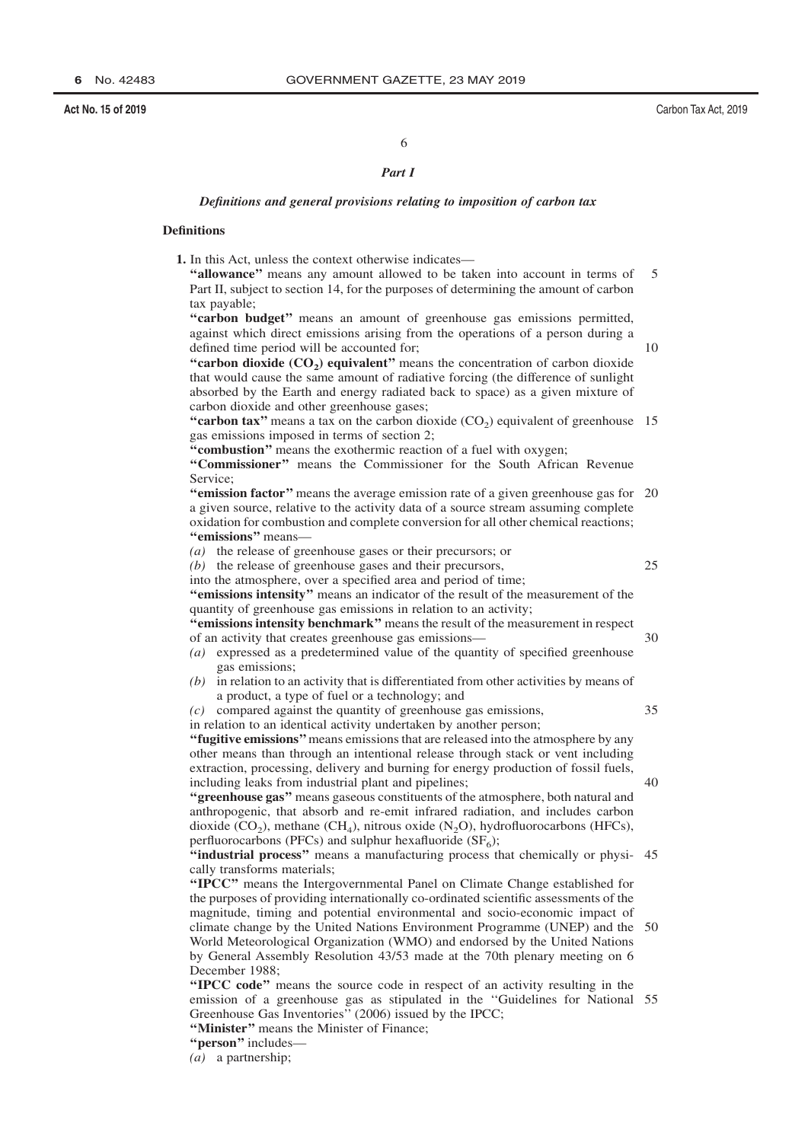## 6

## Part 1

#### Definitions and general provisions relating to imposition of carbon tax

## **Definitions**

1. In this Act, unless the context otherwise indicates-

"allowance" means any amount allowed to be taken into account in terms of  $\overline{\mathcal{L}}$ Part II, subject to section 14, for the purposes of determining the amount of carbon tax payable;

"carbon budget" means an amount of greenhouse gas emissions permitted, against which direct emissions arising from the operations of a person during a defined time period will be accounted for;

 $1<sub>0</sub>$ 

25

 $30$ 

 $35$ 

40

"carbon dioxide  $(CO_2)$  equivalent" means the concentration of carbon dioxide that would cause the same amount of radiative forcing (the difference of sunlight absorbed by the Earth and energy radiated back to space) as a given mixture of carbon dioxide and other greenhouse gases;

"carbon tax" means a tax on the carbon dioxide  $(CO<sub>2</sub>)$  equivalent of greenhouse 15 gas emissions imposed in terms of section 2;

"combustion" means the exothermic reaction of a fuel with oxygen;

"Commissioner" means the Commissioner for the South African Revenue Service:

"emission factor" means the average emission rate of a given greenhouse gas for 20 a given source, relative to the activity data of a source stream assuming complete oxidation for combustion and complete conversion for all other chemical reactions; "emissions" means-

(a) the release of greenhouse gases or their precursors; or

 $(b)$  the release of greenhouse gases and their precursors,

into the atmosphere, over a specified area and period of time;

"emissions intensity" means an indicator of the result of the measurement of the quantity of greenhouse gas emissions in relation to an activity;

"emissions intensity benchmark" means the result of the measurement in respect of an activity that creates greenhouse gas emissions-

- $(a)$  expressed as a predetermined value of the quantity of specified greenhouse gas emissions:
- in relation to an activity that is differentiated from other activities by means of a product, a type of fuel or a technology; and

 $(c)$  compared against the quantity of greenhouse gas emissions,

in relation to an identical activity undertaken by another person;

"fugitive emissions" means emissions that are released into the atmosphere by any other means than through an intentional release through stack or vent including extraction, processing, delivery and burning for energy production of fossil fuels, including leaks from industrial plant and pipelines;

"greenhouse gas" means gaseous constituents of the atmosphere, both natural and anthropogenic, that absorb and re-emit infrared radiation, and includes carbon dioxide  $(CO_2)$ , methane  $(CH_4)$ , nitrous oxide  $(N_2O)$ , hydrofluorocarbons (HFCs), perfluorocarbons (PFCs) and sulphur hexafluoride ( $SF<sub>6</sub>$ );

"industrial process" means a manufacturing process that chemically or physi-45 cally transforms materials;

"IPCC" means the Intergovernmental Panel on Climate Change established for the purposes of providing internationally co-ordinated scientific assessments of the magnitude, timing and potential environmental and socio-economic impact of climate change by the United Nations Environment Programme (UNEP) and the World Meteorological Organization (WMO) and endorsed by the United Nations by General Assembly Resolution 43/53 made at the 70th plenary meeting on 6 December 1988:

"IPCC code" means the source code in respect of an activity resulting in the emission of a greenhouse gas as stipulated in the "Guidelines for National 55 Greenhouse Gas Inventories" (2006) issued by the IPCC;

- "Minister" means the Minister of Finance;
- "person" includes-

 $(a)$  a partnership;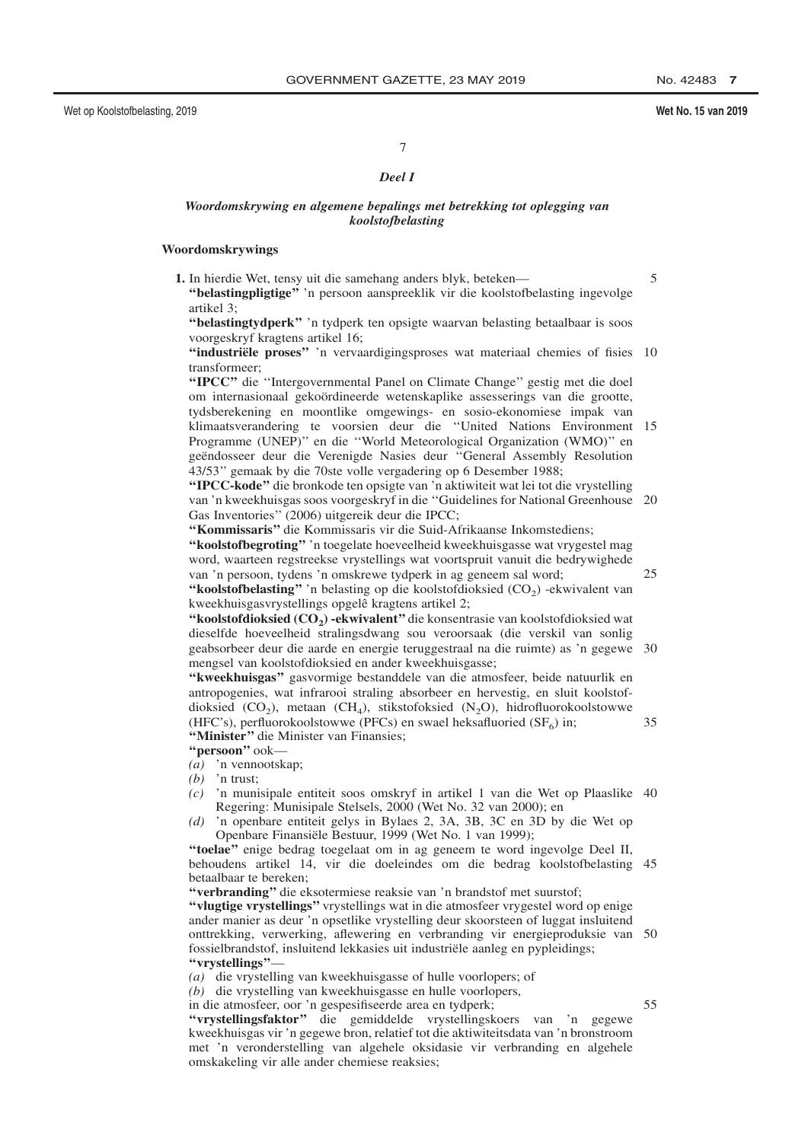$\overline{5}$ 

25

#### Wet No. 15 van 2019

 $\overline{7}$ 

#### Deel I

## Woordomskrywing en algemene bepalings met betrekking tot oplegging van koolstofbelasting

#### Woordomskrywings

1. In hierdie Wet, tensy uit die samehang anders blyk, beteken— "belasting pligtige" in persoon aanspreeklik vir die koolstofbelasting ingevolge artikel  $3$ 

"belastingtydperk" 'n tydperk ten opsigte waarvan belasting betaalbaar is soos voorgeskryf kragtens artikel 16;

"industriële proses" 'n vervaardigingsproses wat materiaal chemies of fisies 10 transformeer<sup>.</sup>

"IPCC" die "Intergovernmental Panel on Climate Change" gestig met die doel om internasionaal gekoördineerde wetenskaplike assesserings van die grootte, tydsberekening en moontlike omgewings- en sosio-ekonomiese impak van klimaatsverandering te voorsien deur die "United Nations Environment 15 Programme (UNEP)" en die "World Meteorological Organization (WMO)" en geëndosseer deur die Verenigde Nasies deur "General Assembly Resolution 43/53" gemaak by die 70ste volle vergadering op 6 Desember 1988;

"IPCC-kode" die bronkode ten opsigte van 'n aktiwiteit wat lei tot die vrystelling van 'n kweekhuisgas soos voorgeskryf in die "Guidelines for National Greenhouse 20 Gas Inventories" (2006) uitgereik deur die IPCC;

"Kommissaris" die Kommissaris vir die Suid-Afrikaanse Inkomstediens;

"koolstofbegroting" in toegelate hoeveelheid kweekhuisgasse wat vrygestel mag word, waarteen regstreekse vrystellings wat voortspruit vanuit die bedrywighede van 'n persoon, tydens 'n omskrewe tydperk in ag geneem sal word; "koolstofbelasting" 'n belasting op die koolstofdioksied  $(CO_2)$ -ekwivalent van

kweekhuisgasvrystellings opgelê kragtens artikel 2; "koolstofdioksied (CO<sub>2</sub>) -ekwivalent" die konsentrasie van koolstofdioksied wat dieselfde hoeveelheid stralingsdwang sou veroorsaak (die verskil van sonlig geabsorbeer deur die aarde en energie teruggestraal na die ruimte) as 'n gegewe 30 mengsel van koolstofdioksied en ander kweekhuisgasse;

"kweekhuisgas" gasvormige bestanddele van die atmosfeer, beide natuurlik en antropogenies, wat infrarooi straling absorbeer en hervestig, en sluit koolstofdioksied  $(CO_2)$ , metaan  $(CH_4)$ , stikstofoksied  $(N_2O)$ , hidrofluorokoolstowwe (HFC's), perfluorokoolstowwe (PFCs) en swael heksafluoried (SF $_{6}$ ) in:  $35$ "Minister" die Minister van Finansies;

"persoon" ook-

 $\overline{a}$  'n vennootskap;

 $(b)$  'n trust;

- 'n munisipale entiteit soos omskryf in artikel 1 van die Wet op Plaaslike 40  $(c)$ Regering: Munisipale Stelsels, 2000 (Wet No. 32 van 2000); en
- 'n openbare entiteit gelys in Bylaes 2, 3A, 3B, 3C en 3D by die Wet op  $(d)$ Openbare Finansiële Bestuur, 1999 (Wet No. 1 van 1999);

"toelae" enige bedrag toegelaat om in ag geneem te word ingevolge Deel II, behoudens artikel 14, vir die doeleindes om die bedrag koolstofbelasting 45 betaalbaar te bereken;

"verbranding" die eksotermiese reaksie van 'n brandstof met suurstof;

"vlugtige vrystellings" vrystellings wat in die atmosfeer vrygestel word op enige ander manier as deur 'n opsetlike vrystelling deur skoorsteen of luggat insluitend onttrekking, verwerking, aflewering en verbranding vir energieproduksie van 50 fossielbrandstof, insluitend lekkasies uit industriële aanleg en pypleidings; "vrystellings"-

(a) die vrystelling van kweekhuisgasse of hulle voorlopers; of

(b) die vrystelling van kweekhuisgasse en hulle voorlopers,

in die atmosfeer, oor 'n gespesifiseerde area en tydperk;

55

"vrystellingsfaktor" die gemiddelde vrystellingskoers van 'n gegewe kweekhuisgas vir 'n gegewe bron, relatief tot die aktiwiteitsdata van 'n bronstroom met 'n veronderstelling van algehele oksidasie vir verbranding en algehele omskakeling vir alle ander chemiese reaksies;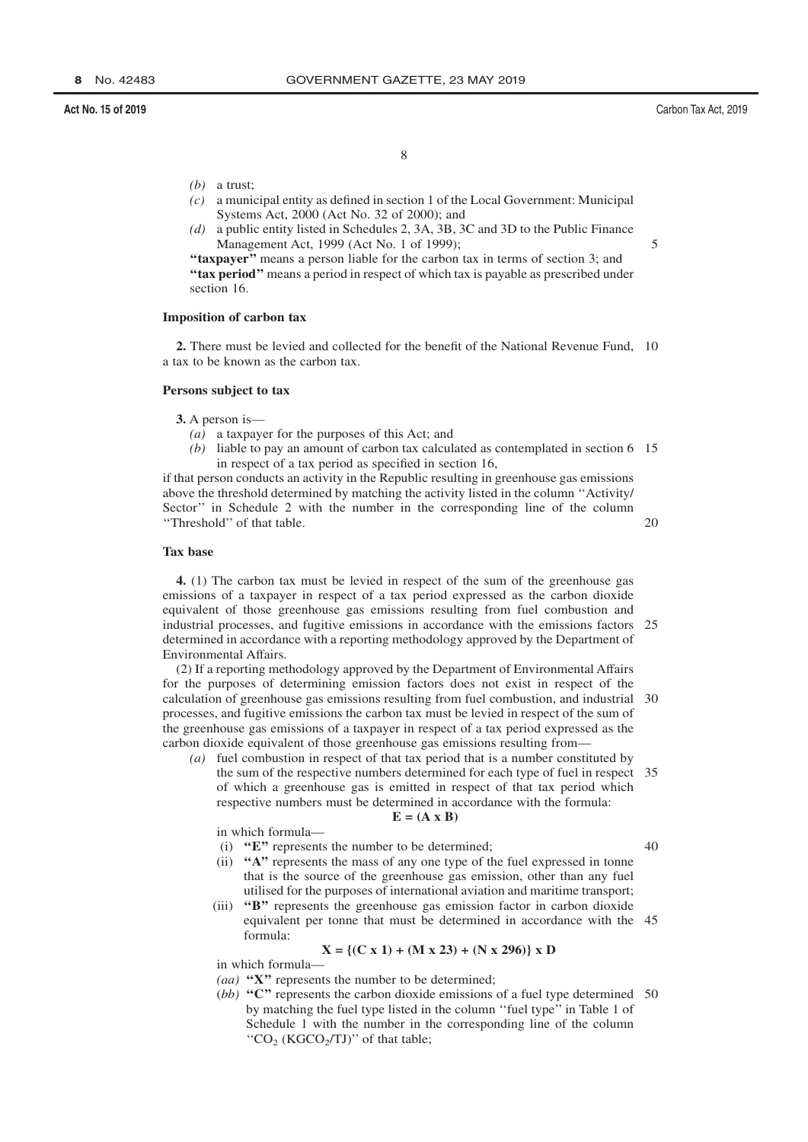$\overline{\mathcal{L}}$ 

 $40$ 

8

- $(b)$  a trust;
- $(c)$  a municipal entity as defined in section 1 of the Local Government: Municipal Systems Act, 2000 (Act No. 32 of 2000); and
- a public entity listed in Schedules 2, 3A, 3B, 3C and 3D to the Public Finance  $(d)$ Management Act, 1999 (Act No. 1 of 1999);

"taxpayer" means a person liable for the carbon tax in terms of section 3; and "tax period" means a period in respect of which tax is payable as prescribed under section 16.

#### **Imposition of carbon tax**

2. There must be levied and collected for the benefit of the National Revenue Fund, 10 a tax to be known as the carbon tax.

#### Persons subject to tax

3. A person is—

- (a) a taxpayer for the purposes of this Act; and
- (b) liable to pay an amount of carbon tax calculated as contemplated in section  $6\quad 15$ in respect of a tax period as specified in section 16,

if that person conducts an activity in the Republic resulting in greenhouse gas emissions above the threshold determined by matching the activity listed in the column "Activity/ Sector" in Schedule 2 with the number in the corresponding line of the column "Threshold" of that table. 20

#### **Tax base**

4. (1) The carbon tax must be levied in respect of the sum of the greenhouse gas emissions of a taxpayer in respect of a tax period expressed as the carbon dioxide equivalent of those greenhouse gas emissions resulting from fuel combustion and industrial processes, and fugitive emissions in accordance with the emissions factors 25 determined in accordance with a reporting methodology approved by the Department of Environmental Affairs.

(2) If a reporting methodology approved by the Department of Environmental Affairs for the purposes of determining emission factors does not exist in respect of the calculation of greenhouse gas emissions resulting from fuel combustion, and industrial 30 processes, and fugitive emissions the carbon tax must be levied in respect of the sum of the greenhouse gas emissions of a taxpayer in respect of a tax period expressed as the carbon dioxide equivalent of those greenhouse gas emissions resulting from-

(a) fuel combustion in respect of that tax period that is a number constituted by the sum of the respective numbers determined for each type of fuel in respect 35 of which a greenhouse gas is emitted in respect of that tax period which respective numbers must be determined in accordance with the formula:

$$
E = (A \times B)
$$

in which formula-

- (i)  $"E"$  represents the number to be determined;
- (ii) "A" represents the mass of any one type of the fuel expressed in tonne that is the source of the greenhouse gas emission, other than any fuel utilised for the purposes of international aviation and maritime transport:
- (iii) "B" represents the greenhouse gas emission factor in carbon dioxide equivalent per tonne that must be determined in accordance with the 45 formula<sup>.</sup>

$$
X = \{(C \times 1) + (M \times 23) + (N \times 296)\} \times D
$$

in which formula-

- (*aa*) " $X$ " represents the number to be determined;
- (bb) " $C$ " represents the carbon dioxide emissions of a fuel type determined 50 by matching the fuel type listed in the column "fuel type" in Table 1 of Schedule 1 with the number in the corresponding line of the column "CO<sub>2</sub> (KGCO<sub>2</sub>/TJ)" of that table;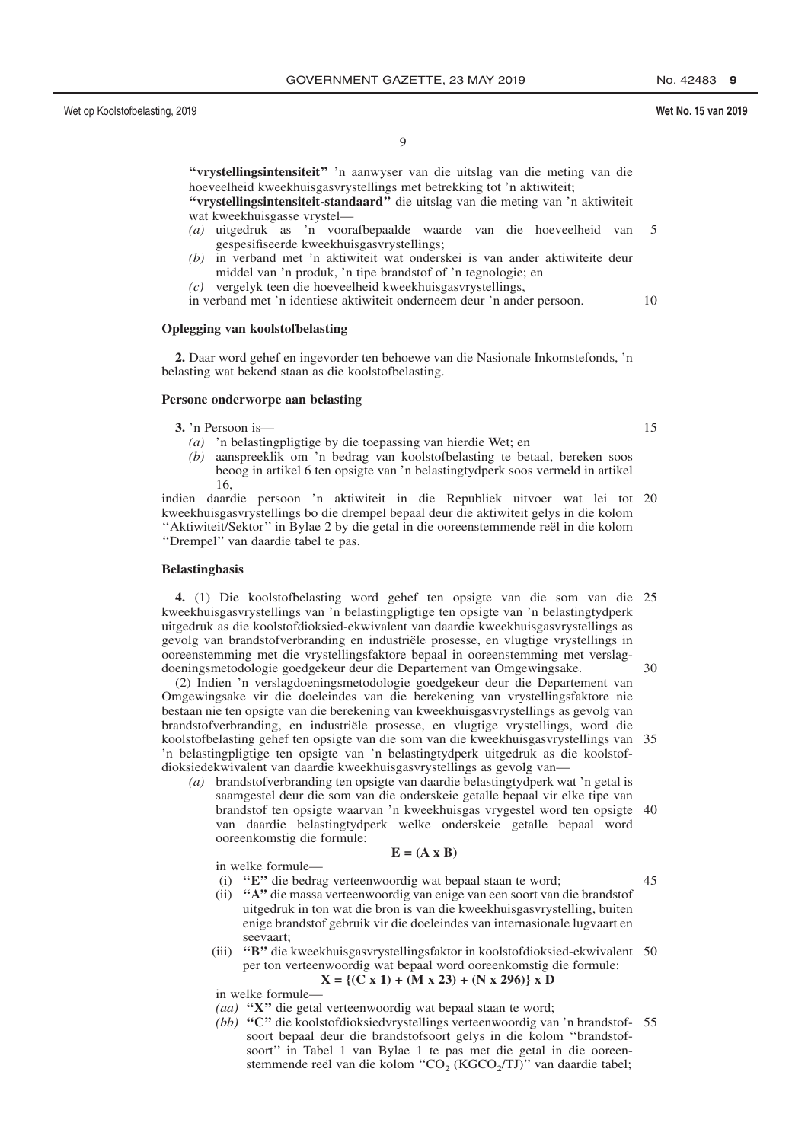"vrystellingsintensiteit" 'n aanwyser van die uitslag van die meting van die hoeveelheid kweekhuisgasvrystellings met betrekking tot 'n aktiwiteit;

"vrystellingsintensiteit-standaard" die uitslag van die meting van 'n aktiwiteit wat kweekhuisgasse vrystel-

- (a) uitgedruk as 'n voorafbepaalde waarde van die hoeveelheid van  $\overline{\mathcal{L}}$ gespesifiseerde kweekhuisgasvrystellings;
- $(h)$ in verband met 'n aktiwiteit wat onderskei is van ander aktiwiteite deur middel van 'n produk, 'n tipe brandstof of 'n tegnologie; en
- $(c)$  vergelyk teen die hoeveelheid kweekhuisgasvrystellings,

in verband met 'n identiese aktiwiteit onderneem deur 'n ander persoon.  $10$ 

#### **Oplegging van koolstofbelasting**

2. Daar word gehef en ingevorder ten behoewe van die Nasionale Inkomstefonds, 'n belasting wat bekend staan as die koolstofbelasting.

#### Persone onderworpe aan belasting

3. 'n Persoon is—

(a) 'n belastingpligtige by die toepassing van hierdie Wet; en

(b) aanspreeklik om 'n bedrag van koolstofbelasting te betaal, bereken soos beoog in artikel 6 ten opsigte van 'n belastingtydperk soos vermeld in artikel 16.

indien daardie persoon 'n aktiwiteit in die Republiek uitvoer wat lei tot 20 kweekhuisgasvrystellings bo die drempel bepaal deur die aktiwiteit gelys in die kolom "Aktiwiteit/Sektor" in Bylae 2 by die getal in die ooreenstemmende reël in die kolom "Drempel" van daardie tabel te pas.

#### **Belastingbasis**

4. (1) Die koolstofbelasting word gehef ten opsigte van die som van die 25 kweekhuisgasvrystellings van 'n belastingpligtige ten opsigte van 'n belastingtydperk uitgedruk as die koolstofdioksied-ekwivalent van daardie kweekhuisgasvrystellings as gevolg van brandstofverbranding en industriële prosesse, en vlugtige vrystellings in ooreenstemming met die vrystellingsfaktore bepaal in ooreenstemming met verslagdoeningsmetodologie goedgekeur deur die Departement van Omgewingsake.

(2) Indien 'n verslagdoeningsmetodologie goedgekeur deur die Departement van Omgewingsake vir die doeleindes van die berekening van vrystellingsfaktore nie bestaan nie ten opsigte van die berekening van kweekhuisgasvrystellings as gevolg van brandstofverbranding, en industriële prosesse, en vlugtige vrystellings, word die koolstofbelasting gehef ten opsigte van die som van die kweekhuisgasvrystellings van 35 'n belastingpligtige ten opsigte van 'n belastingtydperk uitgedruk as die koolstofdioksiedekwivalent van daardie kweekhuisgasvrystellings as gevolg van

 $(a)$  brandstofverbranding ten opsigte van daardie belastingtydperk wat 'n getal is saamgestel deur die som van die onderskeie getalle bepaal vir elke tipe van brandstof ten opsigte waarvan 'n kweekhuisgas vrygestel word ten opsigte 40 van daardie belastingtydperk welke onderskeie getalle bepaal word ooreenkomstig die formule:

 $E = (A \times B)$ 

in welke formule-

- (i) "E" die bedrag verteenwoordig wat bepaal staan te word;
- (ii) "A" die massa verteenwoordig van enige van een soort van die brandstof uitgedruk in ton wat die bron is van die kweekhuisgasvrystelling, buiten enige brandstof gebruik vir die doeleindes van internasionale lugvaart en seevaart:
- (iii) "B" die kweekhuisgasvrystellingsfaktor in koolstofdioksied-ekwivalent 50 per ton verteenwoordig wat bepaal word ooreenkomstig die formule:  $X = \{(C \times 1) + (M \times 23) + (N \times 296)\}\times D$

in welke formule-

- (aa) "X" die getal verteenwoordig wat bepaal staan te word;
- (bb) "C" die koolstofdioksiedvrystellings verteenwoordig van 'n brandstof- 55 soort bepaal deur die brandstofsoort gelys in die kolom "brandstofsoort" in Tabel 1 van Bylae 1 te pas met die getal in die ooreenstemmende reël van die kolom "CO<sub>2</sub> (KGCO<sub>2</sub>/TJ)" van daardie tabel;

 $15$ 

 $30$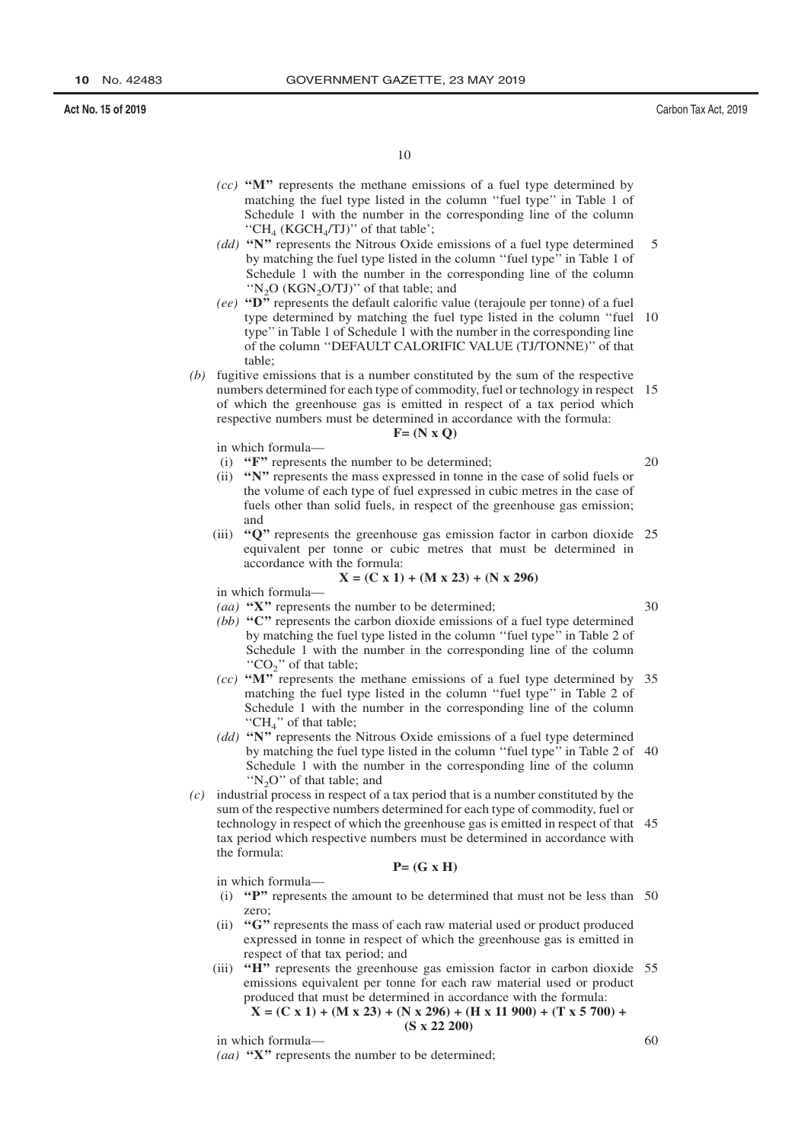$1<sub>0</sub>$ 

- $(cc)$  "M" represents the methane emissions of a fuel type determined by matching the fuel type listed in the column "fuel type" in Table 1 of Schedule 1 with the number in the corresponding line of the column "CH<sub>4</sub> (KGCH<sub>4</sub>/TJ)" of that table';
- (dd) "N" represents the Nitrous Oxide emissions of a fuel type determined  $\overline{5}$ by matching the fuel type listed in the column "fuel type" in Table 1 of Schedule 1 with the number in the corresponding line of the column "N<sub>2</sub>O (KGN<sub>2</sub>O/TJ)" of that table; and
- (ee) " $\mathbf{D}^{\mathbf{r}}$  represents the default calorific value (terajoule per tonne) of a fuel type determined by matching the fuel type listed in the column "fuel 10 type" in Table 1 of Schedule 1 with the number in the corresponding line of the column "DEFAULT CALORIFIC VALUE (TJ/TONNE)" of that table;
- (b) fugitive emissions that is a number constituted by the sum of the respective numbers determined for each type of commodity, fuel or technology in respect 15 of which the greenhouse gas is emitted in respect of a tax period which respective numbers must be determined in accordance with the formula:

 $F = (N \times Q)$ 

in which formula-

- (i) "F" represents the number to be determined;
- (ii) "N" represents the mass expressed in tonne in the case of solid fuels or the volume of each type of fuel expressed in cubic metres in the case of fuels other than solid fuels, in respect of the greenhouse gas emission; and
- (iii) "Q" represents the greenhouse gas emission factor in carbon dioxide 25 equivalent per tonne or cubic metres that must be determined in accordance with the formula:

$$
X = (C x 1) + (M x 23) + (N x 296)
$$

in which formula-

- (aa) " $X$ " represents the number to be determined; (bb) " $C$ " represents the carbon dioxide emissions of a fuel type determined by matching the fuel type listed in the column "fuel type" in Table 2 of
- Schedule 1 with the number in the corresponding line of the column " $CO<sub>2</sub>$ " of that table; (cc) " $M$ " represents the methane emissions of a fuel type determined by 35 matching the fuel type listed in the column "fuel type" in Table 2 of Schedule 1 with the number in the corresponding line of the column
- "CH<sub>4</sub>" of that table;  $(dd)$  "N" represents the Nitrous Oxide emissions of a fuel type determined by matching the fuel type listed in the column "fuel type" in Table 2 of 40 Schedule 1 with the number in the corresponding line of the column "N<sub>2</sub>O" of that table; and
- $(c)$  industrial process in respect of a tax period that is a number constituted by the sum of the respective numbers determined for each type of commodity, fuel or technology in respect of which the greenhouse gas is emitted in respect of that 45 tax period which respective numbers must be determined in accordance with the formula:  $P = (G \times H)$

in which formula-

- (i) " $P$ " represents the amount to be determined that must not be less than 50 zero;
- (ii) "G" represents the mass of each raw material used or product produced expressed in tonne in respect of which the greenhouse gas is emitted in respect of that tax period; and
- (iii) "H<sup>"</sup> represents the greenhouse gas emission factor in carbon dioxide 55 emissions equivalent per tonne for each raw material used or product produced that must be determined in accordance with the formula:

$$
X = (C x 1) + (M x 23) + (N x 296) + (H x 11 900) + (T x 5 700) + (S x 22 200)
$$

in which formula-

(aa) " $X$ " represents the number to be determined;

 $30$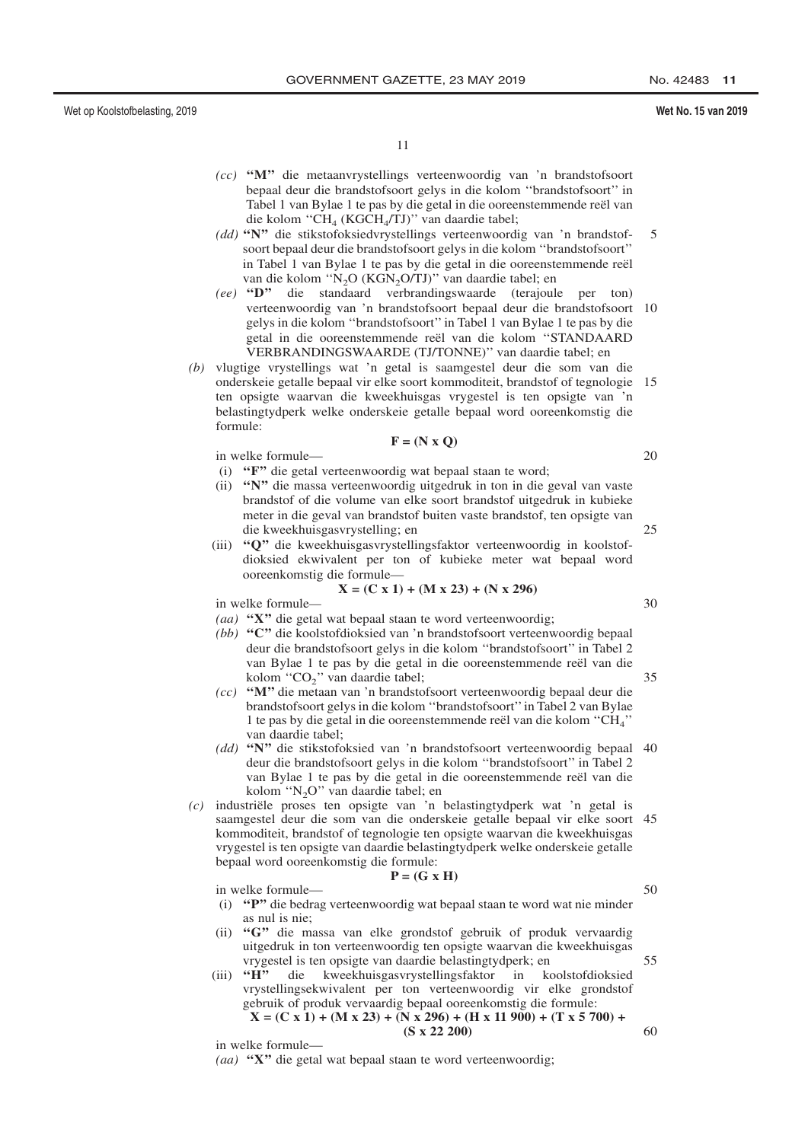#### Wet No. 15 van 2019

 $11$ 

- $(cc)$  "M" die metaanvrystellings verteenwoordig van 'n brandstofsoort bepaal deur die brandstofsoort gelys in die kolom "brandstofsoort" in Tabel 1 van Bylae 1 te pas by die getal in die ooreenstemmende reël van die kolom "CH<sub>4</sub> (KGCH<sub>4</sub>/TJ)" van daardie tabel;
- (dd) "N" die stikstofoksiedvrystellings verteenwoordig van 'n brandstof-5 soort bepaal deur die brandstofsoort gelys in die kolom "brandstofsoort" in Tabel 1 van Bylae 1 te pas by die getal in die ooreenstemmende reël van die kolom "N<sub>2</sub>O (KGN<sub>2</sub>O/TJ)" van daardie tabel; en
- (ee) "D" die standaard verbrandingswaarde (terajoule per ton) verteenwoordig van 'n brandstofsoort bepaal deur die brandstofsoort 10 gelys in die kolom "brandstofsoort" in Tabel 1 van Bylae 1 te pas by die getal in die ooreenstemmende reël van die kolom "STANDAARD VERBRANDINGSWAARDE (TJ/TONNE)" van daardie tabel; en
- $(b)$  vlugtige vrystellings wat 'n getal is saamgestel deur die som van die onderskeie getalle bepaal vir elke soort kommoditeit, brandstof of tegnologie 15 ten opsigte waarvan die kweekhuisgas vrygestel is ten opsigte van 'n belastingtydperk welke onderskeie getalle bepaal word ooreenkomstig die formule:

$$
\mathbf{F} = (\mathbf{N} \times \mathbf{Q})
$$

in welke formule-

- (i) "F" die getal verteenwoordig wat bepaal staan te word;
- (ii) "N" die massa verteenwoordig uitgedruk in ton in die geval van vaste brandstof of die volume van elke soort brandstof uitgedruk in kubieke meter in die geval van brandstof buiten vaste brandstof, ten opsigte van die kweekhuisgasvrystelling; en
- (iii) "O" die kweekhuisgasvrystellingsfaktor verteenwoordig in koolstofdioksied ekwivalent per ton of kubieke meter wat bepaal word ooreenkomstig die formule-

$$
X = (C x 1) + (M x 23) + (N x 296)
$$

in welke formule-

- (aa) "X" die getal wat bepaal staan te word verteenwoordig;
- (bb) "C" die koolstofdioksied van 'n brandstofsoort verteenwoordig bepaal deur die brandstofsoort gelys in die kolom "brandstofsoort" in Tabel 2 van Bylae 1 te pas by die getal in die ooreenstemmende reël van die kolom "CO<sub>2</sub>" van daardie tabel;
- (cc) "M" die metaan van 'n brandstofsoort verteenwoordig bepaal deur die brandstofsoort gelys in die kolom "brandstofsoort" in Tabel 2 van Bylae 1 te pas by die getal in die ooreenstemmende reël van die kolom "CH<sub>4</sub>" van daardie tabel;
- (dd) "N" die stikstofoksied van 'n brandstofsoort verteenwoordig bepaal 40 deur die brandstofsoort gelys in die kolom "brandstofsoort" in Tabel 2 van Bylae 1 te pas by die getal in die ooreenstemmende reël van die kolom "N<sub>2</sub>O" van daardie tabel; en
- $(c)$  industriële proses ten opsigte van 'n belastingtydperk wat 'n getal is saamgestel deur die som van die onderskeie getalle bepaal vir elke soort 45 kommoditeit, brandstof of tegnologie ten opsigte waarvan die kweekhuisgas vrygestel is ten opsigte van daardie belastingtydperk welke onderskeie getalle bepaal word ooreenkomstig die formule:  $P = (G \times H)$

in welke formule-

- (i) "P" die bedrag verteenwoordig wat bepaal staan te word wat nie minder as nul is nie:
- (ii) "G" die massa van elke grondstof gebruik of produk vervaardig uitgedruk in ton verteenwoordig ten opsigte waarvan die kweekhuisgas vrygestel is ten opsigte van daardie belastingtydperk; en
- $(iii)$  " $\overline{H}$ " die kweekhuisgasvrystellingsfaktor in koolstofdioksied vrystellingsekwivalent per ton verteenwoordig vir elke grondstof gebruik of produk vervaardig bepaal ooreenkomstig die formule:  $X = (C \times 1) + (M \times 23) + (N \times 296) + (H \times 11900) + (T \times 5700) +$ 60

 $(S \times 22\ 200)$ 

in welke formule-

(aa) "X" die getal wat bepaal staan te word verteenwoordig;

35

 $30$ 

 $25$ 

20

50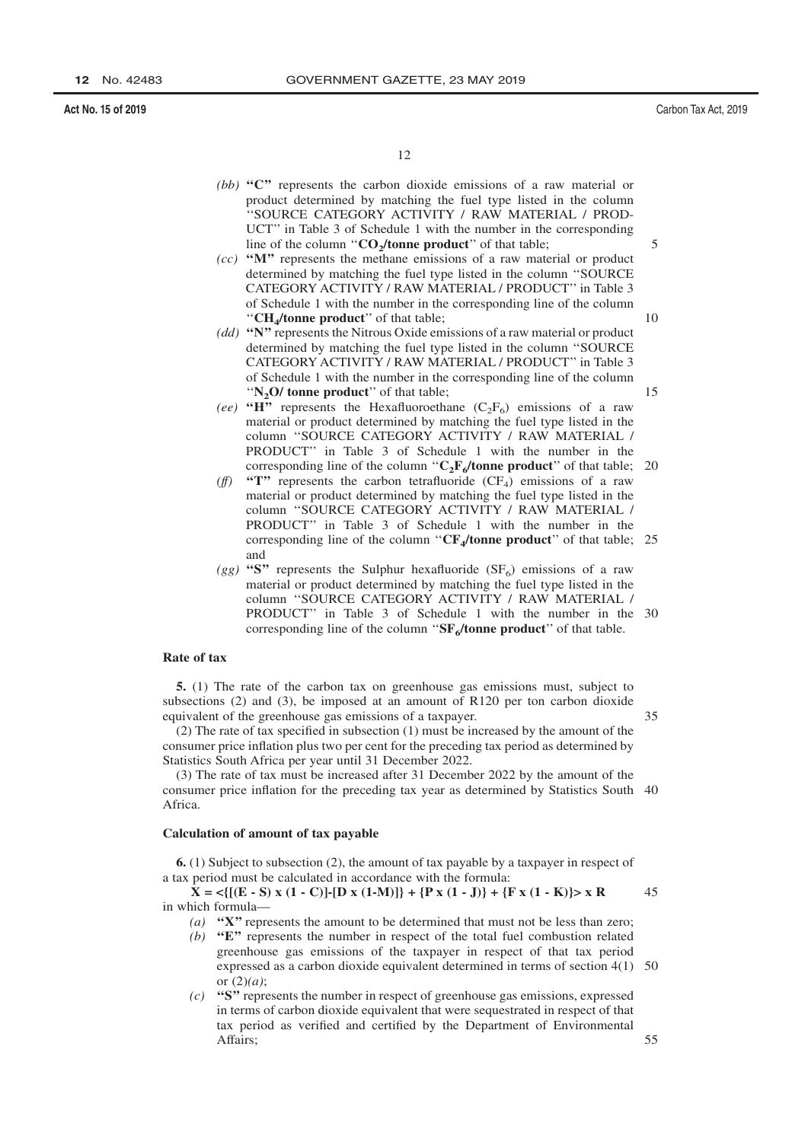12

- (bb) " $C$ " represents the carbon dioxide emissions of a raw material or product determined by matching the fuel type listed in the column "SOURCE CATEGORY ACTIVITY / RAW MATERIAL / PROD-UCT" in Table 3 of Schedule 1 with the number in the corresponding line of the column " $CO<sub>2</sub>/tonne product$ " of that table;
- $(cc)$  "M" represents the methane emissions of a raw material or product determined by matching the fuel type listed in the column "SOURCE CATEGORY ACTIVITY / RAW MATERIAL / PRODUCT" in Table 3 of Schedule 1 with the number in the corresponding line of the column "CH<sub>4</sub>/tonne product" of that table;
- (dd) "N" represents the Nitrous Oxide emissions of a raw material or product determined by matching the fuel type listed in the column "SOURCE CATEGORY ACTIVITY / RAW MATERIAL / PRODUCT" in Table 3 of Schedule 1 with the number in the corresponding line of the column " $N_2$ O/ tonne product" of that table;
- (ee) "H" represents the Hexafluoroethane  $(C_2F_6)$  emissions of a raw material or product determined by matching the fuel type listed in the column "SOURCE CATEGORY ACTIVITY / RAW MATERIAL / PRODUCT" in Table 3 of Schedule 1 with the number in the corresponding line of the column " $C_2F_6$ /tonne product" of that table; 20
- "T" represents the carbon tetrafluoride  $(CF_4)$  emissions of a raw  $(f\mathbf{f})$ material or product determined by matching the fuel type listed in the column "SOURCE CATEGORY ACTIVITY / RAW MATERIAL / PRODUCT" in Table 3 of Schedule 1 with the number in the corresponding line of the column " $CF<sub>4</sub>/tonne product$ " of that table; 25 and
- (gg) "S" represents the Sulphur hexafluoride (SF<sub>6</sub>) emissions of a raw material or product determined by matching the fuel type listed in the column "SOURCE CATEGORY ACTIVITY / RAW MATERIAL / PRODUCT" in Table 3 of Schedule 1 with the number in the 30 corresponding line of the column " $SF<sub>6</sub>/tonne product$ " of that table.

#### Rate of tax

5. (1) The rate of the carbon tax on greenhouse gas emissions must, subject to subsections (2) and (3), be imposed at an amount of R120 per ton carbon dioxide equivalent of the greenhouse gas emissions of a taxpayer.

(2) The rate of tax specified in subsection (1) must be increased by the amount of the consumer price inflation plus two per cent for the preceding tax period as determined by Statistics South Africa per year until 31 December 2022.

(3) The rate of tax must be increased after 31 December 2022 by the amount of the consumer price inflation for the preceding tax year as determined by Statistics South 40 Africa.

#### Calculation of amount of tax payable

**6.** (1) Subject to subsection (2), the amount of tax payable by a taxpayer in respect of a tax period must be calculated in accordance with the formula:

 $X = \langle [(E - S) x (1 - C)] - [D x (1 - M)] \rangle + \{P x (1 - J)\} + \{F x (1 - K)\} > x R$ 45 in which formula-

- (a) " $X$ " represents the amount to be determined that must not be less than zero;
- (b) " $E$ " represents the number in respect of the total fuel combustion related greenhouse gas emissions of the taxpayer in respect of that tax period expressed as a carbon dioxide equivalent determined in terms of section  $4(1)$  50 or  $(2)(a)$ ;
- $(c)$  "S" represents the number in respect of greenhouse gas emissions, expressed in terms of carbon dioxide equivalent that were sequestrated in respect of that tax period as verified and certified by the Department of Environmental Affairs;

15

 $1<sub>0</sub>$ 

 $\overline{5}$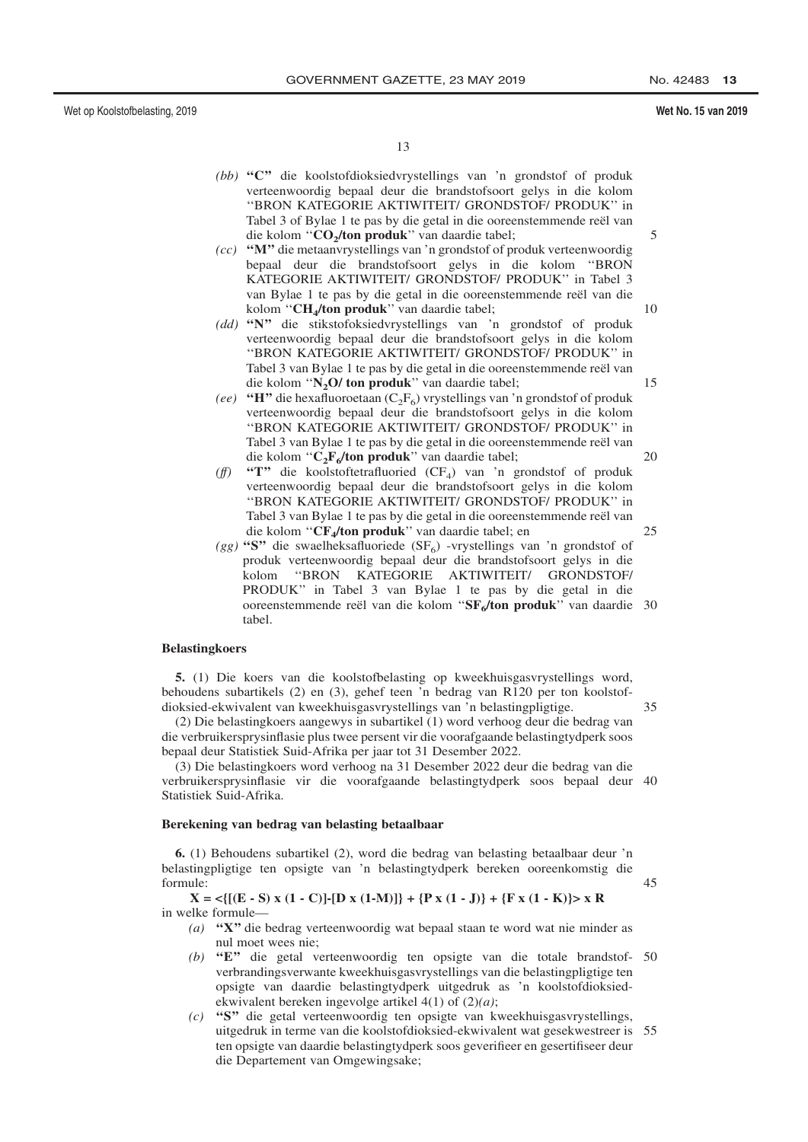#### Wet No. 15 van 2019

 $13$ 

- (bb) "C" die koolstofdioksiedvrystellings van 'n grondstof of produk verteenwoordig bepaal deur die brandstofsoort gelys in die kolom "BRON KATEGORIE AKTIWITEIT/ GRONDSTOF/ PRODUK" in Tabel 3 of Bylae 1 te pas by die getal in die ooreenstemmende reël van die kolom "CO<sub>2</sub>/ton produk" van daardie tabel;
- (cc) "M" die metaanvrystellings van 'n grondstof of produk verteenwoordig bepaal deur die brandstofsoort gelys in die kolom "BRON KATEGORIE AKTIWITEIT/ GRONDSTOF/ PRODUK" in Tabel 3 van Bylae 1 te pas by die getal in die ooreenstemmende reël van die kolom "CH<sub>4</sub>/ton produk" van daardie tabel;  $10$
- (dd) "N" die stikstofoksiedvrystellings van 'n grondstof of produk verteenwoordig bepaal deur die brandstofsoort gelys in die kolom "BRON KATEGORIE AKTIWITEIT/ GRONDSTOF/ PRODUK" in Tabel 3 van Bylae 1 te pas by die getal in die ooreenstemmende reël van die kolom "N<sub>2</sub>O/ ton produk" van daardie tabel;
- (ee) "H" die hexafluoroetaan ( $C_2F_6$ ) vrystellings van 'n grondstof of produk verteenwoordig bepaal deur die brandstofsoort gelys in die kolom "BRON KATEGORIE AKTIWITEIT/ GRONDSTOF/ PRODUK" in Tabel 3 van Bylae 1 te pas by die getal in die ooreenstemmende reël van die kolom " $C_2F_6$ /ton produk" van daardie tabel;
- $(f\!f)$ "T" die koolstoftetrafluoried ( $CF_4$ ) van 'n grondstof of produk verteenwoordig bepaal deur die brandstofsoort gelys in die kolom "BRON KATEGORIE AKTIWITEIT/ GRONDSTOF/ PRODUK" in Tabel 3 van Bylae 1 te pas by die getal in die ooreenstemmende reël van die kolom "CF<sub>4</sub>/ton produk" van daardie tabel; en
- (gg) "S" die swaelheksafluoriede (SF<sub>6</sub>) -vrystellings van 'n grondstof of produk verteenwoordig bepaal deur die brandstofsoort gelys in die "BRON KATEGORIE AKTIWITEIT/ GRONDSTOF/ kolom PRODUK" in Tabel 3 van Bylae 1 te pas by die getal in die ooreenstemmende reël van die kolom "SF<sub>e</sub>/ton produk" van daardie 30 tabel.

#### **Belastingkoers**

5. (1) Die koers van die koolstofbelasting op kweekhuisgasvrystellings word. behoudens subartikels  $(2)$  en  $(3)$ , gehef teen 'n bedrag van R120 per ton koolstofdioksied-ekwivalent van kweekhuisgasvrystellings van 'n belastingpligtige.

(2) Die belastingkoers aangewys in subartikel (1) word verhoog deur die bedrag van die verbruikersprysinflasie plus twee persent vir die voorafgaande belastingtydperk soos bepaal deur Statistiek Suid-Afrika per jaar tot 31 Desember 2022.

(3) Die belastingkoers word verhoog na 31 Desember 2022 deur die bedrag van die verbruikersprysinflasie vir die voorafgaande belastingtydperk soos bepaal deur 40 Statistiek Suid-Afrika.

#### Berekening van bedrag van belasting betaalbaar

6. (1) Behoudens subartikel (2), word die bedrag van belasting betaalbaar deur 'n belastingpligtige ten opsigte van 'n belastingtydperk bereken ooreenkomstig die formule:

#### $X = \langle [(E - S) x (1 - C)] - [D x (1 - M)] \rangle + \{P x (1 - J)\} + \{F x (1 - K)\} > x R$ in welke formule-

- (a) "X" die bedrag verteenwoordig wat bepaal staan te word wat nie minder as nul moet wees nie;
- (b) " $E$ " die getal verteenwoordig ten opsigte van die totale brandstof- 50 verbrandingsverwante kweekhuisgasvrystellings van die belastingpligtige ten opsigte van daardie belastingtydperk uitgedruk as 'n koolstofdioksiedekwivalent bereken ingevolge artikel  $4(1)$  of  $(2)(a)$ ;
- $(c)$  "S" die getal verteenwoordig ten opsigte van kweekhuisgasvrystellings, uitgedruk in terme van die koolstofdioksied-ekwivalent wat gesekwestreer is 55 ten opsigte van daardie belastingtydperk soos geverifieer en gesertifiseer deur die Departement van Omgewingsake;

15

20

 $25$ 

35

45

 $\overline{\mathcal{L}}$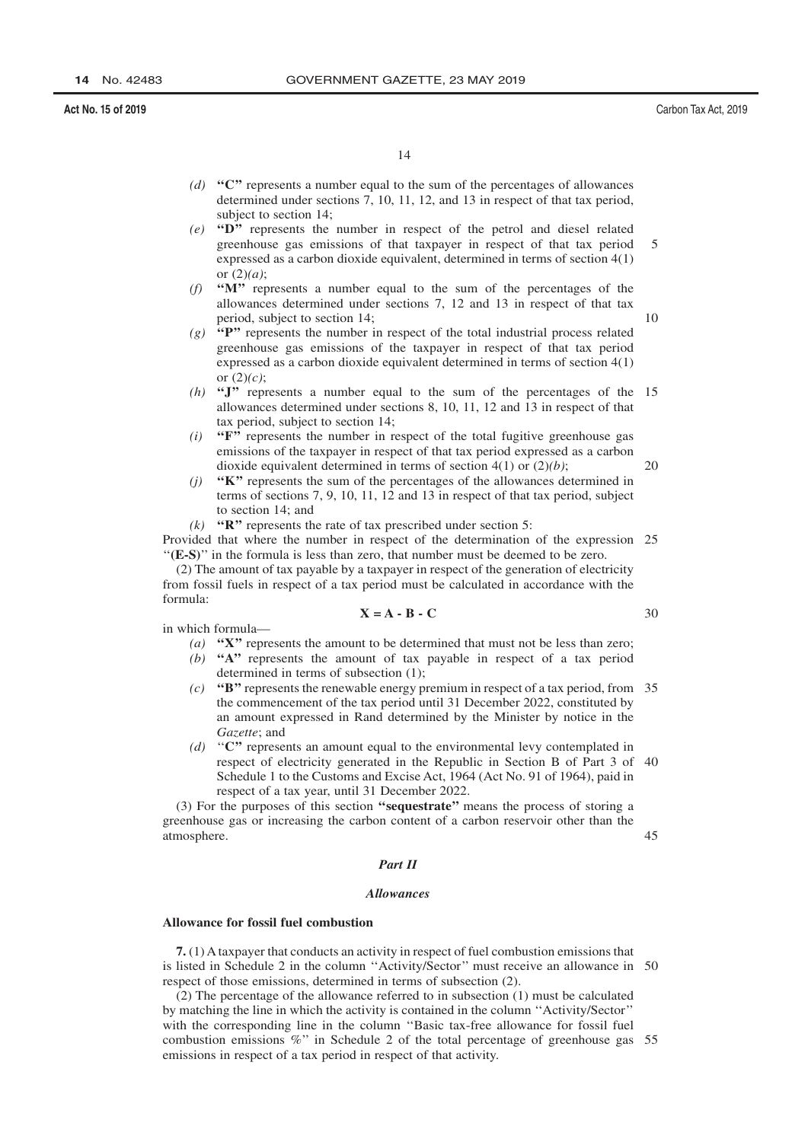$14$ 

- (d) " $C$ " represents a number equal to the sum of the percentages of allowances determined under sections  $7$ , 10, 11, 12, and 13 in respect of that tax period, subject to section 14;
- (e) " $D$ " represents the number in respect of the petrol and diesel related greenhouse gas emissions of that taxpayer in respect of that tax period  $\overline{\phantom{0}}$ expressed as a carbon dioxide equivalent, determined in terms of section  $4(1)$ or  $(2)(a)$ :
- (f) " $M$ " represents a number equal to the sum of the percentages of the allowances determined under sections 7, 12 and 13 in respect of that tax period, subject to section 14;
- $(g)$  "P" represents the number in respect of the total industrial process related greenhouse gas emissions of the taxpayer in respect of that tax period expressed as a carbon dioxide equivalent determined in terms of section 4(1) or  $(2)(c)$ ;
- (h) "J" represents a number equal to the sum of the percentages of the 15 allowances determined under sections 8, 10, 11, 12 and 13 in respect of that tax period, subject to section 14;
- $(i)$  "F" represents the number in respect of the total fugitive greenhouse gas emissions of the taxpayer in respect of that tax period expressed as a carbon dioxide equivalent determined in terms of section  $4(1)$  or  $(2)(b)$ ; 20
- "K" represents the sum of the percentages of the allowances determined in  $(i)$ terms of sections  $7, 9, 10, 11, 12$  and  $13$  in respect of that tax period, subject to section 14; and
- $(k)$  "R" represents the rate of tax prescribed under section 5:

Provided that where the number in respect of the determination of the expression 25 "(E-S)" in the formula is less than zero, that number must be deemed to be zero.

(2) The amount of tax payable by a taxpayer in respect of the generation of electricity from fossil fuels in respect of a tax period must be calculated in accordance with the  $formula.$ 

$$
X = A - B - C
$$

in which formula-

- (a) " $X''$  represents the amount to be determined that must not be less than zero;
- $(b)$  "A" represents the amount of tax payable in respect of a tax period determined in terms of subsection (1);
- (c) "B" represents the renewable energy premium in respect of a tax period, from 35 the commencement of the tax period until 31 December 2022, constituted by an amount expressed in Rand determined by the Minister by notice in the Gazette; and
- (d) " $C$ " represents an amount equal to the environmental levy contemplated in respect of electricity generated in the Republic in Section B of Part 3 of 40 Schedule 1 to the Customs and Excise Act, 1964 (Act No. 91 of 1964), paid in respect of a tax year, until 31 December 2022.

(3) For the purposes of this section "sequestrate" means the process of storing a greenhouse gas or increasing the carbon content of a carbon reservoir other than the atmosphere.

#### Part II

#### **Allowances**

#### Allowance for fossil fuel combustion

7. (1) A taxpayer that conducts an activity in respect of fuel combustion emissions that is listed in Schedule 2 in the column "Activity/Sector" must receive an allowance in 50 respect of those emissions, determined in terms of subsection (2).

 $(2)$  The percentage of the allowance referred to in subsection  $(1)$  must be calculated by matching the line in which the activity is contained in the column "Activity/Sector" with the corresponding line in the column "Basic tax-free allowance for fossil fuel combustion emissions  $\%$ " in Schedule 2 of the total percentage of greenhouse gas 55 emissions in respect of a tax period in respect of that activity.

30

 $45$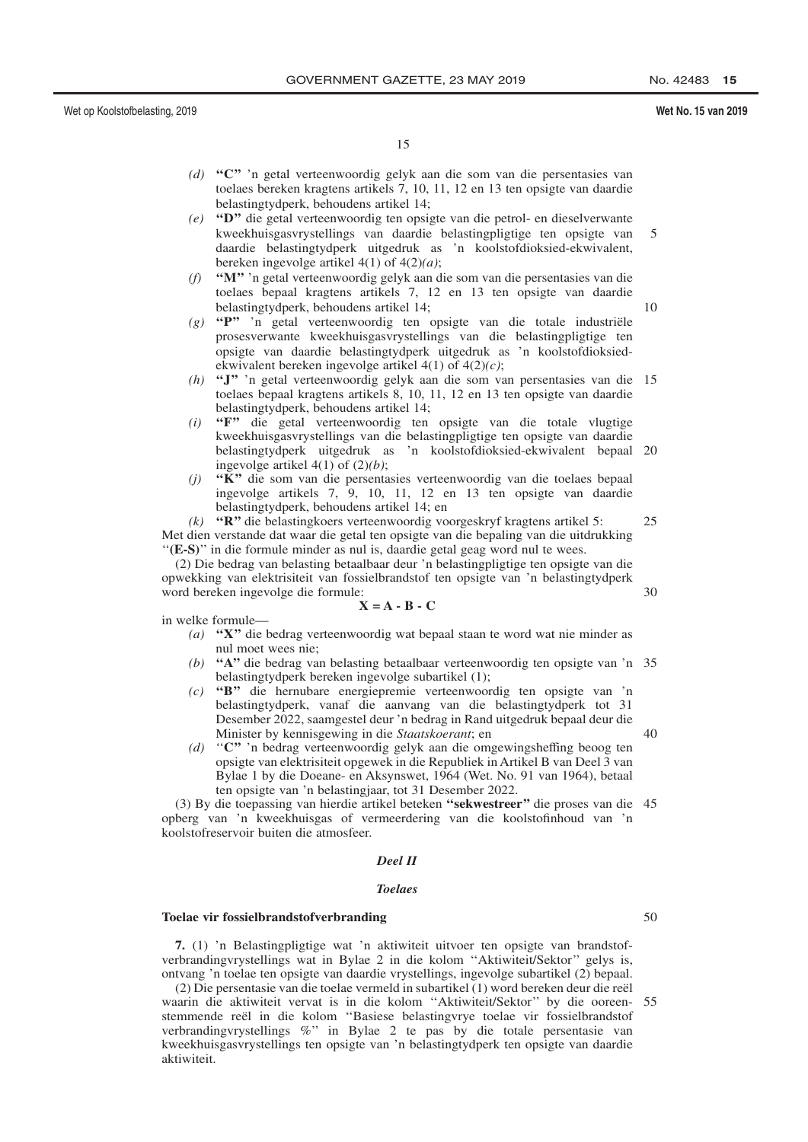#### Wet No. 15 van 2019

15

- (d) " $C$ " in getal verteenwoordig gelyk aan die som van die persentasies van toelaes bereken kragtens artikels 7, 10, 11, 12 en 13 ten opsigte van daardie belastingtydperk, behoudens artikel 14;
- (e) "D" die getal verteenwoordig ten opsigte van die petrol- en dieselverwante kweekhuisgasvrystellings van daardie belastingpligtige ten opsigte van 5 daardie belastingtydperk uitgedruk as 'n koolstofdioksied-ekwivalent, bereken ingevolge artikel  $4(1)$  of  $4(2)(a)$ ;
- (f) " $M$ " n getal verteenwoordig gelyk aan die som van die persentasies van die toelaes bepaal kragtens artikels 7, 12 en 13 ten opsigte van daardie  $10$ belastingtydperk, behoudens artikel 14:
- $(g)$  "P" 'n getal verteenwoordig ten opsigte van die totale industriële prosesverwante kweekhuisgasvrystellings van die belastingpligtige ten opsigte van daardie belastingtydperk uitgedruk as 'n koolstofdioksiedekwivalent bereken ingevolge artikel  $4(1)$  of  $4(2)(c)$ ;
- (h) "J" 'n getal verteenwoordig gelyk aan die som van persentasies van die 15 toelaes bepaal kragtens artikels 8, 10, 11, 12 en 13 ten opsigte van daardie belastingtydperk, behoudens artikel 14;
- "F" die getal verteenwoordig ten opsigte van die totale vlugtige  $(i)$ kweekhuisgasvrystellings van die belastingpligtige ten opsigte van daardie belastingtydperk uitgedruk as 'n koolstofdioksied-ekwivalent bepaal 20 ingevolge artikel  $4(1)$  of  $(2)(b)$ ;
- $(i)$  "K" die som van die persentasies verteenwoordig van die toelaes bepaal ingevolge artikels 7, 9, 10, 11, 12 en 13 ten opsigte van daardie belastingtydperk, behoudens artikel 14; en

 $(k)$  "R" die belastingkoers verteenwoordig voorgeskryf kragtens artikel 5: Met dien verstande dat waar die getal ten opsigte van die bepaling van die uitdrukking "(E-S)" in die formule minder as nul is, daardie getal geag word nul te wees.

(2) Die bedrag van belasting betaalbaar deur 'n belastingpligtige ten opsigte van die opwekking van elektrisiteit van fossielbrandstof ten opsigte van 'n belastingtydperk word bereken ingevolge die formule:

$$
\mathbf{X} = \mathbf{A} - \mathbf{B} - \mathbf{C}
$$

in welke formule-

- (a) "X" die bedrag verteenwoordig wat bepaal staan te word wat nie minder as nul moet wees nie;
- (b) "A" die bedrag van belasting betaalbaar verteenwoordig ten opsigte van 'n 35 belastingtydperk bereken ingevolge subartikel (1);
- (c) "B" die hernubare energiepremie verteenwoordig ten opsigte van 'n belastingtydperk, vanaf die aanvang van die belastingtydperk tot 31 Desember 2022, saamgestel deur 'n bedrag in Rand uitgedruk bepaal deur die  $40$ Minister by kennisgewing in die Staatskoerant; en
- (d) "C" 'n bedrag verteenwoordig gelyk aan die omgewingsheffing beoog ten opsigte van elektrisiteit opgewek in die Republiek in Artikel B van Deel 3 van Bylae 1 by die Doeane- en Aksynswet, 1964 (Wet. No. 91 van 1964), betaal ten opsigte van 'n belastingjaar, tot 31 Desember 2022.

(3) By die toepassing van hierdie artikel beteken "sekwestreer" die proses van die 45 opberg van 'n kweekhuisgas of vermeerdering van die koolstofinhoud van 'n koolstofreservoir buiten die atmosfeer.

#### Deel II

#### **Toplass**

#### **Toelae vir fossielbrandstofverbranding**

7. (1) 'n Belastingpligtige wat 'n aktiwiteit uitvoer ten opsigte van brandstofverbrandingvrystellings wat in Bylae 2 in die kolom "Aktiwiteit/Sektor" gelys is, ontvang 'n toelae ten opsigte van daardie vrystellings, ingevolge subartikel (2) bepaal.

(2) Die persentasie van die toelae vermeld in subartikel (1) word bereken deur die reël waarin die aktiwiteit vervat is in die kolom "Aktiwiteit/Sektor" by die ooreen- 55 stemmende reël in die kolom "Basiese belastingvrye toelae vir fossielbrandstof verbrandingvrystellings %" in Bylae 2 te pas by die totale persentasie van kweekhuisgasvrystellings ten opsigte van 'n belastingtydperk ten opsigte van daardie aktiwiteit.

50

 $25$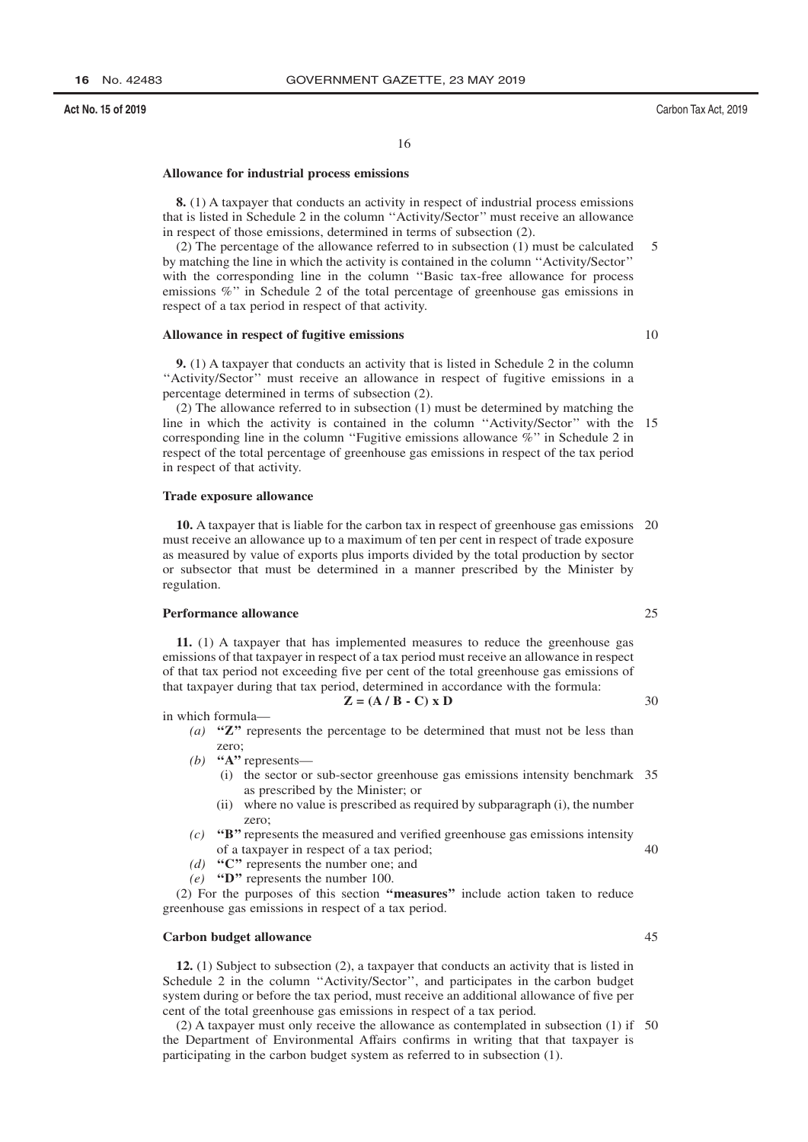#### 16

#### Allowance for industrial process emissions

8. (1) A taxpayer that conducts an activity in respect of industrial process emissions that is listed in Schedule 2 in the column "Activity/Sector" must receive an allowance in respect of those emissions, determined in terms of subsection (2).

 $(2)$  The percentage of the allowance referred to in subsection  $(1)$  must be calculated  $\overline{\phantom{0}}$ by matching the line in which the activity is contained in the column "Activity/Sector" with the corresponding line in the column "Basic tax-free allowance for process emissions %" in Schedule 2 of the total percentage of greenhouse gas emissions in respect of a tax period in respect of that activity.

#### Allowance in respect of fugitive emissions

**9.** (1) A taxpayer that conducts an activity that is listed in Schedule 2 in the column "Activity/Sector" must receive an allowance in respect of fugitive emissions in a percentage determined in terms of subsection (2).

(2) The allowance referred to in subsection (1) must be determined by matching the line in which the activity is contained in the column "Activity/Sector" with the 15 corresponding line in the column "Fugitive emissions allowance  $\%$ " in Schedule 2 in respect of the total percentage of greenhouse gas emissions in respect of the tax period in respect of that activity.

#### **Trade exposure allowance**

10. A taxpayer that is liable for the carbon tax in respect of greenhouse gas emissions 20 must receive an allowance up to a maximum of ten per cent in respect of trade exposure as measured by value of exports plus imports divided by the total production by sector or subsector that must be determined in a manner prescribed by the Minister by regulation.

#### **Performance allowance**

11. (1) A taxpayer that has implemented measures to reduce the greenhouse gas emissions of that taxpayer in respect of a tax period must receive an allowance in respect of that tax period not exceeding five per cent of the total greenhouse gas emissions of that taxpayer during that tax period, determined in accordance with the formula:

$$
\mathbf{Z} = (\mathbf{A} \mathbf{/} \mathbf{B} \cdot \mathbf{C}) \times \mathbf{D}
$$

in which formula-

- (a) " $Z$ " represents the percentage to be determined that must not be less than zero;
- (b) "A" represents—
	- (i) the sector or sub-sector greenhouse gas emissions intensity benchmark 35 as prescribed by the Minister; or
	- (ii) where no value is prescribed as required by subparagraph (i), the number zero:
- $(c)$  "B" represents the measured and verified greenhouse gas emissions intensity of a taxpayer in respect of a tax period;
- (d) " $C$ " represents the number one; and
- (e) "D" represents the number 100.

(2) For the purposes of this section "measures" include action taken to reduce greenhouse gas emissions in respect of a tax period.

#### **Carbon budget allowance**

12. (1) Subject to subsection (2), a taxpayer that conducts an activity that is listed in Schedule 2 in the column "Activity/Sector", and participates in the carbon budget system during or before the tax period, must receive an additional allowance of five per cent of the total greenhouse gas emissions in respect of a tax period.

(2) A taxpayer must only receive the allowance as contemplated in subsection  $(1)$  if 50 the Department of Environmental Affairs confirms in writing that that taxpayer is participating in the carbon budget system as referred to in subsection (1).

 $10$ 

25

30

- 
- 45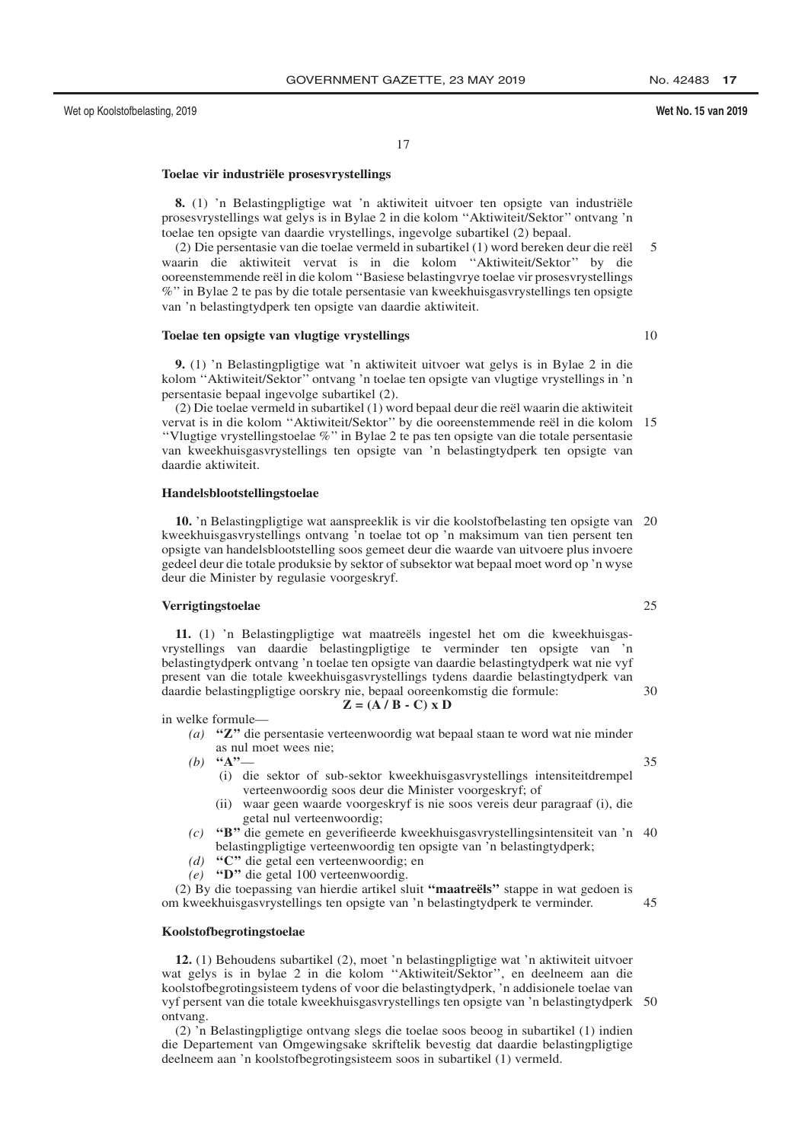$17$ 

#### Toelae vir industriële prosesvrystellings

8. (1) 'n Belastingpligtige wat 'n aktiwiteit uitvoer ten opsigte van industriële prosesvrystellings wat gelys is in Bylae 2 in die kolom "Aktiwiteit/Sektor" ontvang 'n toelae ten opsigte van daardie vrystellings, ingevolge subartikel (2) bepaal.

(2) Die persentasie van die toelae vermeld in subartikel (1) word bereken deur die reël 5 waarin die aktiwiteit vervat is in die kolom "Aktiwiteit/Sektor" by die ooreenstemmende reël in die kolom "Basiese belasting vrye toelae vir proses vrystellings %" in Bylae 2 te pas by die totale persentasie van kweekhuisgasvrystellings ten opsigte van 'n belastingtydperk ten opsigte van daardie aktiwiteit.

## Toelae ten opsigte van vlugtige vrystellings

9. (1) 'n Belastingpligtige wat 'n aktiwiteit uitvoer wat gelys is in Bylae 2 in die kolom "Aktiwiteit/Sektor" ontvang 'n toelae ten opsigte van vlugtige vrystellings in 'n persentasie bepaal ingevolge subartikel (2).

(2) Die toelae vermeld in subartikel (1) word bepaal deur die reël waarin die aktiwiteit vervat is in die kolom "Aktiwiteit/Sektor" by die ooreenstemmende reël in die kolom 15 "Vlugtige vrystellingstoelae %" in Bylae 2 te pas ten opsigte van die totale persentasie van kweekhuisgasvrystellings ten opsigte van 'n belastingtydperk ten opsigte van daardie aktiwiteit.

#### Handelsblootstellingstoelae

10. 'n Belastingpligtige wat aanspreeklik is vir die koolstofbelasting ten opsigte van 20 kweekhuisgasvrystellings ontvang 'n toelae tot op 'n maksimum van tien persent ten opsigte van handelsblootstelling soos gemeet deur die waarde van uitvoere plus invoere gedeel deur die totale produksie by sektor of subsektor wat bepaal moet word op 'n wyse deur die Minister by regulasie voorgeskryf.

#### Verrigtingstoelae

11. (1) 'n Belastingpligtige wat maatreëls ingestel het om die kweekhuisgasvrystellings van daardie belastingpligtige te verminder ten opsigte van 'n belastingtydperk ontvang 'n toelae ten opsigte van daardie belastingtydperk wat nie vyf present van die totale kweekhuisgasvrystellings tydens daardie belastingtydperk van daardie belastingpligtige oorskry nie, bepaal ooreenkomstig die formule:  $=(\mathbf{A} \mathbf{A} \mathbf{B} - \mathbf{C}) \mathbf{X} \mathbf{D}$ 

$$
\mathbf{Z} = (\mathbf{A} \mid \mathbf{D} \cdot \mathbf{C})
$$

in welke formule-

(a) " $Z$ " die persentasie verteenwoordig wat bepaal staan te word wat nie minder as nul moet wees nie;

(b) "A"-

- (i) die sektor of sub-sektor kweekhuisgasvrystellings intensiteitdrempel verteenwoordig soos deur die Minister voorgeskryf; of
- (ii) waar geen waarde voorgeskryf is nie soos vereis deur paragraaf (i), die getal nul verteenwoordig;
- "B" die gemete en geverifieerde kweekhuisgasvrystellingsintensiteit van 'n 40  $(c)$ belastingpligtige verteenwoordig ten opsigte van 'n belastingtydperk;
- (d) " $C$ " die getal een verteenwoordig; en
- (e) "D" die getal 100 verteenwoordig.

 $(2)$  By die toepassing van hierdie artikel sluit "maatreëls" stappe in wat gedoen is om kweekhuisgasvrystellings ten opsigte van 'n belastingtydperk te verminder.

#### Koolstofbegrotingstoelae

12. (1) Behoudens subartikel (2), moet 'n belastingpligtige wat 'n aktiwiteit uitvoer wat gelys is in bylae 2 in die kolom "Aktiwiteit/Sektor", en deelneem aan die koolstofbegrotingsisteem tydens of voor die belastingtydperk, 'n addisionele toelae van vyf persent van die totale kweekhuisgasvrystellings ten opsigte van 'n belastingtydperk 50 ontvang.

(2) 'n Belastingpligtige ontvang slegs die toelae soos beoog in subartikel (1) indien die Departement van Omgewingsake skriftelik bevestig dat daardie belastingpligtige deelneem aan 'n koolstofbegrotingsisteem soos in subartikel (1) vermeld.

#### Wet No. 15 van 2019

10

25

30

 $35$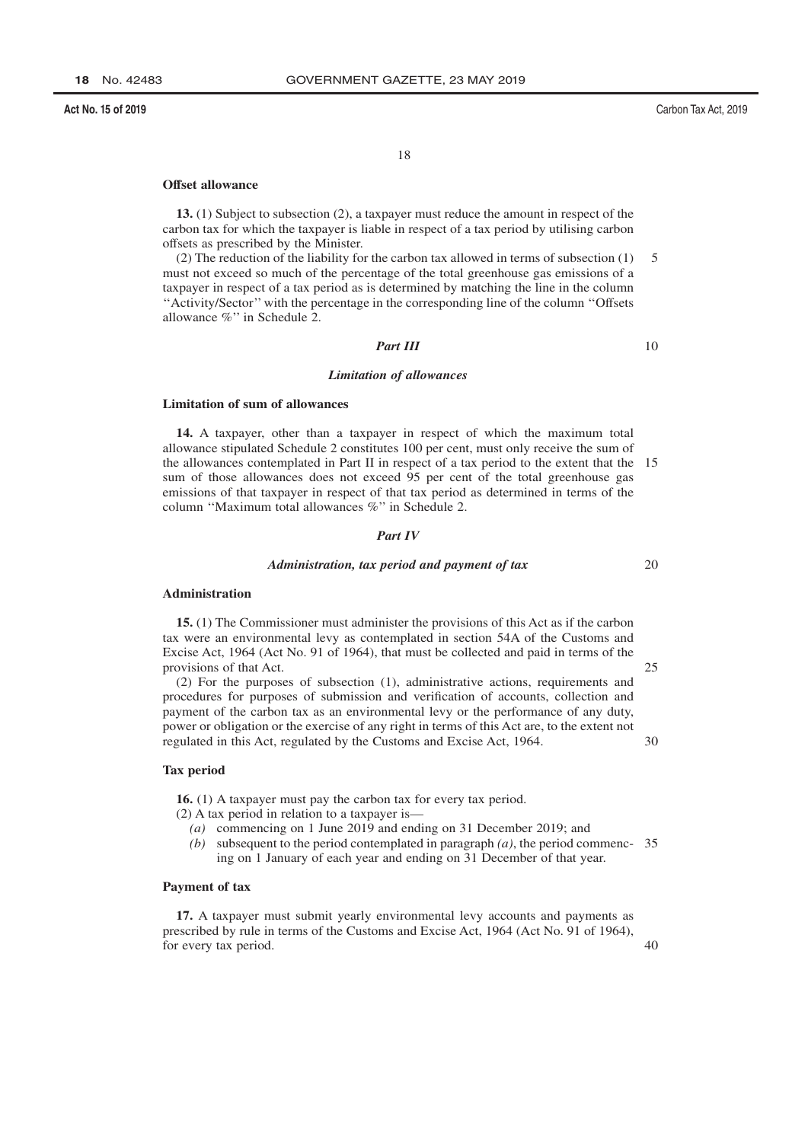18

#### Offset allowance

13. (1) Subject to subsection (2), a taxpayer must reduce the amount in respect of the carbon tax for which the taxpayer is liable in respect of a tax period by utilising carbon offsets as prescribed by the Minister.

 $(2)$  The reduction of the liability for the carbon tax allowed in terms of subsection  $(1)$ 5 must not exceed so much of the percentage of the total greenhouse gas emissions of a taxpayer in respect of a tax period as is determined by matching the line in the column "Activity/Sector" with the percentage in the corresponding line of the column "Offsets" allowance %" in Schedule 2.

## **Part III**

10

#### **Limitation of allowances**

## **Limitation of sum of allowances**

14. A taxpayer, other than a taxpayer in respect of which the maximum total allowance stipulated Schedule 2 constitutes 100 per cent, must only receive the sum of the allowances contemplated in Part II in respect of a tax period to the extent that the 15 sum of those allowances does not exceed 95 per cent of the total greenhouse gas emissions of that taxpayer in respect of that tax period as determined in terms of the column "Maximum total allowances %" in Schedule 2.

#### **Part IV**

#### Administration, tax period and payment of tax

#### Administration

15. (1) The Commissioner must administer the provisions of this Act as if the carbon tax were an environmental levy as contemplated in section 54A of the Customs and Excise Act, 1964 (Act No. 91 of 1964), that must be collected and paid in terms of the provisions of that Act.

(2) For the purposes of subsection (1), administrative actions, requirements and procedures for purposes of submission and verification of accounts, collection and payment of the carbon tax as an environmental levy or the performance of any duty, power or obligation or the exercise of any right in terms of this Act are, to the extent not regulated in this Act, regulated by the Customs and Excise Act, 1964. 30

#### **Tax period**

16. (1) A taxpayer must pay the carbon tax for every tax period.

- $(2)$  A tax period in relation to a taxpayer is—
	- (a) commencing on 1 June 2019 and ending on 31 December 2019; and
	- (b) subsequent to the period contemplated in paragraph  $(a)$ , the period commenc- 35 ing on 1 January of each year and ending on 31 December of that year.

#### Payment of tax

17. A taxpayer must submit yearly environmental levy accounts and payments as prescribed by rule in terms of the Customs and Excise Act, 1964 (Act No. 91 of 1964), for every tax period.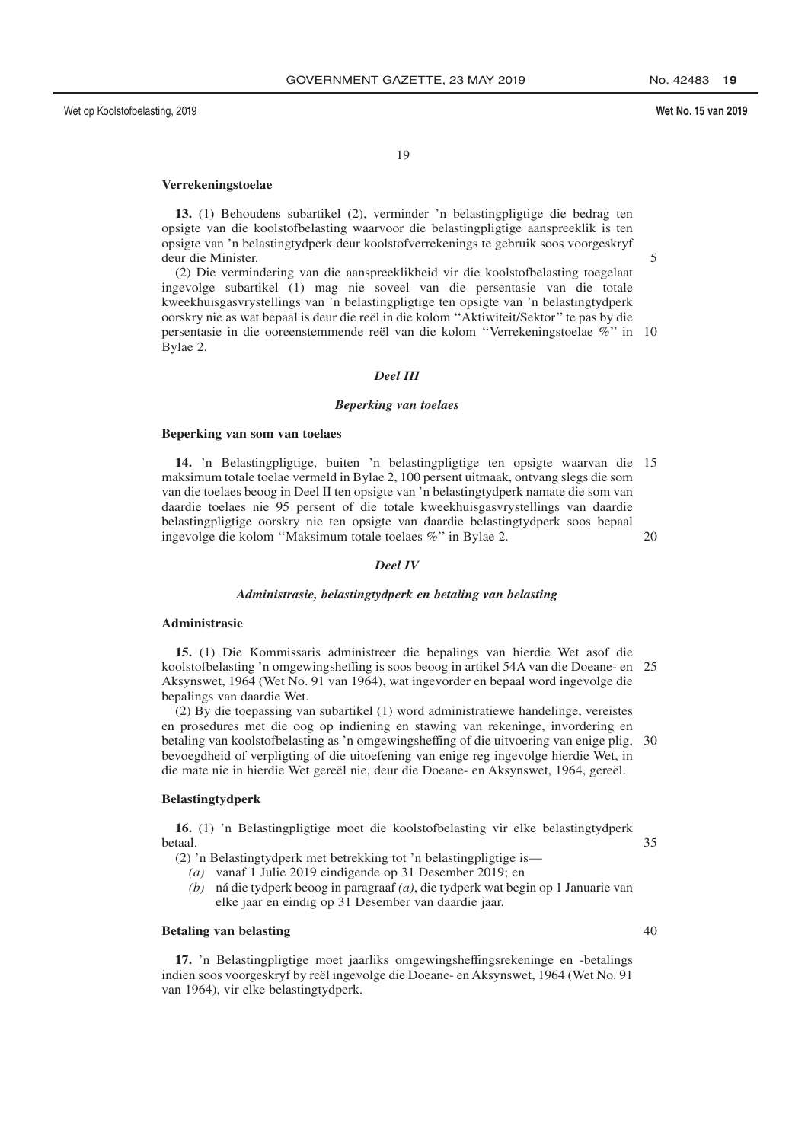No. 42483 19

## Wet No. 15 van 2019

19

## Verrekeningstoelae

13. (1) Behoudens subartikel (2), verminder 'n belastingpligtige die bedrag ten opsigte van die koolstofbelasting waarvoor die belastingpligtige aanspreeklik is ten opsigte van 'n belastingtydperk deur koolstofverrekenings te gebruik soos voorgeskryf deur die Minister.

5

(2) Die vermindering van die aanspreeklikheid vir die koolstofbelasting toegelaat ingevolge subartikel (1) mag nie soveel van die persentasie van die totale kweekhuisgasvrystellings van 'n belastingpligtige ten opsigte van 'n belastingtydperk oorskry nie as wat bepaal is deur die reël in die kolom "Aktiwiteit/Sektor" te pas by die persentasie in die ooreenstemmende reël van die kolom "Verrekeningstoelae %" in 10 Bylae 2.

#### **Deel III**

#### **Beperking van toelaes**

#### Beperking van som van toelaes

14. 'n Belastingpligtige, buiten 'n belastingpligtige ten opsigte waarvan die 15 maksimum totale toelae vermeld in Bylae 2, 100 persent uitmaak, ontvang slegs die som van die toelaes beoog in Deel II ten opsigte van 'n belastingtydperk namate die som van daardie toelaes nie 95 persent of die totale kweekhuisgasvrystellings van daardie belastingpligtige oorskry nie ten opsigte van daardie belastingtydperk soos bepaal ingevolge die kolom "Maksimum totale toelaes %" in Bylae 2. 20

#### **Deel IV**

#### Administrasie, belastingtydperk en betaling van belasting

#### Administrasie

15. (1) Die Kommissaris administreer die bepalings van hierdie Wet asof die koolstofbelasting 'n omgewingsheffing is soos beoog in artikel 54A van die Doeane- en 25 Aksynswet, 1964 (Wet No. 91 van 1964), wat ingevorder en bepaal word ingevolge die bepalings van daardie Wet.

(2) By die toepassing van subartikel (1) word administratiewe handelinge, vereistes en prosedures met die oog op indiening en stawing van rekeninge, invordering en betaling van koolstofbelasting as 'n omgewingsheffing of die uitvoering van enige plig, 30 bevoegdheid of verpligting of die uitoefening van enige reg ingevolge hierdie Wet, in die mate nie in hierdie Wet gereël nie, deur die Doeane- en Aksynswet, 1964, gereël.

## **Belastingtydperk**

16. (1) 'n Belastingpligtige moet die koolstofbelasting vir elke belastingtydperk hetaal

(2) 'n Belastingtydperk met betrekking tot 'n belastingpligtige is-

- (a) vanaf 1 Julie 2019 eindigende op 31 Desember 2019; en
- (b) ná die tydperk beoog in paragraaf (a), die tydperk wat begin op 1 Januarie van elke jaar en eindig op 31 Desember van daardie jaar.

#### **Betaling van belasting**

17. 'n Belastingpligtige moet jaarliks omgewingsheffingsrekeninge en -betalings indien soos voorgeskryf by reël ingevolge die Doeane- en Aksynswet, 1964 (Wet No. 91 van 1964), vir elke belastingtydperk.

 $40$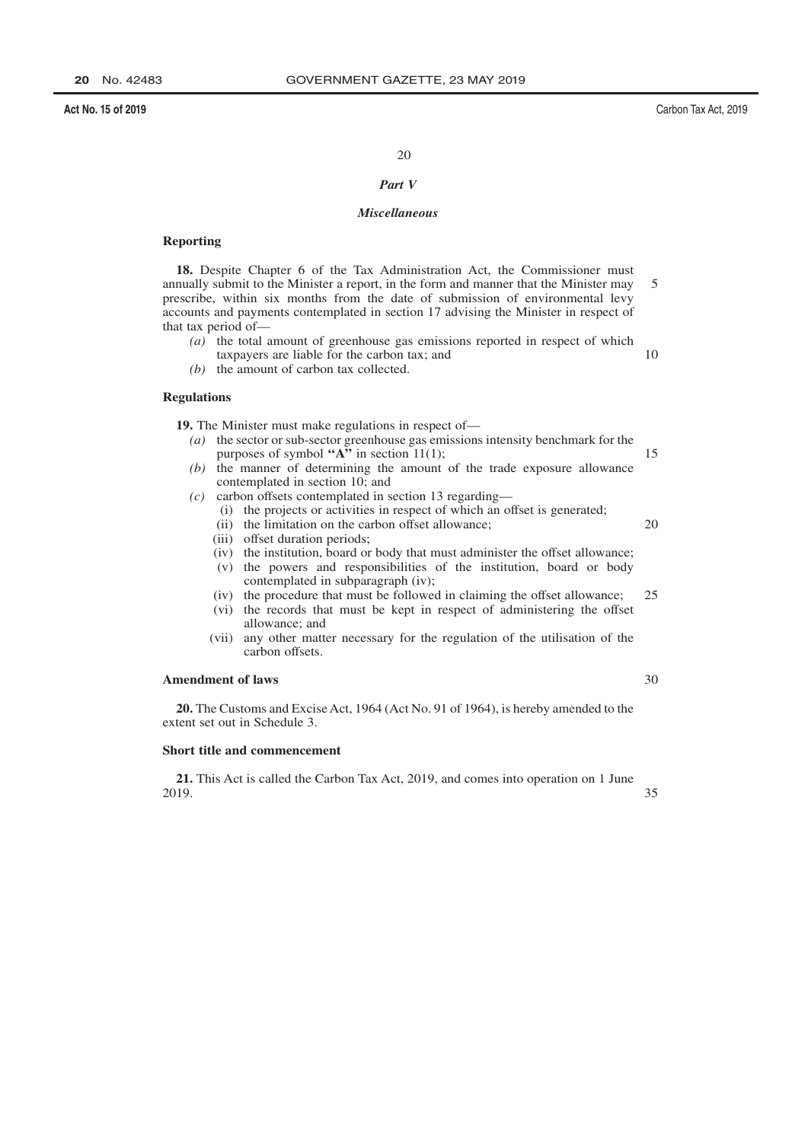Carbon Tax Act, 2019

20

#### Part V

#### **Miscellaneous**

#### **Reporting**

18. Despite Chapter 6 of the Tax Administration Act, the Commissioner must annually submit to the Minister a report, in the form and manner that the Minister may 5 prescribe, within six months from the date of submission of environmental levy accounts and payments contemplated in section 17 advising the Minister in respect of that tax period of-

- $(a)$  the total amount of greenhouse gas emissions reported in respect of which taxpayers are liable for the carbon tax; and 10
- $(b)$  the amount of carbon tax collected.

#### **Regulations**

19. The Minister must make regulations in respect of—

- $(a)$  the sector or sub-sector greenhouse gas emissions intensity benchmark for the purposes of symbol " $A$ " in section 11(1); 15 (b) the manner of determining the amount of the trade exposure allowance
- contemplated in section 10; and
- $(c)$  carbon offsets contemplated in section 13 regarding—
	- (i) the projects or activities in respect of which an offset is generated;
	- (ii) the limitation on the carbon offset allowance;
	- (iii) offset duration periods;
	- (iv) the institution, board or body that must administer the offset allowance;
	- (v) the powers and responsibilities of the institution, board or body contemplated in subparagraph (iv);
	- (iv) the procedure that must be followed in claiming the offset allowance; 25
	- (vi) the records that must be kept in respect of administering the offset allowance; and
	- (vii) any other matter necessary for the regulation of the utilisation of the carbon offsets.

#### **Amendment of laws**

20. The Customs and Excise Act, 1964 (Act No. 91 of 1964), is hereby amended to the extent set out in Schedule 3.

## Short title and commencement

21. This Act is called the Carbon Tax Act, 2019, and comes into operation on 1 June 2019.

35

30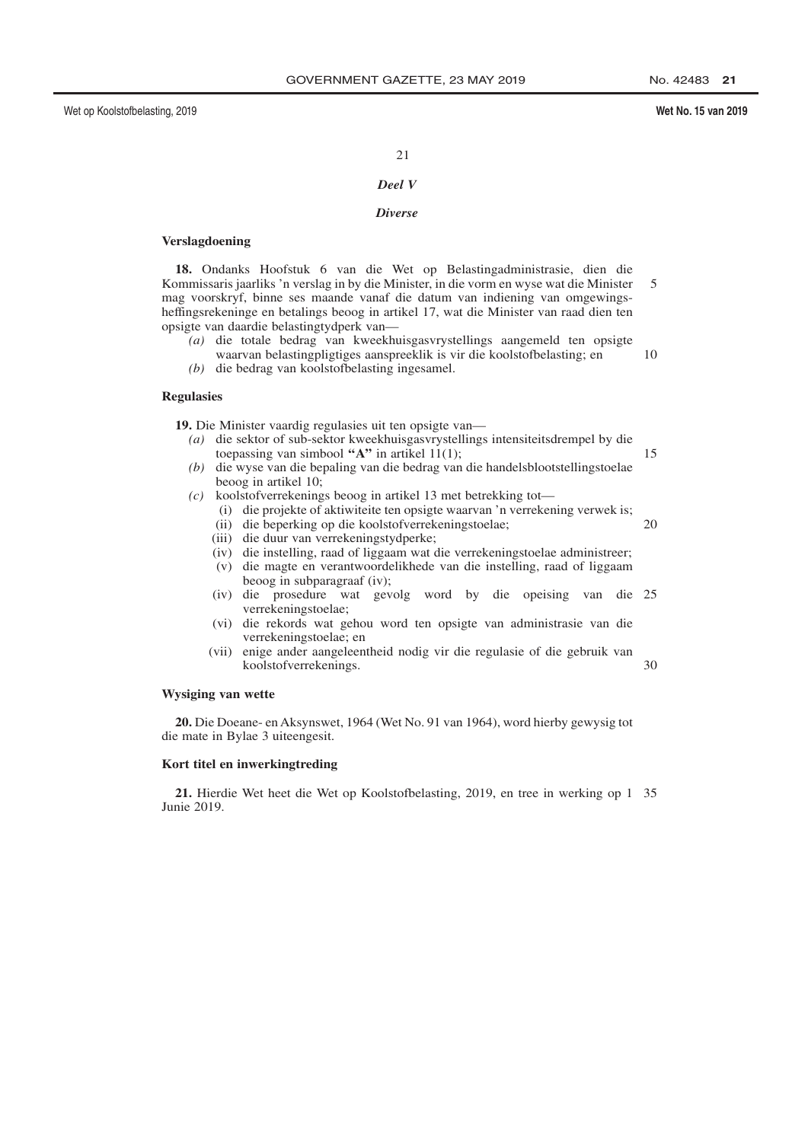15

20

#### Wet No. 15 van 2019

#### 21

## Deel V

## **Diverse**

#### **Verslagdoening**

18. Ondanks Hoofstuk 6 van die Wet op Belastingadministrasie, dien die Kommissaris jaarliks 'n verslag in by die Minister, in die vorm en wyse wat die Minister  $\overline{5}$ mag voorskryf, binne ses maande vanaf die datum van indiening van omgewingsheffingsrekeninge en betalings beoog in artikel 17, wat die Minister van raad dien ten opsigte van daardie belastingtydperk van-

- $(a)$  die totale bedrag van kweekhuisgasvrystellings aangemeld ten opsigte waarvan belastingpligtiges aanspreeklik is vir die koolstofbelasting; en 10
- $(b)$  die bedrag van koolstofbelasting ingesamel.

#### **Regulasies**

19. Die Minister vaardig regulasies uit ten opsigte van

- (a) die sektor of sub-sektor kweekhuisgasvrystellings intensiteitsdrempel by die toepassing van simbool " $A$ " in artikel 11(1);
- $(b)$  die wyse van die bepaling van die bedrag van die handelsblootstellingstoelae beoog in artikel 10;
- $(c)$  koolstofverrekenings beoog in artikel 13 met betrekking tot—
	- (i) die projekte of aktiwiteite ten opsigte waarvan 'n verrekening verwek is;
	- (ii) die beperking op die koolstofverrekeningstoelae;
	- (iii) die duur van verrekeningstydperke;
	- (iv) die instelling, raad of liggaam wat die verrekeningstoelae administreer;
	- (v) die magte en verantwoordelikhede van die instelling, raad of liggaam beoog in subparagraaf (iv);
	- (iv) die prosedure wat gevolg word by die opeising van die 25 verrekeningstoelae;
	- (vi) die rekords wat gehou word ten opsigte van administrasie van die verrekeningstoelae; en
	- (vii) enige ander aangeleentheid nodig vir die regulasie of die gebruik van koolstofverrekenings. 30

## Wysiging van wette

20. Die Doeane- en Aksynswet, 1964 (Wet No. 91 van 1964), word hierby gewysig tot die mate in Bylae 3 uiteengesit.

#### Kort titel en inwerkingtreding

21. Hierdie Wet heet die Wet op Koolstofbelasting, 2019, en tree in werking op 1 35 Junie 2019.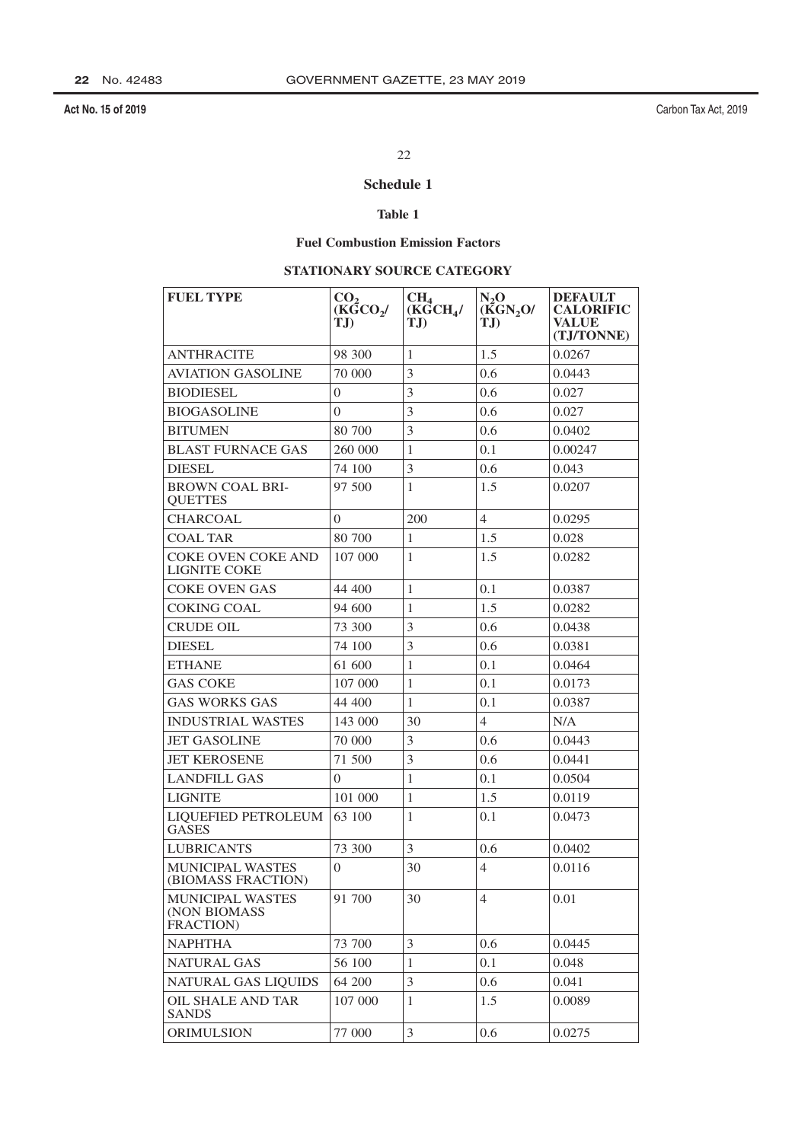Carbon Tax Act, 2019

## 22

## Schedule 1

## Table 1

## **Fuel Combustion Emission Factors**

## STATIONARY SOURCE CATEGORY

| <b>FUEL TYPE</b>                                 | CO <sub>2</sub><br>$(K\tilde{G}CO_{2})$<br>TJ) | CH <sub>4</sub><br>$(K\bar{G}CH_{4}/$<br>TJ) | $N_{2}$ O<br>(KGN <sub>2</sub> O)<br>TJ) | <b>DEFAULT</b><br><b>CALORIFIC</b><br><b>VALUE</b><br>(TJ/TONNE) |
|--------------------------------------------------|------------------------------------------------|----------------------------------------------|------------------------------------------|------------------------------------------------------------------|
| <b>ANTHRACITE</b>                                | 98 300                                         | 1                                            | 1.5                                      | 0.0267                                                           |
| <b>AVIATION GASOLINE</b>                         | 70 000                                         | 3                                            | 0.6                                      | 0.0443                                                           |
| <b>BIODIESEL</b>                                 | $\overline{0}$                                 | 3                                            | 0.6                                      | 0.027                                                            |
| <b>BIOGASOLINE</b>                               | $\Omega$                                       | 3                                            | 0.6                                      | 0.027                                                            |
| <b>BITUMEN</b>                                   | 80 700                                         | 3                                            | 0.6                                      | 0.0402                                                           |
| <b>BLAST FURNACE GAS</b>                         | 260 000                                        | $\mathbf{1}$                                 | 0.1                                      | 0.00247                                                          |
| <b>DIESEL</b>                                    | 74 100                                         | 3                                            | 0.6                                      | 0.043                                                            |
| <b>BROWN COAL BRI-</b><br><b>QUETTES</b>         | 97 500                                         | 1                                            | 1.5                                      | 0.0207                                                           |
| <b>CHARCOAL</b>                                  | $\Omega$                                       | 200                                          | $\overline{4}$                           | 0.0295                                                           |
| <b>COAL TAR</b>                                  | 80 700                                         | $\mathbf{1}$                                 | 1.5                                      | 0.028                                                            |
| <b>COKE OVEN COKE AND</b><br><b>LIGNITE COKE</b> | 107 000                                        | 1                                            | 1.5                                      | 0.0282                                                           |
| <b>COKE OVEN GAS</b>                             | 44 400                                         | 1                                            | 0.1                                      | 0.0387                                                           |
| <b>COKING COAL</b>                               | 94 600                                         | $\mathbf{1}$                                 | 1.5                                      | 0.0282                                                           |
| <b>CRUDE OIL</b>                                 | 73 300                                         | 3                                            | 0.6                                      | 0.0438                                                           |
| <b>DIESEL</b>                                    | 74 100                                         | 3                                            | 0.6                                      | 0.0381                                                           |
| <b>ETHANE</b>                                    | 61 600                                         | $\mathbf{1}$                                 | 0.1                                      | 0.0464                                                           |
| <b>GAS COKE</b>                                  | 107 000                                        | $\mathbf{1}$                                 | 0.1                                      | 0.0173                                                           |
| <b>GAS WORKS GAS</b>                             | 44 400                                         | 1                                            | 0.1                                      | 0.0387                                                           |
| <b>INDUSTRIAL WASTES</b>                         | 143 000                                        | 30                                           | $\overline{4}$                           | N/A                                                              |
| <b>JET GASOLINE</b>                              | 70 000                                         | 3                                            | 0.6                                      | 0.0443                                                           |
| <b>JET KEROSENE</b>                              | 71 500                                         | 3                                            | 0.6                                      | 0.0441                                                           |
| <b>LANDFILL GAS</b>                              | $\Omega$                                       | $\mathbf{1}$                                 | 0.1                                      | 0.0504                                                           |
| <b>LIGNITE</b>                                   | 101 000                                        | $\mathbf{1}$                                 | 1.5                                      | 0.0119                                                           |
| LIQUEFIED PETROLEUM<br><b>GASES</b>              | 63 100                                         | 1                                            | 0.1                                      | 0.0473                                                           |
| <b>LUBRICANTS</b>                                | 73 300                                         | 3                                            | 0.6                                      | 0.0402                                                           |
| <b>MUNICIPAL WASTES</b><br>(BIOMASS FRACTION)    | $\overline{0}$                                 | 30                                           | $\overline{4}$                           | 0.0116                                                           |
| MUNICIPAL WASTES<br>(NON BIOMASS<br>FRACTION)    | 91 700                                         | 30                                           | 4                                        | 0.01                                                             |
| <b>NAPHTHA</b>                                   | 73 700                                         | 3                                            | 0.6                                      | 0.0445                                                           |
| <b>NATURAL GAS</b>                               | 56 100                                         | 1                                            | 0.1                                      | 0.048                                                            |
| <b>NATURAL GAS LIQUIDS</b>                       | 64 200                                         | 3                                            | 0.6                                      | 0.041                                                            |
| OIL SHALE AND TAR<br><b>SANDS</b>                | 107 000                                        | $\mathbf{1}$                                 | 1.5                                      | 0.0089                                                           |
| <b>ORIMULSION</b>                                | 77 000                                         | 3                                            | 0.6                                      | 0.0275                                                           |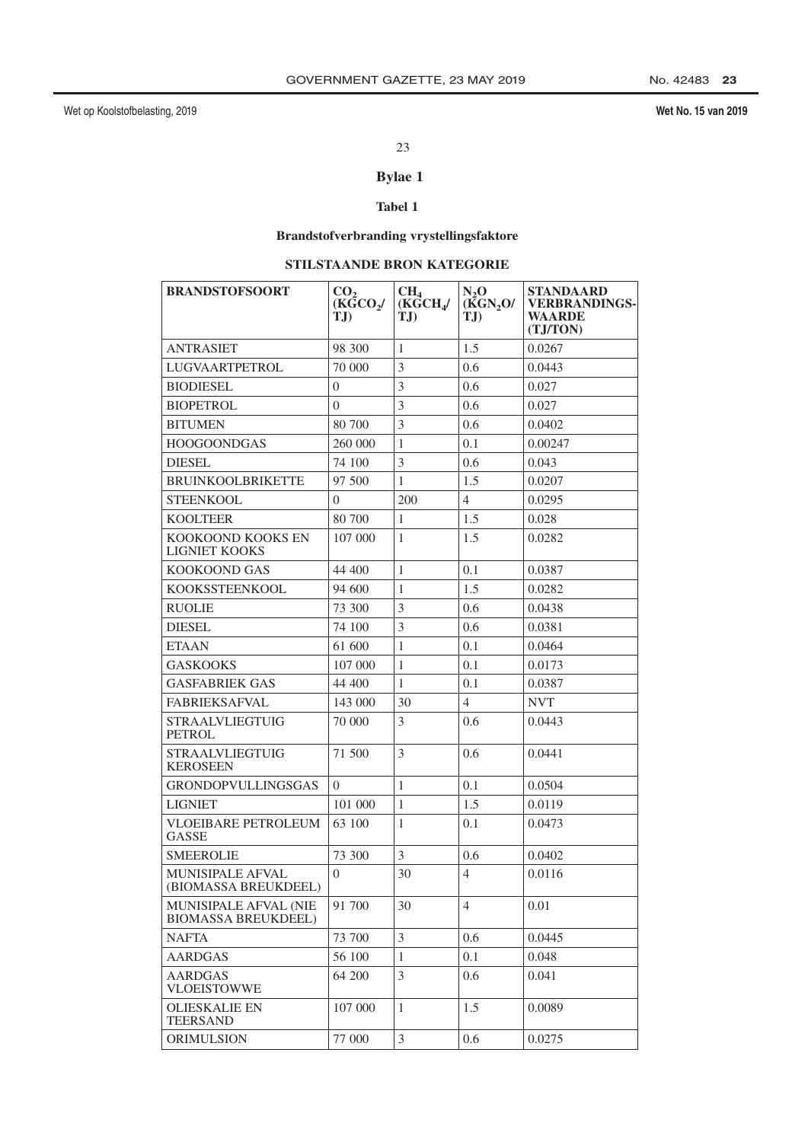Wet No. 15 van 2019

## 23

## **Bylae 1**

## Tabel 1

# **Brandstofverbranding vrystellingsfaktore**

## STILSTAANDE BRON KATEGORIE

| <b>BRANDSTOFSOORT</b>                               | CO <sub>2</sub><br>$(K\tilde{G}CO_{2})$<br>TJ) | CH <sub>4</sub><br>$(K\bar{G}CH_{4}/$<br>TJ) | $N_2$ O<br>(KGN <sub>2</sub> O)<br>TJ | <b>STANDAARD</b><br><b>VERBRANDINGS-</b><br>WAARDE<br>(TJ/TON) |
|-----------------------------------------------------|------------------------------------------------|----------------------------------------------|---------------------------------------|----------------------------------------------------------------|
| ANTRASIET                                           | 98 300                                         | 1                                            | 1.5                                   | 0.0267                                                         |
| LUGVAARTPETROL                                      | 70 000                                         | 3                                            | 0.6                                   | 0.0443                                                         |
| <b>BIODIESEL</b>                                    | $\theta$                                       | 3                                            | 0.6                                   | 0.027                                                          |
| <b>BIOPETROL</b>                                    | $\theta$                                       | $\overline{3}$                               | 0.6                                   | 0.027                                                          |
| <b>BITUMEN</b>                                      | 80 700                                         | 3                                            | 0.6                                   | 0.0402                                                         |
| <b>HOOGOONDGAS</b>                                  | 260 000                                        | 1                                            | 0.1                                   | 0.00247                                                        |
| <b>DIESEL</b>                                       | 74 100                                         | 3                                            | 0.6                                   | 0.043                                                          |
| <b>BRUINKOOLBRIKETTE</b>                            | 97 500                                         | $\mathbf{1}$                                 | 1.5                                   | 0.0207                                                         |
| STEENKOOL                                           | $\Omega$                                       | 200                                          | 4                                     | 0.0295                                                         |
| <b>KOOLTEER</b>                                     | 80 700                                         | $\mathbf{1}$                                 | 1.5                                   | 0.028                                                          |
| KOOKOOND KOOKS EN<br><b>LIGNIET KOOKS</b>           | 107 000                                        | $\mathbf{1}$                                 | 1.5                                   | 0.0282                                                         |
| KOOKOOND GAS                                        | 44 400                                         | $\mathbf{1}$                                 | 0.1                                   | 0.0387                                                         |
| KOOKSSTEENKOOL                                      | 94 600                                         | $\mathbf{1}$                                 | 1.5                                   | 0.0282                                                         |
| <b>RUOLIE</b>                                       | 73 300                                         | 3                                            | 0.6                                   | 0.0438                                                         |
| <b>DIESEL</b>                                       | 74 100                                         | 3                                            | 0.6                                   | 0.0381                                                         |
| <b>ETAAN</b>                                        | 61 600                                         | $\mathbf{1}$                                 | 0.1                                   | 0.0464                                                         |
| <b>GASKOOKS</b>                                     | 107 000                                        | 1                                            | 0.1                                   | 0.0173                                                         |
| GASFABRIEK GAS                                      | 44 400                                         | $\mathbf{1}$                                 | 0.1                                   | 0.0387                                                         |
| <b>FABRIEKSAFVAL</b>                                | 143 000                                        | 30                                           | $\overline{4}$                        | <b>NVT</b>                                                     |
| <b>STRAALVLIEGTUIG</b><br><b>PETROL</b>             | 70 000                                         | 3                                            | 0.6                                   | 0.0443                                                         |
| <b>STRAALVLIEGTUIG</b><br>KEROSEEN                  | 71 500                                         | 3                                            | 0.6                                   | 0.0441                                                         |
| <b>GRONDOPVULLINGSGAS</b>                           | $\Omega$                                       | 1                                            | 0.1                                   | 0.0504                                                         |
| <b>LIGNIET</b>                                      | 101 000                                        | $\mathbf{1}$                                 | 1.5                                   | 0.0119                                                         |
| <b>VLOEIBARE PETROLEUM</b><br><b>GASSE</b>          | 63 100                                         | 1                                            | 0.1                                   | 0.0473                                                         |
| SMEEROLIE                                           | 73 300                                         | 3                                            | 0.6                                   | 0.0402                                                         |
| <b>MUNISIPALE AFVAL</b><br>(BIOMASSA BREUKDEEL)     | $\Omega$                                       | 30                                           | 4                                     | 0.0116                                                         |
| MUNISIPALE AFVAL (NIE<br><b>BIOMASSA BREUKDEEL)</b> | 91 700                                         | 30                                           | $\overline{4}$                        | 0.01                                                           |
| <b>NAFTA</b>                                        | 73 700                                         | 3                                            | 0.6                                   | 0.0445                                                         |
| <b>AARDGAS</b>                                      | 56 100                                         | $\mathbf{1}$                                 | 0.1                                   | 0.048                                                          |
| <b>AARDGAS</b><br><b>VLOEISTOWWE</b>                | 64 200                                         | 3                                            | 0.6                                   | 0.041                                                          |
| <b>OLIESKALIE EN</b><br><b>TEERSAND</b>             | 107 000                                        | $\mathbf{1}$                                 | 1.5                                   | 0.0089                                                         |
| <b>ORIMULSION</b>                                   | 77 000                                         | 3                                            | 0.6                                   | 0.0275                                                         |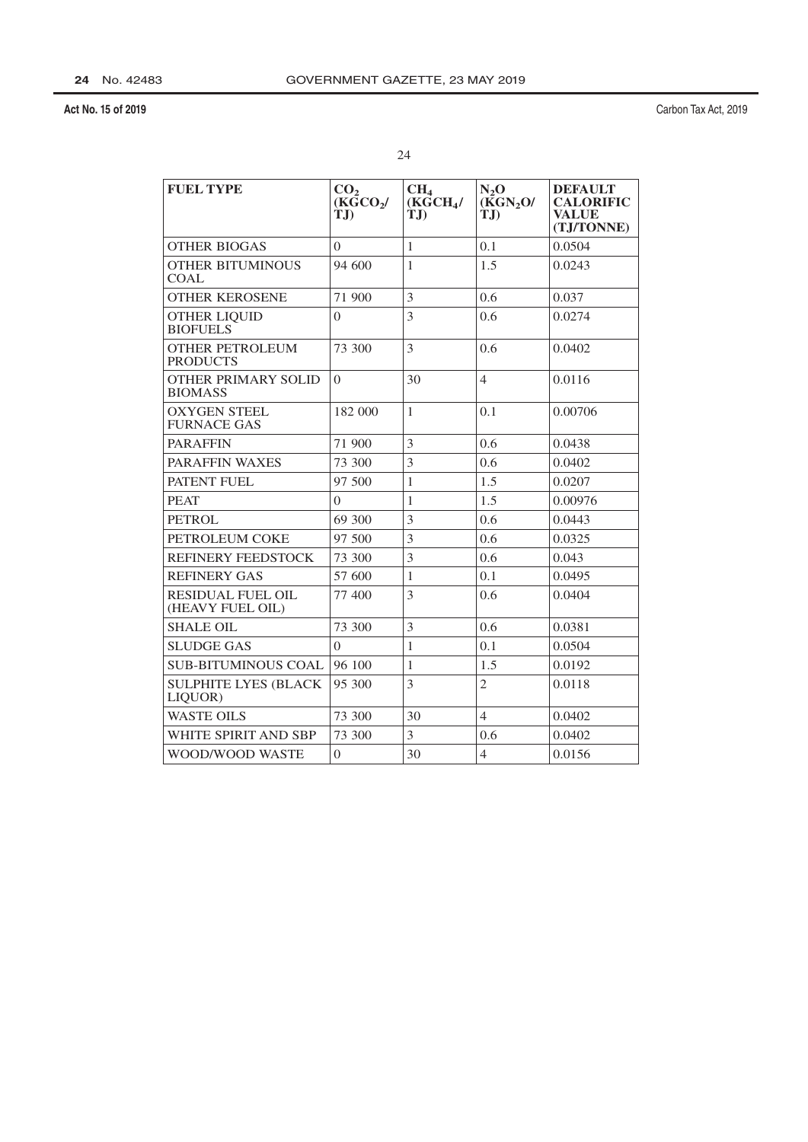| × |  |
|---|--|
|   |  |
|   |  |

| <b>FUEL TYPE</b>                             | CO <sub>2</sub><br>$(K\bar{G}CO_{2}/$<br>T.D | CH <sub>4</sub><br>(KGCH <sub>4</sub> /<br>T.D | $N_2O$<br>(KGN <sub>2</sub> O)<br>TJ) | <b>DEFAULT</b><br><b>CALORIFIC</b><br><b>VALUE</b><br>(TJ/TONNE) |
|----------------------------------------------|----------------------------------------------|------------------------------------------------|---------------------------------------|------------------------------------------------------------------|
| <b>OTHER BIOGAS</b>                          | $\Omega$                                     | $\mathbf{1}$                                   | 0.1                                   | 0.0504                                                           |
| <b>OTHER BITUMINOUS</b><br>COAL              | 94 600                                       | 1                                              | 1.5                                   | 0.0243                                                           |
| <b>OTHER KEROSENE</b>                        | 71 900                                       | 3                                              | 0.6                                   | 0.037                                                            |
| <b>OTHER LIQUID</b><br><b>BIOFUELS</b>       | $\theta$                                     | 3                                              | 0.6                                   | 0.0274                                                           |
| <b>OTHER PETROLEUM</b><br><b>PRODUCTS</b>    | 73 300                                       | 3                                              | 0.6                                   | 0.0402                                                           |
| <b>OTHER PRIMARY SOLID</b><br><b>BIOMASS</b> | $\Omega$                                     | 30                                             | $\overline{4}$                        | 0.0116                                                           |
| <b>OXYGEN STEEL</b><br><b>FURNACE GAS</b>    | 182 000                                      | $\mathbf{1}$                                   | 0.1                                   | 0.00706                                                          |
| <b>PARAFFIN</b>                              | 71 900                                       | 3                                              | 0.6                                   | 0.0438                                                           |
| <b>PARAFFIN WAXES</b>                        | 73 300                                       | 3                                              | 0.6                                   | 0.0402                                                           |
| PATENT FUEL                                  | 97 500                                       | $\mathbf{1}$                                   | 1.5                                   | 0.0207                                                           |
| <b>PEAT</b>                                  | $\theta$                                     | 1                                              | 1.5                                   | 0.00976                                                          |
| <b>PETROL</b>                                | 69 300                                       | 3                                              | 0.6                                   | 0.0443                                                           |
| PETROLEUM COKE                               | 97 500                                       | 3                                              | 0.6                                   | 0.0325                                                           |
| <b>REFINERY FEEDSTOCK</b>                    | 73 300                                       | 3                                              | 0.6                                   | 0.043                                                            |
| <b>REFINERY GAS</b>                          | 57 600                                       | $\mathbf{1}$                                   | 0.1                                   | 0.0495                                                           |
| <b>RESIDUAL FUEL OIL</b><br>(HEAVY FUEL OIL) | 77 400                                       | 3                                              | 0.6                                   | 0.0404                                                           |
| <b>SHALE OIL</b>                             | 73 300                                       | 3                                              | 0.6                                   | 0.0381                                                           |
| <b>SLUDGE GAS</b>                            | 0                                            | $\mathbf{1}$                                   | 0.1                                   | 0.0504                                                           |
| <b>SUB-BITUMINOUS COAL</b>                   | 96 100                                       | $\mathbf{1}$                                   | 1.5                                   | 0.0192                                                           |
| <b>SULPHITE LYES (BLACK)</b><br>LIQUOR)      | 95 300                                       | 3                                              | $\overline{2}$                        | 0.0118                                                           |
| <b>WASTE OILS</b>                            | 73 300                                       | 30                                             | $\overline{4}$                        | 0.0402                                                           |
| WHITE SPIRIT AND SBP                         | 73 300                                       | 3                                              | 0.6                                   | 0.0402                                                           |
| WOOD/WOOD WASTE                              | $\overline{0}$                               | 30                                             | $\overline{4}$                        | 0.0156                                                           |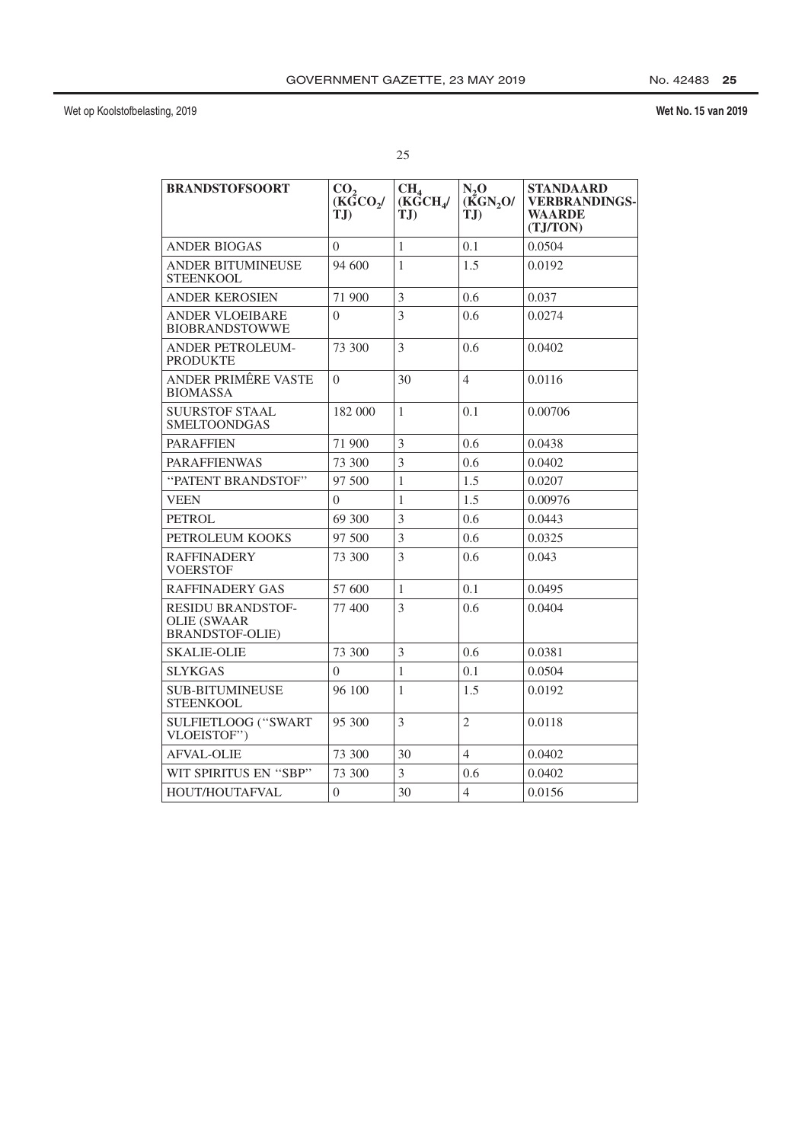## Wet No. 15 van 2019

| <b>BRANDSTOFSOORT</b>                                                    | CO <sub>2</sub><br>(KGCO <sub>2</sub> /<br>T.D | CH <sub>4</sub><br>(KGCH <sub>4</sub> /<br>T.D | $N_2$ O<br>(KGN, O/<br>T.D | <b>STANDAARD</b><br><b>VERBRANDINGS-</b><br><b>WAARDE</b><br>(TJ/TON) |
|--------------------------------------------------------------------------|------------------------------------------------|------------------------------------------------|----------------------------|-----------------------------------------------------------------------|
| <b>ANDER BIOGAS</b>                                                      | 0                                              | 1                                              | 0.1                        | 0.0504                                                                |
| ANDER BITUMINEUSE<br><b>STEENKOOL</b>                                    | 94 600                                         | 1                                              | 1.5                        | 0.0192                                                                |
| <b>ANDER KEROSIEN</b>                                                    | 71 900                                         | 3                                              | 0.6                        | 0.037                                                                 |
| <b>ANDER VLOEIBARE</b><br><b>BIOBRANDSTOWWE</b>                          | $\Omega$                                       | $\overline{3}$                                 | 0.6                        | 0.0274                                                                |
| <b>ANDER PETROLEUM-</b><br><b>PRODUKTE</b>                               | 73 300                                         | 3                                              | 0.6                        | 0.0402                                                                |
| ANDER PRIMÊRE VASTE<br><b>BIOMASSA</b>                                   | $\theta$                                       | 30                                             | $\overline{4}$             | 0.0116                                                                |
| <b>SUURSTOF STAAL</b><br>SMELTOONDGAS                                    | 182 000                                        | $\mathbf{1}$                                   | 0.1                        | 0.00706                                                               |
| <b>PARAFFIEN</b>                                                         | 71 900                                         | 3                                              | 0.6                        | 0.0438                                                                |
| <b>PARAFFIENWAS</b>                                                      | 73 300                                         | 3                                              | 0.6                        | 0.0402                                                                |
| "PATENT BRANDSTOF"                                                       | 97 500                                         | 1                                              | 1.5                        | 0.0207                                                                |
| <b>VEEN</b>                                                              | $\theta$                                       | $\mathbf{1}$                                   | 1.5                        | 0.00976                                                               |
| <b>PETROL</b>                                                            | 69 300                                         | 3                                              | 0.6                        | 0.0443                                                                |
| PETROLEUM KOOKS                                                          | 97 500                                         | 3                                              | 0.6                        | 0.0325                                                                |
| <b>RAFFINADERY</b><br><b>VOERSTOF</b>                                    | 73 300                                         | 3                                              | 0.6                        | 0.043                                                                 |
| <b>RAFFINADERY GAS</b>                                                   | 57 600                                         | $\mathbf{1}$                                   | 0.1                        | 0.0495                                                                |
| <b>RESIDU BRANDSTOF-</b><br><b>OLIE (SWAAR</b><br><b>BRANDSTOF-OLIE)</b> | 77 400                                         | 3                                              | 0.6                        | 0.0404                                                                |
| <b>SKALIE-OLIE</b>                                                       | 73 300                                         | 3                                              | 0.6                        | 0.0381                                                                |
| <b>SLYKGAS</b>                                                           | $\Omega$                                       | $\mathbf{1}$                                   | 0.1                        | 0.0504                                                                |
| <b>SUB-BITUMINEUSE</b><br>STEENKOOL                                      | 96 100                                         | 1                                              | 1.5                        | 0.0192                                                                |
| <b>SULFIETLOOG ("SWART</b><br>VLOEISTOF")                                | 95 300                                         | 3                                              | $\mathfrak{2}$             | 0.0118                                                                |
| <b>AFVAL-OLIE</b>                                                        | 73 300                                         | 30                                             | $\overline{4}$             | 0.0402                                                                |
| WIT SPIRITUS EN "SBP"                                                    | 73 300                                         | 3                                              | 0.6                        | 0.0402                                                                |
| HOUT/HOUTAFVAL                                                           | $\theta$                                       | 30                                             | $\overline{4}$             | 0.0156                                                                |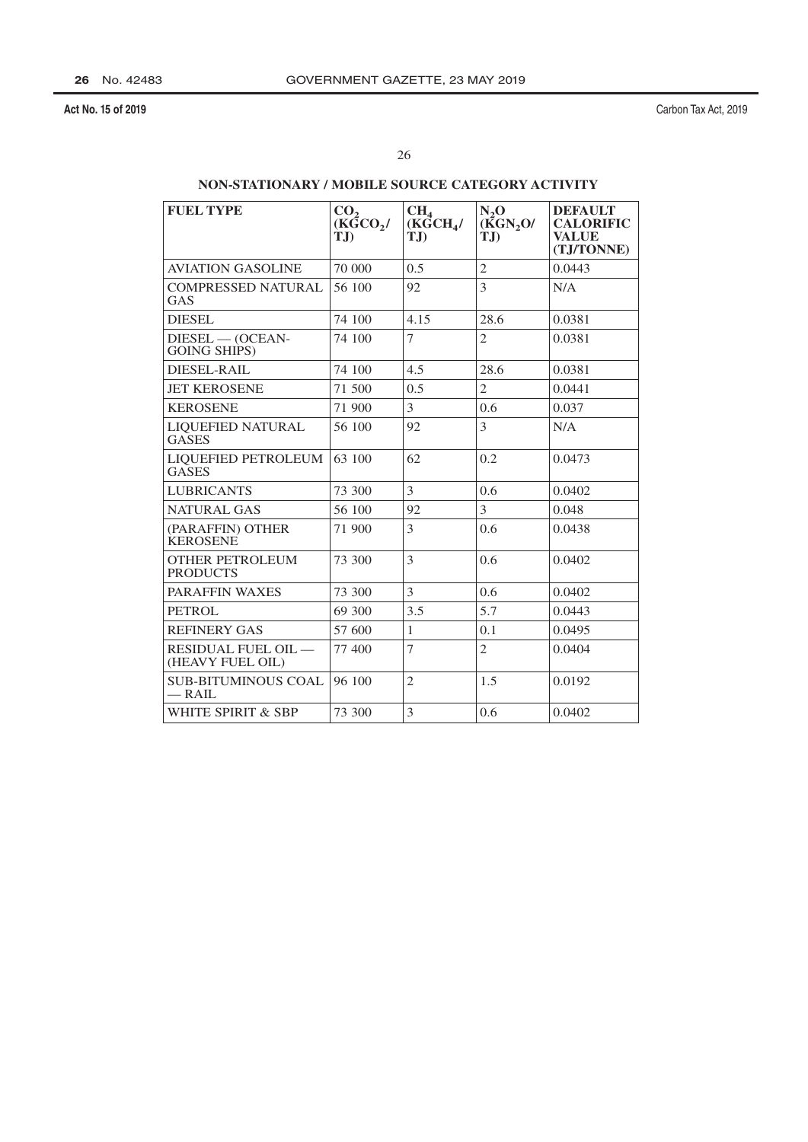Carbon Tax Act, 2019

## NON-STATIONARY / MOBILE SOURCE CATEGORY ACTIVITY

| <b>FUEL TYPE</b>                          | CO <sub>2</sub><br>$(K\bar{G}CO_{2})$<br>TJ | CH <sub>4</sub><br>(KGCH <sub>4</sub> /<br>$T_{\rm{J}}$ | $N_2O$<br>(KGN <sub>2</sub> O/<br>TJ) | <b>DEFAULT</b><br><b>CALORIFIC</b><br><b>VALUE</b><br>(TJ/TONNE) |
|-------------------------------------------|---------------------------------------------|---------------------------------------------------------|---------------------------------------|------------------------------------------------------------------|
| <b>AVIATION GASOLINE</b>                  | 70 000                                      | 0.5                                                     | $\overline{2}$                        | 0.0443                                                           |
| COMPRESSED NATURAL<br>GAS                 | 56 100                                      | 92                                                      | 3                                     | N/A                                                              |
| <b>DIESEL</b>                             | 74 100                                      | 4.15                                                    | 28.6                                  | 0.0381                                                           |
| $DIESEL$ - (OCEAN-<br><b>GOING SHIPS)</b> | 74 100                                      | $\overline{7}$                                          | $\overline{2}$                        | 0.0381                                                           |
| <b>DIESEL-RAIL</b>                        | 74 100                                      | 4.5                                                     | 28.6                                  | 0.0381                                                           |
| <b>JET KEROSENE</b>                       | 71 500                                      | 0.5                                                     | $\overline{2}$                        | 0.0441                                                           |
| <b>KEROSENE</b>                           | 71 900                                      | 3                                                       | 0.6                                   | 0.037                                                            |
| LIQUEFIED NATURAL<br><b>GASES</b>         | 56 100                                      | 92                                                      | 3                                     | N/A                                                              |
| LIQUEFIED PETROLEUM<br><b>GASES</b>       | 63 100                                      | 62                                                      | 0.2                                   | 0.0473                                                           |
| <b>LUBRICANTS</b>                         | 73 300                                      | 3                                                       | 0.6                                   | 0.0402                                                           |
| <b>NATURAL GAS</b>                        | 56 100                                      | 92                                                      | 3                                     | 0.048                                                            |
| (PARAFFIN) OTHER<br><b>KEROSENE</b>       | 71 900                                      | 3                                                       | 0.6                                   | 0.0438                                                           |
| <b>OTHER PETROLEUM</b><br><b>PRODUCTS</b> | 73 300                                      | 3                                                       | 0.6                                   | 0.0402                                                           |
| <b>PARAFFIN WAXES</b>                     | 73 300                                      | 3                                                       | 0.6                                   | 0.0402                                                           |
| <b>PETROL</b>                             | 69 300                                      | 3.5                                                     | 5.7                                   | 0.0443                                                           |
| <b>REFINERY GAS</b>                       | 57 600                                      | $\mathbf{1}$                                            | 0.1                                   | 0.0495                                                           |
| RESIDUAL FUEL OIL —<br>(HEAVY FUEL OIL)   | 77 400                                      | 7                                                       | $\overline{2}$                        | 0.0404                                                           |
| <b>SUB-BITUMINOUS COAL</b><br>— RAIL      | 96 100                                      | $\overline{2}$                                          | 1.5                                   | 0.0192                                                           |
| WHITE SPIRIT & SBP                        | 73 300                                      | 3                                                       | 0.6                                   | 0.0402                                                           |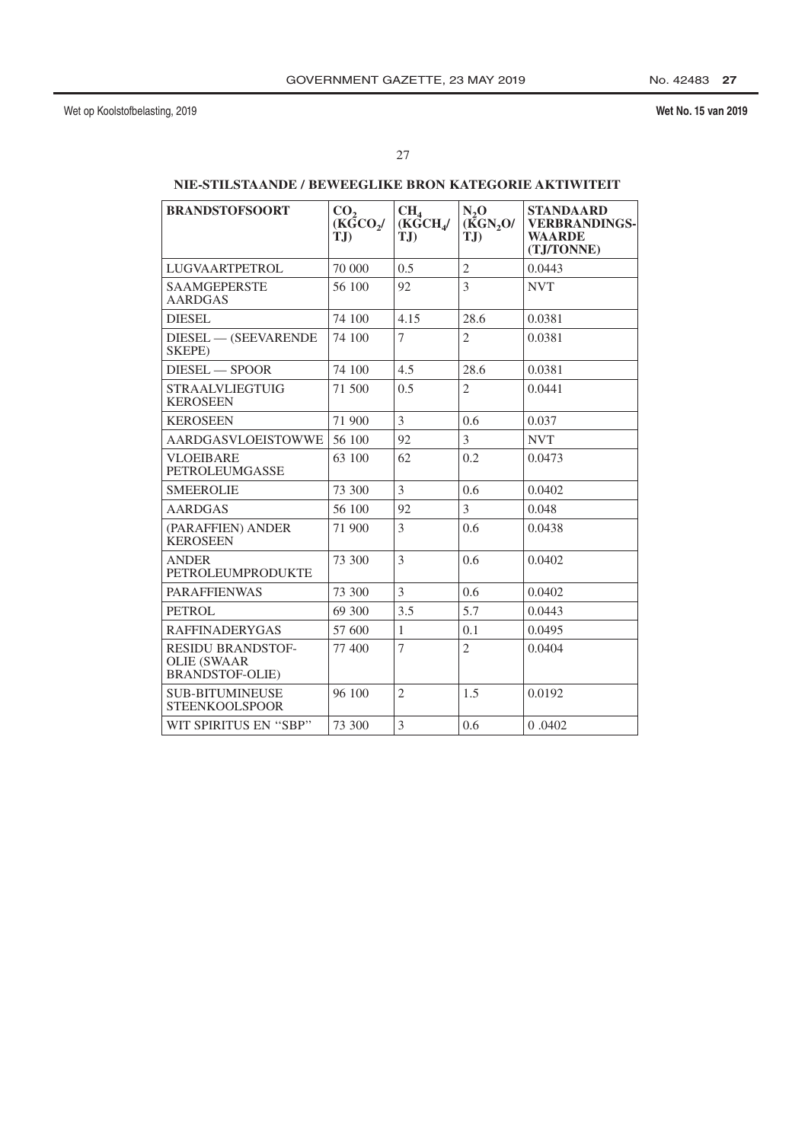## Wet No. 15 van 2019

## NIE-STILSTAANDE / BEWEEGLIKE BRON KATEGORIE AKTIWITEIT

| <b>BRANDSTOFSOORT</b>                                                    | CO <sub>2</sub><br>(KGCO <sub>2</sub> /<br>TJ) | CH <sub>4</sub><br>(KGCH)<br>$T_{\rm{J}}$ | $N_2$ O<br>(KGN, O/<br>TJ) | <b>STANDAARD</b><br><b>VERBRANDINGS-</b><br><b>WAARDE</b><br>(TJ/TONNE) |
|--------------------------------------------------------------------------|------------------------------------------------|-------------------------------------------|----------------------------|-------------------------------------------------------------------------|
| <b>LUGVAARTPETROL</b>                                                    | 70 000                                         | 0.5                                       | $\overline{2}$             | 0.0443                                                                  |
| <b>SAAMGEPERSTE</b><br><b>AARDGAS</b>                                    | 56 100                                         | 92                                        | 3                          | <b>NVT</b>                                                              |
| <b>DIESEL</b>                                                            | 74 100                                         | 4.15                                      | 28.6                       | 0.0381                                                                  |
| DIESEL - (SEEVARENDE<br>SKEPE)                                           | 74 100                                         | 7                                         | $\overline{2}$             | 0.0381                                                                  |
| DIESEL - SPOOR                                                           | 74 100                                         | 4.5                                       | 28.6                       | 0.0381                                                                  |
| <b>STRAALVLIEGTUIG</b><br><b>KEROSEEN</b>                                | 71 500                                         | 0.5                                       | $\overline{2}$             | 0.0441                                                                  |
| <b>KEROSEEN</b>                                                          | 71 900                                         | 3                                         | 0.6                        | 0.037                                                                   |
| <b>AARDGASVLOEISTOWWE</b>                                                | 56 100                                         | 92                                        | 3                          | <b>NVT</b>                                                              |
| <b>VLOEIBARE</b><br><b>PETROLEUMGASSE</b>                                | 63 100                                         | 62                                        | 0.2                        | 0.0473                                                                  |
| <b>SMEEROLIE</b>                                                         | 73 300                                         | 3                                         | 0.6                        | 0.0402                                                                  |
| <b>AARDGAS</b>                                                           | 56 100                                         | 92                                        | 3                          | 0.048                                                                   |
| (PARAFFIEN) ANDER<br><b>KEROSEEN</b>                                     | 71 900                                         | 3                                         | 0.6                        | 0.0438                                                                  |
| <b>ANDER</b><br><b>PETROLEUMPRODUKTE</b>                                 | 73 300                                         | 3                                         | 0.6                        | 0.0402                                                                  |
| <b>PARAFFIENWAS</b>                                                      | 73 300                                         | 3                                         | 0.6                        | 0.0402                                                                  |
| <b>PETROL</b>                                                            | 69 300                                         | 3.5                                       | 5.7                        | 0.0443                                                                  |
| <b>RAFFINADERYGAS</b>                                                    | 57 600                                         | $\mathbf{1}$                              | 0.1                        | 0.0495                                                                  |
| <b>RESIDU BRANDSTOF-</b><br><b>OLIE (SWAAR</b><br><b>BRANDSTOF-OLIE)</b> | 77400                                          | 7                                         | $\overline{2}$             | 0.0404                                                                  |
| <b>SUB-BITUMINEUSE</b><br><b>STEENKOOLSPOOR</b>                          | 96 100                                         | $\mathfrak{D}_{1}$                        | 1.5                        | 0.0192                                                                  |
| WIT SPIRITUS EN "SBP"                                                    | 73 300                                         | 3                                         | 0.6                        | 0.0402                                                                  |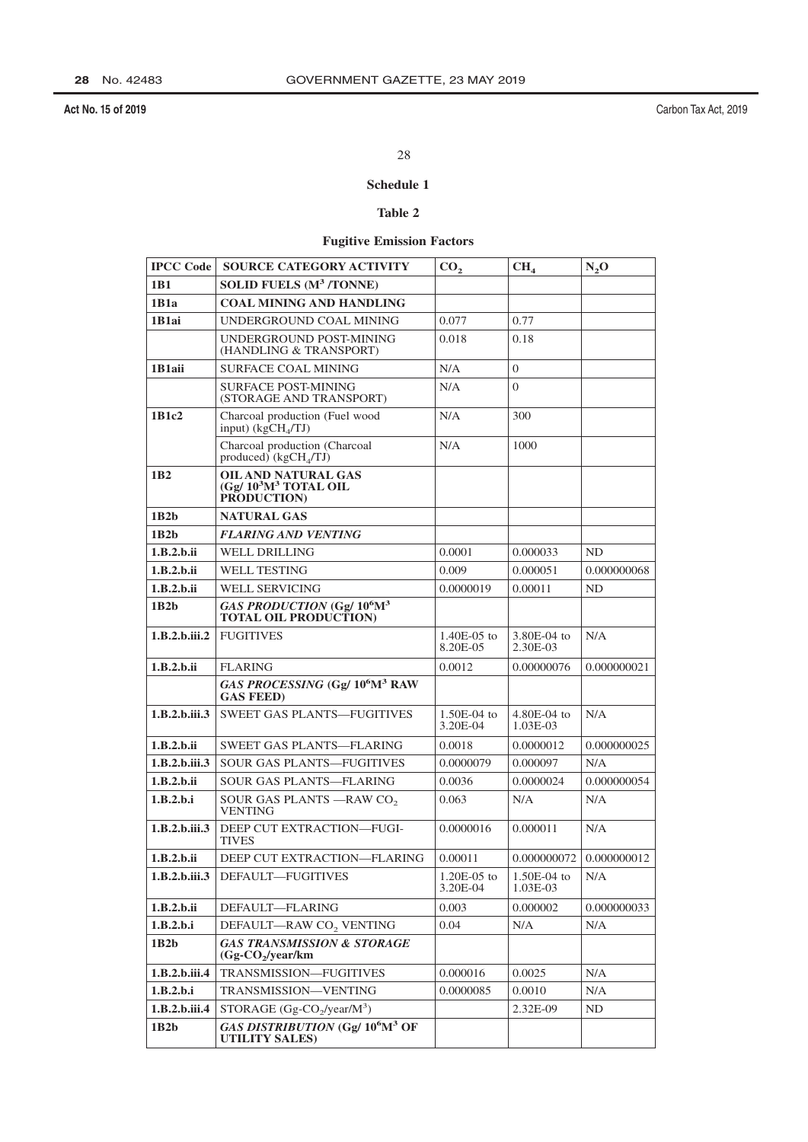## 28

## Schedule 1

## Table 2

## **Fugitive Emission Factors**

| <b>IPCC Code</b> | <b>SOURCE CATEGORY ACTIVITY</b>                                                    | CO <sub>2</sub>           | CH <sub>4</sub>         | $N_2O$                        |
|------------------|------------------------------------------------------------------------------------|---------------------------|-------------------------|-------------------------------|
| 1 <b>B1</b>      | <b>SOLID FUELS (M<sup>3</sup>/TONNE)</b>                                           |                           |                         |                               |
| 1B1a             | <b>COAL MINING AND HANDLING</b>                                                    |                           |                         |                               |
| 1B1ai            | UNDERGROUND COAL MINING                                                            | 0.077                     | 0.77                    |                               |
|                  | UNDERGROUND POST-MINING<br>(HANDLING & TRANSPORT)                                  | 0.018                     | 0.18                    |                               |
| 1B1aii           | <b>SURFACE COAL MINING</b>                                                         | N/A                       | $\overline{0}$          |                               |
|                  | <b>SURFACE POST-MINING</b><br>(STORAGE AND TRANSPORT)                              | N/A                       | $\Omega$                |                               |
| 1B1c2            | Charcoal production (Fuel wood<br>input) $(kgCH_{4}/TJ)$                           | N/A                       | 300                     |                               |
|                  | Charcoal production (Charcoal<br>produced) $(kgCH4/TJ)$                            | N/A                       | 1000                    |                               |
| 1 <sub>B2</sub>  | <b>OIL AND NATURAL GAS</b><br>$(Gg/10^3M^3$ TOTAL OIL<br>PRODUCTION)               |                           |                         |                               |
| 1B2b             | <b>NATURAL GAS</b>                                                                 |                           |                         |                               |
| 1B2h             | <b>FLARING AND VENTING</b>                                                         |                           |                         |                               |
| 1.B.2.b.ii       | WELL DRILLING                                                                      | 0.0001                    | 0.000033                | ND                            |
| 1.B.2.b.ii       | <b>WELL TESTING</b>                                                                | 0.009                     | 0.000051                | 0.000000068                   |
| 1.B.2.b.ii       | <b>WELL SERVICING</b>                                                              | 0.0000019                 | 0.00011                 | <b>ND</b>                     |
| 1B2b             | GAS PRODUCTION (Gg/ 10 <sup>6</sup> M <sup>3</sup><br><b>TOTAL OIL PRODUCTION)</b> |                           |                         |                               |
| 1.B.2.b.iii.2    | <b>FUGITIVES</b>                                                                   | $1.40E-05$ to<br>8.20E-05 | 3.80E-04 to<br>2.30E-03 | N/A                           |
| 1.B.2.b.ii       | <b>FLARING</b>                                                                     | 0.0012                    | 0.00000076              | 0.000000021                   |
|                  | GAS PROCESSING (Gg/ 10 <sup>6</sup> M <sup>3</sup> RAW<br><b>GAS FEED)</b>         |                           |                         |                               |
| 1.B.2.b.iii.3    | <b>SWEET GAS PLANTS-FUGITIVES</b>                                                  | $1.50E-04$ to<br>3.20E-04 | 4.80E-04 to<br>1.03E-03 | N/A                           |
| 1.B.2.b.ii       | <b>SWEET GAS PLANTS-FLARING</b>                                                    | 0.0018                    | 0.0000012               | 0.000000025                   |
| 1.B.2.b.iii.3    | <b>SOUR GAS PLANTS—FUGITIVES</b>                                                   | 0.0000079                 | 0.000097                | N/A                           |
| 1.B.2.b.ii       | SOUR GAS PLANTS-FLARING                                                            | 0.0036                    | 0.0000024               | 0.000000054                   |
| 1.B.2.b.i        | SOUR GAS PLANTS - RAW CO <sub>2</sub><br><b>VENTING</b>                            | 0.063                     | N/A                     | N/A                           |
| 1.B.2.b.iii.3    | DEEP CUT EXTRACTION—FUGI-<br><b>TIVES</b>                                          | 0.0000016                 | 0.000011                | N/A                           |
| 1.B.2.b.ii       | DEEP CUT EXTRACTION-FLARING                                                        | 0.00011                   |                         | $0.000000072$   $0.000000012$ |
| 1.B.2.b.iii.3    | DEFAULT-FUGITIVES                                                                  | 1.20E-05 to<br>3.20E-04   | 1.50E-04 to<br>1.03E-03 | N/A                           |
| 1.B.2.b.ii       | DEFAULT-FLARING                                                                    | 0.003                     | 0.000002                | 0.000000033                   |
| 1.B.2.b.i        | DEFAULT-RAW CO <sub>2</sub> VENTING                                                | 0.04                      | N/A                     | N/A                           |
| 1B2b             | <b>GAS TRANSMISSION &amp; STORAGE</b><br>$(Gg-CO_2/year/km)$                       |                           |                         |                               |
| 1.B.2.b.iii.4    | TRANSMISSION-FUGITIVES                                                             | 0.000016                  | 0.0025                  | N/A                           |
| 1.B.2.b.i        | TRANSMISSION-VENTING                                                               | 0.0000085                 | 0.0010                  | N/A                           |
| 1.B.2.b.iii.4    | STORAGE $(Gg-CO_2/year/M^3)$                                                       |                           | 2.32E-09                | ND                            |
| 1B2b             | GAS DISTRIBUTION (Gg/ 10 <sup>6</sup> M <sup>3</sup> OF<br><b>UTILITY SALES)</b>   |                           |                         |                               |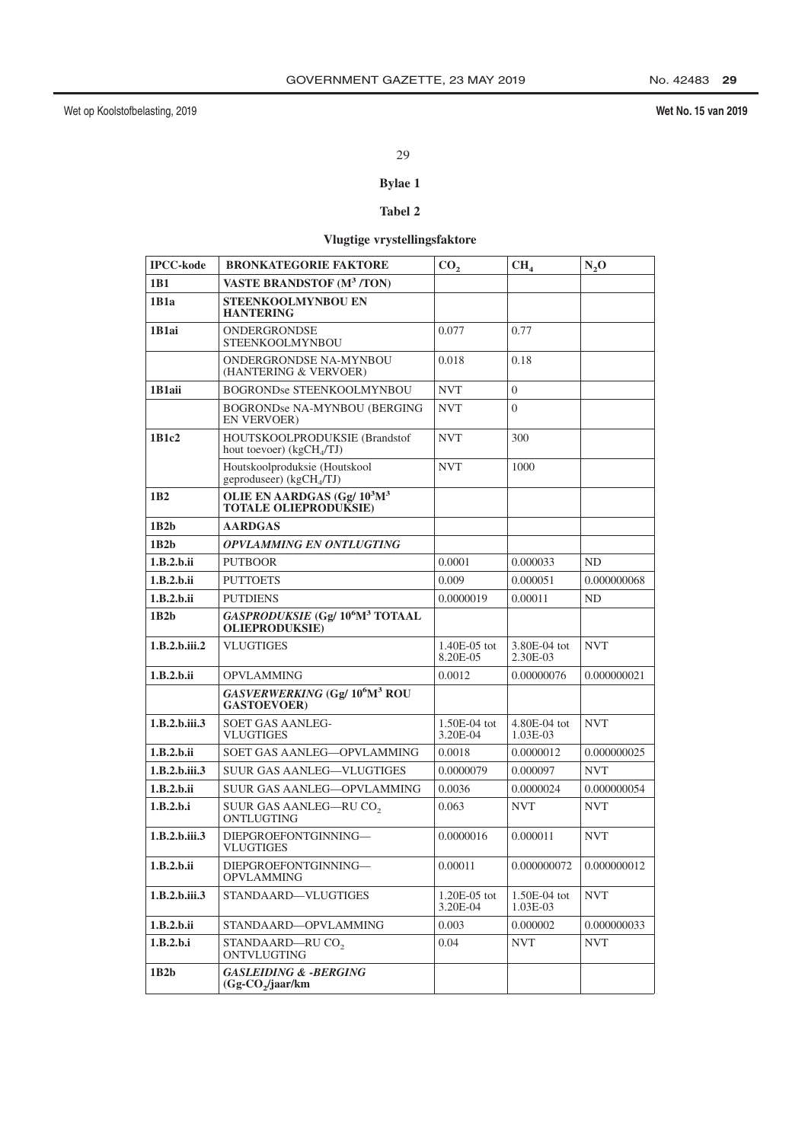## Wet No. 15 van 2019

## 29

## **Bylae 1**

## Tabel 2

# Vlugtige vrystellingsfaktore

| <b>IPCC-kode</b>                                                     | <b>BRONKATEGORIE FAKTORE</b>                                                             | CO <sub>2</sub>            | CH <sub>4</sub>          | $N_2$ O     |
|----------------------------------------------------------------------|------------------------------------------------------------------------------------------|----------------------------|--------------------------|-------------|
| 1B1                                                                  | <b>VASTE BRANDSTOF (M<sup>3</sup>/TON)</b>                                               |                            |                          |             |
| 1B1a                                                                 | STEENKOOLMYNBOU EN<br><b>HANTERING</b>                                                   |                            |                          |             |
| 1B1ai                                                                | ONDERGRONDSE<br>STEENKOOLMYNBOU                                                          | 0.077                      | 0.77                     |             |
| ONDERGRONDSE NA-MYNBOU<br>(HANTERING & VERVOER)                      |                                                                                          | 0.018                      | 0.18                     |             |
| 1B1aii                                                               | <b>BOGRONDse STEENKOOLMYNBOU</b>                                                         | <b>NVT</b>                 | $\overline{0}$           |             |
|                                                                      | <b>BOGRONDse NA-MYNBOU (BERGING</b><br><b>EN VERVOER)</b>                                |                            | $\theta$                 |             |
| 1B1c2<br>HOUTSKOOLPRODUKSIE (Brandstof<br>hout toevoer) $(kgCH4/TJ)$ |                                                                                          | <b>NVT</b>                 | 300                      |             |
|                                                                      | Houtskoolproduksie (Houtskool<br>geproduseer) (kgCH <sub>4</sub> /TJ)                    | <b>NVT</b>                 | 1000                     |             |
| 1B2                                                                  | OLIE EN AARDGAS (Gg/ $10^3M^3$<br><b>TOTALE OLIEPRODUKSIE)</b>                           |                            |                          |             |
| 1B2b                                                                 | <b>AARDGAS</b>                                                                           |                            |                          |             |
| 1B2h                                                                 | <b>OPVLAMMING EN ONTLUGTING</b>                                                          |                            |                          |             |
| 1.B.2.b.ii                                                           | <b>PUTBOOR</b>                                                                           | 0.0001                     | 0.000033                 | ND          |
| 1.B.2.b.ii                                                           | <b>PUTTOETS</b>                                                                          | 0.009                      | 0.000051                 | 0.000000068 |
| 1.B.2.b.ii                                                           | <b>PUTDIENS</b><br>0.0000019                                                             |                            | 0.00011                  | ND          |
| 1B2b                                                                 | <b>GASPRODUKSIE</b> (Gg/ 10 <sup>6</sup> M <sup>3</sup> TOTAAL<br><b>OLIEPRODUKSIE</b> ) |                            |                          |             |
| 1.B.2.b.iii.2                                                        | <b>VLUGTIGES</b>                                                                         | $1.40E-05$ tot<br>8.20E-05 | 3.80E-04 tot<br>2.30E-03 | <b>NVT</b>  |
| 1.B.2.b.ii                                                           | <b>OPVLAMMING</b>                                                                        | 0.0012                     | 0.00000076               | 0.000000021 |
|                                                                      | GASVERWERKING (Gg/ 10 <sup>6</sup> M <sup>3</sup> ROU<br><b>GASTOEVOER)</b>              |                            |                          |             |
| 1.B.2.b.iii.3                                                        | SOET GAS AANLEG-<br>VLUGTIGES                                                            | 1.50E-04 tot<br>3.20E-04   | 4.80E-04 tot<br>1.03E-03 | <b>NVT</b>  |
| 1.B.2.b.ii                                                           | SOET GAS AANLEG-OPVLAMMING                                                               | 0.0018                     | 0.0000012                | 0.000000025 |
| 1.B.2.b.iii.3                                                        | <b>SUUR GAS AANLEG-VLUGTIGES</b>                                                         | 0.0000079                  | 0.000097                 | <b>NVT</b>  |
| 1.B.2.b.ii                                                           | <b>SUUR GAS AANLEG-OPVLAMMING</b>                                                        | 0.0036                     | 0.0000024                | 0.000000054 |
| 1.B.2.b.i                                                            | SUUR GAS AANLEG-RU CO <sub>2</sub><br>ONTLUGTING                                         | 0.063                      | <b>NVT</b>               | <b>NVT</b>  |
| 1.B.2.b.iii.3                                                        | DIEPGROEFONTGINNING-<br><b>VLUGTIGES</b>                                                 | 0.0000016                  | 0.000011                 | <b>NVT</b>  |
| 1.B.2.b.ii                                                           | DIEPGROEFONTGINNING-<br><b>OPVLAMMING</b>                                                | 0.00011                    | 0.000000072              | 0.000000012 |
| 1.B.2.b.iii.3                                                        | STANDAARD-VLUGTIGES                                                                      | $1.20E-05$ tot<br>3.20E-04 | 1.50E-04 tot<br>1.03E-03 | <b>NVT</b>  |
| 1.B.2.b.ii                                                           | STANDAARD-OPVLAMMING                                                                     | 0.003                      | 0.000002                 | 0.000000033 |
| 1.B.2.b.i                                                            | STANDAARD-RU CO <sub>2</sub><br>ONTVLUGTING                                              | 0.04                       | <b>NVT</b>               | <b>NVT</b>  |
| 1B2b                                                                 | <b>GASLEIDING &amp; -BERGING</b><br>$(Gg-CO_2)/jaar/km$                                  |                            |                          |             |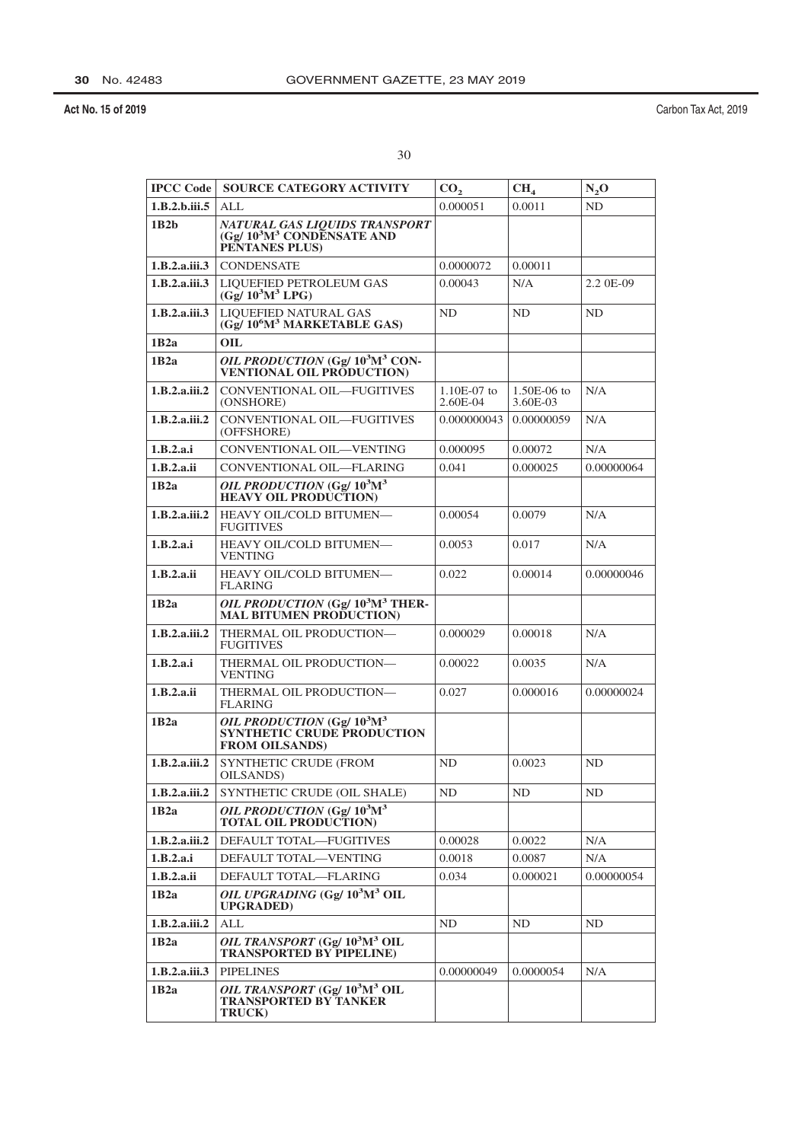Carbon Tax Act, 2019

| <b>IPCC Code</b> | <b>SOURCE CATEGORY ACTIVITY</b>                                                                                  | CO <sub>2</sub>           | CH <sub>4</sub>         | $N_2O$     |
|------------------|------------------------------------------------------------------------------------------------------------------|---------------------------|-------------------------|------------|
| 1.B.2.b.iii.5    | ALL                                                                                                              | 0.000051                  | 0.0011                  | ND         |
| 1B2b             | NATURAL GAS LIQUIDS TRANSPORT<br>(Gg/ $10^3M^3$ CONDENSATE AND<br>PENTANES PLUS)                                 |                           |                         |            |
| 1.B.2.a.iii.3    | <b>CONDENSATE</b>                                                                                                | 0.0000072                 | 0.00011                 |            |
| 1.B.2.a.iii.3    | LIQUEFIED PETROLEUM GAS<br>$(Gg/10^3M^3 LPG)$                                                                    | 0.00043                   | N/A                     | 2.2 0E-09  |
| 1.B.2.a.iii.3    | LIQUEFIED NATURAL GAS<br>(Gg/ 10 <sup>6</sup> M <sup>3</sup> MARKETABLE GAS)                                     | ND.                       | ND                      | ND         |
| 1B2a             | OIL                                                                                                              |                           |                         |            |
| 1B2a             | OIL PRODUCTION (Gg/ 10 <sup>3</sup> M <sup>3</sup> CON-<br><b>VENTIONAL OIL PRODUCTION)</b>                      |                           |                         |            |
| 1.B.2.a.iii.2    | <b>CONVENTIONAL OIL-FUGITIVES</b><br>(ONSHORE)                                                                   | $1.10E-07$ to<br>2.60E-04 | 1.50E-06 to<br>3.60E-03 | N/A        |
| 1.B.2.a.iii.2    | CONVENTIONAL OIL-FUGITIVES<br>0.000000043<br>(OFFSHORE)                                                          |                           | 0.00000059              | N/A        |
| 1.B.2.a.i        | CONVENTIONAL OIL-VENTING                                                                                         | 0.000095                  | 0.00072                 | N/A        |
| 1.B.2.a.ii       | CONVENTIONAL OIL-FLARING                                                                                         | 0.041                     | 0.000025                | 0.00000064 |
| 1B2a             | OIL PRODUCTION (Gg/103M3<br><b>HEAVY OIL PRODUCTION</b>                                                          |                           |                         |            |
| 1.B.2.a.iii.2    | HEAVY OIL/COLD BITUMEN-<br><b>FUGITIVES</b>                                                                      | 0.00054                   | 0.0079                  | N/A        |
| 1.B.2.a.i        | HEAVY OIL/COLD BITUMEN-<br><b>VENTING</b>                                                                        |                           | 0.017                   | N/A        |
| 1.B.2.a.ii       | <b>HEAVY OIL/COLD BITUMEN-</b><br><b>FLARING</b>                                                                 | 0.022                     | 0.00014                 | 0.00000046 |
| 1B2a             | OIL PRODUCTION (Gg/ 10 <sup>3</sup> M <sup>3</sup> THER-<br><b>MAL BITUMEN PRODUCTION)</b>                       |                           |                         |            |
| 1.B.2.a.iii.2    | THERMAL OIL PRODUCTION-<br><b>FUGITIVES</b>                                                                      | 0.000029                  | 0.00018                 | N/A        |
| 1.B.2.a.i        | THERMAL OIL PRODUCTION-<br><b>VENTING</b>                                                                        | 0.00022                   | 0.0035                  | N/A        |
| 1.B.2.a.ii       | THERMAL OIL PRODUCTION-<br>FLARING                                                                               | 0.027                     | 0.000016                | 0.00000024 |
| 1B2a             | OIL PRODUCTION (Gg/ 10 <sup>3</sup> M <sup>3</sup><br><b>SYNTHETIC CRUDE PRODUCTION</b><br><b>FROM OILSANDS)</b> |                           |                         |            |
| 1.B.2.a.iii.2    | SYNTHETIC CRUDE (FROM<br>OILSANDS)                                                                               | ND                        | 0.0023                  | ND         |
| 1.B.2.a.iii.2    | SYNTHETIC CRUDE (OIL SHALE)                                                                                      | ND.                       | ND                      | ND         |
| 1B2a             | OIL PRODUCTION (Gg/ $10^3$ M <sup>3</sup><br><b>TOTAL OIL PRODUCTION</b>                                         |                           |                         |            |
| 1.B.2.a.iii.2    | DEFAULT TOTAL-FUGITIVES                                                                                          | 0.00028                   | 0.0022                  | N/A        |
| 1.B.2.a.i        | DEFAULT TOTAL—VENTING                                                                                            | 0.0018                    | 0.0087                  | N/A        |
| 1.B.2.a.ii       | DEFAULT TOTAL-FLARING                                                                                            | 0.034                     | 0.000021                | 0.00000054 |
| 1B2a             | <i>OIL UPGRADING</i> (Gg/ 10 <sup>3</sup> M <sup>3</sup> OIL<br><b>UPGRADED)</b>                                 |                           |                         |            |
| 1.B.2.a.iii.2    | <b>ALL</b>                                                                                                       | ND                        | ND                      | ND         |
| 1B2a             | OIL TRANSPORT (Gg/ 10 <sup>3</sup> M <sup>3</sup> OIL<br><b>TRANSPORTED BY PIPELINE</b> )                        |                           |                         |            |
| 1.B.2.a.iii.3    | <b>PIPELINES</b>                                                                                                 | 0.00000049                | 0.0000054               | N/A        |
| 1B2a             | OIL TRANSPORT (Gg/ 10 <sup>3</sup> M <sup>3</sup> OIL<br><b>TRANSPORTED BY TANKER</b><br><b>TRUCK)</b>           |                           |                         |            |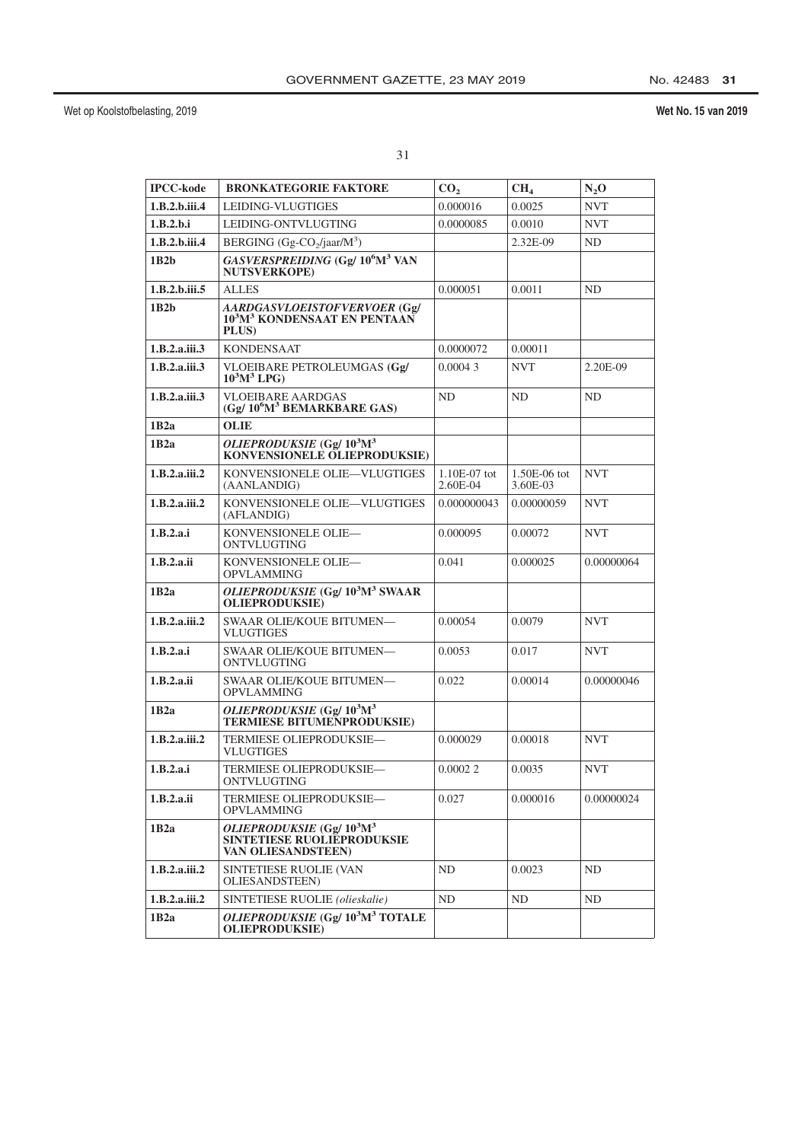| <b>IPCC-kode</b> | <b>BRONKATEGORIE FAKTORE</b>                                                                  | CO <sub>2</sub>            | CH <sub>4</sub>          | $N_2$ O    |
|------------------|-----------------------------------------------------------------------------------------------|----------------------------|--------------------------|------------|
| 1.B.2.b.iii.4    | LEIDING-VLUGTIGES                                                                             | 0.000016                   | 0.0025                   | <b>NVT</b> |
| 1.B.2.b.i        | LEIDING-ONTVLUGTING                                                                           | 0.0000085                  | 0.0010                   | <b>NVT</b> |
| 1.B.2.b.iii.4    | BERGING (Gg-CO <sub>2</sub> /jaar/M <sup>3</sup> )                                            |                            | 2.32E-09                 | ND         |
| 1B2b             | GASVERSPREIDING (Gg/ 10 <sup>6</sup> M <sup>3</sup> VAN<br><b>NUTSVERKOPE)</b>                |                            |                          |            |
| 1.B.2.b.iii.5    | <b>ALLES</b>                                                                                  | 0.000051                   | 0.0011                   | ND         |
| 1B2b             | AARDGASVLOEISTOFVERVOER (Gg/<br>10 <sup>3</sup> M <sup>3</sup> KONDENSAAT EN PENTAAN<br>PLUS) |                            |                          |            |
| 1.B.2.a.iii.3    | <b>KONDENSAAT</b>                                                                             | 0.0000072                  | 0.00011                  |            |
| 1.B.2.a.iii.3    | VLOEIBARE PETROLEUMGAS (Gg/<br>$10^3M^3$ LPG)                                                 |                            | <b>NVT</b>               | 2.20E-09   |
| 1.B.2.a.iii.3    | <b>VLOEIBARE AARDGAS</b><br>(Gg/ 10 <sup>6</sup> M <sup>3</sup> BEMARKBARE GAS)               | ND                         | ND                       | ND         |
| 1B2a             | OLIE                                                                                          |                            |                          |            |
| 1B2a             | OLIEPRODUKSIE (Gg/ $10^3$ M <sup>3</sup><br>KONVENSIONELE OLIEPRODUKSIE)                      |                            |                          |            |
| 1.B.2.a.iii.2    | KONVENSIONELE OLIE-VLUGTIGES<br>(AANLANDIG)                                                   | $1.10E-07$ tot<br>2.60E-04 | 1.50E-06 tot<br>3.60E-03 | <b>NVT</b> |
| 1.B.2.a.iii.2    | KONVENSIONELE OLIE-VLUGTIGES<br>(AFLANDIG)                                                    |                            | 0.00000059               | <b>NVT</b> |
| 1.B.2.a.i        | KONVENSIONELE OLIE-<br>0.000095<br>ONTVLUGTING                                                |                            | 0.00072                  | <b>NVT</b> |
| 1.B.2.a.ii       | KONVENSIONELE OLIE-<br><b>OPVLAMMING</b>                                                      | 0.041                      | 0.000025                 | 0.00000064 |
| 1B2a             | OLIEPRODUKSIE (Gg/10 <sup>3</sup> M <sup>3</sup> SWAAR<br><b>OLIEPRODUKSIE)</b>               |                            |                          |            |
| 1.B.2.a.iii.2    | SWAAR OLIE/KOUE BITUMEN-<br><b>VLUGTIGES</b>                                                  | 0.00054                    | 0.0079                   | <b>NVT</b> |
| 1.B.2.a.i        | SWAAR OLIE/KOUE BITUMEN-<br>ONTVLUGTING                                                       | 0.0053                     | 0.017                    | <b>NVT</b> |
| 1.B.2.a.ii       | SWAAR OLIE/KOUE BITUMEN-<br><b>OPVLAMMING</b>                                                 | 0.022                      | 0.00014                  | 0.00000046 |
| 1B2a             | OLIEPRODUKSIE (Gg/ $10^3$ M <sup>3</sup><br><b>TERMIESE BITUMENPRODUKSIE)</b>                 |                            |                          |            |
| 1.B.2.a.iii.2    | TERMIESE OLIEPRODUKSIE-<br>VLUGTIGES                                                          | 0.000029                   | 0.00018                  | <b>NVT</b> |
| 1.B.2.a.i        | TERMIESE OLIEPRODUKSIE—<br>ONTVLUGTING                                                        | 0.00022                    | 0.0035                   | <b>NVT</b> |
| 1.B.2.a.ii       | TERMIESE OLIEPRODUKSIE—<br><b>OPVLAMMING</b>                                                  | 0.027                      | 0.000016                 | 0.00000024 |
| 1B2a             | OLIEPRODUKSIE (Gg/103M3<br><b>SINTETIESE RUOLIEPRODUKSIE</b><br>VAN OLIESANDSTEEN)            |                            |                          |            |
| 1.B.2.a.iii.2    | SINTETIESE RUOLIE (VAN<br>OLIESANDSTEEN)                                                      | ND                         | 0.0023                   | ND         |
| 1.B.2.a.iii.2    | SINTETIESE RUOLIE (olieskalie)                                                                | ND                         | ND                       | ND         |
| 1B2a             | OLIEPRODUKSIE (Gg/10 <sup>3</sup> M <sup>3</sup> TOTALE<br><b>OLIEPRODUKSIE)</b>              |                            |                          |            |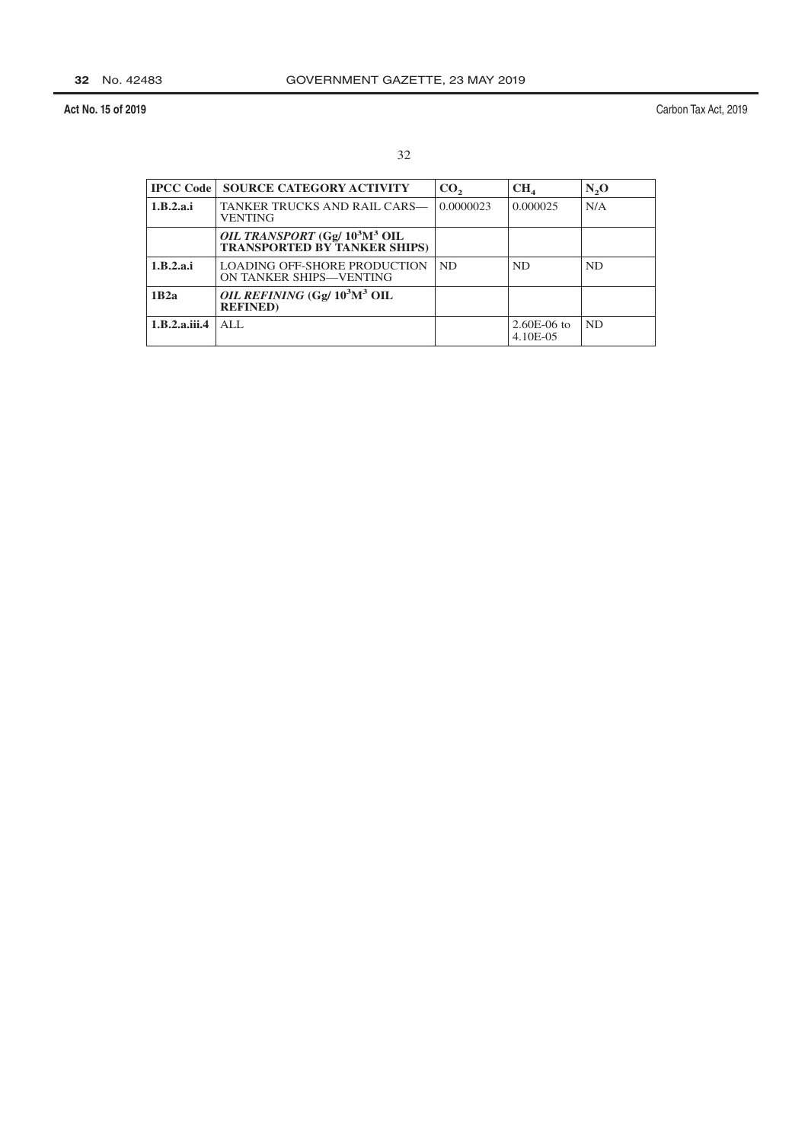| <b>IPCC Code</b> | <b>SOURCE CATEGORY ACTIVITY</b>                                                              | CO <sub>2</sub> | CH <sub>4</sub>           | N <sub>2</sub> O |
|------------------|----------------------------------------------------------------------------------------------|-----------------|---------------------------|------------------|
| 1.B.2.a.i        | TANKER TRUCKS AND RAIL CARS—<br><b>VENTING</b>                                               | 0.0000023       | 0.000025                  | N/A              |
|                  | OIL TRANSPORT (Gg/ 10 <sup>3</sup> M <sup>3</sup> OIL<br><b>TRANSPORTED BY TANKER SHIPS)</b> |                 |                           |                  |
| 1.B.2.a.i        | <b>LOADING OFF-SHORE PRODUCTION</b><br>ON TANKER SHIPS-VENTING                               | <b>ND</b>       | <b>ND</b>                 | <b>ND</b>        |
| 1B2a             | OIL REFINING (Gg/ 10 <sup>3</sup> M <sup>3</sup> OIL<br><b>REFINED</b> )                     |                 |                           |                  |
| 1.B.2.a.iii.4    | AI.                                                                                          |                 | $2.60E-06$ to<br>4.10E-05 | <b>ND</b>        |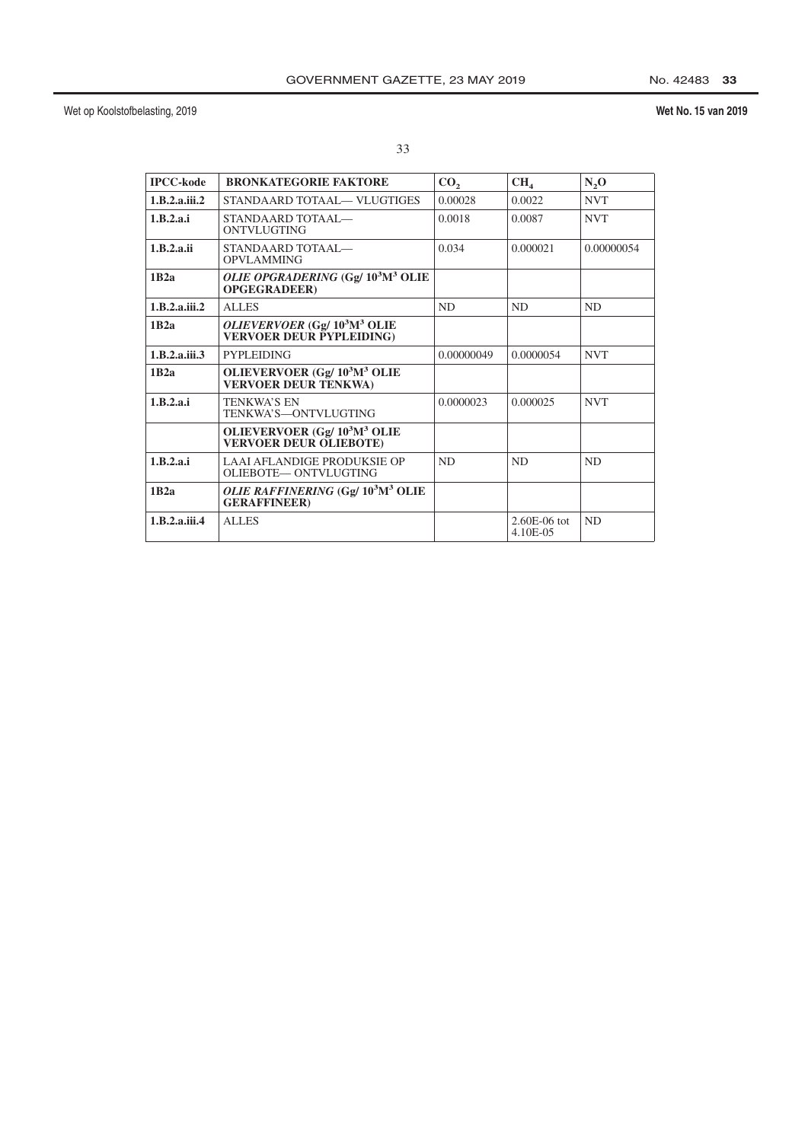| <b>IPCC-kode</b> | <b>BRONKATEGORIE FAKTORE</b>                                                          | CO <sub>2</sub> | CH <sub>4</sub>            | N <sub>2</sub> O |
|------------------|---------------------------------------------------------------------------------------|-----------------|----------------------------|------------------|
| 1.B.2.a.iii.2    | STANDAARD TOTAAL-VLUGTIGES                                                            | 0.00028         | 0.0022                     | <b>NVT</b>       |
| 1.B.2.a.i        | STANDAARD TOTAAL—<br><b>ONTVLUGTING</b>                                               | 0.0018          | 0.0087                     | <b>NVT</b>       |
| 1.B.2.a.ii       | STANDAARD TOTAAL—<br><b>OPVLAMMING</b>                                                | 0.034           | 0.000021                   | 0.00000054       |
| 1B2a             | OLIE OPGRADERING (Gg/ 10 <sup>3</sup> M <sup>3</sup> OLIE<br><b>OPGEGRADEER)</b>      |                 |                            |                  |
| 1.B.2.a.iii.2    | <b>ALLES</b>                                                                          | N <sub>D</sub>  | ND                         | <b>ND</b>        |
| 1B2a             | <i>OLIEVERVOER</i> (Gg/ $103M3$ OLIE<br><b>VERVOER DEUR PYPLEIDING)</b>               |                 |                            |                  |
| 1.B.2.a.iii.3    | <b>PYPLEIDING</b>                                                                     | 0.00000049      | 0.0000054                  | <b>NVT</b>       |
| 1B2a             | OLIEVERVOER (Gg/ $10^3$ M <sup>3</sup> OLIE<br><b>VERVOER DEUR TENKWA)</b>            |                 |                            |                  |
| 1.B.2.a.i        | <b>TENKWA'S EN</b><br>TENKWA'S—ONTVLUGTING                                            | 0.0000023       | 0.000025                   | <b>NVT</b>       |
|                  | OLIEVERVOER (Gg/ 10 <sup>3</sup> M <sup>3</sup> OLIE<br><b>VERVOER DEUR OLIEBOTE)</b> |                 |                            |                  |
| 1.B.2.a.i        | LAAI AFLANDIGE PRODUKSIE OP<br>OLIEBOTE— ONTVLUGTING                                  | <b>ND</b>       | N <sub>D</sub>             | N <sub>D</sub>   |
| 1B2a             | OLIE RAFFINERING (Gg/ 10 <sup>3</sup> M <sup>3</sup> OLIE<br><b>GERAFFINEER)</b>      |                 |                            |                  |
| 1.B.2.a.iii.4    | <b>ALLES</b>                                                                          |                 | $2.60E-06$ tot<br>4.10E-05 | ND               |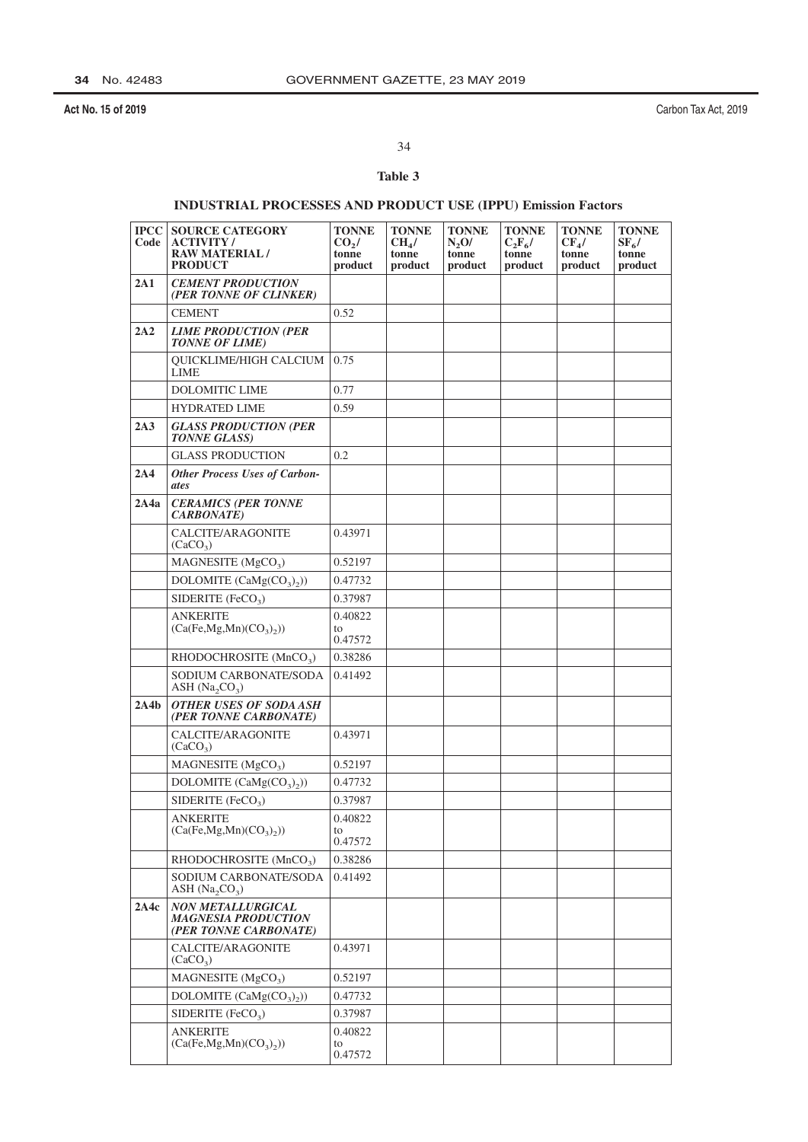Carbon Tax Act, 2019

# 34

## Table 3

## **INDUSTRIAL PROCESSES AND PRODUCT USE (IPPU) Emission Factors**

| $ {\bf PCC} $<br>Code | <b>SOURCE CATEGORY</b><br><b>ACTIVITY/</b><br><b>RAW MATERIAL/</b><br><b>PRODUCT</b> | <b>TONNE</b><br>CO <sub>2</sub> /<br>tonne<br>product | <b>TONNE</b><br>CH <sub>4</sub> /<br>tonne<br>product | <b>TONNE</b><br>N,0/<br>tonne<br>product | <b>TONNE</b><br>$C_2F_6/$<br>tonne<br>product | <b>TONNE</b><br>$CF_{4}/$<br>tonne<br>product | <b>TONNE</b><br>$SF_6/$<br>tonne<br>product |
|-----------------------|--------------------------------------------------------------------------------------|-------------------------------------------------------|-------------------------------------------------------|------------------------------------------|-----------------------------------------------|-----------------------------------------------|---------------------------------------------|
| 2A1                   | <b>CEMENT PRODUCTION</b><br>(PER TONNE OF CLINKER)                                   |                                                       |                                                       |                                          |                                               |                                               |                                             |
|                       | <b>CEMENT</b>                                                                        | 0.52                                                  |                                                       |                                          |                                               |                                               |                                             |
| 2A2                   | <b>LIME PRODUCTION (PER</b><br><b>TONNE OF LIME</b> )                                |                                                       |                                                       |                                          |                                               |                                               |                                             |
|                       | <b>OUICKLIME/HIGH CALCIUM</b><br><b>LIME</b>                                         | 0.75                                                  |                                                       |                                          |                                               |                                               |                                             |
|                       | <b>DOLOMITIC LIME</b>                                                                | 0.77                                                  |                                                       |                                          |                                               |                                               |                                             |
|                       | <b>HYDRATED LIME</b>                                                                 | 0.59                                                  |                                                       |                                          |                                               |                                               |                                             |
| 2A3                   | <b>GLASS PRODUCTION (PER</b><br><b>TONNE GLASS)</b>                                  |                                                       |                                                       |                                          |                                               |                                               |                                             |
|                       | <b>GLASS PRODUCTION</b>                                                              | 0.2                                                   |                                                       |                                          |                                               |                                               |                                             |
| 2A4                   | <b>Other Process Uses of Carbon-</b><br>ates                                         |                                                       |                                                       |                                          |                                               |                                               |                                             |
| 2A4a                  | <b>CERAMICS (PER TONNE</b><br><b>CARBONATE</b> )                                     |                                                       |                                                       |                                          |                                               |                                               |                                             |
|                       | CALCITE/ARAGONITE<br>(CaCO <sub>3</sub> )                                            | 0.43971                                               |                                                       |                                          |                                               |                                               |                                             |
|                       | MAGNESITE $(MgCO3)$                                                                  | 0.52197                                               |                                                       |                                          |                                               |                                               |                                             |
|                       | DOLOMITE $(CaMg(CO_3)_2)$                                                            | 0.47732                                               |                                                       |                                          |                                               |                                               |                                             |
|                       | SIDERITE (FeCO <sub>3</sub> )                                                        | 0.37987                                               |                                                       |                                          |                                               |                                               |                                             |
|                       | <b>ANKERITE</b><br>(Ca(Fe, Mg, Mn)(CO <sub>3</sub> ))                                | 0.40822<br>to<br>0.47572                              |                                                       |                                          |                                               |                                               |                                             |
|                       | RHODOCHROSITE (MnCO <sub>3</sub> )                                                   | 0.38286                                               |                                                       |                                          |                                               |                                               |                                             |
|                       | SODIUM CARBONATE/SODA<br>ASH $(Na, CO3)$                                             | 0.41492                                               |                                                       |                                          |                                               |                                               |                                             |
| 2A4b                  | <b>OTHER USES OF SODA ASH</b><br>(PER TONNE CARBONATE)                               |                                                       |                                                       |                                          |                                               |                                               |                                             |
|                       | CALCITE/ARAGONITE<br>(CaCO <sub>3</sub> )                                            | 0.43971                                               |                                                       |                                          |                                               |                                               |                                             |
|                       | MAGNESITE $(MgCO3)$                                                                  | 0.52197                                               |                                                       |                                          |                                               |                                               |                                             |
|                       | DOLOMITE $(CaMg(CO_3)_2)$                                                            | 0.47732                                               |                                                       |                                          |                                               |                                               |                                             |
|                       | SIDERITE $(FeCO3)$                                                                   | 0.37987                                               |                                                       |                                          |                                               |                                               |                                             |
|                       | <b>ANKERITE</b><br>$(Ca(Fe, Mg, Mn)(CO3)2))$                                         | 0.40822<br>to                                         |                                                       |                                          |                                               |                                               |                                             |
|                       |                                                                                      | 0.47572                                               |                                                       |                                          |                                               |                                               |                                             |
|                       | RHODOCHROSITE (MnCO <sub>3</sub> )                                                   | 0.38286                                               |                                                       |                                          |                                               |                                               |                                             |
|                       | SODIUM CARBONATE/SODA<br>ASH $(Na, CO3)$                                             | 0.41492                                               |                                                       |                                          |                                               |                                               |                                             |
| 2A4c                  | <b>NON METALLURGICAL</b><br><b>MAGNESIA PRODUCTION</b><br>(PER TONNE CARBONATE)      |                                                       |                                                       |                                          |                                               |                                               |                                             |
|                       | CALCITE/ARAGONITE<br>(CaCO <sub>3</sub> )                                            | 0.43971                                               |                                                       |                                          |                                               |                                               |                                             |
|                       | MAGNESITE (MgCO <sub>3</sub> )                                                       | 0.52197                                               |                                                       |                                          |                                               |                                               |                                             |
|                       | DOLOMITE $(CaMg(CO_3)_2)$                                                            | 0.47732                                               |                                                       |                                          |                                               |                                               |                                             |
|                       | SIDERITE (FeCO <sub>3</sub> )                                                        | 0.37987                                               |                                                       |                                          |                                               |                                               |                                             |
|                       | <b>ANKERITE</b>                                                                      | 0.40822                                               |                                                       |                                          |                                               |                                               |                                             |
|                       | $(Ca(Fe, Mg, Mn)(CO3)2))$                                                            | to<br>0.47572                                         |                                                       |                                          |                                               |                                               |                                             |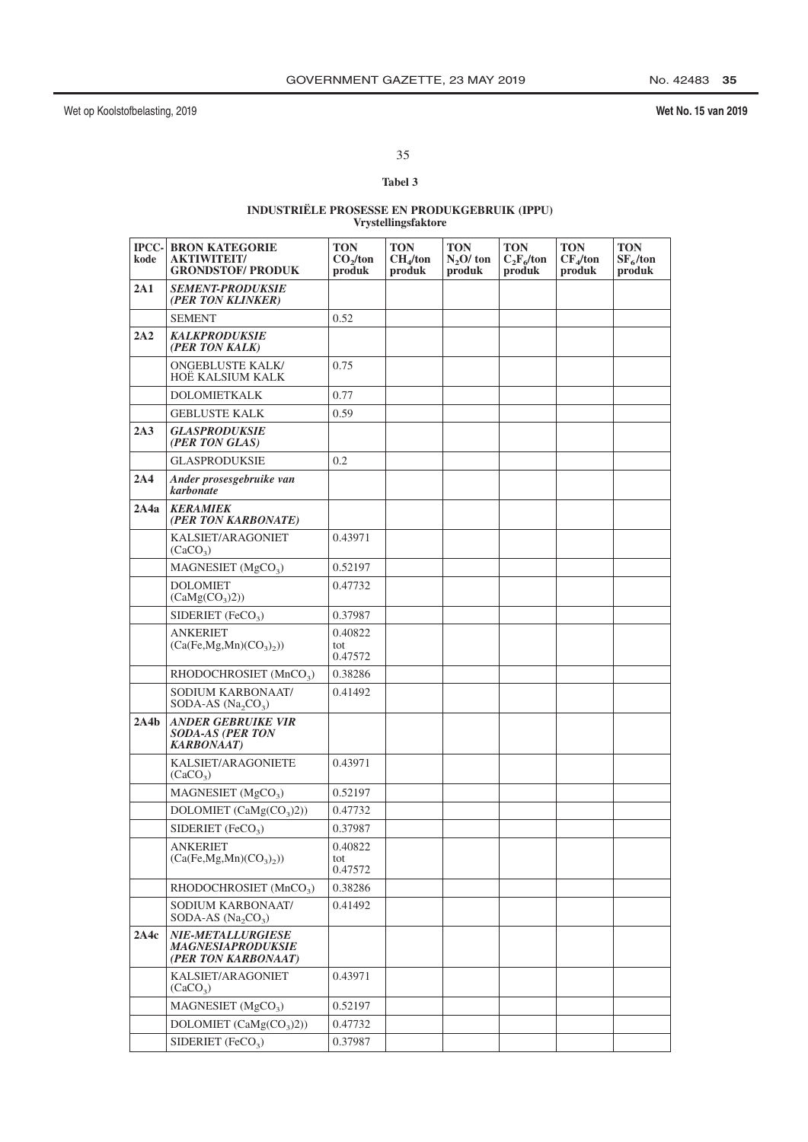No. 42483 35

## Wet No. 15 van 2019

35

## Tabel 3

# $\begin{array}{ll} \textbf{INDUSTRIËLE PROSESSE EN PRODUKGEBRUIK (IPPU)}\\ \textbf{Vrystellingsfaktore} \end{array}$

| kode | <b>IPCC- BRON KATEGORIE</b><br><b>AKTIWITEIT/</b><br><b>GRONDSTOF/ PRODUK</b> | <b>TON</b><br>CO <sub>2</sub> /ton<br>produk | <b>TON</b><br>CH <sub>4</sub> /ton<br>produk | <b>TON</b><br>$N2O$ ton<br>produk | <b>TON</b><br>$C_2F_6$ /ton<br>produk | <b>TON</b><br>CF <sub>4</sub> /ton<br>produk | <b>TON</b><br>$SF_6$ /ton<br>produk |
|------|-------------------------------------------------------------------------------|----------------------------------------------|----------------------------------------------|-----------------------------------|---------------------------------------|----------------------------------------------|-------------------------------------|
| 2A1  | <b>SEMENT-PRODUKSIE</b><br>(PER TON KLINKER)                                  |                                              |                                              |                                   |                                       |                                              |                                     |
|      | <b>SEMENT</b>                                                                 | 0.52                                         |                                              |                                   |                                       |                                              |                                     |
| 2A2  | <b>KALKPRODUKSIE</b><br>(PER TON KALK)                                        |                                              |                                              |                                   |                                       |                                              |                                     |
|      | <b>ONGEBLUSTE KALK/</b><br>HOË KALSIUM KALK                                   | 0.75                                         |                                              |                                   |                                       |                                              |                                     |
|      | <b>DOLOMIETKALK</b>                                                           | 0.77                                         |                                              |                                   |                                       |                                              |                                     |
|      | <b>GEBLUSTE KALK</b>                                                          | 0.59                                         |                                              |                                   |                                       |                                              |                                     |
| 2A3  | <b>GLASPRODUKSIE</b><br>(PER TON GLAS)                                        |                                              |                                              |                                   |                                       |                                              |                                     |
|      | <b>GLASPRODUKSIE</b>                                                          | 0.2                                          |                                              |                                   |                                       |                                              |                                     |
| 2A4  | Ander prosesgebruike van<br>karbonate                                         |                                              |                                              |                                   |                                       |                                              |                                     |
| 2A4a | <b>KERAMIEK</b><br>(PER TON KARBONATE)                                        |                                              |                                              |                                   |                                       |                                              |                                     |
|      | KALSIET/ARAGONIET<br>(CaCO <sub>3</sub> )                                     | 0.43971                                      |                                              |                                   |                                       |                                              |                                     |
|      | MAGNESIET $(MgCO3)$                                                           | 0.52197                                      |                                              |                                   |                                       |                                              |                                     |
|      | <b>DOLOMIET</b><br>(CaMg(CO <sub>3</sub> )2))                                 | 0.47732                                      |                                              |                                   |                                       |                                              |                                     |
|      | SIDERIET (FeCO <sub>3</sub> )                                                 | 0.37987                                      |                                              |                                   |                                       |                                              |                                     |
|      | <b>ANKERIET</b><br>$(Ca(Fe, Mg, Mn)(CO3)2))$                                  | 0.40822<br>tot<br>0.47572                    |                                              |                                   |                                       |                                              |                                     |
|      | RHODOCHROSIET (MnCO <sub>3</sub> )                                            | 0.38286                                      |                                              |                                   |                                       |                                              |                                     |
|      | SODIUM KARBONAAT/<br>SODA-AS $(Na_2CO_3)$                                     | 0.41492                                      |                                              |                                   |                                       |                                              |                                     |
| 2A4b | <b>ANDER GEBRUIKE VIR</b><br><b>SODA-AS (PER TON</b><br><b>KARBONAAT</b> )    |                                              |                                              |                                   |                                       |                                              |                                     |
|      | KALSIET/ARAGONIETE<br>(CaCO <sub>3</sub> )                                    | 0.43971                                      |                                              |                                   |                                       |                                              |                                     |
|      | MAGNESIET (MgCO <sub>3</sub> )                                                | 0.52197                                      |                                              |                                   |                                       |                                              |                                     |
|      | DOLOMIET $(CaMg(CO3)2))$                                                      | 0.47732                                      |                                              |                                   |                                       |                                              |                                     |
|      | SIDERIET (FeCO <sub>3</sub> )                                                 | 0.37987                                      |                                              |                                   |                                       |                                              |                                     |
|      | <b>ANKERIET</b><br>$(Ca(Fe, Mg, Mn)(CO3)2))$                                  | 0.40822<br>tot<br>0.47572                    |                                              |                                   |                                       |                                              |                                     |
|      | RHODOCHROSIET (MnCO <sub>3</sub> )                                            | 0.38286                                      |                                              |                                   |                                       |                                              |                                     |
|      | SODIUM KARBONAAT/<br>SODA-AS $(Na_2CO_3)$                                     | 0.41492                                      |                                              |                                   |                                       |                                              |                                     |
| 2A4c | <b>NIE-METALLURGIESE</b><br><b>MAGNESIAPRODUKSIE</b><br>(PER TON KARBONAAT)   |                                              |                                              |                                   |                                       |                                              |                                     |
|      | KALSIET/ARAGONIET<br>(CaCO <sub>3</sub> )                                     | 0.43971                                      |                                              |                                   |                                       |                                              |                                     |
|      | MAGNESIET (MgCO <sub>3</sub> )                                                | 0.52197                                      |                                              |                                   |                                       |                                              |                                     |
|      | DOLOMIET $(CaMg(CO3)2))$                                                      | 0.47732                                      |                                              |                                   |                                       |                                              |                                     |
|      | SIDERIET (FeCO <sub>3</sub> )                                                 | 0.37987                                      |                                              |                                   |                                       |                                              |                                     |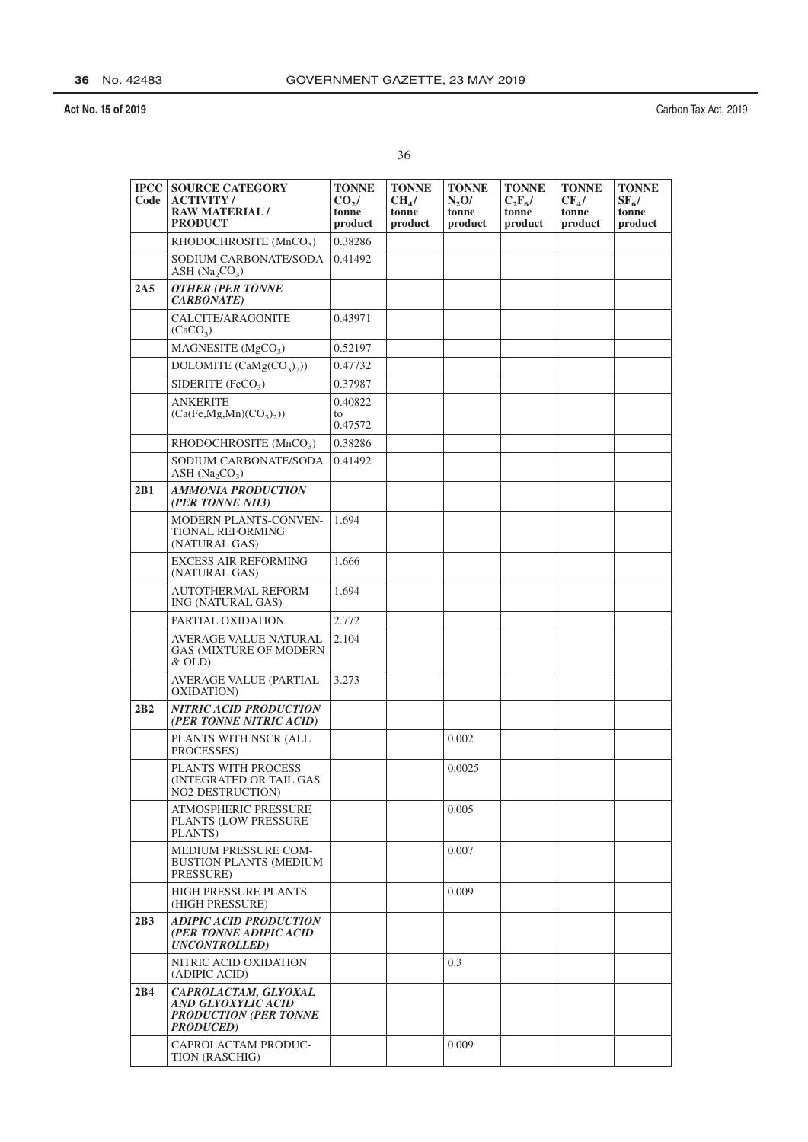| ×      | ٠  |
|--------|----|
|        |    |
| I<br>i | ۰. |

| <b>IPCC</b><br>Code | <b>SOURCE CATEGORY</b><br><b>ACTIVITY</b> /<br><b>RAW MATERIAL/</b><br><b>PRODUCT</b>           | <b>TONNE</b><br>$CO2$ /<br>tonne<br>product | <b>TONNE</b><br>CH <sub>4</sub> /<br>tonne<br>product | <b>TONNE</b><br>N,0/<br>tonne<br>product | <b>TONNE</b><br>$C_2F_6/$<br>tonne<br>product | <b>TONNE</b><br>$CF_{4}/$<br>tonne<br>product | <b>TONNE</b><br>$SF_{6}/$<br>tonne<br>product |
|---------------------|-------------------------------------------------------------------------------------------------|---------------------------------------------|-------------------------------------------------------|------------------------------------------|-----------------------------------------------|-----------------------------------------------|-----------------------------------------------|
|                     | RHODOCHROSITE (MnCO <sub>3</sub> )                                                              | 0.38286                                     |                                                       |                                          |                                               |                                               |                                               |
|                     | SODIUM CARBONATE/SODA<br>ASH $(Na, CO3)$                                                        | 0.41492                                     |                                                       |                                          |                                               |                                               |                                               |
| 2A5                 | <b>OTHER (PER TONNE</b><br><b>CARBONATE</b> )                                                   |                                             |                                                       |                                          |                                               |                                               |                                               |
|                     | CALCITE/ARAGONITE<br>(CaCO <sub>3</sub> )                                                       | 0.43971                                     |                                                       |                                          |                                               |                                               |                                               |
|                     | MAGNESITE (MgCO <sub>3</sub> )                                                                  | 0.52197                                     |                                                       |                                          |                                               |                                               |                                               |
|                     | DOLOMITE $(CaMg(CO_3)_2)$                                                                       | 0.47732                                     |                                                       |                                          |                                               |                                               |                                               |
|                     | SIDERITE $(FeCO3)$                                                                              | 0.37987                                     |                                                       |                                          |                                               |                                               |                                               |
|                     | <b>ANKERITE</b><br>(Ca(Fe, Mg, Mn)(CO <sub>3</sub> ))                                           | 0.40822<br>to<br>0.47572                    |                                                       |                                          |                                               |                                               |                                               |
|                     | RHODOCHROSITE (MnCO <sub>3</sub> )                                                              | 0.38286                                     |                                                       |                                          |                                               |                                               |                                               |
|                     | SODIUM CARBONATE/SODA<br>ASH $(Na, CO3)$                                                        | 0.41492                                     |                                                       |                                          |                                               |                                               |                                               |
| 2B1                 | <b>AMMONIA PRODUCTION</b><br>(PER TONNE NH3)                                                    |                                             |                                                       |                                          |                                               |                                               |                                               |
|                     | MODERN PLANTS-CONVEN-<br><b>TIONAL REFORMING</b><br>(NATURAL GAS)                               | 1.694                                       |                                                       |                                          |                                               |                                               |                                               |
|                     | <b>EXCESS AIR REFORMING</b><br>(NATURAL GAS)                                                    | 1.666                                       |                                                       |                                          |                                               |                                               |                                               |
|                     | AUTOTHERMAL REFORM-<br>ING (NATURAL GAS)                                                        | 1.694                                       |                                                       |                                          |                                               |                                               |                                               |
|                     | PARTIAL OXIDATION                                                                               | 2.772                                       |                                                       |                                          |                                               |                                               |                                               |
|                     | AVERAGE VALUE NATURAL<br><b>GAS (MIXTURE OF MODERN</b><br>$&$ OLD)                              | 2.104                                       |                                                       |                                          |                                               |                                               |                                               |
|                     | AVERAGE VALUE (PARTIAL<br>OXIDATION)                                                            | 3.273                                       |                                                       |                                          |                                               |                                               |                                               |
| 2B2                 | <b>NITRIC ACID PRODUCTION</b><br>(PER TONNE NITRIC ACID)                                        |                                             |                                                       |                                          |                                               |                                               |                                               |
|                     | PLANTS WITH NSCR (ALL<br>PROCESSES)                                                             |                                             |                                                       | 0.002                                    |                                               |                                               |                                               |
|                     | PLANTS WITH PROCESS<br>(INTEGRATED OR TAIL GAS)<br>NO2 DESTRUCTION)                             |                                             |                                                       | 0.0025                                   |                                               |                                               |                                               |
|                     | ATMOSPHERIC PRESSURE<br>PLANTS (LOW PRESSURE<br>PLANTS)                                         |                                             |                                                       | 0.005                                    |                                               |                                               |                                               |
|                     | MEDIUM PRESSURE COM-<br><b>BUSTION PLANTS (MEDIUM</b><br>PRESSURE)                              |                                             |                                                       | 0.007                                    |                                               |                                               |                                               |
|                     | <b>HIGH PRESSURE PLANTS</b><br>(HIGH PRESSURE)                                                  |                                             |                                                       | 0.009                                    |                                               |                                               |                                               |
| 2B3                 | <b>ADIPIC ACID PRODUCTION</b><br>(PER TONNE ADIPIC ACID<br><b>UNCONTROLLED)</b>                 |                                             |                                                       |                                          |                                               |                                               |                                               |
|                     | NITRIC ACID OXIDATION<br>(ADIPIC ACID)                                                          |                                             |                                                       | 0.3                                      |                                               |                                               |                                               |
| 2B4                 | CAPROLACTAM, GLYOXAL<br>AND GLYOXYLIC ACID<br><b>PRODUCTION (PER TONNE</b><br><b>PRODUCED</b> ) |                                             |                                                       |                                          |                                               |                                               |                                               |
|                     | CAPROLACTAM PRODUC-<br>TION (RASCHIG)                                                           |                                             |                                                       | 0.009                                    |                                               |                                               |                                               |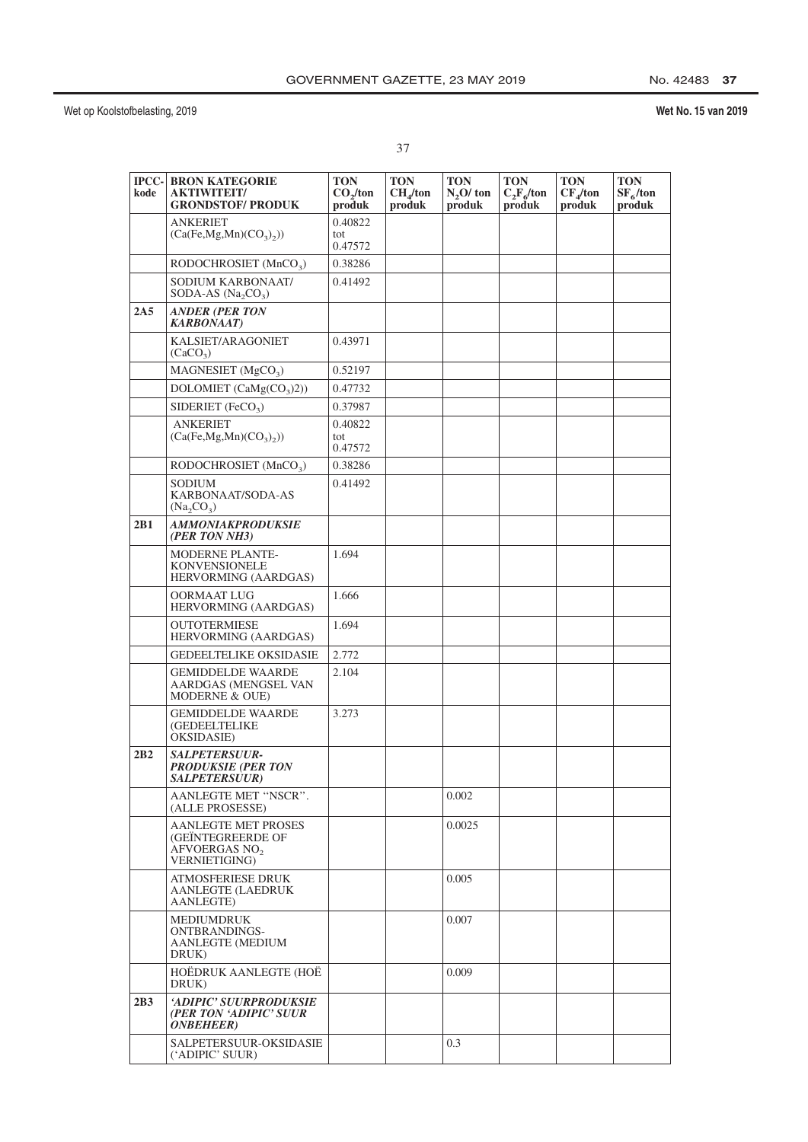| ۰.<br>× | ٠ |
|---------|---|
|         |   |
| I<br>i  |   |

| kode | <b>IPCC- BRON KATEGORIE</b><br><b>AKTIWITEIT/</b><br><b>GRONDSTOF/ PRODUK</b>                               | <b>TON</b><br>CO <sub>2</sub> /ton<br>produk | <b>TON</b><br>CH <sub>4</sub> /ton<br>produk | <b>TON</b><br>$N2O$ ton<br>produk | <b>TON</b><br>$C_2F_6$ /ton<br>produk | <b>TON</b><br>CF <sub>4</sub> /ton<br>produk | <b>TON</b><br>$SF_6$ /ton<br>produk |
|------|-------------------------------------------------------------------------------------------------------------|----------------------------------------------|----------------------------------------------|-----------------------------------|---------------------------------------|----------------------------------------------|-------------------------------------|
|      | <b>ANKERIET</b><br>(Ca(Fe, Mg, Mn)(CO <sub>3</sub> ),))                                                     | 0.40822<br>tot<br>0.47572                    |                                              |                                   |                                       |                                              |                                     |
|      | RODOCHROSIET $(MnCO3)$                                                                                      | 0.38286                                      |                                              |                                   |                                       |                                              |                                     |
|      | SODIUM KARBONAAT/<br>SODA-AS $(Na_2CO_3)$                                                                   | 0.41492                                      |                                              |                                   |                                       |                                              |                                     |
| 2A5  | <b>ANDER (PER TON</b><br><b>KARBONAAT</b> )                                                                 |                                              |                                              |                                   |                                       |                                              |                                     |
|      | KALSIET/ARAGONIET<br>(CaCO <sub>3</sub> )                                                                   | 0.43971                                      |                                              |                                   |                                       |                                              |                                     |
|      | MAGNESIET $(MgCO3)$                                                                                         | 0.52197                                      |                                              |                                   |                                       |                                              |                                     |
|      | DOLOMIET $(CaMg(CO3)2))$                                                                                    | 0.47732                                      |                                              |                                   |                                       |                                              |                                     |
|      | SIDERIET (FeCO <sub>3</sub> )                                                                               | 0.37987                                      |                                              |                                   |                                       |                                              |                                     |
|      | <b>ANKERIET</b><br>(Ca(Fe, Mg, Mn)(CO <sub>3</sub> ),))                                                     | 0.40822<br>tot<br>0.47572                    |                                              |                                   |                                       |                                              |                                     |
|      | RODOCHROSIET (MnCO <sub>3</sub> )                                                                           | 0.38286                                      |                                              |                                   |                                       |                                              |                                     |
|      | <b>SODIUM</b><br>KARBONAAT/SODA-AS<br>$(Na_2CO_3)$                                                          | 0.41492                                      |                                              |                                   |                                       |                                              |                                     |
| 2B1  | AMMONIAKPRODUKSIE<br>(PER TON NH3)                                                                          |                                              |                                              |                                   |                                       |                                              |                                     |
|      | <b>MODERNE PLANTE-</b><br><b>KONVENSIONELE</b><br>HERVORMING (AARDGAS)                                      | 1.694                                        |                                              |                                   |                                       |                                              |                                     |
|      | OORMAAT LUG<br>HERVORMING (AARDGAS)                                                                         | 1.666                                        |                                              |                                   |                                       |                                              |                                     |
|      | <b>OUTOTERMIESE</b><br>HERVORMING (AARDGAS)                                                                 | 1.694                                        |                                              |                                   |                                       |                                              |                                     |
|      | <b>GEDEELTELIKE OKSIDASIE</b>                                                                               | 2.772                                        |                                              |                                   |                                       |                                              |                                     |
|      | <b>GEMIDDELDE WAARDE</b><br>AARDGAS (MENGSEL VAN<br><b>MODERNE &amp; OUE)</b>                               | 2.104                                        |                                              |                                   |                                       |                                              |                                     |
|      | <b>GEMIDDELDE WAARDE</b><br><b>(GEDEELTELIKE</b><br>OKSIDASIE)                                              | 3.273                                        |                                              |                                   |                                       |                                              |                                     |
| 2B2  | <b>SALPETERSUUR-</b><br><b>PRODUKSIE (PER TON</b><br>SALPETERSUUR)                                          |                                              |                                              |                                   |                                       |                                              |                                     |
|      | AANLEGTE MET "NSCR".<br>(ALLE PROSESSE)                                                                     |                                              |                                              | 0.002                             |                                       |                                              |                                     |
|      | <b>AANLEGTE MET PROSES</b><br><b>(GEINTEGREERDE OF</b><br>AFVOERGAS NO <sub>2</sub><br><b>VERNIETIGING)</b> |                                              |                                              | 0.0025                            |                                       |                                              |                                     |
|      | <b>ATMOSFERIESE DRUK</b><br>AANLEGTE (LAEDRUK<br>AANLEGTE)                                                  |                                              |                                              | 0.005                             |                                       |                                              |                                     |
|      | <b>MEDIUMDRUK</b><br>ONTBRANDINGS-<br>AANLEGTE (MEDIUM<br>DRUK)                                             |                                              |                                              | 0.007                             |                                       |                                              |                                     |
|      | HOËDRUK AANLEGTE (HOË<br>DRUK)                                                                              |                                              |                                              | 0.009                             |                                       |                                              |                                     |
| 2B3  | 'ADIPIC' SUURPRODUKSIE<br>(PER TON 'ADIPIC' SUUR<br><b>ONBEHEER</b>                                         |                                              |                                              |                                   |                                       |                                              |                                     |
|      | SALPETERSUUR-OKSIDASIE<br>('ADIPIC' SUUR)                                                                   |                                              |                                              | 0.3                               |                                       |                                              |                                     |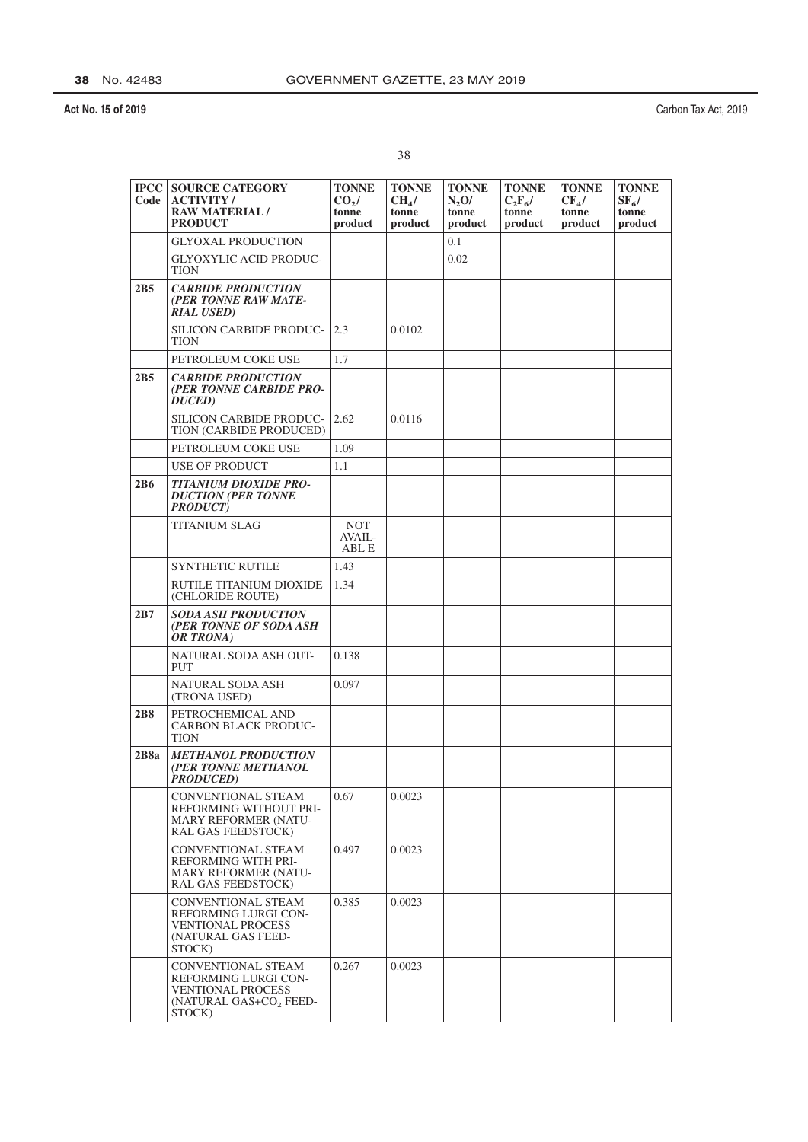Carbon Tax Act, 2019

| <b>IPCC</b><br>Code | <b>SOURCE CATEGORY</b><br><b>ACTIVITY /</b><br><b>RAW MATERIAL/</b><br><b>PRODUCT</b>                                    | <b>TONNE</b><br>CO <sub>2</sub> /<br>tonne<br>product | <b>TONNE</b><br>CH <sub>4</sub> /<br>tonne<br>product | <b>TONNE</b><br>$N_2$ O/<br>tonne<br>product | <b>TONNE</b><br>$C_2F_6/$<br>tonne<br>product | <b>TONNE</b><br>$CF_{4}/$<br>tonne<br>product | <b>TONNE</b><br>$SF_6/$<br>tonne<br>product |
|---------------------|--------------------------------------------------------------------------------------------------------------------------|-------------------------------------------------------|-------------------------------------------------------|----------------------------------------------|-----------------------------------------------|-----------------------------------------------|---------------------------------------------|
|                     | <b>GLYOXAL PRODUCTION</b>                                                                                                |                                                       |                                                       | 0.1                                          |                                               |                                               |                                             |
|                     | <b>GLYOXYLIC ACID PRODUC-</b><br>TION                                                                                    |                                                       |                                                       | 0.02                                         |                                               |                                               |                                             |
| 2B5                 | <b>CARBIDE PRODUCTION</b><br>(PER TONNE RAW MATE-<br><b>RIAL USED)</b>                                                   |                                                       |                                                       |                                              |                                               |                                               |                                             |
|                     | SILICON CARBIDE PRODUC-<br><b>TION</b>                                                                                   | 2.3                                                   | 0.0102                                                |                                              |                                               |                                               |                                             |
|                     | PETROLEUM COKE USE                                                                                                       | 1.7                                                   |                                                       |                                              |                                               |                                               |                                             |
| 2B5                 | <b>CARBIDE PRODUCTION</b><br>(PER TONNE CARBIDE PRO-<br>DUCED)                                                           |                                                       |                                                       |                                              |                                               |                                               |                                             |
|                     | <b>SILICON CARBIDE PRODUC-</b><br>TION (CARBIDE PRODUCED)                                                                | 2.62                                                  | 0.0116                                                |                                              |                                               |                                               |                                             |
|                     | PETROLEUM COKE USE                                                                                                       | 1.09                                                  |                                                       |                                              |                                               |                                               |                                             |
|                     | <b>USE OF PRODUCT</b>                                                                                                    | 1.1                                                   |                                                       |                                              |                                               |                                               |                                             |
| 2B6                 | <b>TITANIUM DIOXIDE PRO-</b><br><b>DUCTION (PER TONNE</b><br><b>PRODUCT</b> )                                            |                                                       |                                                       |                                              |                                               |                                               |                                             |
|                     | <b>TITANIUM SLAG</b>                                                                                                     | <b>NOT</b><br>$AVAIL -$<br>ABL E                      |                                                       |                                              |                                               |                                               |                                             |
|                     | <b>SYNTHETIC RUTILE</b>                                                                                                  | 1.43                                                  |                                                       |                                              |                                               |                                               |                                             |
|                     | RUTILE TITANIUM DIOXIDE<br>(CHLORIDE ROUTE)                                                                              | 1.34                                                  |                                                       |                                              |                                               |                                               |                                             |
| 2B7                 | <b>SODA ASH PRODUCTION</b><br>(PER TONNE OF SODA ASH<br>OR TRONA)                                                        |                                                       |                                                       |                                              |                                               |                                               |                                             |
|                     | NATURAL SODA ASH OUT-<br>PUT                                                                                             | 0.138                                                 |                                                       |                                              |                                               |                                               |                                             |
|                     | NATURAL SODA ASH<br>(TRONA USED)                                                                                         | 0.097                                                 |                                                       |                                              |                                               |                                               |                                             |
| 2B8                 | PETROCHEMICAL AND<br><b>CARBON BLACK PRODUC-</b><br><b>TION</b>                                                          |                                                       |                                                       |                                              |                                               |                                               |                                             |
| 2B8a                | <b>METHANOL PRODUCTION</b><br>(PER TONNE METHANOL<br><b>PRODUCED</b> )                                                   |                                                       |                                                       |                                              |                                               |                                               |                                             |
|                     | CONVENTIONAL STEAM<br>REFORMING WITHOUT PRI-<br><b>MARY REFORMER (NATU-</b><br>RAL GAS FEEDSTOCK)                        | 0.67                                                  | 0.0023                                                |                                              |                                               |                                               |                                             |
|                     | <b>CONVENTIONAL STEAM</b><br>REFORMING WITH PRI-<br><b>MARY REFORMER (NATU-</b><br>RAL GAS FEEDSTOCK)                    | 0.497                                                 | 0.0023                                                |                                              |                                               |                                               |                                             |
|                     | CONVENTIONAL STEAM<br>REFORMING LURGI CON-<br><b>VENTIONAL PROCESS</b><br>(NATURAL GAS FEED-<br>STOCK)                   | 0.385                                                 | 0.0023                                                |                                              |                                               |                                               |                                             |
|                     | <b>CONVENTIONAL STEAM</b><br><b>REFORMING LURGI CON-</b><br><b>VENTIONAL PROCESS</b><br>(NATURAL GAS+CO, FEED-<br>STOCK) | 0.267                                                 | 0.0023                                                |                                              |                                               |                                               |                                             |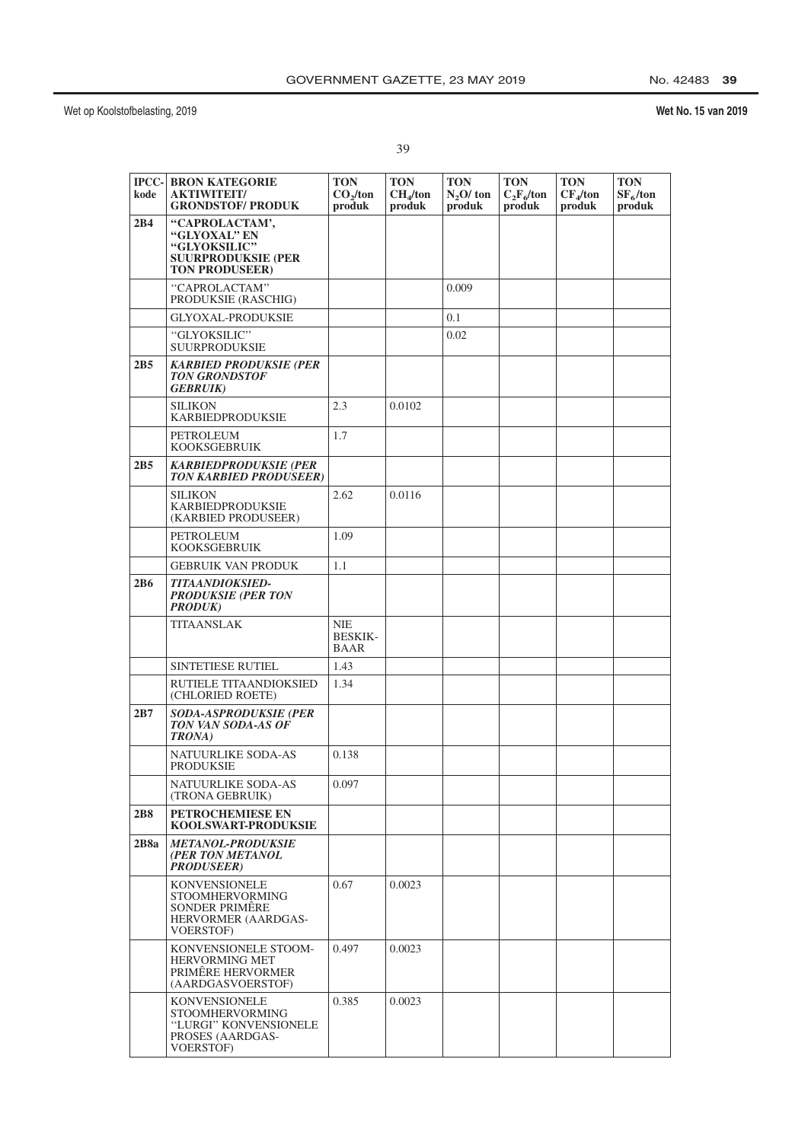| ۰. | ٧       |
|----|---------|
|    |         |
| I  | ×<br>۰. |
| i  | ٧       |

| $ PCC- $<br>kode | <b>BRON KATEGORIE</b><br><b>AKTIWITEIT/</b><br><b>GRONDSTOF/ PRODUK</b>                              | TON<br>CO <sub>2</sub> /ton<br>produk | <b>TON</b><br>CH <sub>4</sub> /ton<br>produk | <b>TON</b><br>$N2O$ ton<br>produk | <b>TON</b><br>$C_2F_6$ /ton<br>produk | <b>TON</b><br>$CF_4$ /ton<br>produk | <b>TON</b><br>$SF_6$ /ton<br>produk |
|------------------|------------------------------------------------------------------------------------------------------|---------------------------------------|----------------------------------------------|-----------------------------------|---------------------------------------|-------------------------------------|-------------------------------------|
| 2B4              | "CAPROLACTAM',<br><b>"GLYOXAL" EN</b><br>"GLYOKSILIC"<br>SUURPRODUKSIE (PER<br><b>TON PRODUSEER)</b> |                                       |                                              |                                   |                                       |                                     |                                     |
|                  | "CAPROLACTAM"<br>PRODUKSIE (RASCHIG)                                                                 |                                       |                                              | 0.009                             |                                       |                                     |                                     |
|                  | <b>GLYOXAL-PRODUKSIE</b>                                                                             |                                       |                                              | 0.1                               |                                       |                                     |                                     |
|                  | "GLYOKSILIC"<br>SUURPRODUKSIE                                                                        |                                       |                                              | 0.02                              |                                       |                                     |                                     |
| 2B5              | KARBIED PRODUKSIE (PER<br>TON GRONDSTOF<br><i><b>GEBRUIK)</b></i>                                    |                                       |                                              |                                   |                                       |                                     |                                     |
|                  | SILIKON<br>KARBIEDPRODUKSIE                                                                          | 2.3                                   | 0.0102                                       |                                   |                                       |                                     |                                     |
|                  | PETROLEUM<br>KOOKSGEBRUIK                                                                            | 1.7                                   |                                              |                                   |                                       |                                     |                                     |
| 2B5              | <b>KARBIEDPRODUKSIE (PER</b><br><b>TON KARBIED PRODUSEER)</b>                                        |                                       |                                              |                                   |                                       |                                     |                                     |
|                  | <b>SILIKON</b><br>KARBIEDPRODUKSIE<br>(KARBIED PRODUSEER)                                            | 2.62                                  | 0.0116                                       |                                   |                                       |                                     |                                     |
|                  | PETROLEUM<br>KOOKSGEBRUIK                                                                            | 1.09                                  |                                              |                                   |                                       |                                     |                                     |
|                  | <b>GEBRUIK VAN PRODUK</b>                                                                            | 1.1                                   |                                              |                                   |                                       |                                     |                                     |
| 2B6              | TITAANDIOKSIED-<br><b>PRODUKSIE (PER TON</b><br><b>PRODUK)</b>                                       |                                       |                                              |                                   |                                       |                                     |                                     |
|                  | <b>TITAANSLAK</b>                                                                                    | NIE<br><b>BESKIK-</b><br>BAAR         |                                              |                                   |                                       |                                     |                                     |
|                  | <b>SINTETIESE RUTIEL</b>                                                                             | 1.43                                  |                                              |                                   |                                       |                                     |                                     |
|                  | RUTIELE TITAANDIOKSIED<br>(CHLORIED ROETE)                                                           | 1.34                                  |                                              |                                   |                                       |                                     |                                     |
| 2B7              | SODA-ASPRODUKSIE (PER<br>TON VAN SODA-AS OF<br><b>TRONA</b> )                                        |                                       |                                              |                                   |                                       |                                     |                                     |
|                  | NATUURLIKE SODA-AS<br>PRODUKSIE                                                                      | 0.138                                 |                                              |                                   |                                       |                                     |                                     |
|                  | NATUURLIKE SODA-AS<br>(TRONA GEBRUIK)                                                                | 0.097                                 |                                              |                                   |                                       |                                     |                                     |
| 2B8              | <b>PETROCHEMIESE EN</b><br><b>KOOLSWART-PRODUKSIE</b>                                                |                                       |                                              |                                   |                                       |                                     |                                     |
| 2B8a             | <i>METANOL-PRODUKSIE</i><br>(PER TON METANOL<br><b>PRODUSEER)</b>                                    |                                       |                                              |                                   |                                       |                                     |                                     |
|                  | <b>KONVENSIONELE</b><br>STOOMHERVORMING<br>SONDER PRIMÊRE<br>HERVORMER (AARDGAS-<br>VOERSTOF)        | 0.67                                  | 0.0023                                       |                                   |                                       |                                     |                                     |
|                  | KONVENSIONELE STOOM-<br><b>HERVORMING MET</b><br>PRIMËRE HERVORMER<br>(AARDGASVOERSTOF)              | 0.497                                 | 0.0023                                       |                                   |                                       |                                     |                                     |
|                  | KONVENSIONELE<br><b>STOOMHERVORMING</b><br>"LURGI" KONVENSIONELE<br>PROSES (AARDGAS-<br>VOERSTOF)    | 0.385                                 | 0.0023                                       |                                   |                                       |                                     |                                     |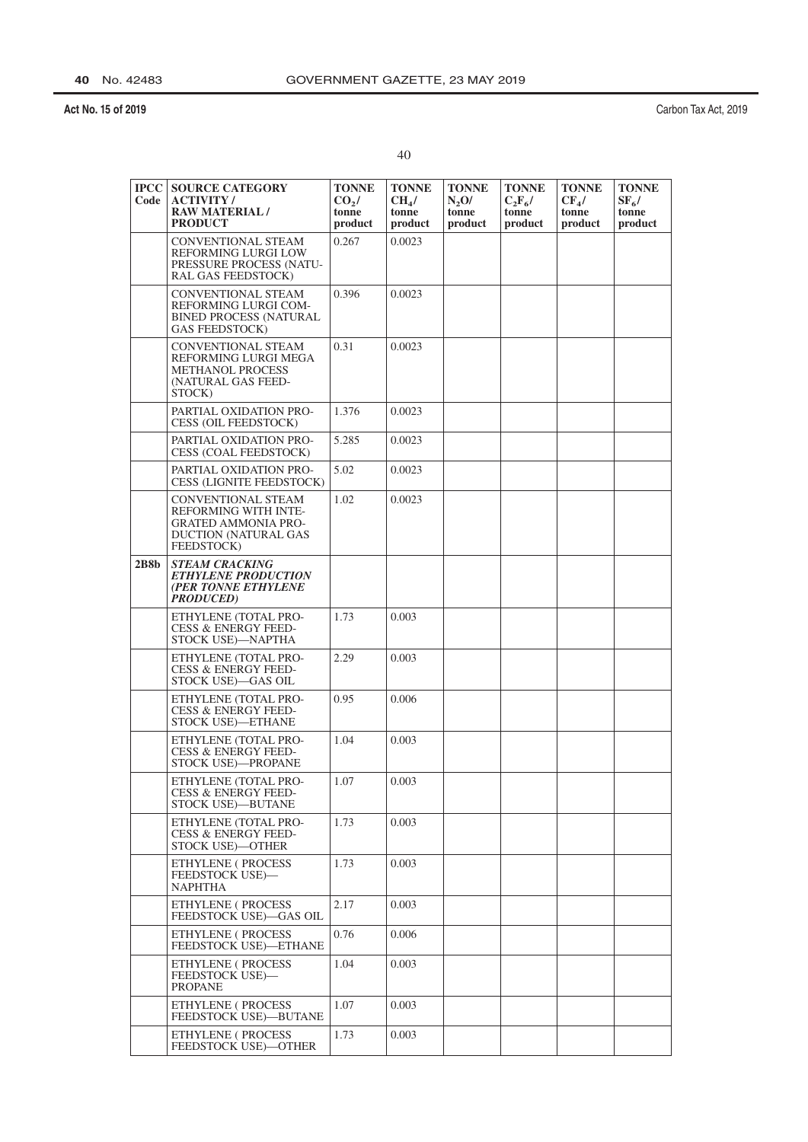| ٠ |  |  |
|---|--|--|
|   |  |  |

| <b>IPCC</b><br>Code | <b>SOURCE CATEGORY</b><br><b>ACTIVITY/</b><br><b>RAW MATERIAL/</b><br><b>PRODUCT</b>                                         | <b>TONNE</b><br>CO <sub>2</sub><br>tonne<br>product | <b>TONNE</b><br>CH <sub>4</sub> /<br>tonne<br>product | <b>TONNE</b><br>N,0/<br>tonne<br>product | <b>TONNE</b><br>$C_2F_6/$<br>tonne<br>product | <b>TONNE</b><br>$CF_{4}/$<br>tonne<br>product | <b>TONNE</b><br>$SF_6/$<br>tonne<br>product |
|---------------------|------------------------------------------------------------------------------------------------------------------------------|-----------------------------------------------------|-------------------------------------------------------|------------------------------------------|-----------------------------------------------|-----------------------------------------------|---------------------------------------------|
|                     | <b>CONVENTIONAL STEAM</b><br>REFORMING LURGI LOW<br>PRESSURE PROCESS (NATU-<br>RAL GAS FEEDSTOCK)                            | 0.267                                               | 0.0023                                                |                                          |                                               |                                               |                                             |
|                     | <b>CONVENTIONAL STEAM</b><br>REFORMING LURGI COM-<br><b>BINED PROCESS (NATURAL</b><br><b>GAS FEEDSTOCK)</b>                  | 0.396                                               | 0.0023                                                |                                          |                                               |                                               |                                             |
|                     | <b>CONVENTIONAL STEAM</b><br>REFORMING LURGI MEGA<br><b>METHANOL PROCESS</b><br>(NATURAL GAS FEED-<br>STOCK)                 | 0.31                                                | 0.0023                                                |                                          |                                               |                                               |                                             |
|                     | PARTIAL OXIDATION PRO-<br><b>CESS (OIL FEEDSTOCK)</b>                                                                        | 1.376                                               | 0.0023                                                |                                          |                                               |                                               |                                             |
|                     | PARTIAL OXIDATION PRO-<br>CESS (COAL FEEDSTOCK)                                                                              | 5.285                                               | 0.0023                                                |                                          |                                               |                                               |                                             |
|                     | PARTIAL OXIDATION PRO-<br><b>CESS (LIGNITE FEEDSTOCK)</b>                                                                    | 5.02                                                | 0.0023                                                |                                          |                                               |                                               |                                             |
|                     | <b>CONVENTIONAL STEAM</b><br>REFORMING WITH INTE-<br><b>GRATED AMMONIA PRO-</b><br><b>DUCTION (NATURAL GAS</b><br>FEEDSTOCK) | 1.02                                                | 0.0023                                                |                                          |                                               |                                               |                                             |
| 2B8b                | <b>STEAM CRACKING</b><br><b>ETHYLENE PRODUCTION</b><br>(PER TONNE ETHYLENE<br><b>PRODUCED</b> )                              |                                                     |                                                       |                                          |                                               |                                               |                                             |
|                     | ETHYLENE (TOTAL PRO-<br><b>CESS &amp; ENERGY FEED-</b><br>STOCK USE)—NAPTHA                                                  | 1.73                                                | 0.003                                                 |                                          |                                               |                                               |                                             |
|                     | ETHYLENE (TOTAL PRO-<br>CESS & ENERGY FEED-<br>STOCK USE)—GAS OIL                                                            | 2.29                                                | 0.003                                                 |                                          |                                               |                                               |                                             |
|                     | ETHYLENE (TOTAL PRO-<br><b>CESS &amp; ENERGY FEED-</b><br>STOCK USE)-ETHANE                                                  | 0.95                                                | 0.006                                                 |                                          |                                               |                                               |                                             |
|                     | ETHYLENE (TOTAL PRO-<br><b>CESS &amp; ENERGY FEED-</b><br>STOCK USE)-PROPANE                                                 | 1.04                                                | 0.003                                                 |                                          |                                               |                                               |                                             |
|                     | ETHYLENE (TOTAL PRO-<br><b>CESS &amp; ENERGY FEED-</b><br><b>STOCK USE)-BUTANE</b>                                           | 1.07                                                | 0.003                                                 |                                          |                                               |                                               |                                             |
|                     | ETHYLENE (TOTAL PRO-<br><b>CESS &amp; ENERGY FEED-</b><br><b>STOCK USE)-OTHER</b>                                            | 1.73                                                | 0.003                                                 |                                          |                                               |                                               |                                             |
|                     | ETHYLENE (PROCESS<br>FEEDSTOCK USE)-<br><b>NAPHTHA</b>                                                                       | 1.73                                                | 0.003                                                 |                                          |                                               |                                               |                                             |
|                     | ETHYLENE (PROCESS<br>FEEDSTOCK USE)-GAS OIL                                                                                  | 2.17                                                | 0.003                                                 |                                          |                                               |                                               |                                             |
|                     | ETHYLENE (PROCESS<br>FEEDSTOCK USE)-ETHANE                                                                                   | 0.76                                                | 0.006                                                 |                                          |                                               |                                               |                                             |
|                     | ETHYLENE (PROCESS<br><b>FEEDSTOCK USE</b> )-<br><b>PROPANE</b>                                                               | 1.04                                                | 0.003                                                 |                                          |                                               |                                               |                                             |
|                     | ETHYLENE ( PROCESS<br>FEEDSTOCK USE)-BUTANE                                                                                  | 1.07                                                | 0.003                                                 |                                          |                                               |                                               |                                             |
|                     | ETHYLENE (PROCESS<br><b>FEEDSTOCK USE)-OTHER</b>                                                                             | 1.73                                                | 0.003                                                 |                                          |                                               |                                               |                                             |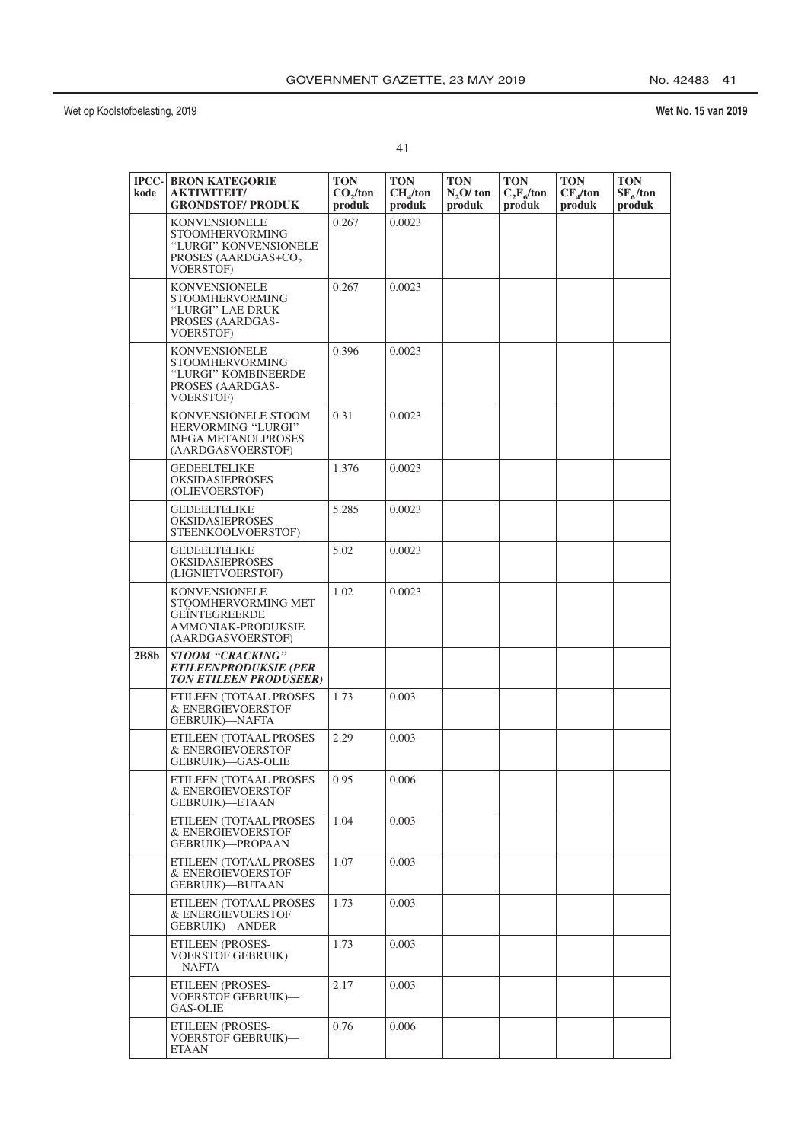# No. 42483 41

| ٠ |  |
|---|--|
|   |  |

| kode | <b>IPCC- BRON KATEGORIE</b><br><b>AKTIWITEIT/</b><br><b>GRONDSTOF/ PRODUK</b>                                                  | <b>TON</b><br>CO <sub>2</sub> /ton<br>produk | TON<br>CH <sub>4</sub> /ton<br>produk | <b>TON</b><br>$N2O$ ton<br>produk | <b>TON</b><br>$C_2F_6$ /ton<br>produk | <b>TON</b><br>$CF_4$ /ton<br>produk | <b>TON</b><br>$SF_6$ /ton<br>produk |
|------|--------------------------------------------------------------------------------------------------------------------------------|----------------------------------------------|---------------------------------------|-----------------------------------|---------------------------------------|-------------------------------------|-------------------------------------|
|      | <b>KONVENSIONELE</b><br><b>STOOMHERVORMING</b><br>"LURGI" KONVENSIONELE<br>PROSES (AARDGAS+CO <sub>2</sub><br><b>VOERSTOF)</b> | 0.267                                        | 0.0023                                |                                   |                                       |                                     |                                     |
|      | <b>KONVENSIONELE</b><br><b>STOOMHERVORMING</b><br>"LURGI" LAE DRUK<br>PROSES (AARDGAS-<br>VOERSTOF)                            | 0.267                                        | 0.0023                                |                                   |                                       |                                     |                                     |
|      | <b>KONVENSIONELE</b><br><b>STOOMHERVORMING</b><br>"LURGI" KOMBINEERDE<br>PROSES (AARDGAS-<br><b>VOERSTOF)</b>                  | 0.396                                        | 0.0023                                |                                   |                                       |                                     |                                     |
|      | KONVENSIONELE STOOM<br>HERVORMING "LURGI"<br><b>MEGA METANOLPROSES</b><br>(AARDGASVOERSTOF)                                    | 0.31                                         | 0.0023                                |                                   |                                       |                                     |                                     |
|      | <b>GEDEELTELIKE</b><br><b>OKSIDASIEPROSES</b><br>(OLIEVOERSTOF)                                                                | 1.376                                        | 0.0023                                |                                   |                                       |                                     |                                     |
|      | <b>GEDEELTELIKE</b><br><b>OKSIDASIEPROSES</b><br>STEENKOOLVOERSTOF)                                                            | 5.285                                        | 0.0023                                |                                   |                                       |                                     |                                     |
|      | <b>GEDEELTELIKE</b><br><b>OKSIDASIEPROSES</b><br>(LIGNIETVOERSTOF)                                                             | 5.02                                         | 0.0023                                |                                   |                                       |                                     |                                     |
|      | <b>KONVENSIONELE</b><br>STOOMHERVORMING MET<br><b>GEINTEGREERDE</b><br>AMMONIAK-PRODUKSIE<br>(AARDGASVOERSTOF)                 | 1.02                                         | 0.0023                                |                                   |                                       |                                     |                                     |
| 2B8b | STOOM "CRACKING"<br><b>ETILEENPRODUKSIE (PER</b><br><b>TON ETILEEN PRODUSEER)</b>                                              |                                              |                                       |                                   |                                       |                                     |                                     |
|      | ETILEEN (TOTAAL PROSES<br>& ENERGIEVOERSTOF<br><b>GEBRUIK)—NAFTA</b>                                                           | 1.73                                         | 0.003                                 |                                   |                                       |                                     |                                     |
|      | ETILEEN (TOTAAL PROSES<br>& ENERGIEVOERSTOF<br><b>GEBRUIK)-GAS-OLIE</b>                                                        | 2.29                                         | 0.003                                 |                                   |                                       |                                     |                                     |
|      | ETILEEN (TOTAAL PROSES<br>& ENERGIEVOERSTOF<br>GEBRUIK)—ETAAN                                                                  | 0.95                                         | 0.006                                 |                                   |                                       |                                     |                                     |
|      | ETILEEN (TOTAAL PROSES<br>& ENERGIEVOERSTOF<br><b>GEBRUIK)-PROPAAN</b>                                                         | 1.04                                         | 0.003                                 |                                   |                                       |                                     |                                     |
|      | ETILEEN (TOTAAL PROSES<br>& ENERGIEVOERSTOF<br>GEBRUIK)—BUTAAN                                                                 | 1.07                                         | 0.003                                 |                                   |                                       |                                     |                                     |
|      | ETILEEN (TOTAAL PROSES<br>& ENERGIEVOERSTOF<br><b>GEBRUIK</b> )-ANDER                                                          | 1.73                                         | 0.003                                 |                                   |                                       |                                     |                                     |
|      | <b>ETILEEN (PROSES-</b><br>VOERSTOF GEBRUIK)<br>—NAFTA                                                                         | 1.73                                         | 0.003                                 |                                   |                                       |                                     |                                     |
|      | ETILEEN (PROSES-<br><b>VOERSTOF GEBRUIK)—</b><br>GAS-OLIE                                                                      | 2.17                                         | 0.003                                 |                                   |                                       |                                     |                                     |
|      | ETILEEN (PROSES-<br><b>VOERSTOF GEBRUIK)-</b><br>ETAAN                                                                         | 0.76                                         | 0.006                                 |                                   |                                       |                                     |                                     |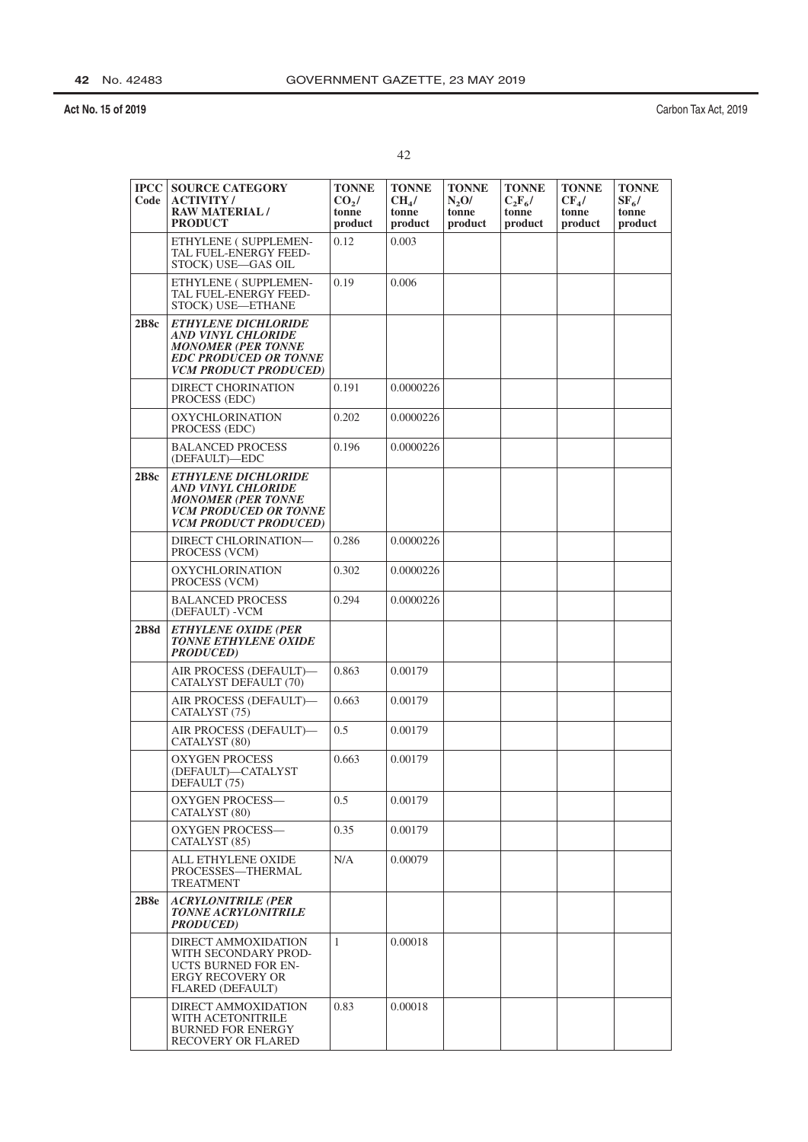|   | ٧ |
|---|---|
| ٠ | × |
|   |   |

| <b>IPCC</b><br>Code | <b>SOURCE CATEGORY</b><br><b>ACTIVITY/</b><br><b>RAW MATERIAL/</b><br><b>PRODUCT</b>                                                                 | <b>TONNE</b><br>CO <sub>2</sub><br>tonne<br>product | <b>TONNE</b><br>CH <sub>4</sub> /<br>tonne<br>product | <b>TONNE</b><br>$N_2$ O/<br>tonne<br>product | <b>TONNE</b><br>$C_2F_6/$<br>tonne<br>product | <b>TONNE</b><br>$CF_{4}/$<br>tonne<br>product | <b>TONNE</b><br>$SF_{6}/$<br>tonne<br>product |
|---------------------|------------------------------------------------------------------------------------------------------------------------------------------------------|-----------------------------------------------------|-------------------------------------------------------|----------------------------------------------|-----------------------------------------------|-----------------------------------------------|-----------------------------------------------|
|                     | ETHYLENE (SUPPLEMEN-<br>TAL FUEL-ENERGY FEED-<br>STOCK) USE-GAS OIL                                                                                  | 0.12                                                | 0.003                                                 |                                              |                                               |                                               |                                               |
|                     | ETHYLENE (SUPPLEMEN-<br>TAL FUEL-ENERGY FEED-<br>STOCK) USE-ETHANE                                                                                   | 0.19                                                | 0.006                                                 |                                              |                                               |                                               |                                               |
| 2B8c                | <b>ETHYLENE DICHLORIDE</b><br><b>AND VINYL CHLORIDE</b><br><b>MONOMER (PER TONNE</b><br><b>EDC PRODUCED OR TONNE</b><br><b>VCM PRODUCT PRODUCED)</b> |                                                     |                                                       |                                              |                                               |                                               |                                               |
|                     | <b>DIRECT CHORINATION</b><br>PROCESS (EDC)                                                                                                           | 0.191                                               | 0.0000226                                             |                                              |                                               |                                               |                                               |
|                     | <b>OXYCHLORINATION</b><br>PROCESS (EDC)                                                                                                              | 0.202                                               | 0.0000226                                             |                                              |                                               |                                               |                                               |
|                     | <b>BALANCED PROCESS</b><br>(DEFAULT)-EDC                                                                                                             | 0.196                                               | 0.0000226                                             |                                              |                                               |                                               |                                               |
| 2B8c                | <b>ETHYLENE DICHLORIDE</b><br><b>AND VINYL CHLORIDE</b><br><b>MONOMER (PER TONNE</b><br><b>VCM PRODUCED OR TONNE</b><br><b>VCM PRODUCT PRODUCED)</b> |                                                     |                                                       |                                              |                                               |                                               |                                               |
|                     | DIRECT CHLORINATION-<br>PROCESS (VCM)                                                                                                                | 0.286                                               | 0.0000226                                             |                                              |                                               |                                               |                                               |
|                     | <b>OXYCHLORINATION</b><br>PROCESS (VCM)                                                                                                              | 0.302                                               | 0.0000226                                             |                                              |                                               |                                               |                                               |
|                     | <b>BALANCED PROCESS</b><br>(DEFAULT) - VCM                                                                                                           | 0.294                                               | 0.0000226                                             |                                              |                                               |                                               |                                               |
| 2B8d                | <b>ETHYLENE OXIDE (PER</b><br><b>TONNE ETHYLENE OXIDE</b><br><b>PRODUCED</b> )                                                                       |                                                     |                                                       |                                              |                                               |                                               |                                               |
|                     | AIR PROCESS (DEFAULT)-<br>CATALYST DEFAULT (70)                                                                                                      | 0.863                                               | 0.00179                                               |                                              |                                               |                                               |                                               |
|                     | AIR PROCESS (DEFAULT)-<br>CATALYST <sub>(75)</sub>                                                                                                   | 0.663                                               | 0.00179                                               |                                              |                                               |                                               |                                               |
|                     | AIR PROCESS (DEFAULT)-<br>CATALYST <sub>(80)</sub>                                                                                                   | 0.5                                                 | 0.00179                                               |                                              |                                               |                                               |                                               |
|                     | <b>OXYGEN PROCESS</b><br>(DEFAULT)-CATALYST<br>DEFAULT (75)                                                                                          | 0.663                                               | 0.00179                                               |                                              |                                               |                                               |                                               |
|                     | <b>OXYGEN PROCESS-</b><br>CATALYST <sub>(80)</sub>                                                                                                   | $0.5^{\circ}$                                       | 0.00179                                               |                                              |                                               |                                               |                                               |
|                     | <b>OXYGEN PROCESS-</b><br>CATALYST <sub>(85)</sub>                                                                                                   | 0.35                                                | 0.00179                                               |                                              |                                               |                                               |                                               |
|                     | ALL ETHYLENE OXIDE<br>PROCESSES-THERMAL<br><b>TREATMENT</b>                                                                                          | N/A                                                 | 0.00079                                               |                                              |                                               |                                               |                                               |
| 2B8e                | <b>ACRYLONITRILE (PER</b><br><b>TONNE ACRYLONITRILE</b><br><b>PRODUCED</b> )                                                                         |                                                     |                                                       |                                              |                                               |                                               |                                               |
|                     | DIRECT AMMOXIDATION<br>WITH SECONDARY PROD-<br>UCTS BURNED FOR EN-<br>ERGY RECOVERY OR<br>FLARED (DEFAULT)                                           | 1                                                   | 0.00018                                               |                                              |                                               |                                               |                                               |
|                     | DIRECT AMMOXIDATION<br>WITH ACETONITRILE<br><b>BURNED FOR ENERGY</b><br><b>RECOVERY OR FLARED</b>                                                    | 0.83                                                | 0.00018                                               |                                              |                                               |                                               |                                               |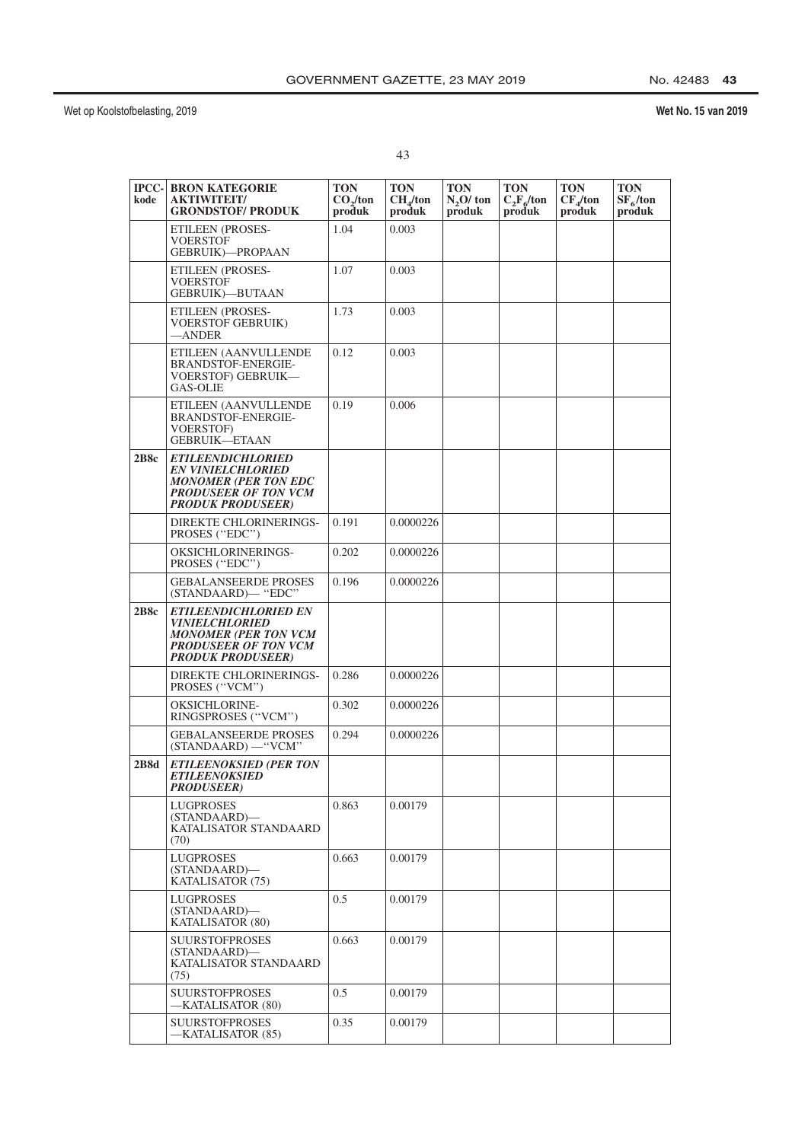## No. 42483 43

| ٠ | ٦<br>I<br>×<br>v |
|---|------------------|

| kode        | <b>IPCC- BRON KATEGORIE</b><br><b>AKTIWITEIT/</b><br><b>GRONDSTOF/ PRODUK</b>                                                                         | TON<br>CO <sub>2</sub> /ton<br>produk | TON<br>CH <sub>4</sub> /ton<br>produk | <b>TON</b><br>$N2O$ ton<br>produk | <b>TON</b><br>$C_2F_6$ /ton<br>produk | <b>TON</b><br>$CF_4$ /ton<br>produk | <b>TON</b><br>$SF_6$ /ton<br>produk |
|-------------|-------------------------------------------------------------------------------------------------------------------------------------------------------|---------------------------------------|---------------------------------------|-----------------------------------|---------------------------------------|-------------------------------------|-------------------------------------|
|             | <b>ETILEEN (PROSES-</b><br>VOERSTOF<br><b>GEBRUIK)-PROPAAN</b>                                                                                        | 1.04                                  | 0.003                                 |                                   |                                       |                                     |                                     |
|             | ETILEEN (PROSES-<br>VOERSTOF<br><b>GEBRUIK)-BUTAAN</b>                                                                                                | 1.07                                  | 0.003                                 |                                   |                                       |                                     |                                     |
|             | ETILEEN (PROSES-<br>VOERSTOF GEBRUIK)<br>—ANDER                                                                                                       | 1.73                                  | 0.003                                 |                                   |                                       |                                     |                                     |
|             | ETILEEN (AANVULLENDE<br><b>BRANDSTOF-ENERGIE-</b><br>VOERSTOF) GEBRUIK—<br><b>GAS-OLIE</b>                                                            | 0.12                                  | 0.003                                 |                                   |                                       |                                     |                                     |
|             | ETILEEN (AANVULLENDE<br>BRANDSTOF-ENERGIE-<br><b>VOERSTOF)</b><br><b>GEBRUIK-ETAAN</b>                                                                | 0.19                                  | 0.006                                 |                                   |                                       |                                     |                                     |
| 2B8c        | <b>ETILEENDICHLORIED</b><br><b>EN VINIELCHLORIED</b><br><b>MONOMER (PER TON EDC</b><br><b>PRODUSEER OF TON VCM</b><br><b>PRODUK PRODUSEER)</b>        |                                       |                                       |                                   |                                       |                                     |                                     |
|             | DIREKTE CHLORINERINGS-<br>PROSES ("EDC")                                                                                                              | 0.191                                 | 0.0000226                             |                                   |                                       |                                     |                                     |
|             | OKSICHLORINERINGS-<br>PROSES ("EDC")                                                                                                                  | 0.202                                 | 0.0000226                             |                                   |                                       |                                     |                                     |
|             | <b>GEBALANSEERDE PROSES</b><br>(STANDAARD)-"EDC"                                                                                                      | 0.196                                 | 0.0000226                             |                                   |                                       |                                     |                                     |
| 2B8c        | <b>ETILEENDICHLORIED EN</b><br><i><b>VINIELCHLORIED</b></i><br><b>MONOMER (PER TON VCM</b><br><b>PRODUSEER OF TON VCM</b><br><b>PRODUK PRODUSEER)</b> |                                       |                                       |                                   |                                       |                                     |                                     |
|             | DIREKTE CHLORINERINGS-<br>PROSES ("VCM")                                                                                                              | 0.286                                 | 0.0000226                             |                                   |                                       |                                     |                                     |
|             | <b>OKSICHLORINE-</b><br>RINGSPROSES ("VCM")                                                                                                           | 0.302                                 | 0.0000226                             |                                   |                                       |                                     |                                     |
|             | <b>GEBALANSEERDE PROSES</b><br>(STANDAARD) - "VCM"                                                                                                    | 0.294                                 | 0.0000226                             |                                   |                                       |                                     |                                     |
| <b>2B8d</b> | <b>ETILEENOKSIED (PER TON</b><br><b>ETILEENOKSIED</b><br><b>PRODUSEER</b> )                                                                           |                                       |                                       |                                   |                                       |                                     |                                     |
|             | <b>LUGPROSES</b><br>(STANDAARD)-<br>KATALISATOR STANDAARD<br>(70)                                                                                     | 0.863                                 | 0.00179                               |                                   |                                       |                                     |                                     |
|             | <b>LUGPROSES</b><br>(STANDAARD)-<br>KATALISATOR (75)                                                                                                  | 0.663                                 | 0.00179                               |                                   |                                       |                                     |                                     |
|             | <b>LUGPROSES</b><br>(STANDAARD)-<br>KATALISATOR (80)                                                                                                  | 0.5                                   | 0.00179                               |                                   |                                       |                                     |                                     |
|             | <b>SUURSTOFPROSES</b><br>(STANDAARD)-<br>KATALISATOR STANDAARD<br>(75)                                                                                | 0.663                                 | 0.00179                               |                                   |                                       |                                     |                                     |
|             | SUURSTOFPROSES<br>-KATALISATOR (80)                                                                                                                   | 0.5                                   | 0.00179                               |                                   |                                       |                                     |                                     |
|             | <b>SUURSTOFPROSES</b><br>-KATALISATOR (85)                                                                                                            | 0.35                                  | 0.00179                               |                                   |                                       |                                     |                                     |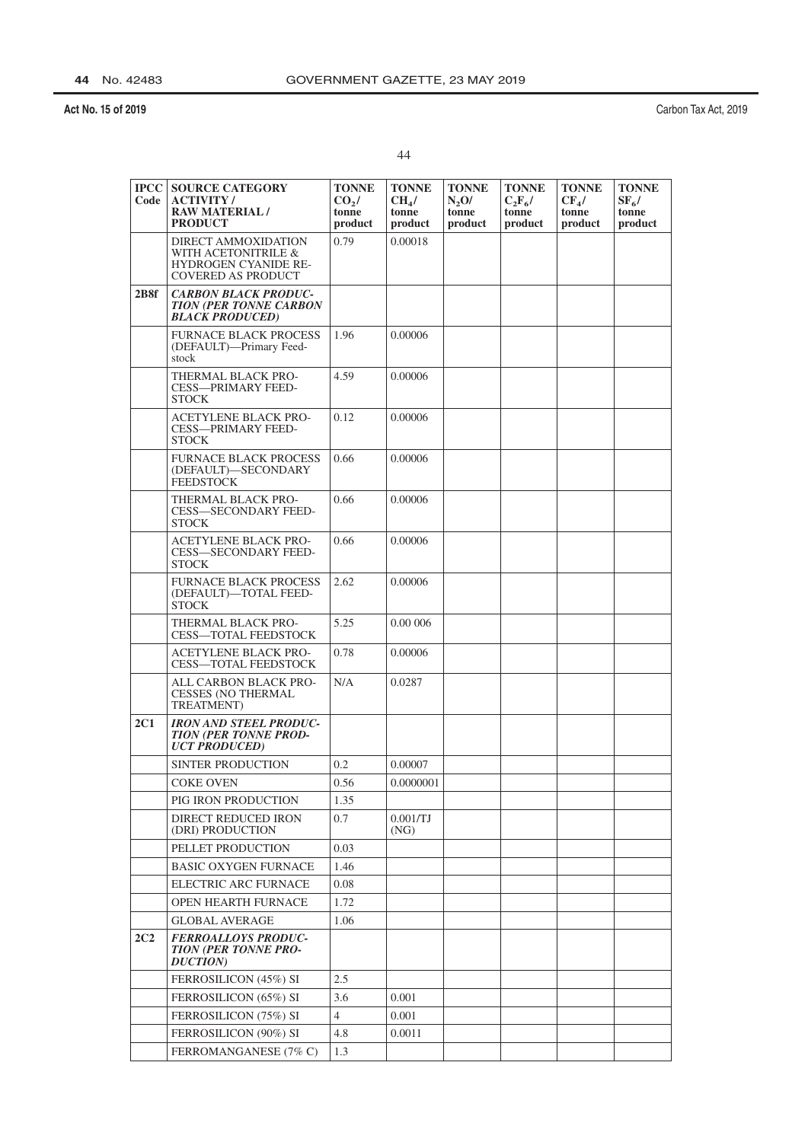Carbon Tax Act, 2019

| <b>IPCC</b><br>Code | <b>SOURCE CATEGORY</b><br><b>ACTIVITY/</b><br><b>RAW MATERIAL/</b><br><b>PRODUCT</b>                   | <b>TONNE</b><br>$CO2$ /<br>tonne<br>product | <b>TONNE</b><br>CH <sub>4</sub> /<br>tonne<br>product | <b>TONNE</b><br>N <sub>2</sub> O/<br>tonne<br>product | <b>TONNE</b><br>$C_2F_6/$<br>tonne<br>product | <b>TONNE</b><br>$CF_{4}/$<br>tonne<br>product | <b>TONNE</b><br>$SF_6/$<br>tonne<br>product |
|---------------------|--------------------------------------------------------------------------------------------------------|---------------------------------------------|-------------------------------------------------------|-------------------------------------------------------|-----------------------------------------------|-----------------------------------------------|---------------------------------------------|
|                     | DIRECT AMMOXIDATION<br>WITH ACETONITRILE &<br><b>HYDROGEN CYANIDE RE-</b><br><b>COVERED AS PRODUCT</b> | 0.79                                        | 0.00018                                               |                                                       |                                               |                                               |                                             |
| 2B8f                | <b>CARBON BLACK PRODUC-</b><br><b>TION (PER TONNE CARBON</b><br><b>BLACK PRODUCED)</b>                 |                                             |                                                       |                                                       |                                               |                                               |                                             |
|                     | <b>FURNACE BLACK PROCESS</b><br>(DEFAULT)-Primary Feed-<br>stock                                       | 1.96                                        | 0.00006                                               |                                                       |                                               |                                               |                                             |
|                     | THERMAL BLACK PRO-<br><b>CESS-PRIMARY FEED-</b><br><b>STOCK</b>                                        | 4.59                                        | 0.00006                                               |                                                       |                                               |                                               |                                             |
|                     | <b>ACETYLENE BLACK PRO-</b><br><b>CESS-PRIMARY FEED-</b><br><b>STOCK</b>                               | 0.12                                        | 0.00006                                               |                                                       |                                               |                                               |                                             |
|                     | <b>FURNACE BLACK PROCESS</b><br>(DEFAULT)-SECONDARY<br><b>FEEDSTOCK</b>                                | 0.66                                        | 0.00006                                               |                                                       |                                               |                                               |                                             |
|                     | THERMAL BLACK PRO-<br><b>CESS-SECONDARY FEED-</b><br><b>STOCK</b>                                      | 0.66                                        | 0.00006                                               |                                                       |                                               |                                               |                                             |
|                     | <b>ACETYLENE BLACK PRO-</b><br><b>CESS—SECONDARY FEED-</b><br><b>STOCK</b>                             | 0.66                                        | 0.00006                                               |                                                       |                                               |                                               |                                             |
|                     | <b>FURNACE BLACK PROCESS</b><br>(DEFAULT)-TOTAL FEED-<br><b>STOCK</b>                                  | 2.62                                        | 0.00006                                               |                                                       |                                               |                                               |                                             |
|                     | THERMAL BLACK PRO-<br><b>CESS-TOTAL FEEDSTOCK</b>                                                      | 5.25                                        | 0.00 006                                              |                                                       |                                               |                                               |                                             |
|                     | <b>ACETYLENE BLACK PRO-</b><br>CESS-TOTAL FEEDSTOCK                                                    | 0.78                                        | 0.00006                                               |                                                       |                                               |                                               |                                             |
|                     | ALL CARBON BLACK PRO-<br><b>CESSES (NO THERMAL</b><br><b>TREATMENT</b> )                               | N/A                                         | 0.0287                                                |                                                       |                                               |                                               |                                             |
| 2C1                 | <b>IRON AND STEEL PRODUC-</b><br><b>TION (PER TONNE PROD-</b><br><b>UCT PRODUCED)</b>                  |                                             |                                                       |                                                       |                                               |                                               |                                             |
|                     | <b>SINTER PRODUCTION</b>                                                                               | 0.2                                         | 0.00007                                               |                                                       |                                               |                                               |                                             |
|                     | <b>COKE OVEN</b>                                                                                       | 0.56                                        | 0.0000001                                             |                                                       |                                               |                                               |                                             |
|                     | PIG IRON PRODUCTION                                                                                    | 1.35                                        |                                                       |                                                       |                                               |                                               |                                             |
|                     | DIRECT REDUCED IRON<br>(DRI) PRODUCTION                                                                | 0.7                                         | 0.001/TJ<br>(NG)                                      |                                                       |                                               |                                               |                                             |
|                     | PELLET PRODUCTION                                                                                      | 0.03                                        |                                                       |                                                       |                                               |                                               |                                             |
|                     | <b>BASIC OXYGEN FURNACE</b>                                                                            | 1.46                                        |                                                       |                                                       |                                               |                                               |                                             |
|                     | ELECTRIC ARC FURNACE                                                                                   | 0.08                                        |                                                       |                                                       |                                               |                                               |                                             |
|                     | <b>OPEN HEARTH FURNACE</b>                                                                             | 1.72                                        |                                                       |                                                       |                                               |                                               |                                             |
|                     | <b>GLOBAL AVERAGE</b>                                                                                  | 1.06                                        |                                                       |                                                       |                                               |                                               |                                             |
| 2C2                 | <b>FERROALLOYS PRODUC-</b><br><b>TION (PER TONNE PRO-</b><br><b>DUCTION</b> )                          |                                             |                                                       |                                                       |                                               |                                               |                                             |
|                     | FERROSILICON (45%) SI                                                                                  | 2.5                                         |                                                       |                                                       |                                               |                                               |                                             |
|                     | FERROSILICON (65%) SI                                                                                  | 3.6                                         | 0.001                                                 |                                                       |                                               |                                               |                                             |
|                     | FERROSILICON (75%) SI                                                                                  | $\overline{4}$                              | 0.001                                                 |                                                       |                                               |                                               |                                             |
|                     | FERROSILICON (90%) SI                                                                                  | 4.8                                         | 0.0011                                                |                                                       |                                               |                                               |                                             |
|                     | FERROMANGANESE (7% C)                                                                                  | 1.3                                         |                                                       |                                                       |                                               |                                               |                                             |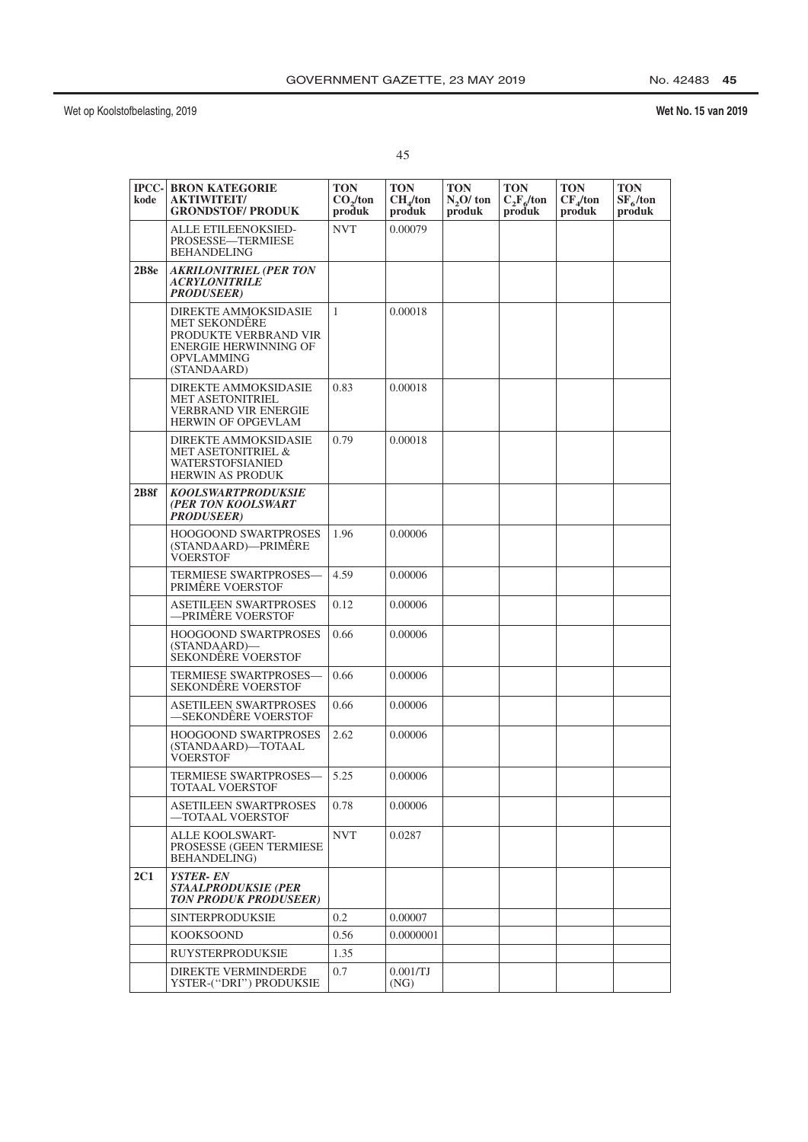# Wet No. 15 van 2019

## $45\,$

| <b>IPCC-</b><br>kode | <b>BRON KATEGORIE</b><br><b>AKTIWITEIT/</b><br><b>GRONDSTOF/ PRODUK</b>                                                                   | <b>TON</b><br>CO <sub>2</sub> /ton<br>produk | <b>TON</b><br>CH <sub>4</sub> /ton<br>produk | <b>TON</b><br>$N2O$ ton<br>produk | <b>TON</b><br>$C_2F_6$ /ton<br>produk | <b>TON</b><br>$CF_4$ /ton<br>produk | <b>TON</b><br>$SF_6$ /ton<br>produk |
|----------------------|-------------------------------------------------------------------------------------------------------------------------------------------|----------------------------------------------|----------------------------------------------|-----------------------------------|---------------------------------------|-------------------------------------|-------------------------------------|
|                      | <b>ALLE ETILEENOKSIED-</b><br>PROSESSE-TERMIESE<br><b>BEHANDELING</b>                                                                     | <b>NVT</b>                                   | 0.00079                                      |                                   |                                       |                                     |                                     |
| 2B8e                 | <b>AKRILONITRIEL (PER TON</b><br><b>ACRYLONITRILE</b><br><b>PRODUSEER)</b>                                                                |                                              |                                              |                                   |                                       |                                     |                                     |
|                      | <b>DIREKTE AMMOKSIDASIE</b><br>MET SEKONDÊRE<br>PRODUKTE VERBRAND VIR<br><b>ENERGIE HERWINNING OF</b><br><b>OPVLAMMING</b><br>(STANDAARD) | $\mathbf{1}$                                 | 0.00018                                      |                                   |                                       |                                     |                                     |
|                      | <b>DIREKTE AMMOKSIDASIE</b><br><b>MET ASETONITRIEL</b><br>VERBRAND VIR ENERGIE<br><b>HERWIN OF OPGEVLAM</b>                               | 0.83                                         | 0.00018                                      |                                   |                                       |                                     |                                     |
|                      | <b>DIREKTE AMMOKSIDASIE</b><br>MET ASETONITRIEL &<br>WATERSTOFSIANIED<br><b>HERWIN AS PRODUK</b>                                          | 0.79                                         | 0.00018                                      |                                   |                                       |                                     |                                     |
| 2B8f                 | <b>KOOLSWARTPRODUKSIE</b><br>(PER TON KOOLSWART<br><b>PRODUSEER)</b>                                                                      |                                              |                                              |                                   |                                       |                                     |                                     |
|                      | <b>HOOGOOND SWARTPROSES</b><br>(STANDAARD)-PRIMÊRE<br><b>VOERSTOF</b>                                                                     | 1.96                                         | 0.00006                                      |                                   |                                       |                                     |                                     |
|                      | <b>TERMIESE SWARTPROSES-</b><br>PRIMERE VOERSTOF                                                                                          | 4.59                                         | 0.00006                                      |                                   |                                       |                                     |                                     |
|                      | <b>ASETILEEN SWARTPROSES</b><br>—PRIMÊRE VOERSTOF                                                                                         | 0.12                                         | 0.00006                                      |                                   |                                       |                                     |                                     |
|                      | <b>HOOGOOND SWARTPROSES</b><br>(STANDAARD)-<br>SEKONDÊRE VOERSTOF                                                                         | 0.66                                         | 0.00006                                      |                                   |                                       |                                     |                                     |
|                      | <b>TERMIESE SWARTPROSES-</b><br>SEKONDËRE VOERSTOF                                                                                        | 0.66                                         | 0.00006                                      |                                   |                                       |                                     |                                     |
|                      | <b>ASETILEEN SWARTPROSES</b><br>—SEKONDÊRE VOERSTOF                                                                                       | 0.66                                         | 0.00006                                      |                                   |                                       |                                     |                                     |
|                      | <b>HOOGOOND SWARTPROSES</b><br>(STANDAARD)-TOTAAL<br>VOERSTOF                                                                             | 2.62                                         | 0.00006                                      |                                   |                                       |                                     |                                     |
|                      | TERMIESE SWARTPROSES-<br>TOTAAL VOERSTOF                                                                                                  | 5.25                                         | 0.00006                                      |                                   |                                       |                                     |                                     |
|                      | <b>ASETILEEN SWARTPROSES</b><br>-TOTAAL VOERSTOF                                                                                          | 0.78                                         | 0.00006                                      |                                   |                                       |                                     |                                     |
|                      | <b>ALLE KOOLSWART-</b><br>PROSESSE (GEEN TERMIESE<br><b>BEHANDELING</b> )                                                                 | <b>NVT</b>                                   | 0.0287                                       |                                   |                                       |                                     |                                     |
| <b>2C1</b>           | <b>YSTER-EN</b><br><b>STAALPRODUKSIE (PER</b><br><b>TON PRODUK PRODUSEER)</b>                                                             |                                              |                                              |                                   |                                       |                                     |                                     |
|                      | <b>SINTERPRODUKSIE</b>                                                                                                                    | 0.2                                          | 0.00007                                      |                                   |                                       |                                     |                                     |
|                      | <b>KOOKSOOND</b>                                                                                                                          | 0.56                                         | 0.0000001                                    |                                   |                                       |                                     |                                     |
|                      | <b>RUYSTERPRODUKSIE</b>                                                                                                                   | 1.35                                         |                                              |                                   |                                       |                                     |                                     |
|                      | DIREKTE VERMINDERDE<br>YSTER-(''DRI'') PRODUKSIE                                                                                          | 0.7                                          | 0.001/TJ<br>(NG)                             |                                   |                                       |                                     |                                     |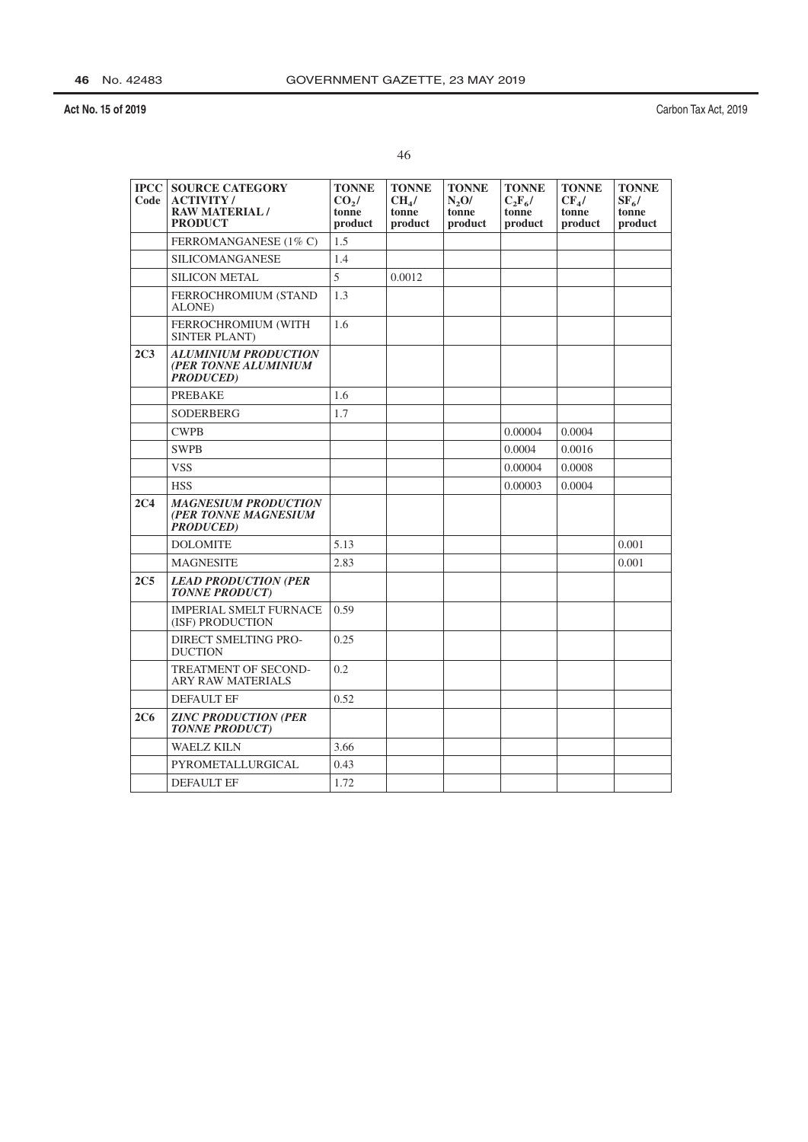|    | ٠  |
|----|----|
| ۰, |    |
| ٠  |    |
|    |    |
|    | ۰. |

| <b>IPCC</b><br>Code | <b>SOURCE CATEGORY</b><br><b>ACTIVITY/</b><br><b>RAW MATERIAL/</b><br><b>PRODUCT</b> | <b>TONNE</b><br>CO <sub>2</sub><br>tonne<br>product | <b>TONNE</b><br>CH <sub>4</sub> /<br>tonne<br>product | <b>TONNE</b><br>N <sub>2</sub> O/<br>tonne<br>product | <b>TONNE</b><br>$C_2F_6$ /<br>tonne<br>product | <b>TONNE</b><br>$CF4$ /<br>tonne<br>product | <b>TONNE</b><br>$SF_{6}/$<br>tonne<br>product |
|---------------------|--------------------------------------------------------------------------------------|-----------------------------------------------------|-------------------------------------------------------|-------------------------------------------------------|------------------------------------------------|---------------------------------------------|-----------------------------------------------|
|                     | FERROMANGANESE (1% C)                                                                | 1.5                                                 |                                                       |                                                       |                                                |                                             |                                               |
|                     | <b>SILICOMANGANESE</b>                                                               | 1.4                                                 |                                                       |                                                       |                                                |                                             |                                               |
|                     | <b>SILICON METAL</b>                                                                 | 5                                                   | 0.0012                                                |                                                       |                                                |                                             |                                               |
|                     | FERROCHROMIUM (STAND<br>ALONE)                                                       | 1.3                                                 |                                                       |                                                       |                                                |                                             |                                               |
|                     | FERROCHROMIUM (WITH<br><b>SINTER PLANT)</b>                                          | 1.6                                                 |                                                       |                                                       |                                                |                                             |                                               |
| 2C <sub>3</sub>     | <b>ALUMINIUM PRODUCTION</b><br>(PER TONNE ALUMINIUM<br><b>PRODUCED</b> )             |                                                     |                                                       |                                                       |                                                |                                             |                                               |
|                     | <b>PREBAKE</b>                                                                       | 1.6                                                 |                                                       |                                                       |                                                |                                             |                                               |
|                     | <b>SODERBERG</b>                                                                     | 1.7                                                 |                                                       |                                                       |                                                |                                             |                                               |
|                     | <b>CWPB</b>                                                                          |                                                     |                                                       |                                                       | 0.00004                                        | 0.0004                                      |                                               |
|                     | <b>SWPB</b>                                                                          |                                                     |                                                       |                                                       | 0.0004                                         | 0.0016                                      |                                               |
|                     | <b>VSS</b>                                                                           |                                                     |                                                       |                                                       | 0.00004                                        | 0.0008                                      |                                               |
|                     | <b>HSS</b>                                                                           |                                                     |                                                       |                                                       | 0.00003                                        | 0.0004                                      |                                               |
| 2C <sub>4</sub>     | <b>MAGNESIUM PRODUCTION</b><br>(PER TONNE MAGNESIUM<br><b>PRODUCED</b> )             |                                                     |                                                       |                                                       |                                                |                                             |                                               |
|                     | <b>DOLOMITE</b>                                                                      | 5.13                                                |                                                       |                                                       |                                                |                                             | 0.001                                         |
|                     | <b>MAGNESITE</b>                                                                     | 2.83                                                |                                                       |                                                       |                                                |                                             | 0.001                                         |
| 2C <sub>5</sub>     | <b>LEAD PRODUCTION (PER</b><br><b>TONNE PRODUCT)</b>                                 |                                                     |                                                       |                                                       |                                                |                                             |                                               |
|                     | <b>IMPERIAL SMELT FURNACE</b><br>(ISF) PRODUCTION                                    | 0.59                                                |                                                       |                                                       |                                                |                                             |                                               |
|                     | DIRECT SMELTING PRO-<br><b>DUCTION</b>                                               | 0.25                                                |                                                       |                                                       |                                                |                                             |                                               |
|                     | <b>TREATMENT OF SECOND-</b><br><b>ARY RAW MATERIALS</b>                              | 0.2                                                 |                                                       |                                                       |                                                |                                             |                                               |
|                     | DEFAULT EF                                                                           | 0.52                                                |                                                       |                                                       |                                                |                                             |                                               |
| 2C6                 | <b>ZINC PRODUCTION (PER</b><br><b>TONNE PRODUCT)</b>                                 |                                                     |                                                       |                                                       |                                                |                                             |                                               |
|                     | <b>WAELZ KILN</b>                                                                    | 3.66                                                |                                                       |                                                       |                                                |                                             |                                               |
|                     | PYROMETALLURGICAL                                                                    | 0.43                                                |                                                       |                                                       |                                                |                                             |                                               |
|                     | <b>DEFAULT EF</b>                                                                    | 1.72                                                |                                                       |                                                       |                                                |                                             |                                               |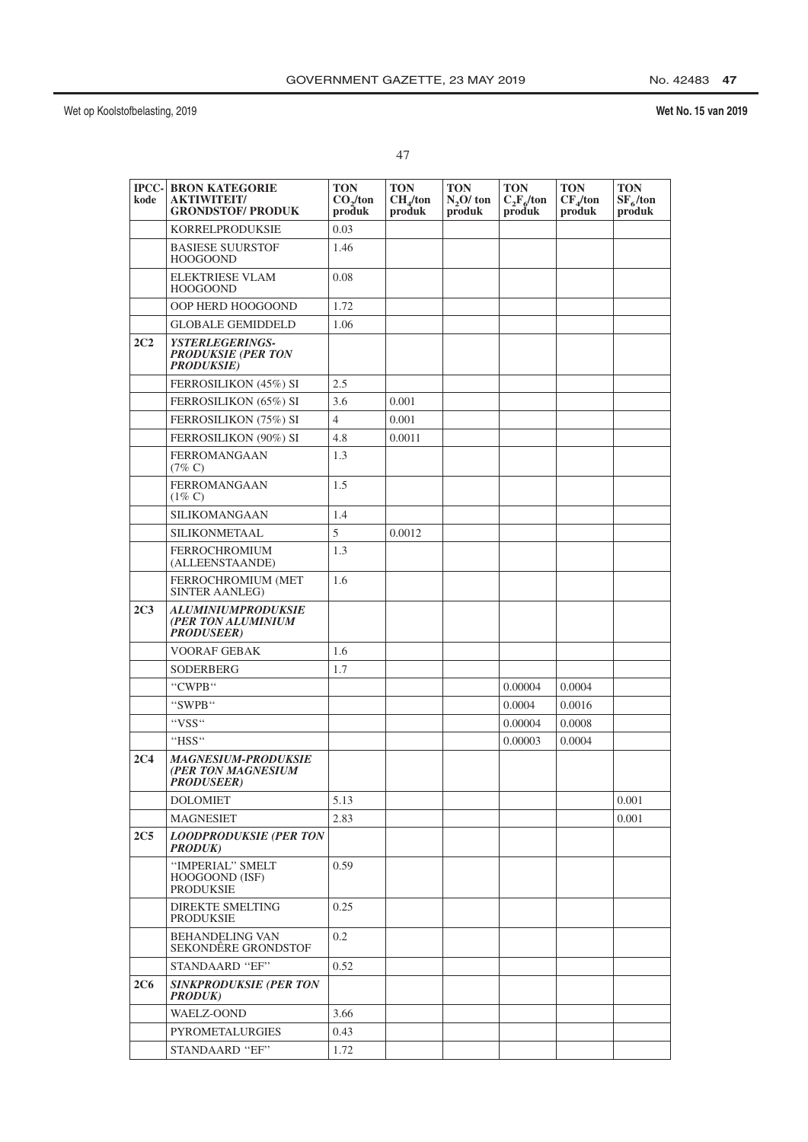| .,<br>٠ |
|---------|
|         |

| $ PCC- $<br>kode | <b>BRON KATEGORIE</b><br><b>AKTIWITEIT/</b><br><b>GRONDSTOF/ PRODUK</b>   | <b>TON</b><br>CO <sub>2</sub> /ton<br>produk | <b>TON</b><br>CH <sub>4</sub> /ton<br>produk | <b>TON</b><br>$N2O$ ton<br>produk | <b>TON</b><br>$C_2F_6$ /ton<br>produk | <b>TON</b><br>$CF_4$ /ton<br>produk | <b>TON</b><br>$SF_6$ /ton<br>produk |
|------------------|---------------------------------------------------------------------------|----------------------------------------------|----------------------------------------------|-----------------------------------|---------------------------------------|-------------------------------------|-------------------------------------|
|                  | KORRELPRODUKSIE                                                           | 0.03                                         |                                              |                                   |                                       |                                     |                                     |
|                  | <b>BASIESE SUURSTOF</b><br><b>HOOGOOND</b>                                | 1.46                                         |                                              |                                   |                                       |                                     |                                     |
|                  | <b>ELEKTRIESE VLAM</b><br><b>HOOGOOND</b>                                 | 0.08                                         |                                              |                                   |                                       |                                     |                                     |
|                  | OOP HERD HOOGOOND                                                         | 1.72                                         |                                              |                                   |                                       |                                     |                                     |
|                  | <b>GLOBALE GEMIDDELD</b>                                                  | 1.06                                         |                                              |                                   |                                       |                                     |                                     |
| 2C2              | <b>YSTERLEGERINGS-</b><br><b>PRODUKSIE (PER TON</b><br><b>PRODUKSIE</b> ) |                                              |                                              |                                   |                                       |                                     |                                     |
|                  | FERROSILIKON (45%) SI                                                     | 2.5                                          |                                              |                                   |                                       |                                     |                                     |
|                  | FERROSILIKON (65%) SI                                                     | 3.6                                          | 0.001                                        |                                   |                                       |                                     |                                     |
|                  | FERROSILIKON (75%) SI                                                     | $\overline{4}$                               | 0.001                                        |                                   |                                       |                                     |                                     |
|                  | FERROSILIKON (90%) SI                                                     | 4.8                                          | 0.0011                                       |                                   |                                       |                                     |                                     |
|                  | <b>FERROMANGAAN</b><br>$(7\%$ C)                                          | 1.3                                          |                                              |                                   |                                       |                                     |                                     |
|                  | <b>FERROMANGAAN</b><br>$(1\% C)$                                          | 1.5                                          |                                              |                                   |                                       |                                     |                                     |
|                  | SILIKOMANGAAN                                                             | 1.4                                          |                                              |                                   |                                       |                                     |                                     |
|                  | <b>SILIKONMETAAL</b>                                                      | 5                                            | 0.0012                                       |                                   |                                       |                                     |                                     |
|                  | <b>FERROCHROMIUM</b><br>(ALLEENSTAANDE)                                   | 1.3                                          |                                              |                                   |                                       |                                     |                                     |
|                  | FERROCHROMIUM (MET<br><b>SINTER AANLEG)</b>                               | 1.6                                          |                                              |                                   |                                       |                                     |                                     |
| 2C <sub>3</sub>  | <b>ALUMINIUMPRODUKSIE</b><br>(PER TON ALUMINIUM<br><b>PRODUSEER)</b>      |                                              |                                              |                                   |                                       |                                     |                                     |
|                  | <b>VOORAF GEBAK</b>                                                       | 1.6                                          |                                              |                                   |                                       |                                     |                                     |
|                  | SODERBERG                                                                 | 1.7                                          |                                              |                                   |                                       |                                     |                                     |
|                  | "CWPB"                                                                    |                                              |                                              |                                   | 0.00004                               | 0.0004                              |                                     |
|                  | "SWPB"                                                                    |                                              |                                              |                                   | 0.0004                                | 0.0016                              |                                     |
|                  | "VSS"                                                                     |                                              |                                              |                                   | 0.00004                               | 0.0008                              |                                     |
|                  | "HSS"                                                                     |                                              |                                              |                                   | 0.00003                               | 0.0004                              |                                     |
| 2C <sub>4</sub>  | <i>MAGNESIUM-PRODUKSIE</i><br>(PER TON MAGNESIUM<br><i>PRODUSEER)</i>     |                                              |                                              |                                   |                                       |                                     |                                     |
|                  | <b>DOLOMIET</b>                                                           | 5.13                                         |                                              |                                   |                                       |                                     | 0.001                               |
|                  | <b>MAGNESIET</b>                                                          | 2.83                                         |                                              |                                   |                                       |                                     | 0.001                               |
| 2C5              | <b>LOODPRODUKSIE (PER TON</b><br><i>PRODUK</i> )                          |                                              |                                              |                                   |                                       |                                     |                                     |
|                  | "IMPERIAL" SMELT<br>HOOGOOND (ISF)<br><b>PRODUKSIE</b>                    | 0.59                                         |                                              |                                   |                                       |                                     |                                     |
|                  | <b>DIREKTE SMELTING</b><br>PRODUKSIE                                      | 0.25                                         |                                              |                                   |                                       |                                     |                                     |
|                  | <b>BEHANDELING VAN</b><br>SEKONDÊRE GRONDSTOF                             | 0.2                                          |                                              |                                   |                                       |                                     |                                     |
|                  | STANDAARD "EF"                                                            | 0.52                                         |                                              |                                   |                                       |                                     |                                     |
| 2C6              | <b>SINKPRODUKSIE (PER TON</b><br><b>PRODUK)</b>                           |                                              |                                              |                                   |                                       |                                     |                                     |
|                  | <b>WAELZ-OOND</b>                                                         | 3.66                                         |                                              |                                   |                                       |                                     |                                     |
|                  | <b>PYROMETALURGIES</b>                                                    | 0.43                                         |                                              |                                   |                                       |                                     |                                     |
|                  | STANDAARD "EF"                                                            | 1.72                                         |                                              |                                   |                                       |                                     |                                     |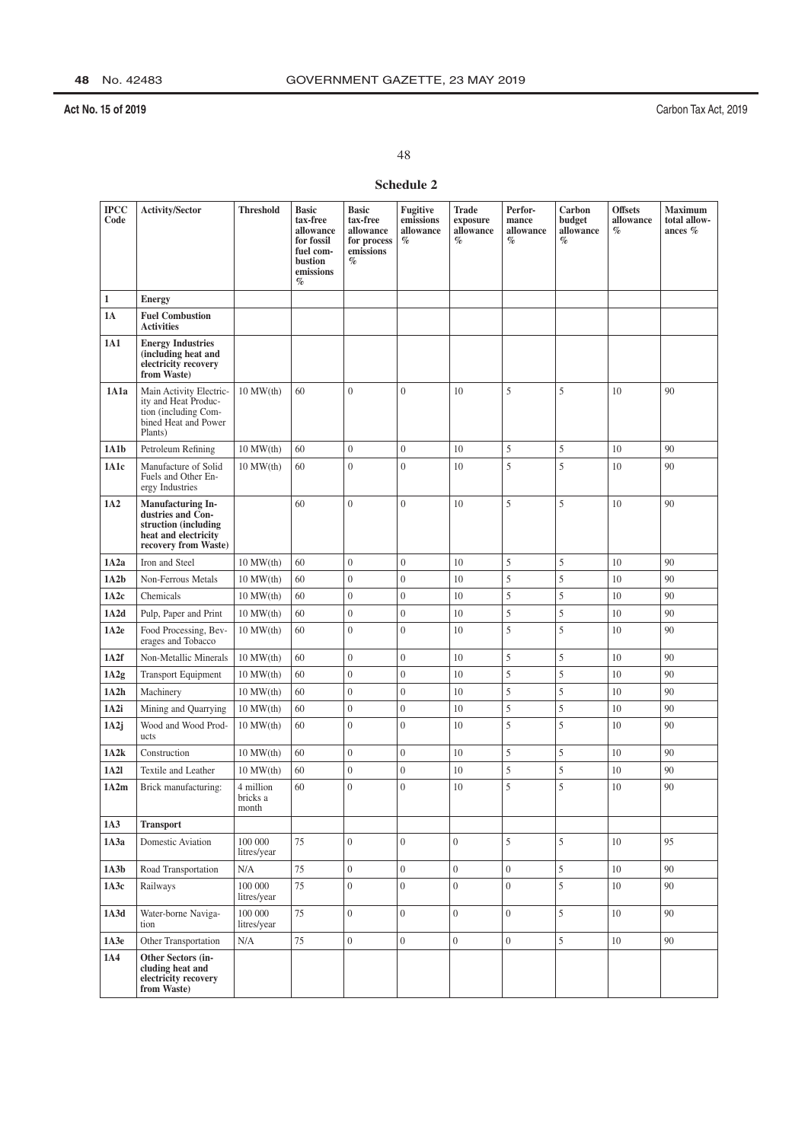Carbon Tax Act, 2019

48

## Schedule 2

| <b>IPCC</b><br>Code | <b>Activity/Sector</b>                                                                                         | <b>Threshold</b>               | <b>Basic</b><br>tax-free<br>allowance<br>for fossil<br>fuel com-<br>bustion<br>emissions<br>$\%$ | <b>Basic</b><br>tax-free<br>allowance<br>for process<br>emissions<br>% | <b>Fugitive</b><br>emissions<br>allowance<br>$\%$ | <b>Trade</b><br>exposure<br>allowance<br>$\%$ | Perfor-<br>mance<br>allowance<br>$\%$ | Carbon<br>budget<br>allowance<br>$\%$ | <b>Offsets</b><br>allowance<br>$\%$ | <b>Maximum</b><br>total allow-<br>ances % |
|---------------------|----------------------------------------------------------------------------------------------------------------|--------------------------------|--------------------------------------------------------------------------------------------------|------------------------------------------------------------------------|---------------------------------------------------|-----------------------------------------------|---------------------------------------|---------------------------------------|-------------------------------------|-------------------------------------------|
| $\mathbf{1}$        | <b>Energy</b>                                                                                                  |                                |                                                                                                  |                                                                        |                                                   |                                               |                                       |                                       |                                     |                                           |
| <b>1A</b>           | <b>Fuel Combustion</b><br><b>Activities</b>                                                                    |                                |                                                                                                  |                                                                        |                                                   |                                               |                                       |                                       |                                     |                                           |
| 1A1                 | <b>Energy Industries</b><br>(including heat and<br>electricity recovery<br>from Waste)                         |                                |                                                                                                  |                                                                        |                                                   |                                               |                                       |                                       |                                     |                                           |
| 1A1a                | Main Activity Electric-<br>ity and Heat Produc-<br>tion (including Com-<br>bined Heat and Power<br>Plants)     | $10$ MW $(th)$                 | 60                                                                                               | $\overline{0}$                                                         | $\overline{0}$                                    | 10                                            | 5                                     | 5                                     | 10                                  | 90                                        |
| 1A1b                | Petroleum Refining                                                                                             | $10$ MW $(th)$                 | 60                                                                                               | $\overline{0}$                                                         | $\overline{0}$                                    | 10                                            | 5                                     | 5                                     | 10                                  | 90                                        |
| 1A1c                | Manufacture of Solid<br>Fuels and Other En-<br>ergy Industries                                                 | $10$ MW $(th)$                 | 60                                                                                               | $\overline{0}$                                                         | $\mathbf{0}$                                      | 10                                            | 5                                     | 5                                     | 10                                  | 90                                        |
| 1A2                 | Manufacturing In-<br>dustries and Con-<br>struction (including<br>heat and electricity<br>recovery from Waste) |                                | 60                                                                                               | $\overline{0}$                                                         | $\overline{0}$                                    | 10                                            | 5                                     | 5                                     | 10                                  | 90                                        |
| 1A2a                | Iron and Steel                                                                                                 | $10$ MW $(th)$                 | 60                                                                                               | $\boldsymbol{0}$                                                       | $\overline{0}$                                    | 10                                            | 5                                     | 5                                     | 10                                  | 90                                        |
| 1A2b                | Non-Ferrous Metals                                                                                             | $10$ MW $(th)$                 | 60                                                                                               | $\boldsymbol{0}$                                                       | $\overline{0}$                                    | 10                                            | 5                                     | 5                                     | 10                                  | 90                                        |
| 1A2c                | Chemicals                                                                                                      | $10$ MW $(th)$                 | 60                                                                                               | $\boldsymbol{0}$                                                       | $\overline{0}$                                    | 10                                            | 5                                     | 5                                     | 10                                  | 90                                        |
| 1A2d                | Pulp, Paper and Print                                                                                          | $10$ MW $(th)$                 | 60                                                                                               | $\overline{0}$                                                         | $\overline{0}$                                    | 10                                            | 5                                     | 5                                     | 10                                  | 90                                        |
| 1A2e                | Food Processing, Bev-<br>erages and Tobacco                                                                    | $10$ MW $(th)$                 | 60                                                                                               | $\overline{0}$                                                         | $\theta$                                          | 10                                            | 5                                     | 5                                     | 10                                  | 90                                        |
| 1A2f                | Non-Metallic Minerals                                                                                          | $10$ MW $(th)$                 | 60                                                                                               | $\overline{0}$                                                         | $\overline{0}$                                    | 10                                            | 5                                     | 5                                     | 10                                  | 90                                        |
| 1A2g                | <b>Transport Equipment</b>                                                                                     | $10$ MW $(th)$                 | 60                                                                                               | $\overline{0}$                                                         | $\overline{0}$                                    | 10                                            | 5                                     | 5                                     | 10                                  | 90                                        |
| 1A2h                | Machinery                                                                                                      | $10$ MW $(th)$                 | 60                                                                                               | $\boldsymbol{0}$                                                       | $\overline{0}$                                    | 10                                            | 5                                     | 5                                     | 10                                  | 90                                        |
| 1A2i                | Mining and Quarrying                                                                                           | $10$ MW $(th)$                 | 60                                                                                               | $\overline{0}$                                                         | $\boldsymbol{0}$                                  | 10                                            | 5                                     | 5                                     | 10                                  | 90                                        |
| 1A2j                | Wood and Wood Prod-<br>ucts                                                                                    | $10$ MW $(th)$                 | 60                                                                                               | $\overline{0}$                                                         | $\overline{0}$                                    | 10                                            | 5                                     | 5                                     | 10                                  | 90                                        |
| 1A2k                | Construction                                                                                                   | $10$ MW $(th)$                 | 60                                                                                               | $\overline{0}$                                                         | $\boldsymbol{0}$                                  | 10                                            | 5                                     | 5                                     | 10                                  | 90                                        |
| 1A2l                | Textile and Leather                                                                                            | $10$ MW $(th)$                 | 60                                                                                               | $\boldsymbol{0}$                                                       | $\boldsymbol{0}$                                  | 10                                            | 5                                     | 5                                     | 10                                  | 90                                        |
| 1A2m                | Brick manufacturing:                                                                                           | 4 million<br>bricks a<br>month | 60                                                                                               | $\overline{0}$                                                         | $\mathbf{0}$                                      | 10                                            | 5                                     | 5                                     | 10                                  | 90                                        |
| 1A3                 | <b>Transport</b>                                                                                               |                                |                                                                                                  |                                                                        |                                                   |                                               |                                       |                                       |                                     |                                           |
| 1A3a                | Domestic Aviation                                                                                              | 100 000<br>litres/year         | 75                                                                                               | $\overline{0}$                                                         | $\overline{0}$                                    | $\overline{0}$                                | 5                                     | 5                                     | 10                                  | 95                                        |
| 1A3b                | Road Transportation                                                                                            | $\rm N/A$                      | 75                                                                                               | $\boldsymbol{0}$                                                       | $\boldsymbol{0}$                                  | $\overline{0}$                                | $\boldsymbol{0}$                      | $\sqrt{5}$                            | 10                                  | 90                                        |
| 1A3c                | Railways                                                                                                       | 100 000<br>litres/year         | 75                                                                                               | $\overline{0}$                                                         | $\overline{0}$                                    | $\overline{0}$                                | $\overline{0}$                        | 5                                     | 10                                  | 90                                        |
| 1A3d                | Water-borne Naviga-<br>tion                                                                                    | 100 000<br>litres/year         | 75                                                                                               | $\overline{0}$                                                         | $\boldsymbol{0}$                                  | $\overline{0}$                                | $\boldsymbol{0}$                      | 5                                     | 10                                  | 90                                        |
| 1A3e                | Other Transportation                                                                                           | N/A                            | 75                                                                                               | $\overline{0}$                                                         | $\boldsymbol{0}$                                  | $\boldsymbol{0}$                              | $\boldsymbol{0}$                      | 5                                     | 10                                  | 90                                        |
| 1A4                 | Other Sectors (in-<br>cluding heat and<br>electricity recovery<br>from Waste)                                  |                                |                                                                                                  |                                                                        |                                                   |                                               |                                       |                                       |                                     |                                           |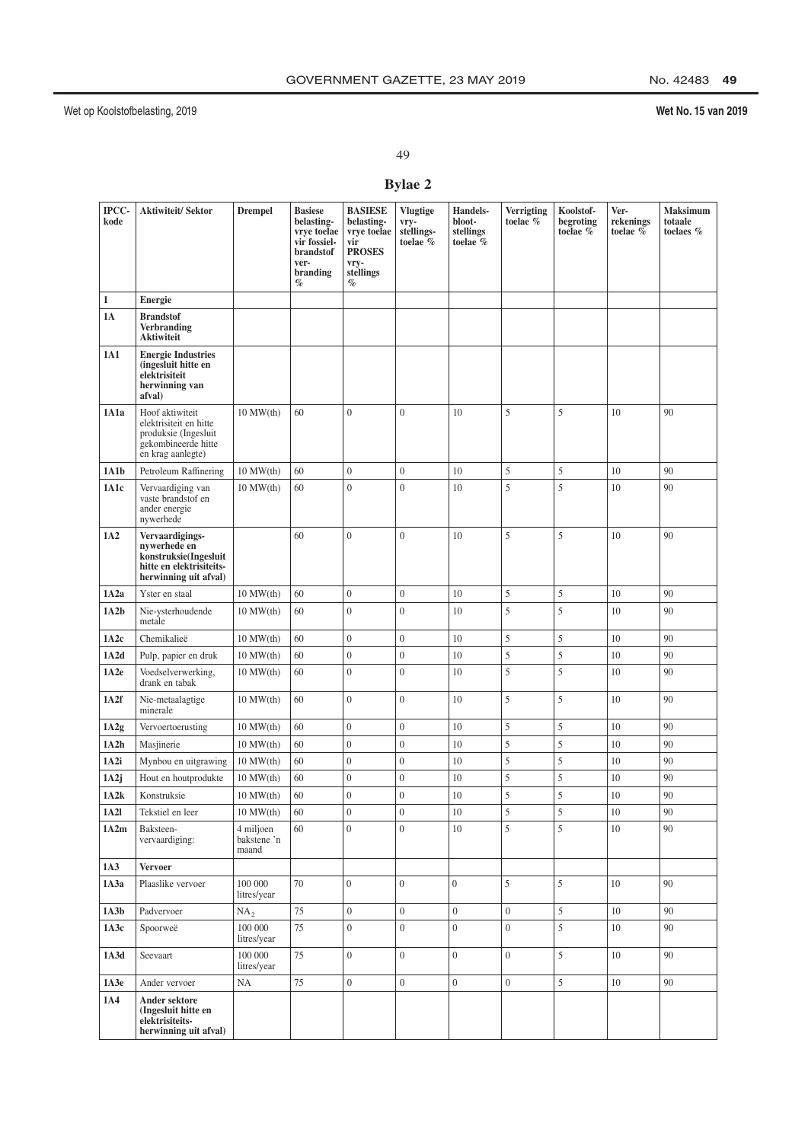# No. 42483 49

## Wet No. 15 van 2019

49

## **Bylae 2**

| IPCC-<br>kode | <b>Aktiwiteit/Sektor</b>                                                                                      | <b>Drempel</b>                                      | <b>Basiese</b><br>belasting-<br>vrve toelae<br>vir fossiel-<br><b>brandstof</b><br>ver-<br>branding<br>$\%$ | <b>BASIESE</b><br>belasting-<br>vrye toelae<br>vir<br><b>PROSES</b><br>vry-<br>stellings<br>$\%$ | <b>Vlugtige</b><br>vry-<br>stellings-<br>toelae % | Handels-<br>bloot-<br>stellings<br>toelae % | <b>Verrigting</b><br>toelae % | Koolstof-<br>begroting<br>toelae % | Ver-<br>rekenings<br>toelae % | <b>Maksimum</b><br>totaale<br>toelaes % |
|---------------|---------------------------------------------------------------------------------------------------------------|-----------------------------------------------------|-------------------------------------------------------------------------------------------------------------|--------------------------------------------------------------------------------------------------|---------------------------------------------------|---------------------------------------------|-------------------------------|------------------------------------|-------------------------------|-----------------------------------------|
| $\mathbf{1}$  | Energie                                                                                                       |                                                     |                                                                                                             |                                                                                                  |                                                   |                                             |                               |                                    |                               |                                         |
| <b>1A</b>     | <b>Brandstof</b><br><b>Verbranding</b><br><b>Aktiwiteit</b>                                                   |                                                     |                                                                                                             |                                                                                                  |                                                   |                                             |                               |                                    |                               |                                         |
| 1A1           | <b>Energie Industries</b><br>(ingesluit hitte en<br>elektrisiteit<br>herwinning van<br>afval)                 |                                                     |                                                                                                             |                                                                                                  |                                                   |                                             |                               |                                    |                               |                                         |
| 1A1a          | Hoof aktiwiteit<br>elektrisiteit en hitte<br>produksie (Ingesluit<br>gekombineerde hitte<br>en krag aanlegte) | $10$ MW $(th)$                                      | 60                                                                                                          | $\overline{0}$                                                                                   | $\mathbf{0}$                                      | 10                                          | 5                             | 5                                  | 10                            | 90                                      |
| 1A1b          | Petroleum Raffinering                                                                                         | $10$ MW $(th)$                                      | 60                                                                                                          | $\mathbf{0}$                                                                                     | $\boldsymbol{0}$                                  | 10                                          | 5                             | 5                                  | 10                            | 90                                      |
| 1A1c          | Vervaardiging van<br>vaste brandstof en<br>ander energie<br>nywerhede                                         | $10$ MW $(th)$                                      | 60                                                                                                          | $\theta$                                                                                         | $\mathbf{0}$                                      | 10                                          | 5                             | 5                                  | 10                            | 90                                      |
| 1A2           | Vervaardigings-<br>nywerhede en<br>konstruksie(Ingesluit<br>hitte en elektrisiteits-<br>herwinning uit afval) |                                                     | 60                                                                                                          | $\mathbf{0}$                                                                                     | $\mathbf{0}$                                      | 10                                          | 5                             | 5                                  | 10                            | 90                                      |
| 1A2a          | Yster en staal                                                                                                | $10$ MW $(th)$                                      | 60                                                                                                          | $\mathbf{0}$                                                                                     | $\boldsymbol{0}$                                  | 10                                          | 5                             | $\sqrt{5}$                         | 10                            | 90                                      |
| 1A2b          | Nie-ysterhoudende<br>metale                                                                                   | $10$ MW $(th)$                                      | 60                                                                                                          | $\overline{0}$                                                                                   | $\overline{0}$                                    | 10                                          | 5                             | 5                                  | 10                            | 90                                      |
| 1A2c          | Chemikalieë                                                                                                   | $10$ MW $(th)$                                      | 60                                                                                                          | $\overline{0}$                                                                                   | $\overline{0}$                                    | 10                                          | 5                             | 5                                  | 10                            | 90                                      |
| 1A2d          | Pulp, papier en druk                                                                                          | $10$ MW $(th)$                                      | 60                                                                                                          | $\boldsymbol{0}$                                                                                 | $\boldsymbol{0}$                                  | 10                                          | 5                             | 5                                  | 10                            | 90                                      |
| 1A2e          | Voedselverwerking,<br>drank en tabak                                                                          | $10$ MW $(th)$                                      | 60                                                                                                          | $\mathbf{0}$                                                                                     | $\overline{0}$                                    | 10                                          | 5                             | 5                                  | 10                            | 90                                      |
| 1A2f          | Nie-metaalagtige<br>minerale                                                                                  | $10$ MW $(th)$                                      | 60                                                                                                          | $\theta$                                                                                         | $\overline{0}$                                    | 10                                          | 5                             | 5                                  | 10                            | 90                                      |
| 1A2g          | Vervoertoerusting                                                                                             | $10$ MW $(th)$                                      | 60                                                                                                          | $\overline{0}$                                                                                   | $\boldsymbol{0}$                                  | 10                                          | 5                             | 5                                  | $10\,$                        | 90                                      |
| 1A2h          | Masjinerie                                                                                                    | $10$ MW $(th)$                                      | 60                                                                                                          | $\boldsymbol{0}$                                                                                 | $\overline{0}$                                    | 10                                          | 5                             | 5                                  | 10                            | 90                                      |
| 1A2i          | Mynbou en uitgrawing                                                                                          | $10$ MW $(th)$                                      | 60                                                                                                          | $\boldsymbol{0}$                                                                                 | $\boldsymbol{0}$                                  | 10                                          | 5                             | 5                                  | 10                            | 90                                      |
| 1A2j          | Hout en houtprodukte                                                                                          | $10$ MW $(th)$                                      | 60                                                                                                          | $\boldsymbol{0}$                                                                                 | $\boldsymbol{0}$                                  | 10                                          | 5                             | 5                                  | 10                            | 90                                      |
| 1A2k          | Konstruksie                                                                                                   | $10$ MW $(th)$                                      | 60                                                                                                          | $\overline{0}$                                                                                   | $\overline{0}$                                    | 10                                          | 5                             | 5                                  | 10                            | 90                                      |
| 1A21<br>1A2m  | Tekstiel en leer<br>Baksteen-<br>vervaardiging:                                                               | $10$ MW $(th)$<br>4 miljoen<br>bakstene 'n<br>maand | 60<br>60                                                                                                    | $\boldsymbol{0}$<br>$\overline{0}$                                                               | 0<br>$\overline{0}$                               | 10<br>10                                    | 5<br>5                        | 5<br>$\mathfrak s$                 | 10<br>10                      | 90<br>90                                |
| 1A3           | <b>Vervoer</b>                                                                                                |                                                     |                                                                                                             |                                                                                                  |                                                   |                                             |                               |                                    |                               |                                         |
| 1A3a          | Plaaslike vervoer                                                                                             | 100 000<br>litres/year                              | 70                                                                                                          | $\overline{0}$                                                                                   | $\overline{0}$                                    | $\overline{0}$                              | 5                             | 5                                  | 10                            | 90                                      |
| 1A3b          | Padvervoer                                                                                                    | NA <sub>2</sub>                                     | 75                                                                                                          | $\overline{0}$                                                                                   | $\boldsymbol{0}$                                  | $\overline{0}$                              | $\boldsymbol{0}$              | $\sqrt{5}$                         | 10                            | 90                                      |
| 1A3c          | Spoorweë                                                                                                      | 100 000<br>litres/year                              | 75                                                                                                          | $\overline{0}$                                                                                   | $\overline{0}$                                    | $\overline{0}$                              | $\overline{0}$                | $\sqrt{5}$                         | 10                            | 90                                      |
| 1A3d          | Seevaart                                                                                                      | 100 000<br>litres/year                              | 75                                                                                                          | $\overline{0}$                                                                                   | $\overline{0}$                                    | $\overline{0}$                              | $\overline{0}$                | 5                                  | 10                            | 90                                      |
| 1A3e          | Ander vervoer                                                                                                 | $\rm NA$                                            | 75                                                                                                          | $\boldsymbol{0}$                                                                                 | $\boldsymbol{0}$                                  | $\overline{0}$                              | $\boldsymbol{0}$              | $\sqrt{5}$                         | $10\,$                        | 90                                      |
| 1A4           | Ander sektore<br>(Ingesluit hitte en<br>elektrisiteits-<br>herwinning uit afval)                              |                                                     |                                                                                                             |                                                                                                  |                                                   |                                             |                               |                                    |                               |                                         |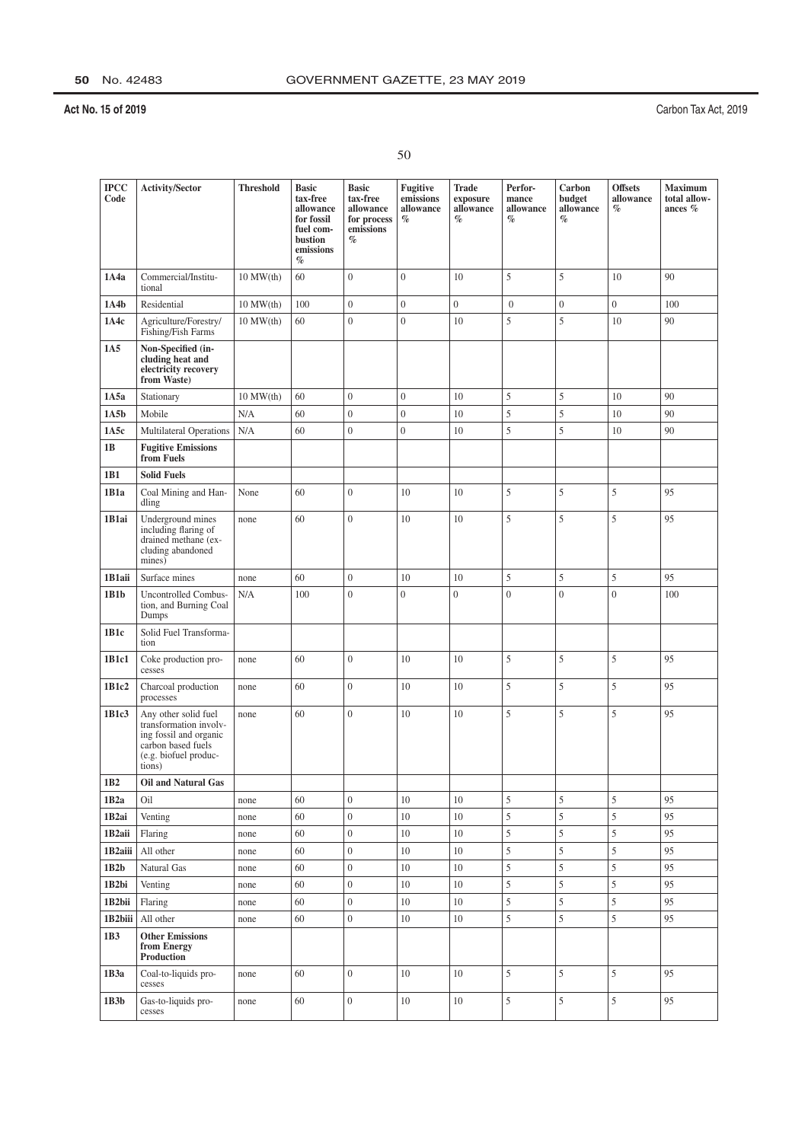| ×. |  |
|----|--|
|    |  |

| <b>IPCC</b><br>Code | <b>Activity/Sector</b>                                                                                                            | <b>Threshold</b> | <b>Basic</b><br>tax-free<br>allowance<br>for fossil<br>fuel com-<br>bustion<br>emissions<br>$\%$ | <b>Basic</b><br>tax-free<br>allowance<br>for process<br>emissions<br>$\%$ | Fugitive<br>emissions<br>allowance<br>$\%$ | <b>Trade</b><br>exposure<br>allowance<br>$\%$ | Perfor-<br>mance<br>allowance<br>$\%$ | Carbon<br>budget<br>allowance<br>$\%$ | <b>Offsets</b><br>allowance<br>$\%$ | <b>Maximum</b><br>total allow-<br>ances $%$ |
|---------------------|-----------------------------------------------------------------------------------------------------------------------------------|------------------|--------------------------------------------------------------------------------------------------|---------------------------------------------------------------------------|--------------------------------------------|-----------------------------------------------|---------------------------------------|---------------------------------------|-------------------------------------|---------------------------------------------|
| 1A4a                | Commercial/Institu-<br>tional                                                                                                     | $10$ MW $(th)$   | 60                                                                                               | $\overline{0}$                                                            | $\mathbf{0}$                               | 10                                            | 5                                     | 5                                     | 10                                  | 90                                          |
| 1A4b                | Residential                                                                                                                       | $10$ MW $(th)$   | 100                                                                                              | $\boldsymbol{0}$                                                          | $\boldsymbol{0}$                           | $\boldsymbol{0}$                              | $\boldsymbol{0}$                      | $\boldsymbol{0}$                      | $\boldsymbol{0}$                    | 100                                         |
| 1A4c                | Agriculture/Forestry/<br>Fishing/Fish Farms                                                                                       | $10$ MW $(th)$   | 60                                                                                               | $\overline{0}$                                                            | $\overline{0}$                             | 10                                            | 5                                     | 5                                     | 10                                  | 90                                          |
| 1A5                 | Non-Specified (in-<br>cluding heat and<br>electricity recovery<br>from Waste)                                                     |                  |                                                                                                  |                                                                           |                                            |                                               |                                       |                                       |                                     |                                             |
| 1A5a                | Stationary                                                                                                                        | $10$ MW $(th)$   | 60                                                                                               | $\overline{0}$                                                            | $\mathbf{0}$                               | 10                                            | 5                                     | 5                                     | 10                                  | 90                                          |
| 1A5b                | Mobile                                                                                                                            | N/A              | 60                                                                                               | $\overline{0}$                                                            | $\boldsymbol{0}$                           | 10                                            | 5                                     | 5                                     | 10                                  | 90                                          |
| 1A5c                | Multilateral Operations                                                                                                           | N/A              | 60                                                                                               | $\boldsymbol{0}$                                                          | $\boldsymbol{0}$                           | 10                                            | 5                                     | 5                                     | 10                                  | 90                                          |
| 1B                  | <b>Fugitive Emissions</b><br>from Fuels                                                                                           |                  |                                                                                                  |                                                                           |                                            |                                               |                                       |                                       |                                     |                                             |
| 1B1                 | <b>Solid Fuels</b>                                                                                                                |                  |                                                                                                  |                                                                           |                                            |                                               |                                       |                                       |                                     |                                             |
| 1B1a                | Coal Mining and Han-<br>dling                                                                                                     | None             | 60                                                                                               | $\overline{0}$                                                            | 10                                         | 10                                            | 5                                     | 5                                     | 5                                   | 95                                          |
| 1B1ai               | Underground mines<br>including flaring of<br>drained methane (ex-<br>cluding abandoned<br>mines)                                  | none             | 60                                                                                               | $\overline{0}$                                                            | 10                                         | 10                                            | 5                                     | 5                                     | 5                                   | 95                                          |
| 1B1aii              | Surface mines                                                                                                                     | none             | 60                                                                                               | $\overline{0}$                                                            | 10                                         | 10                                            | 5                                     | 5                                     | 5                                   | 95                                          |
| 1B1b                | <b>Uncontrolled Combus-</b><br>tion, and Burning Coal<br>Dumps                                                                    | N/A              | 100                                                                                              | $\overline{0}$                                                            | $\overline{0}$                             | $\overline{0}$                                | $\overline{0}$                        | $\mathbf{0}$                          | $\overline{0}$                      | 100                                         |
| 1B1c                | Solid Fuel Transforma-<br>tion                                                                                                    |                  |                                                                                                  |                                                                           |                                            |                                               |                                       |                                       |                                     |                                             |
| 1B1c1               | Coke production pro-<br>cesses                                                                                                    | none             | 60                                                                                               | $\overline{0}$                                                            | 10                                         | 10                                            | 5                                     | 5                                     | 5                                   | 95                                          |
| 1B1c2               | Charcoal production<br>processes                                                                                                  | none             | 60                                                                                               | $\overline{0}$                                                            | 10                                         | 10                                            | 5                                     | 5                                     | 5                                   | 95                                          |
| 1B1c3               | Any other solid fuel<br>transformation involv-<br>ing fossil and organic<br>carbon based fuels<br>(e.g. biofuel produc-<br>tions) | none             | 60                                                                                               | $\overline{0}$                                                            | 10                                         | 10                                            | 5                                     | 5                                     | 5                                   | 95                                          |
| $1B2$               | Oil and Natural Gas                                                                                                               |                  |                                                                                                  |                                                                           |                                            |                                               |                                       |                                       |                                     |                                             |
| 1B <sub>2</sub> a   | Oil                                                                                                                               | none             | 60                                                                                               | $\boldsymbol{0}$                                                          | 10                                         | 10                                            | 5                                     | $\sqrt{5}$                            | 5                                   | 95                                          |
| 1B <sub>2</sub> ai  | Venting                                                                                                                           | none             | 60                                                                                               | $\boldsymbol{0}$                                                          | 10                                         | 10                                            | 5                                     | 5                                     | 5                                   | 95                                          |
| 1B <sub>2aii</sub>  | Flaring                                                                                                                           | none             | 60                                                                                               | $\boldsymbol{0}$                                                          | 10                                         | 10                                            | 5                                     | 5                                     | 5                                   | 95                                          |
| 1B <sub>2aiii</sub> | All other                                                                                                                         | none             | 60                                                                                               | $\boldsymbol{0}$                                                          | 10                                         | 10                                            | 5                                     | 5                                     | 5                                   | 95                                          |
| 1B2b                | Natural Gas                                                                                                                       | none             | 60                                                                                               | $\mathbf{0}$                                                              | 10                                         | 10                                            | 5                                     | 5                                     | 5                                   | 95                                          |
| 1B2bi               | Venting                                                                                                                           | none             | 60                                                                                               | $\boldsymbol{0}$                                                          | 10                                         | 10                                            | 5                                     | 5                                     | 5                                   | 95                                          |
| 1B <sub>2</sub> bii | Flaring                                                                                                                           | none             | 60                                                                                               | $\boldsymbol{0}$                                                          | 10                                         | 10                                            | 5                                     | 5                                     | 5                                   | 95                                          |
| 1B2biii             | All other                                                                                                                         | none             | 60                                                                                               | $\boldsymbol{0}$                                                          | $10\,$                                     | 10                                            | 5                                     | 5                                     | 5                                   | 95                                          |
| 1B3                 | <b>Other Emissions</b><br>from Energy<br>Production                                                                               |                  |                                                                                                  |                                                                           |                                            |                                               |                                       |                                       |                                     |                                             |
| 1B3a                | Coal-to-liquids pro-<br>cesses                                                                                                    | none             | 60                                                                                               | $\mathbf{0}$                                                              | 10                                         | 10                                            | 5                                     | $\sqrt{5}$                            | 5                                   | 95                                          |
| 1B3b                | Gas-to-liquids pro-<br>cesses                                                                                                     | none             | 60                                                                                               | $\mathbf{0}$                                                              | $10\,$                                     | 10                                            | 5                                     | 5                                     | 5                                   | 95                                          |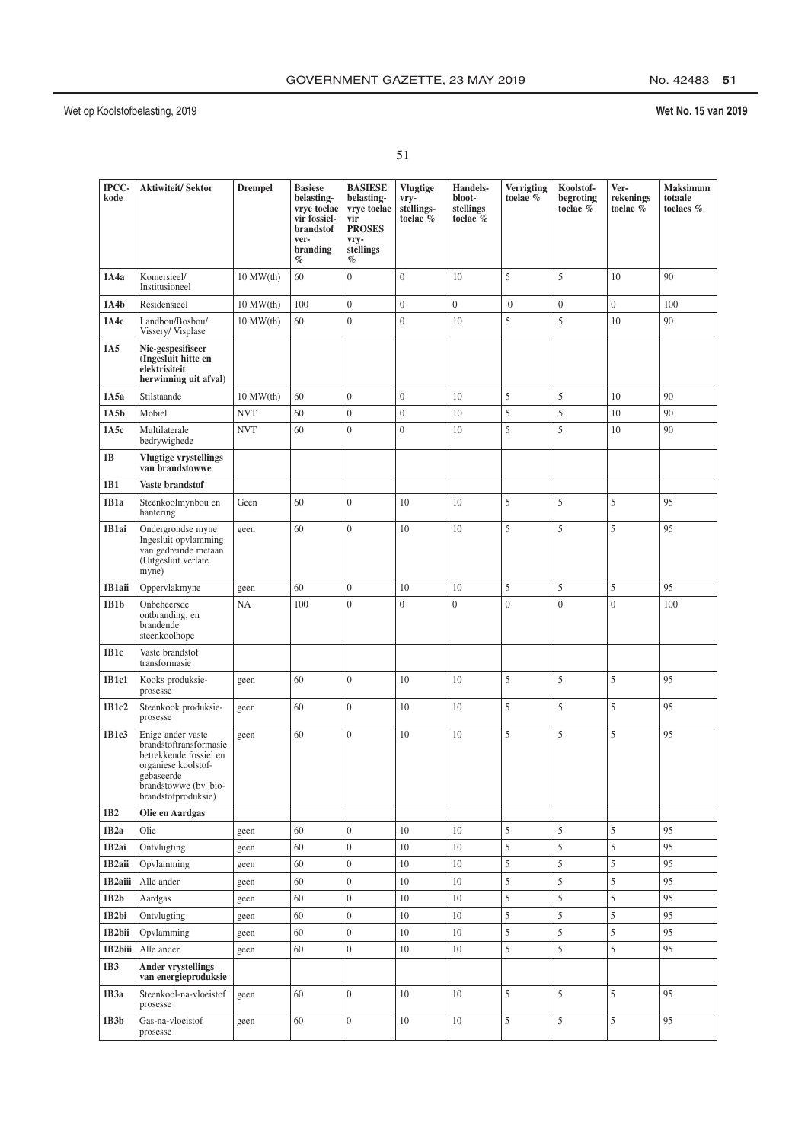## No. 42483 51

| I                       |  |
|-------------------------|--|
| ×.<br>i<br>۰.<br>×<br>٠ |  |

| IPCC-<br>kode       | <b>Aktiwiteit/Sektor</b>                                                                                                                                   | <b>Drempel</b> | <b>Basiese</b><br>belasting-<br>vrve toelae<br>vir fossiel-<br><b>brandstof</b><br>ver-<br>branding<br>$\%$ | <b>BASIESE</b><br>belasting-<br>vrye toelae<br>vir<br><b>PROSES</b><br>vry-<br>stellings<br>$\%$ | <b>Vlugtige</b><br>vry-<br>stellings-<br>toelae % | Handels-<br>bloot-<br>stellings<br>toelae % | <b>Verrigting</b><br>toelae % | Koolstof-<br>begroting<br>toelae % | Ver-<br>rekenings<br>toelae % | Maksimum<br>totaale<br>toelaes % |
|---------------------|------------------------------------------------------------------------------------------------------------------------------------------------------------|----------------|-------------------------------------------------------------------------------------------------------------|--------------------------------------------------------------------------------------------------|---------------------------------------------------|---------------------------------------------|-------------------------------|------------------------------------|-------------------------------|----------------------------------|
| 1A4a                | Komersieel/<br>Institusioneel                                                                                                                              | $10$ MW $(th)$ | 60                                                                                                          | $\boldsymbol{0}$                                                                                 | $\overline{0}$                                    | 10                                          | 5                             | 5                                  | 10                            | 90                               |
| 1A4b                | Residensieel                                                                                                                                               | $10$ MW $(th)$ | 100                                                                                                         | $\boldsymbol{0}$                                                                                 | $\boldsymbol{0}$                                  | $\overline{0}$                              | $\mathbf{0}$                  | $\overline{0}$                     | $\overline{0}$                | 100                              |
| 1A4c                | Landbou/Bosbou/<br>Vissery/ Visplase                                                                                                                       | $10$ MW $(th)$ | 60                                                                                                          | $\overline{0}$                                                                                   | $\overline{0}$                                    | 10                                          | 5                             | 5                                  | 10                            | 90                               |
| 1A5                 | Nie-gespesifiseer<br>(Ingesluit hitte en<br>elektrisiteit<br>herwinning uit afval)                                                                         |                |                                                                                                             |                                                                                                  |                                                   |                                             |                               |                                    |                               |                                  |
| 1A5a                | Stilstaande                                                                                                                                                | $10$ MW $(th)$ | 60                                                                                                          | $\overline{0}$                                                                                   | $\theta$                                          | 10                                          | 5                             | 5                                  | 10                            | 90                               |
| 1A5b                | Mobiel                                                                                                                                                     | <b>NVT</b>     | 60                                                                                                          | $\mathbf{0}$                                                                                     | $\mathbf{0}$                                      | 10                                          | 5                             | 5                                  | 10                            | 90                               |
| 1A5c                | Multilaterale<br>bedrywighede                                                                                                                              | <b>NVT</b>     | 60                                                                                                          | $\overline{0}$                                                                                   | $\overline{0}$                                    | 10                                          | 5                             | 5                                  | 10                            | 90                               |
| 1B                  | <b>Vlugtige vrystellings</b><br>van brandstowwe                                                                                                            |                |                                                                                                             |                                                                                                  |                                                   |                                             |                               |                                    |                               |                                  |
| 1B1                 | Vaste brandstof                                                                                                                                            |                |                                                                                                             |                                                                                                  |                                                   |                                             |                               |                                    |                               |                                  |
| 1B1a                | Steenkoolmynbou en<br>hantering                                                                                                                            | Geen           | 60                                                                                                          | $\overline{0}$                                                                                   | 10                                                | 10                                          | 5                             | 5                                  | 5                             | 95                               |
| 1B1ai               | Ondergrondse myne<br>Ingesluit opvlamming<br>van gedreinde metaan<br>(Uitgesluit verlate<br>myne)                                                          | geen           | 60                                                                                                          | $\overline{0}$                                                                                   | 10                                                | 10                                          | 5                             | 5                                  | 5                             | 95                               |
| 1B1aii              | Oppervlakmyne                                                                                                                                              | geen           | 60                                                                                                          | $\boldsymbol{0}$                                                                                 | 10                                                | 10                                          | 5                             | 5                                  | 5                             | 95                               |
| 1B1b                | Onbeheersde<br>ontbranding, en<br>brandende<br>steenkoolhope                                                                                               | <b>NA</b>      | 100                                                                                                         | $\overline{0}$                                                                                   | $\overline{0}$                                    | $\overline{0}$                              | $\overline{0}$                | $\overline{0}$                     | $\overline{0}$                | 100                              |
| 1B1c                | Vaste brandstof<br>transformasie                                                                                                                           |                |                                                                                                             |                                                                                                  |                                                   |                                             |                               |                                    |                               |                                  |
| 1B1c1               | Kooks produksie-<br>prosesse                                                                                                                               | geen           | 60                                                                                                          | $\overline{0}$                                                                                   | 10                                                | 10                                          | 5                             | 5                                  | 5                             | 95                               |
| 1B1c2               | Steenkook produksie-<br>prosesse                                                                                                                           | geen           | 60                                                                                                          | $\overline{0}$                                                                                   | 10                                                | 10                                          | 5                             | 5                                  | 5                             | 95                               |
| 1B1c3               | Enige ander vaste<br>brandstoftransformasie<br>betrekkende fossiel en<br>organiese koolstof-<br>gebaseerde<br>brandstowwe (bv. bio-<br>brandstofproduksie) | geen           | 60                                                                                                          | $\overline{0}$                                                                                   | 10                                                | 10                                          | 5                             | 5                                  | 5                             | 95                               |
| 1B2                 | Olie en Aardgas                                                                                                                                            |                |                                                                                                             |                                                                                                  |                                                   |                                             |                               |                                    |                               |                                  |
| 1B2a                | Olie                                                                                                                                                       | geen           | 60                                                                                                          | $\boldsymbol{0}$                                                                                 | 10                                                | 10                                          | 5                             | $\sqrt{5}$                         | 5                             | 95                               |
| 1B <sub>2ai</sub>   | Ontvlugting                                                                                                                                                | geen           | 60                                                                                                          | $\boldsymbol{0}$                                                                                 | 10                                                | 10                                          | 5                             | 5                                  | 5                             | 95                               |
| 1B <sub>2aii</sub>  | Opvlamming                                                                                                                                                 | geen           | 60                                                                                                          | $\boldsymbol{0}$                                                                                 | 10                                                | 10                                          | 5                             | $\sqrt{5}$                         | 5                             | 95                               |
| 1B <sub>2aiii</sub> | Alle ander                                                                                                                                                 | geen           | 60                                                                                                          | $\boldsymbol{0}$                                                                                 | 10                                                | 10                                          | 5                             | 5                                  | 5                             | 95                               |
| 1B2b                | Aardgas                                                                                                                                                    | geen           | 60                                                                                                          | $\boldsymbol{0}$                                                                                 | $10\,$                                            | 10                                          | 5                             | $\mathfrak s$                      | 5                             | 95                               |
| 1B <sub>2</sub> bi  | Ontvlugting                                                                                                                                                | geen           | 60                                                                                                          | $\boldsymbol{0}$                                                                                 | $10\,$                                            | 10                                          | 5                             | $\mathfrak s$                      | 5                             | 95                               |
| 1B2bii              | Opvlamming                                                                                                                                                 | geen           | 60                                                                                                          | $\boldsymbol{0}$                                                                                 | 10                                                | 10                                          | 5                             | $\mathfrak s$                      | 5                             | 95                               |
| 1B2biii             | Alle ander                                                                                                                                                 | geen           | 60                                                                                                          | $\boldsymbol{0}$                                                                                 | 10                                                | 10                                          | 5                             | 5                                  | 5                             | 95                               |
| 1B3                 | <b>Ander vrystellings</b><br>van energieproduksie                                                                                                          |                |                                                                                                             |                                                                                                  |                                                   |                                             |                               |                                    |                               |                                  |
| 1B3a                | Steenkool-na-vloeistof<br>prosesse                                                                                                                         | geen           | 60                                                                                                          | $\overline{0}$                                                                                   | 10                                                | 10                                          | 5                             | 5                                  | 5                             | 95                               |
| 1B3b                | Gas-na-vloeistof<br>prosesse                                                                                                                               | geen           | 60                                                                                                          | $\boldsymbol{0}$                                                                                 | $10\,$                                            | $10\,$                                      | 5                             | $\mathfrak s$                      | 5                             | 95                               |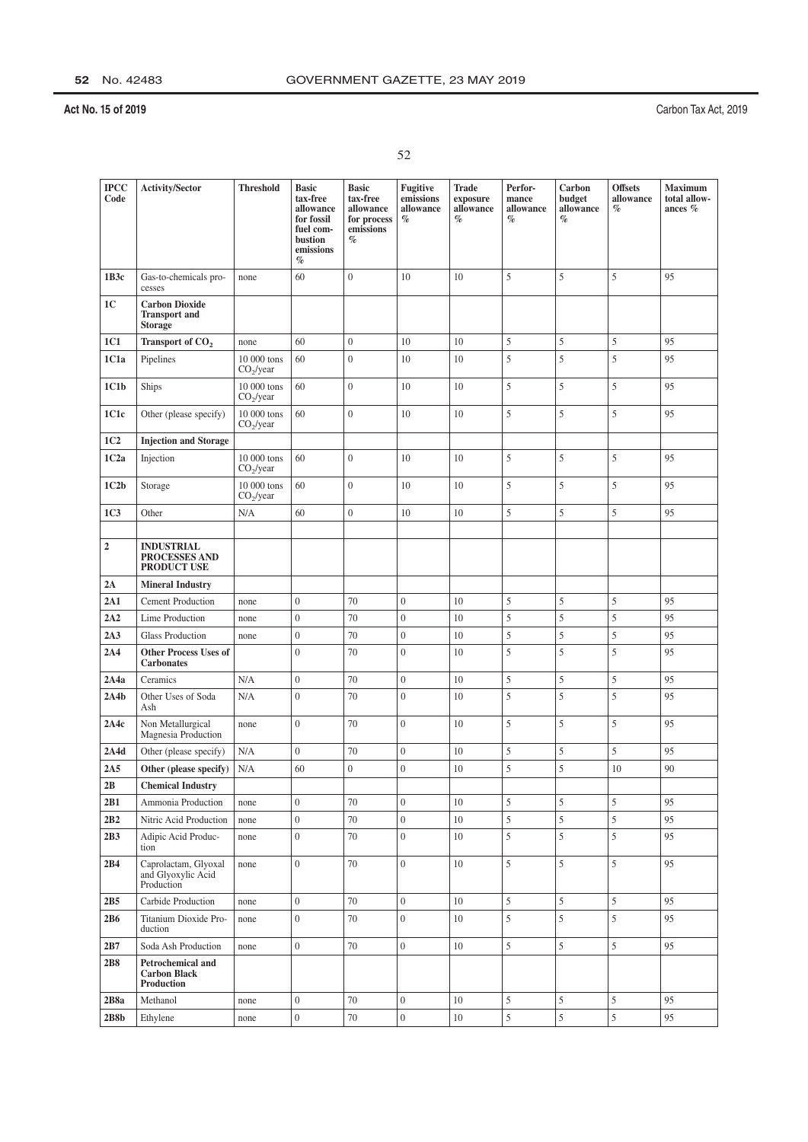| ×<br>×. |  |
|---------|--|
|         |  |

| <b>IPCC</b><br>Code | Activity/Sector                                                 | <b>Threshold</b>                     | <b>Basic</b><br>tax-free<br>allowance<br>for fossil<br>fuel com-<br>bustion<br>emissions<br>$\%$ | <b>Basic</b><br>tax-free<br>allowance<br>for process<br>emissions<br>$\%$ | Fugitive<br>emissions<br>allowance<br>$\%$ | <b>Trade</b><br>exposure<br>allowance<br>$\%$ | Perfor-<br>mance<br>allowance<br>$\%$ | Carbon<br>budget<br>allowance<br>$\%$ | <b>Offsets</b><br>allowance<br>$\%$ | <b>Maximum</b><br>total allow-<br>ances % |
|---------------------|-----------------------------------------------------------------|--------------------------------------|--------------------------------------------------------------------------------------------------|---------------------------------------------------------------------------|--------------------------------------------|-----------------------------------------------|---------------------------------------|---------------------------------------|-------------------------------------|-------------------------------------------|
| 1B3c                | Gas-to-chemicals pro-<br>cesses                                 | none                                 | 60                                                                                               | $\overline{0}$                                                            | 10                                         | 10                                            | 5                                     | 5                                     | 5                                   | 95                                        |
| 1 <sup>C</sup>      | <b>Carbon Dioxide</b><br><b>Transport and</b><br><b>Storage</b> |                                      |                                                                                                  |                                                                           |                                            |                                               |                                       |                                       |                                     |                                           |
| 1C1                 | Transport of CO <sub>2</sub>                                    | none                                 | 60                                                                                               | $\boldsymbol{0}$                                                          | 10                                         | 10                                            | 5                                     | 5                                     | 5                                   | 95                                        |
| 1C1a                | Pipelines                                                       | 10 000 tons<br>$CO_2$ /year          | 60                                                                                               | $\overline{0}$                                                            | 10                                         | 10                                            | 5                                     | 5                                     | 5                                   | 95                                        |
| 1C1b                | Ships                                                           | 10 000 tons<br>CO <sub>2</sub> /year | 60                                                                                               | $\overline{0}$                                                            | 10                                         | 10                                            | 5                                     | 5                                     | 5                                   | 95                                        |
| 1C1c                | Other (please specify)                                          | 10 000 tons<br>CO <sub>2</sub> /year | 60                                                                                               | $\overline{0}$                                                            | 10                                         | 10                                            | 5                                     | 5                                     | 5                                   | 95                                        |
| 1C <sub>2</sub>     | <b>Injection and Storage</b>                                    |                                      |                                                                                                  |                                                                           |                                            |                                               |                                       |                                       |                                     |                                           |
| 1C2a                | Injection                                                       | 10 000 tons<br>CO <sub>2</sub> /year | 60                                                                                               | $\mathbf{0}$                                                              | 10                                         | 10                                            | 5                                     | 5                                     | 5                                   | 95                                        |
| 1C2b                | Storage                                                         | 10 000 tons<br>CO <sub>2</sub> /year | 60                                                                                               | $\boldsymbol{0}$                                                          | 10                                         | 10                                            | 5                                     | 5                                     | 5                                   | 95                                        |
| 1C <sub>3</sub>     | Other                                                           | N/A                                  | 60                                                                                               | $\boldsymbol{0}$                                                          | 10                                         | 10                                            | 5                                     | 5                                     | 5                                   | 95                                        |
|                     |                                                                 |                                      |                                                                                                  |                                                                           |                                            |                                               |                                       |                                       |                                     |                                           |
| $\overline{2}$      | <b>INDUSTRIAL</b><br><b>PROCESSES AND</b><br><b>PRODUCT USE</b> |                                      |                                                                                                  |                                                                           |                                            |                                               |                                       |                                       |                                     |                                           |
| 2A                  | <b>Mineral Industry</b>                                         |                                      |                                                                                                  |                                                                           |                                            |                                               |                                       |                                       |                                     |                                           |
| 2A1                 | <b>Cement Production</b>                                        | none                                 | $\boldsymbol{0}$                                                                                 | 70                                                                        | $\mathbf{0}$                               | 10                                            | 5                                     | 5                                     | 5                                   | 95                                        |
| 2A2                 | Lime Production                                                 | none                                 | $\boldsymbol{0}$                                                                                 | 70                                                                        | $\overline{0}$                             | 10                                            | 5                                     | 5                                     | 5                                   | 95                                        |
| 2A3                 | <b>Glass Production</b>                                         | none                                 | $\boldsymbol{0}$                                                                                 | 70                                                                        | $\overline{0}$                             | 10                                            | 5                                     | 5                                     | 5                                   | 95                                        |
| 2A4                 | <b>Other Process Uses of</b><br><b>Carbonates</b>               |                                      | $\overline{0}$                                                                                   | 70                                                                        | $\mathbf{0}$                               | 10                                            | 5                                     | 5                                     | 5                                   | 95                                        |
| 2A4a                | Ceramics                                                        | N/A                                  | $\overline{0}$                                                                                   | 70                                                                        | $\overline{0}$                             | 10                                            | 5                                     | 5                                     | 5                                   | 95                                        |
| 2A4b                | Other Uses of Soda<br>Ash                                       | N/A                                  | $\boldsymbol{0}$                                                                                 | 70                                                                        | $\overline{0}$                             | 10                                            | 5                                     | 5                                     | 5                                   | 95                                        |
| 2A4c                | Non Metallurgical<br>Magnesia Production                        | none                                 | $\boldsymbol{0}$                                                                                 | 70                                                                        | $\overline{0}$                             | 10                                            | 5                                     | 5                                     | 5                                   | 95                                        |
| 2A4d                | Other (please specify)                                          | N/A                                  | $\boldsymbol{0}$                                                                                 | 70                                                                        | $\mathbf{0}$                               | 10                                            | 5                                     | 5                                     | 5                                   | 95                                        |
| 2A5                 | Other (please specify)                                          | N/A                                  | 60                                                                                               | $\overline{0}$                                                            | $\overline{0}$                             | 10                                            | 5                                     | 5                                     | 10                                  | 90                                        |
| 2B                  | <b>Chemical Industry</b>                                        |                                      |                                                                                                  |                                                                           |                                            |                                               |                                       |                                       |                                     |                                           |
| 2B1                 | Ammonia Production                                              | none                                 | $\boldsymbol{0}$                                                                                 | 70                                                                        | $\overline{0}$                             | 10                                            | 5                                     | 5                                     | 5                                   | 95                                        |
| 2B2                 | Nitric Acid Production                                          | none                                 | $\boldsymbol{0}$                                                                                 | 70                                                                        | $\boldsymbol{0}$                           | 10                                            | 5                                     | 5                                     | 5                                   | 95                                        |
| 2B3                 | Adipic Acid Produc-<br>tion                                     | none                                 | $\boldsymbol{0}$                                                                                 | 70                                                                        | $\overline{0}$                             | 10                                            | 5                                     | 5                                     | 5                                   | 95                                        |
| 2B4                 | Caprolactam, Glyoxal<br>and Glyoxylic Acid<br>Production        | none                                 | $\boldsymbol{0}$                                                                                 | 70                                                                        | $\overline{0}$                             | 10                                            | 5                                     | 5                                     | 5                                   | 95                                        |
| 2B5                 | Carbide Production                                              | none                                 | $\overline{0}$                                                                                   | 70                                                                        | $\overline{0}$                             | 10                                            | 5                                     | 5                                     | 5                                   | 95                                        |
| 2B6                 | Titanium Dioxide Pro-<br>duction                                | none                                 | $\overline{0}$                                                                                   | 70                                                                        | $\mathbf{0}$                               | 10                                            | 5                                     | 5                                     | 5                                   | 95                                        |
| 2B7                 | Soda Ash Production                                             | none                                 | $\overline{0}$                                                                                   | 70                                                                        | $\boldsymbol{0}$                           | 10                                            | 5                                     | 5                                     | 5                                   | 95                                        |
| 2B8                 | Petrochemical and<br><b>Carbon Black</b><br>Production          |                                      |                                                                                                  |                                                                           |                                            |                                               |                                       |                                       |                                     |                                           |
| 2B8a                | Methanol                                                        | none                                 | $\boldsymbol{0}$                                                                                 | 70                                                                        | $\overline{0}$                             | 10                                            | 5                                     | 5                                     | 5                                   | 95                                        |
| 2B8b                | Ethylene                                                        | none                                 | $\overline{0}$                                                                                   | 70                                                                        | $\boldsymbol{0}$                           | 10                                            | 5                                     | 5                                     | 5                                   | 95                                        |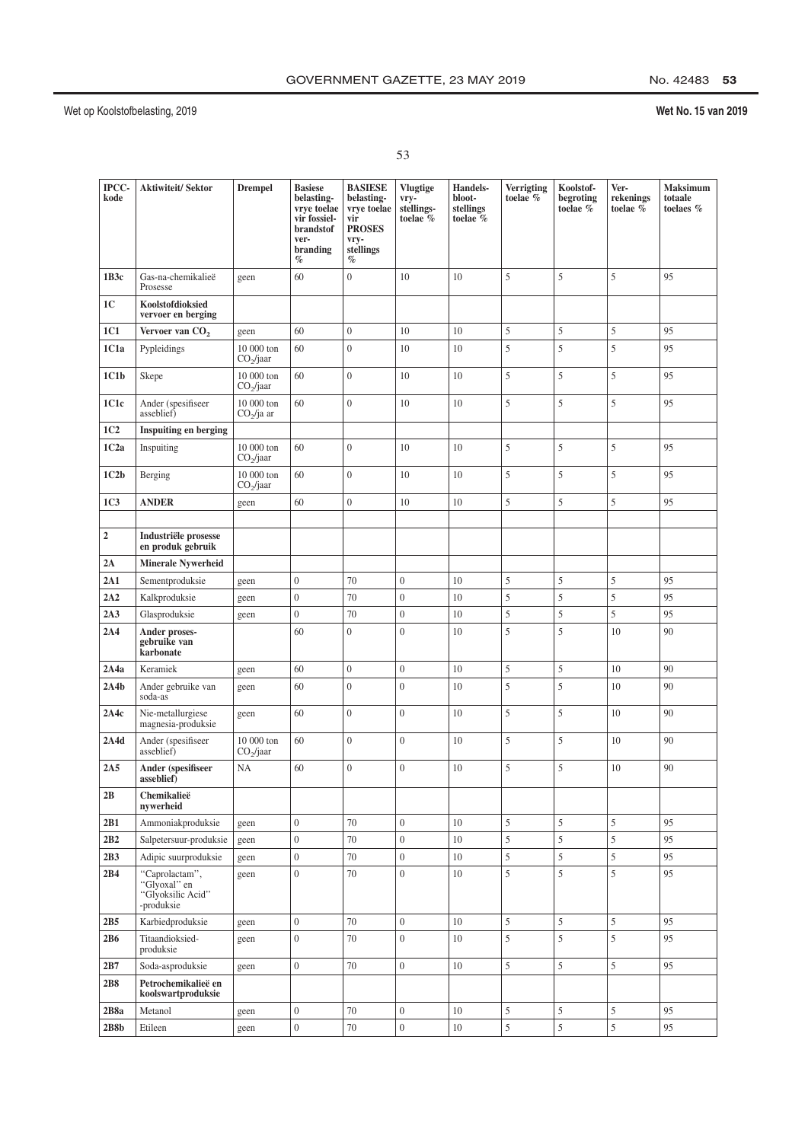| ×.                |                  |
|-------------------|------------------|
| i<br>۰.<br>×<br>٧ | ٦<br>I<br>×<br>v |

| IPCC-<br>kode    | <b>Aktiwiteit/Sektor</b>                                          | <b>Drempel</b>                      | <b>Basiese</b><br>belasting-<br>vrye toelae<br>vir fossiel-<br><b>brandstof</b><br>ver-<br>branding<br>$\%$ | <b>BASIESE</b><br>belasting-<br>vrye toelae<br>vir<br><b>PROSES</b><br>vry-<br>stellings<br>$\%$ | <b>Vlugtige</b><br>vry-<br>stellings-<br>toelae % | Handels-<br>bloot-<br>stellings<br>toelae % | <b>Verrigting</b><br>toelae $%$ | Koolstof-<br>begroting<br>toelae % | Ver-<br>rekenings<br>toelae % | <b>Maksimum</b><br>totaale<br>toelaes % |
|------------------|-------------------------------------------------------------------|-------------------------------------|-------------------------------------------------------------------------------------------------------------|--------------------------------------------------------------------------------------------------|---------------------------------------------------|---------------------------------------------|---------------------------------|------------------------------------|-------------------------------|-----------------------------------------|
| 1B3c             | Gas-na-chemikalieë<br>Prosesse                                    | geen                                | 60                                                                                                          | $\boldsymbol{0}$                                                                                 | 10                                                | 10                                          | 5                               | 5                                  | 5                             | 95                                      |
| 1 <sub>C</sub>   | Koolstofdioksied<br>vervoer en berging                            |                                     |                                                                                                             |                                                                                                  |                                                   |                                             |                                 |                                    |                               |                                         |
| 1C1              | Vervoer van CO <sub>2</sub>                                       | geen                                | 60                                                                                                          | $\overline{0}$                                                                                   | 10                                                | 10                                          | 5                               | $\sqrt{5}$                         | 5                             | 95                                      |
| 1C1a             | Pypleidings                                                       | 10 000 ton<br>CO <sub>2</sub> /jaar | 60                                                                                                          | $\mathbf{0}$                                                                                     | 10                                                | 10                                          | 5                               | 5                                  | 5                             | 95                                      |
| 1C1b             | Skepe                                                             | 10 000 ton<br>CO <sub>2</sub> /jaar | 60                                                                                                          | $\overline{0}$                                                                                   | 10                                                | 10                                          | 5                               | 5                                  | 5                             | 95                                      |
| 1C1c             | Ander (spesifiseer<br>asseblief)                                  | 10 000 ton<br>$CO2/ja$ ar           | 60                                                                                                          | $\overline{0}$                                                                                   | 10                                                | 10                                          | 5                               | 5                                  | 5                             | 95                                      |
| 1C <sub>2</sub>  | Inspuiting en berging                                             |                                     |                                                                                                             |                                                                                                  |                                                   |                                             |                                 |                                    |                               |                                         |
| 1C2a             | Inspuiting                                                        | 10 000 ton<br>CO <sub>2</sub> /jaar | 60                                                                                                          | $\mathbf{0}$                                                                                     | 10                                                | 10                                          | 5                               | 5                                  | 5                             | 95                                      |
| 1C2b             | Berging                                                           | 10 000 ton<br>CO <sub>2</sub> /jaar | 60                                                                                                          | $\overline{0}$                                                                                   | 10                                                | 10                                          | 5                               | 5                                  | 5                             | 95                                      |
| 1C <sub>3</sub>  | <b>ANDER</b>                                                      | geen                                | 60                                                                                                          | $\boldsymbol{0}$                                                                                 | 10                                                | 10                                          | 5                               | 5                                  | 5                             | 95                                      |
|                  |                                                                   |                                     |                                                                                                             |                                                                                                  |                                                   |                                             |                                 |                                    |                               |                                         |
| $\boldsymbol{2}$ | Industriële prosesse<br>en produk gebruik                         |                                     |                                                                                                             |                                                                                                  |                                                   |                                             |                                 |                                    |                               |                                         |
| 2A               | <b>Minerale Nywerheid</b>                                         |                                     |                                                                                                             |                                                                                                  |                                                   |                                             |                                 |                                    |                               |                                         |
| 2A1              | Sementproduksie                                                   | geen                                | $\mathbf{0}$                                                                                                | 70                                                                                               | $\boldsymbol{0}$                                  | 10                                          | 5                               | 5                                  | 5                             | 95                                      |
| 2A2              | Kalkproduksie                                                     | geen                                | $\boldsymbol{0}$                                                                                            | 70                                                                                               | $\mathbf{0}$                                      | 10                                          | 5                               | 5                                  | 5                             | 95                                      |
| 2A3              | Glasproduksie                                                     | geen                                | $\overline{0}$                                                                                              | 70                                                                                               | $\mathbf{0}$                                      | 10                                          | 5                               | $\sqrt{5}$                         | 5                             | 95                                      |
| 2A4              | Ander proses-<br>gebruike van<br>karbonate                        |                                     | 60                                                                                                          | $\overline{0}$                                                                                   | $\overline{0}$                                    | 10                                          | 5                               | 5                                  | 10                            | 90                                      |
| 2A4a             | Keramiek                                                          | geen                                | 60                                                                                                          | $\boldsymbol{0}$                                                                                 | $\boldsymbol{0}$                                  | 10                                          | 5                               | $\sqrt{5}$                         | 10                            | 90                                      |
| 2A4b             | Ander gebruike van<br>soda-as                                     | geen                                | 60                                                                                                          | $\overline{0}$                                                                                   | $\overline{0}$                                    | 10                                          | 5                               | 5                                  | 10                            | 90                                      |
| 2A4c             | Nie-metallurgiese<br>magnesia-produksie                           | geen                                | 60                                                                                                          | $\overline{0}$                                                                                   | $\overline{0}$                                    | 10                                          | 5                               | 5                                  | 10                            | 90                                      |
| 2A4d             | Ander (spesifiseer<br>asseblief)                                  | 10 000 ton<br>CO <sub>2</sub> /jaar | 60                                                                                                          | $\overline{0}$                                                                                   | $\boldsymbol{0}$                                  | 10                                          | 5                               | 5                                  | 10                            | 90                                      |
| 2A5              | Ander (spesifiseer<br>asseblief)                                  | <b>NA</b>                           | 60                                                                                                          | $\overline{0}$                                                                                   | $\mathbf{0}$                                      | 10                                          | 5                               | 5                                  | 10                            | 90                                      |
| 2B               | Chemikalieë<br>nvwerheid                                          |                                     |                                                                                                             |                                                                                                  |                                                   |                                             |                                 |                                    |                               |                                         |
| 2B1              | Ammoniakproduksie                                                 | geen                                | $\boldsymbol{0}$                                                                                            | 70                                                                                               | $\boldsymbol{0}$                                  | 10                                          | 5                               | 5                                  | 5                             | 95                                      |
| 2B2              | Salpetersuur-produksie                                            | geen                                | $\boldsymbol{0}$                                                                                            | 70                                                                                               | $\boldsymbol{0}$                                  | 10                                          | 5                               | $\overline{5}$                     | 5                             | 95                                      |
| 2B3              | Adipic suurproduksie                                              | geen                                | $\boldsymbol{0}$                                                                                            | 70                                                                                               | $\boldsymbol{0}$                                  | 10                                          | 5                               | $\sqrt{5}$                         | 5                             | 95                                      |
| 2B4              | "Caprolactam",<br>"Glyoxal" en<br>"Glyoksilic Acid"<br>-produksie | geen                                | $\boldsymbol{0}$                                                                                            | 70                                                                                               | $\overline{0}$                                    | 10                                          | 5                               | $\overline{5}$                     | 5                             | 95                                      |
| 2B5              | Karbiedproduksie                                                  | geen                                | $\boldsymbol{0}$                                                                                            | 70                                                                                               | $\boldsymbol{0}$                                  | 10                                          | 5                               | $\sqrt{5}$                         | 5                             | 95                                      |
| 2B6              | Titaandioksied-<br>produksie                                      | geen                                | $\boldsymbol{0}$                                                                                            | 70                                                                                               | $\overline{0}$                                    | 10                                          | 5                               | 5                                  | 5                             | 95                                      |
| 2B7              | Soda-asproduksie                                                  | geen                                | $\boldsymbol{0}$                                                                                            | $70\,$                                                                                           | $\boldsymbol{0}$                                  | $10\,$                                      | 5                               | $\mathfrak s$                      | 5                             | 95                                      |
| 2B8              | Petrochemikalieë en<br>koolswartproduksie                         |                                     |                                                                                                             |                                                                                                  |                                                   |                                             |                                 |                                    |                               |                                         |
| 2B8a             | Metanol                                                           | geen                                | $\boldsymbol{0}$                                                                                            | 70                                                                                               | $\boldsymbol{0}$                                  | 10                                          | 5                               | $\sqrt{5}$                         | 5                             | 95                                      |
| 2B8b             | Etileen                                                           | geen                                | $\boldsymbol{0}$                                                                                            | $70\,$                                                                                           | $\boldsymbol{0}$                                  | 10                                          | 5                               | 5                                  | 5                             | 95                                      |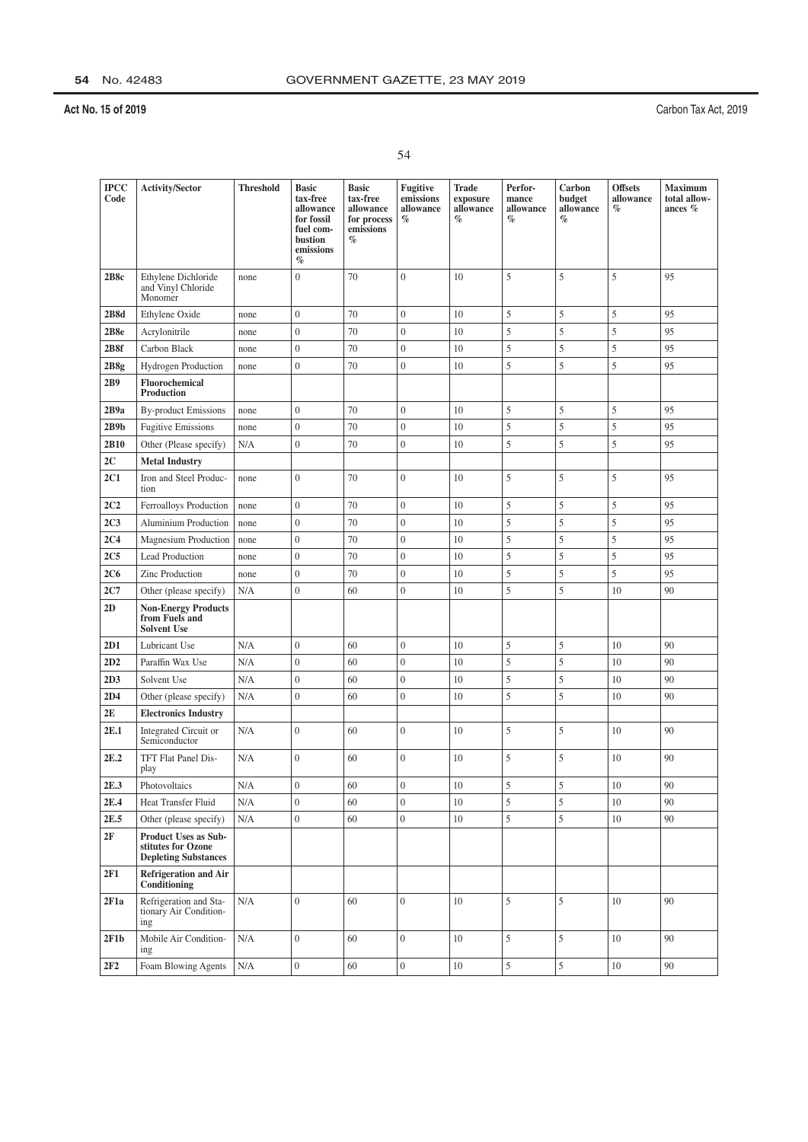| ×. | ×, |
|----|----|
|    |    |
|    |    |

| <b>IPCC</b><br>Code | <b>Activity/Sector</b>                                                           | <b>Threshold</b> | <b>Basic</b><br>tax-free<br>allowance<br>for fossil<br>fuel com-<br>bustion<br>emissions<br>$\%$ | <b>Basic</b><br>tax-free<br>allowance<br>for process<br>emissions<br>% | Fugitive<br>emissions<br>allowance<br>$\%$ | <b>Trade</b><br>exposure<br>allowance<br>$\%$ | Perfor-<br>mance<br>allowance<br>$\%$ | Carbon<br>budget<br>allowance<br>$\%$ | <b>Offsets</b><br>allowance<br>$\%$ | <b>Maximum</b><br>total allow-<br>ances $%$ |
|---------------------|----------------------------------------------------------------------------------|------------------|--------------------------------------------------------------------------------------------------|------------------------------------------------------------------------|--------------------------------------------|-----------------------------------------------|---------------------------------------|---------------------------------------|-------------------------------------|---------------------------------------------|
| 2B8c                | Ethylene Dichloride<br>and Vinyl Chloride<br>Monomer                             | none             | $\boldsymbol{0}$                                                                                 | 70                                                                     | $\overline{0}$                             | 10                                            | 5                                     | 5                                     | 5                                   | 95                                          |
| 2B8d                | Ethylene Oxide                                                                   | none             | $\boldsymbol{0}$                                                                                 | 70                                                                     | $\boldsymbol{0}$                           | 10                                            | 5                                     | 5                                     | 5                                   | 95                                          |
| 2B8e                | Acrylonitrile                                                                    | none             | $\boldsymbol{0}$                                                                                 | 70                                                                     | $\overline{0}$                             | 10                                            | 5                                     | 5                                     | 5                                   | 95                                          |
| 2B8f                | Carbon Black                                                                     | none             | $\boldsymbol{0}$                                                                                 | 70                                                                     | $\boldsymbol{0}$                           | 10                                            | 5                                     | 5                                     | 5                                   | 95                                          |
| 2B8g                | Hydrogen Production                                                              | none             | $\boldsymbol{0}$                                                                                 | 70                                                                     | $\overline{0}$                             | 10                                            | 5                                     | 5                                     | 5                                   | 95                                          |
| 2B9                 | Fluorochemical<br>Production                                                     |                  |                                                                                                  |                                                                        |                                            |                                               |                                       |                                       |                                     |                                             |
| 2B9a                | <b>By-product Emissions</b>                                                      | none             | $\boldsymbol{0}$                                                                                 | 70                                                                     | $\boldsymbol{0}$                           | 10                                            | 5                                     | 5                                     | 5                                   | 95                                          |
| 2B9b                | <b>Fugitive Emissions</b>                                                        | none             | $\boldsymbol{0}$                                                                                 | 70                                                                     | $\boldsymbol{0}$                           | 10                                            | 5                                     | 5                                     | 5                                   | 95                                          |
| 2B10                | Other (Please specify)                                                           | N/A              | $\boldsymbol{0}$                                                                                 | 70                                                                     | $\mathbf{0}$                               | 10                                            | 5                                     | 5                                     | 5                                   | 95                                          |
| 2C                  | <b>Metal Industry</b>                                                            |                  |                                                                                                  |                                                                        |                                            |                                               |                                       |                                       |                                     |                                             |
| 2C1                 | Iron and Steel Produc-<br>tion                                                   | none             | $\overline{0}$                                                                                   | 70                                                                     | $\mathbf{0}$                               | 10                                            | 5                                     | 5                                     | 5                                   | 95                                          |
| 2C2                 | Ferroalloys Production                                                           | none             | $\boldsymbol{0}$                                                                                 | 70                                                                     | $\boldsymbol{0}$                           | 10                                            | 5                                     | 5                                     | 5                                   | 95                                          |
| 2C <sub>3</sub>     | Aluminium Production                                                             | none             | $\boldsymbol{0}$                                                                                 | 70                                                                     | $\overline{0}$                             | 10                                            | 5                                     | 5                                     | 5                                   | 95                                          |
| 2C <sub>4</sub>     | Magnesium Production                                                             | none             | $\boldsymbol{0}$                                                                                 | 70                                                                     | $\boldsymbol{0}$                           | 10                                            | 5                                     | 5                                     | 5                                   | 95                                          |
| 2C <sub>5</sub>     | Lead Production                                                                  | none             | $\boldsymbol{0}$                                                                                 | 70                                                                     | $\boldsymbol{0}$                           | 10                                            | 5                                     | 5                                     | 5                                   | 95                                          |
| 2C6                 | Zinc Production                                                                  | none             | $\boldsymbol{0}$                                                                                 | 70                                                                     | $\boldsymbol{0}$                           | 10                                            | 5                                     | 5                                     | 5                                   | 95                                          |
| 2C7                 | Other (please specify)                                                           | N/A              | $\boldsymbol{0}$                                                                                 | 60                                                                     | $\boldsymbol{0}$                           | 10                                            | 5                                     | 5                                     | 10                                  | 90                                          |
| 2D                  | <b>Non-Energy Products</b><br>from Fuels and<br><b>Solvent Use</b>               |                  |                                                                                                  |                                                                        |                                            |                                               |                                       |                                       |                                     |                                             |
| 2D1                 | Lubricant Use                                                                    | N/A              | $\boldsymbol{0}$                                                                                 | 60                                                                     | $\boldsymbol{0}$                           | 10                                            | 5                                     | 5                                     | 10                                  | 90                                          |
| 2D2                 | Paraffin Wax Use                                                                 | N/A              | $\boldsymbol{0}$                                                                                 | 60                                                                     | $\boldsymbol{0}$                           | 10                                            | 5                                     | 5                                     | 10                                  | 90                                          |
| 2D3                 | Solvent Use                                                                      | N/A              | $\boldsymbol{0}$                                                                                 | 60                                                                     | $\boldsymbol{0}$                           | 10                                            | 5                                     | 5                                     | 10                                  | 90                                          |
| 2D4                 | Other (please specify)                                                           | N/A              | $\boldsymbol{0}$                                                                                 | 60                                                                     | $\boldsymbol{0}$                           | 10                                            | 5                                     | 5                                     | 10                                  | 90                                          |
| 2E                  | <b>Electronics Industry</b>                                                      |                  |                                                                                                  |                                                                        |                                            |                                               |                                       |                                       |                                     |                                             |
| 2E.1                | Integrated Circuit or<br>Semiconductor                                           | N/A              | $\boldsymbol{0}$                                                                                 | 60                                                                     | $\boldsymbol{0}$                           | 10                                            | 5                                     | 5                                     | 10                                  | 90                                          |
| 2E.2                | TFT Flat Panel Dis-<br>play                                                      | N/A              | $\boldsymbol{0}$                                                                                 | 60                                                                     | $\boldsymbol{0}$                           | 10                                            | 5                                     | 5                                     | 10                                  | 90                                          |
| 2E.3                | Photovoltaics                                                                    | $\rm N/A$        | $\boldsymbol{0}$                                                                                 | 60                                                                     | $\boldsymbol{0}$                           | $10\,$                                        | 5                                     | 5                                     | $10\,$                              | 90                                          |
| 2E.4                | Heat Transfer Fluid                                                              | N/A              | $\boldsymbol{0}$                                                                                 | 60                                                                     | $\boldsymbol{0}$                           | 10                                            | 5                                     | $\sqrt{5}$                            | 10                                  | 90                                          |
| 2E.5                | Other (please specify)                                                           | N/A              | $\boldsymbol{0}$                                                                                 | 60                                                                     | $\overline{0}$                             | 10                                            | 5                                     | 5                                     | 10                                  | 90                                          |
| 2F                  | <b>Product Uses as Sub-</b><br>stitutes for Ozone<br><b>Depleting Substances</b> |                  |                                                                                                  |                                                                        |                                            |                                               |                                       |                                       |                                     |                                             |
| 2F1                 | Refrigeration and Air<br>Conditioning                                            |                  |                                                                                                  |                                                                        |                                            |                                               |                                       |                                       |                                     |                                             |
| 2F1a                | Refrigeration and Sta-<br>tionary Air Condition-<br>ing                          | N/A              | $\boldsymbol{0}$                                                                                 | 60                                                                     | $\boldsymbol{0}$                           | 10                                            | 5                                     | $\sqrt{5}$                            | 10                                  | 90                                          |
| 2F1b                | Mobile Air Condition-<br>ing                                                     | N/A              | $\boldsymbol{0}$                                                                                 | 60                                                                     | $\boldsymbol{0}$                           | 10                                            | 5                                     | 5                                     | 10                                  | 90                                          |
| 2F2                 | Foam Blowing Agents                                                              | N/A              | $\boldsymbol{0}$                                                                                 | 60                                                                     | $\boldsymbol{0}$                           | $10\,$                                        | $\mathfrak s$                         | $\sqrt{5}$                            | 10                                  | $90\,$                                      |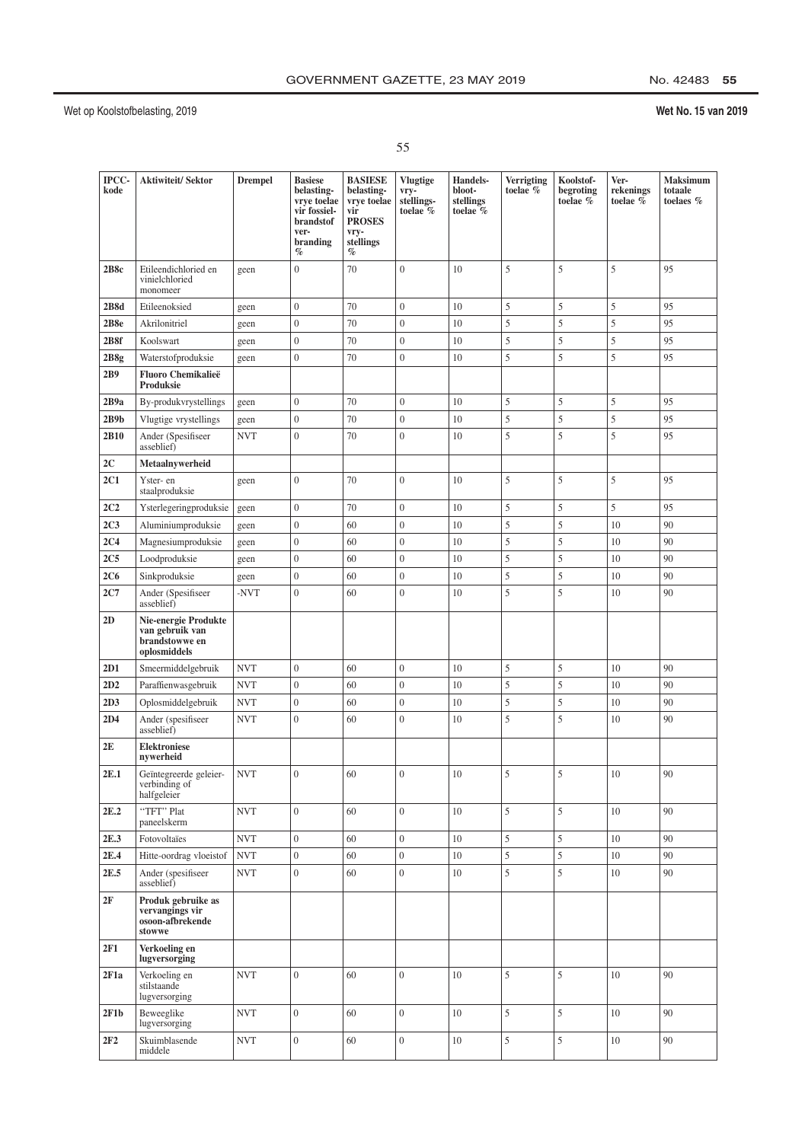## No. 42483 55

| ×. |  |
|----|--|
|    |  |
|    |  |

| IPCC-<br>kode   | <b>Aktiwiteit/Sektor</b>                                                  | <b>Drempel</b> | <b>Basiese</b><br>belasting-<br>vrye toelae<br>vir fossiel-<br><b>brandstof</b><br>ver-<br>branding<br>$\%$ | <b>BASIESE</b><br>belasting-<br>vrye toelae<br>vir<br><b>PROSES</b><br>vry-<br>stellings<br>$\%$ | <b>Vlugtige</b><br>vry-<br>stellings-<br>toelae % | <b>Handels-</b><br>bloot-<br>stellings<br>toelae % | Verrigting<br>toelae % | Koolstof-<br>begroting<br>toelae % | Ver-<br>rekenings<br>toelae % | Maksimum<br>totaale<br>toelaes % |
|-----------------|---------------------------------------------------------------------------|----------------|-------------------------------------------------------------------------------------------------------------|--------------------------------------------------------------------------------------------------|---------------------------------------------------|----------------------------------------------------|------------------------|------------------------------------|-------------------------------|----------------------------------|
| 2B8c            | Etileendichloried en<br>vinielchloried<br>monomeer                        | geen           | $\overline{0}$                                                                                              | 70                                                                                               | $\boldsymbol{0}$                                  | 10                                                 | 5                      | 5                                  | 5                             | 95                               |
| 2B8d            | Etileenoksied                                                             | geen           | $\boldsymbol{0}$                                                                                            | 70                                                                                               | $\boldsymbol{0}$                                  | 10                                                 | 5                      | 5                                  | 5                             | 95                               |
| 2B8e            | Akrilonitriel                                                             | geen           | $\boldsymbol{0}$                                                                                            | 70                                                                                               | $\boldsymbol{0}$                                  | 10                                                 | 5                      | 5                                  | 5                             | 95                               |
| 2B8f            | Koolswart                                                                 | geen           | $\boldsymbol{0}$                                                                                            | 70                                                                                               | $\boldsymbol{0}$                                  | 10                                                 | 5                      | 5                                  | 5                             | 95                               |
| 2B8g            | Waterstofproduksie                                                        | geen           | $\mathbf{0}$                                                                                                | 70                                                                                               | $\overline{0}$                                    | 10                                                 | 5                      | 5                                  | 5                             | 95                               |
| 2B9             | <b>Fluoro Chemikalieë</b><br>Produksie                                    |                |                                                                                                             |                                                                                                  |                                                   |                                                    |                        |                                    |                               |                                  |
| 2B9a            | By-produkvrystellings                                                     | geen           | $\boldsymbol{0}$                                                                                            | 70                                                                                               | $\boldsymbol{0}$                                  | 10                                                 | 5                      | 5                                  | 5                             | 95                               |
| 2B9b            | Vlugtige vrystellings                                                     | geen           | $\boldsymbol{0}$                                                                                            | 70                                                                                               | $\mathbf{0}$                                      | 10                                                 | 5                      | 5                                  | 5                             | 95                               |
| 2B10            | Ander (Spesifiseer<br>asseblief)                                          | <b>NVT</b>     | $\overline{0}$                                                                                              | 70                                                                                               | $\overline{0}$                                    | 10                                                 | 5                      | 5                                  | 5                             | 95                               |
| 2C              | Metaalnvwerheid                                                           |                |                                                                                                             |                                                                                                  |                                                   |                                                    |                        |                                    |                               |                                  |
| 2C1             | Yster- en<br>staalproduksie                                               | geen           | $\boldsymbol{0}$                                                                                            | 70                                                                                               | $\boldsymbol{0}$                                  | 10                                                 | 5                      | 5                                  | 5                             | 95                               |
| 2C2             | Ysterlegeringproduksie                                                    | geen           | $\boldsymbol{0}$                                                                                            | 70                                                                                               | $\boldsymbol{0}$                                  | 10                                                 | 5                      | 5                                  | 5                             | 95                               |
| 2C <sub>3</sub> | Aluminiumproduksie                                                        | geen           | $\boldsymbol{0}$                                                                                            | 60                                                                                               | $\overline{0}$                                    | 10                                                 | 5                      | 5                                  | 10                            | 90                               |
| 2C <sub>4</sub> | Magnesiumproduksie                                                        | geen           | $\boldsymbol{0}$                                                                                            | 60                                                                                               | $\overline{0}$                                    | 10                                                 | 5                      | 5                                  | 10                            | 90                               |
| 2C <sub>5</sub> | Loodproduksie                                                             | geen           | $\boldsymbol{0}$                                                                                            | 60                                                                                               | $\overline{0}$                                    | 10                                                 | 5                      | 5                                  | 10                            | 90                               |
| 2C6             | Sinkproduksie                                                             | geen           | $\boldsymbol{0}$                                                                                            | 60                                                                                               | $\overline{0}$                                    | 10                                                 | 5                      | 5                                  | 10                            | 90                               |
| 2C7             | Ander (Spesifiseer<br>asseblief)                                          | -NVT           | $\boldsymbol{0}$                                                                                            | 60                                                                                               | $\boldsymbol{0}$                                  | 10                                                 | 5                      | 5                                  | 10                            | 90                               |
| 2D              | Nie-energie Produkte<br>van gebruik van<br>brandstowwe en<br>oplosmiddels |                |                                                                                                             |                                                                                                  |                                                   |                                                    |                        |                                    |                               |                                  |
| 2D1             | Smeermiddelgebruik                                                        | <b>NVT</b>     | $\boldsymbol{0}$                                                                                            | 60                                                                                               | $\boldsymbol{0}$                                  | 10                                                 | 5                      | 5                                  | 10                            | 90                               |
| 2D2             | Paraffienwasgebruik                                                       | <b>NVT</b>     | $\boldsymbol{0}$                                                                                            | 60                                                                                               | $\boldsymbol{0}$                                  | 10                                                 | 5                      | 5                                  | 10                            | 90                               |
| 2D3             | Oplosmiddelgebruik                                                        | <b>NVT</b>     | $\boldsymbol{0}$                                                                                            | 60                                                                                               | $\boldsymbol{0}$                                  | 10                                                 | 5                      | 5                                  | 10                            | 90                               |
| 2D4             | Ander (spesifiseer<br>asseblief)                                          | <b>NVT</b>     | $\overline{0}$                                                                                              | 60                                                                                               | $\overline{0}$                                    | 10                                                 | 5                      | 5                                  | 10                            | 90                               |
| 2E              | <b>Elektroniese</b><br>nywerheid                                          |                |                                                                                                             |                                                                                                  |                                                   |                                                    |                        |                                    |                               |                                  |
| 2E.1            | Geïntegreerde geleier-<br>verbinding of<br>halfgeleier                    | <b>NVT</b>     | $\overline{0}$                                                                                              | 60                                                                                               | $\overline{0}$                                    | 10                                                 | 5                      | 5                                  | 10                            | 90                               |
| 2E.2            | "TFT" Plat<br>paneelskerm                                                 | <b>NVT</b>     | $\overline{0}$                                                                                              | 60                                                                                               | $\overline{0}$                                    | 10                                                 | 5                      | 5                                  | 10                            | 90                               |
| 2E.3            | Fotovoltaïes                                                              | <b>NVT</b>     | $\boldsymbol{0}$                                                                                            | 60                                                                                               | $\overline{0}$                                    | 10                                                 | 5                      | 5                                  | 10                            | 90                               |
| 2E.4            | Hitte-oordrag vloeistof                                                   | <b>NVT</b>     | $\overline{0}$                                                                                              | 60                                                                                               | $\overline{0}$                                    | 10                                                 | 5                      | 5                                  | 10                            | 90                               |
| 2E.5            | Ander (spesifiseer<br>asseblief)                                          | <b>NVT</b>     | $\boldsymbol{0}$                                                                                            | 60                                                                                               | $\overline{0}$                                    | 10                                                 | 5                      | 5                                  | 10                            | 90                               |
| 2F              | Produk gebruike as<br>vervangings vir<br>osoon-afbrekende<br>stowwe       |                |                                                                                                             |                                                                                                  |                                                   |                                                    |                        |                                    |                               |                                  |
| 2F1             | Verkoeling en<br>lugversorging                                            |                |                                                                                                             |                                                                                                  |                                                   |                                                    |                        |                                    |                               |                                  |
| 2F1a            | Verkoeling en<br>stilstaande<br>lugversorging                             | <b>NVT</b>     | $\boldsymbol{0}$                                                                                            | 60                                                                                               | $\boldsymbol{0}$                                  | 10                                                 | 5                      | 5                                  | 10                            | 90                               |
| 2F1b            | Beweeglike<br>lugversorging                                               | <b>NVT</b>     | $\boldsymbol{0}$                                                                                            | 60                                                                                               | $\overline{0}$                                    | 10                                                 | 5                      | 5                                  | 10                            | 90                               |
| 2F2             | Skuimblasende<br>middele                                                  | <b>NVT</b>     | $\boldsymbol{0}$                                                                                            | 60                                                                                               | $\overline{0}$                                    | 10                                                 | 5                      | 5                                  | 10                            | 90                               |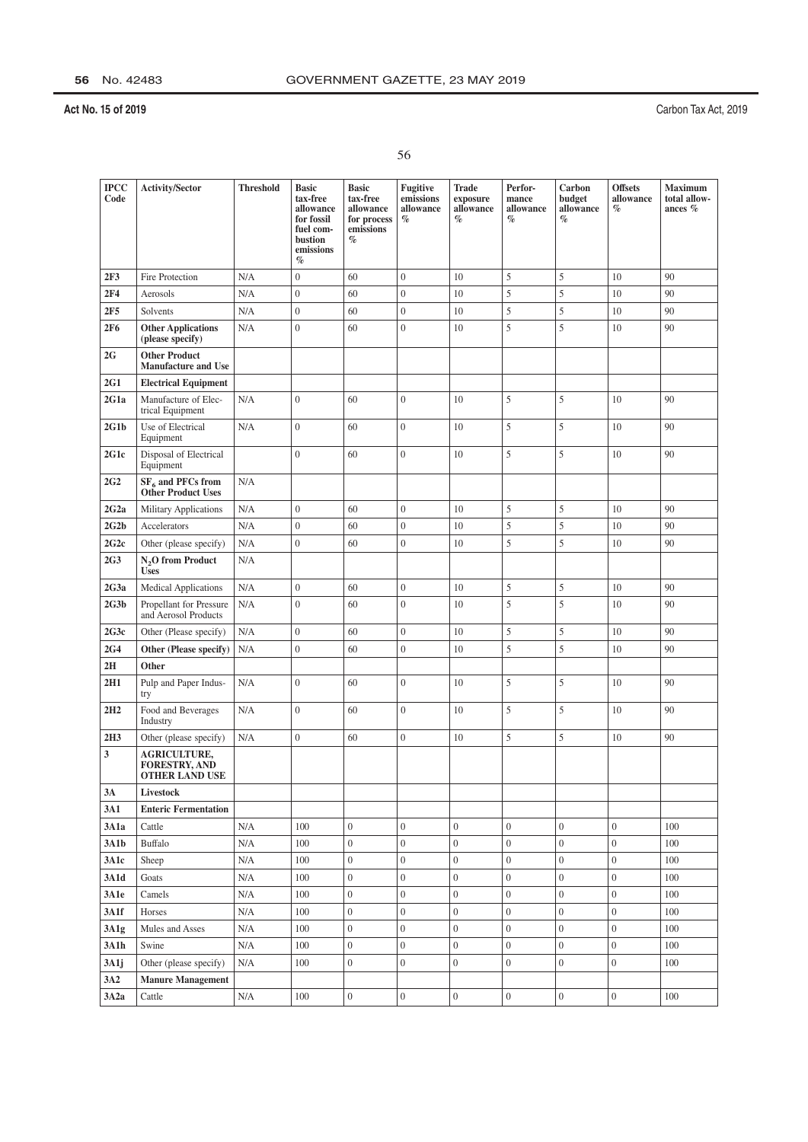|         | ٠  |
|---------|----|
| ×.      |    |
| i<br>۰. | ۰. |

| <b>IPCC</b><br>Code | <b>Activity/Sector</b>                                               | <b>Threshold</b> | <b>Basic</b><br>tax-free<br>allowance<br>for fossil<br>fuel com-<br>bustion<br>emissions<br>$\%$ | <b>Basic</b><br>tax-free<br>allowance<br>for process<br>emissions<br>$\%$ | Fugitive<br>emissions<br>allowance<br>$\%$ | Trade<br>exposure<br>allowance<br>$\%$ | Perfor-<br>mance<br>allowance<br>$\%$ | Carbon<br>budget<br>allowance<br>$\%$ | <b>Offsets</b><br>allowance<br>$\%$ | <b>Maximum</b><br>total allow-<br>ances $%$ |
|---------------------|----------------------------------------------------------------------|------------------|--------------------------------------------------------------------------------------------------|---------------------------------------------------------------------------|--------------------------------------------|----------------------------------------|---------------------------------------|---------------------------------------|-------------------------------------|---------------------------------------------|
| 2F3                 | Fire Protection                                                      | N/A              | $\boldsymbol{0}$                                                                                 | 60                                                                        | $\mathbf{0}$                               | 10                                     | 5                                     | 5                                     | 10                                  | 90                                          |
| 2F4                 | Aerosols                                                             | N/A              | $\overline{0}$                                                                                   | 60                                                                        | $\overline{0}$                             | 10                                     | 5                                     | 5                                     | 10                                  | 90                                          |
| 2F5                 | Solvents                                                             | N/A              | $\boldsymbol{0}$                                                                                 | 60                                                                        | $\boldsymbol{0}$                           | 10                                     | 5                                     | 5                                     | 10                                  | 90                                          |
| <b>2F6</b>          | <b>Other Applications</b><br>(please specify)                        | N/A              | $\overline{0}$                                                                                   | 60                                                                        | $\overline{0}$                             | 10                                     | 5                                     | 5                                     | 10                                  | 90                                          |
| 2G                  | <b>Other Product</b><br><b>Manufacture and Use</b>                   |                  |                                                                                                  |                                                                           |                                            |                                        |                                       |                                       |                                     |                                             |
| 2G1                 | <b>Electrical Equipment</b>                                          |                  |                                                                                                  |                                                                           |                                            |                                        |                                       |                                       |                                     |                                             |
| 2G1a                | Manufacture of Elec-<br>trical Equipment                             | N/A              | $\overline{0}$                                                                                   | 60                                                                        | $\overline{0}$                             | 10                                     | 5                                     | 5                                     | 10                                  | 90                                          |
| 2G1b                | Use of Electrical<br>Equipment                                       | N/A              | $\mathbf{0}$                                                                                     | 60                                                                        | $\mathbf{0}$                               | 10                                     | 5                                     | 5                                     | 10                                  | 90                                          |
| 2G1c                | Disposal of Electrical<br>Equipment                                  |                  | $\overline{0}$                                                                                   | 60                                                                        | $\overline{0}$                             | 10                                     | 5                                     | 5                                     | 10                                  | 90                                          |
| 2G <sub>2</sub>     | SF <sub>6</sub> and PFCs from<br>Other Product Uses                  | N/A              |                                                                                                  |                                                                           |                                            |                                        |                                       |                                       |                                     |                                             |
| 2G2a                | <b>Military Applications</b>                                         | N/A              | $\overline{0}$                                                                                   | 60                                                                        | $\mathbf{0}$                               | 10                                     | 5                                     | 5                                     | 10                                  | 90                                          |
| 2G2b                | Accelerators                                                         | N/A              | $\boldsymbol{0}$                                                                                 | 60                                                                        | $\boldsymbol{0}$                           | 10                                     | 5                                     | 5                                     | 10                                  | 90                                          |
| 2G2c                | Other (please specify)                                               | N/A              | $\overline{0}$                                                                                   | 60                                                                        | $\boldsymbol{0}$                           | 10                                     | 5                                     | 5                                     | 10                                  | 90                                          |
| 2G <sub>3</sub>     | N <sub>2</sub> O from Product<br><b>Uses</b>                         | N/A              |                                                                                                  |                                                                           |                                            |                                        |                                       |                                       |                                     |                                             |
| 2G3a                | <b>Medical Applications</b>                                          | N/A              | $\boldsymbol{0}$                                                                                 | 60                                                                        | $\overline{0}$                             | 10                                     | 5                                     | 5                                     | 10                                  | 90                                          |
| 2G3b                | Propellant for Pressure<br>and Aerosol Products                      | N/A              | $\overline{0}$                                                                                   | 60                                                                        | $\mathbf{0}$                               | 10                                     | 5                                     | 5                                     | 10                                  | 90                                          |
| 2G3c                | Other (Please specify)                                               | N/A              | $\boldsymbol{0}$                                                                                 | 60                                                                        | $\boldsymbol{0}$                           | 10                                     | 5                                     | 5                                     | 10                                  | 90                                          |
| 2G4                 | Other (Please specify)                                               | N/A              | $\overline{0}$                                                                                   | 60                                                                        | $\boldsymbol{0}$                           | 10                                     | 5                                     | 5                                     | 10                                  | 90                                          |
| 2H                  | Other                                                                |                  |                                                                                                  |                                                                           |                                            |                                        |                                       |                                       |                                     |                                             |
| 2H1                 | Pulp and Paper Indus-<br>try                                         | N/A              | $\overline{0}$                                                                                   | 60                                                                        | $\mathbf{0}$                               | 10                                     | 5                                     | 5                                     | 10                                  | 90                                          |
| 2H2                 | Food and Beverages<br>Industry                                       | N/A              | $\overline{0}$                                                                                   | 60                                                                        | $\overline{0}$                             | 10                                     | 5                                     | 5                                     | 10                                  | 90                                          |
| 2H3                 | Other (please specify)                                               | N/A              | $\boldsymbol{0}$                                                                                 | 60                                                                        | $\boldsymbol{0}$                           | 10                                     | 5                                     | 5                                     | 10                                  | 90                                          |
| 3                   | <b>AGRICULTURE,</b><br><b>FORESTRY, AND</b><br><b>OTHER LAND USE</b> |                  |                                                                                                  |                                                                           |                                            |                                        |                                       |                                       |                                     |                                             |
| 3A                  | Livestock                                                            |                  |                                                                                                  |                                                                           |                                            |                                        |                                       |                                       |                                     |                                             |
| 3A1                 | <b>Enteric Fermentation</b>                                          |                  |                                                                                                  |                                                                           |                                            |                                        |                                       |                                       |                                     |                                             |
| 3A1a                | Cattle                                                               | N/A              | 100                                                                                              | $\mathbf{0}$                                                              | $\overline{0}$                             | $\overline{0}$                         | $\overline{0}$                        | $\overline{0}$                        | $\overline{0}$                      | 100                                         |
| 3A1b                | Buffalo                                                              | N/A              | 100                                                                                              | $\mathbf{0}$                                                              | $\boldsymbol{0}$                           | $\boldsymbol{0}$                       | $\boldsymbol{0}$                      | $\overline{0}$                        | $\boldsymbol{0}$                    | 100                                         |
| 3A1c                | Sheep                                                                | N/A              | 100                                                                                              | $\boldsymbol{0}$                                                          | $\boldsymbol{0}$                           | $\overline{0}$                         | $\boldsymbol{0}$                      | $\boldsymbol{0}$                      | $\boldsymbol{0}$                    | 100                                         |
| 3A1d                | Goats                                                                | N/A              | 100                                                                                              | $\boldsymbol{0}$                                                          | $\boldsymbol{0}$                           | $\overline{0}$                         | $\overline{0}$                        | $\boldsymbol{0}$                      | $\overline{0}$                      | 100                                         |
| 3A1e                | Camels                                                               | N/A              | 100                                                                                              | $\boldsymbol{0}$                                                          | $\boldsymbol{0}$                           | $\overline{0}$                         | $\boldsymbol{0}$                      | $\overline{0}$                        | $\boldsymbol{0}$                    | 100                                         |
| 3A1f                | Horses                                                               | N/A              | 100                                                                                              | $\boldsymbol{0}$                                                          | $\boldsymbol{0}$                           | $\boldsymbol{0}$                       | $\boldsymbol{0}$                      | $\overline{0}$                        | $\boldsymbol{0}$                    | 100                                         |
| 3A1g                | Mules and Asses                                                      | N/A              | 100                                                                                              | $\boldsymbol{0}$                                                          | $\boldsymbol{0}$                           | $\overline{0}$                         | $\overline{0}$                        | $\boldsymbol{0}$                      | $\boldsymbol{0}$                    | 100                                         |
| 3A1h                | Swine                                                                | N/A              | 100                                                                                              | $\boldsymbol{0}$                                                          | $\boldsymbol{0}$                           | $\overline{0}$                         | $\boldsymbol{0}$                      | $\boldsymbol{0}$                      | $\boldsymbol{0}$                    | 100                                         |
| 3A1j                | Other (please specify)                                               | N/A              | 100                                                                                              | $\boldsymbol{0}$                                                          | $\boldsymbol{0}$                           | $\overline{0}$                         | $\boldsymbol{0}$                      | $\overline{0}$                        | $\boldsymbol{0}$                    | 100                                         |
| 3A2                 | <b>Manure Management</b>                                             |                  |                                                                                                  |                                                                           |                                            |                                        |                                       |                                       |                                     |                                             |
| 3A2a                | Cattle                                                               | N/A              | 100                                                                                              | $\boldsymbol{0}$                                                          | $\boldsymbol{0}$                           | $\boldsymbol{0}$                       | $\boldsymbol{0}$                      | $\boldsymbol{0}$                      | $\boldsymbol{0}$                    | 100                                         |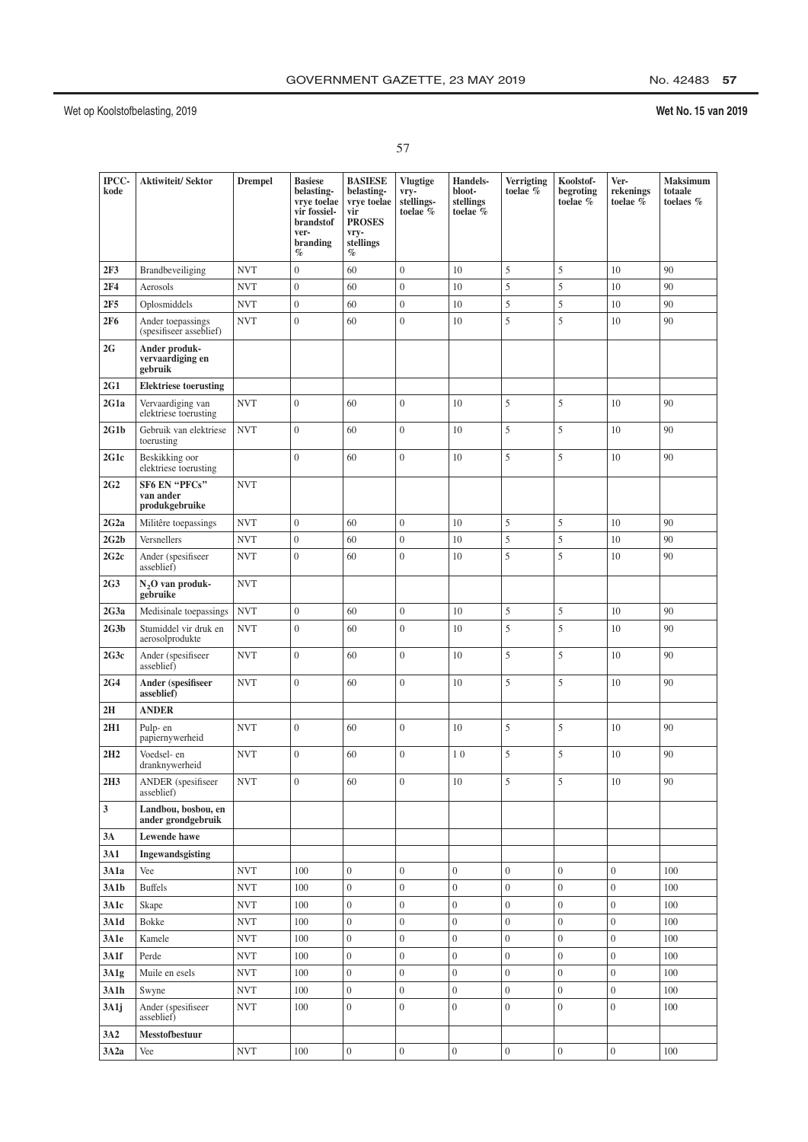# No. 42483 57

|         | ٠ |
|---------|---|
| ×.      |   |
| i<br>۰. |   |

| IPCC-<br>kode   | <b>Aktiwiteit/Sektor</b>                            | <b>Drempel</b>            | <b>Basiese</b><br>belasting-<br>vrye toelae<br>vir fossiel-<br>brandstof<br>ver-<br>branding<br>$\%$ | <b>BASIESE</b><br>belasting-<br>vrye toelae<br>vir<br><b>PROSES</b><br>vry-<br>stellings<br>$\%$ | <b>Vlugtige</b><br>vry-<br>stellings-<br>toelae % | <b>Handels-</b><br>bloot-<br>stellings<br>toelae % | Verrigting<br>toelae %             | Koolstof-<br>begroting<br>toelae %   | Ver-<br>rekenings<br>toelae $\overline{\%}$ | Maksimum<br>totaale<br>toelaes % |
|-----------------|-----------------------------------------------------|---------------------------|------------------------------------------------------------------------------------------------------|--------------------------------------------------------------------------------------------------|---------------------------------------------------|----------------------------------------------------|------------------------------------|--------------------------------------|---------------------------------------------|----------------------------------|
| 2F3             | Brandbeveiliging                                    | <b>NVT</b>                | $\overline{0}$                                                                                       | 60                                                                                               | $\boldsymbol{0}$                                  | 10                                                 | 5                                  | 5                                    | 10                                          | 90                               |
| 2F4             | Aerosols                                            | <b>NVT</b>                | $\boldsymbol{0}$                                                                                     | 60                                                                                               | $\mathbf{0}$                                      | 10                                                 | 5                                  | 5                                    | 10                                          | 90                               |
| 2F5             | Oplosmiddels                                        | <b>NVT</b>                | $\boldsymbol{0}$                                                                                     | 60                                                                                               | $\mathbf{0}$                                      | 10                                                 | 5                                  | 5                                    | 10                                          | 90                               |
| <b>2F6</b>      | Ander toepassings<br>(spesifiseer asseblief)        | <b>NVT</b>                | $\overline{0}$                                                                                       | 60                                                                                               | $\overline{0}$                                    | 10                                                 | 5                                  | 5                                    | 10                                          | 90                               |
| 2G              | Ander produk-<br>vervaardiging en<br>gebruik        |                           |                                                                                                      |                                                                                                  |                                                   |                                                    |                                    |                                      |                                             |                                  |
| 2G1             | <b>Elektriese toerusting</b>                        |                           |                                                                                                      |                                                                                                  |                                                   |                                                    |                                    |                                      |                                             |                                  |
| 2G1a            | Vervaardiging van<br>elektriese toerusting          | <b>NVT</b>                | $\boldsymbol{0}$                                                                                     | 60                                                                                               | $\overline{0}$                                    | 10                                                 | 5                                  | 5                                    | 10                                          | 90                               |
| 2G1b            | Gebruik van elektriese<br>toerusting                | <b>NVT</b>                | $\boldsymbol{0}$                                                                                     | 60                                                                                               | $\boldsymbol{0}$                                  | 10                                                 | 5                                  | 5                                    | 10                                          | 90                               |
| 2G1c            | Beskikking oor<br>elektriese toerusting             |                           | $\overline{0}$                                                                                       | 60                                                                                               | $\overline{0}$                                    | 10                                                 | 5                                  | 5                                    | 10                                          | 90                               |
| 2G <sub>2</sub> | <b>SF6 EN "PFCs"</b><br>van ander<br>produkgebruike | <b>NVT</b>                |                                                                                                      |                                                                                                  |                                                   |                                                    |                                    |                                      |                                             |                                  |
| 2G2a            | Militêre toepassings                                | <b>NVT</b>                | $\overline{0}$                                                                                       | 60                                                                                               | $\overline{0}$                                    | 10                                                 | 5                                  | 5                                    | 10                                          | 90                               |
| 2G2b            | Versnellers                                         | <b>NVT</b>                | $\overline{0}$                                                                                       | 60                                                                                               | $\mathbf{0}$                                      | 10                                                 | 5                                  | 5                                    | 10                                          | 90                               |
| 2G2c            | Ander (spesifiseer<br>asseblief)                    | <b>NVT</b>                | $\overline{0}$                                                                                       | 60                                                                                               | $\overline{0}$                                    | 10                                                 | 5                                  | 5                                    | 10                                          | 90                               |
| 2G <sub>3</sub> | N <sub>2</sub> O van produk-<br>gebruike            | <b>NVT</b>                |                                                                                                      |                                                                                                  |                                                   |                                                    |                                    |                                      |                                             |                                  |
| 2G3a            | Medisinale toepassings                              | <b>NVT</b>                | $\boldsymbol{0}$                                                                                     | 60                                                                                               | $\boldsymbol{0}$                                  | 10                                                 | 5                                  | 5                                    | 10                                          | 90                               |
| 2G3b            | Stumiddel vir druk en<br>aerosolprodukte            | <b>NVT</b>                | $\overline{0}$                                                                                       | 60                                                                                               | $\overline{0}$                                    | 10                                                 | 5                                  | 5                                    | 10                                          | 90                               |
| 2G3c            | Ander (spesifiseer<br>asseblief)                    | <b>NVT</b>                | $\overline{0}$                                                                                       | 60                                                                                               | $\overline{0}$                                    | 10                                                 | 5                                  | 5                                    | 10                                          | 90                               |
| 2G4             | Ander (spesifiseer<br>asseblief)                    | <b>NVT</b>                | $\overline{0}$                                                                                       | 60                                                                                               | $\overline{0}$                                    | 10                                                 | 5                                  | 5                                    | 10                                          | 90                               |
| 2H              | <b>ANDER</b>                                        |                           |                                                                                                      |                                                                                                  |                                                   |                                                    |                                    |                                      |                                             |                                  |
| 2H1             | Pulp-en<br>papiernywerheid                          | <b>NVT</b>                | $\overline{0}$                                                                                       | 60                                                                                               | $\mathbf{0}$                                      | 10                                                 | 5                                  | 5                                    | 10                                          | 90                               |
| 2H2             | Voedsel- en<br>dranknywerheid                       | <b>NVT</b>                | $\overline{0}$                                                                                       | 60                                                                                               | $\mathbf{0}$                                      | 10                                                 | 5                                  | 5                                    | 10                                          | 90                               |
| 2H3             | ANDER (spesifiseer<br>asseblief)                    | <b>NVT</b>                | $\boldsymbol{0}$                                                                                     | 60                                                                                               | $\boldsymbol{0}$                                  | 10                                                 | 5                                  | 5                                    | 10                                          | 90                               |
| 3               | Landbou, bosbou, en<br>ander grondgebruik           |                           |                                                                                                      |                                                                                                  |                                                   |                                                    |                                    |                                      |                                             |                                  |
| 3A              | Lewende hawe                                        |                           |                                                                                                      |                                                                                                  |                                                   |                                                    |                                    |                                      |                                             |                                  |
| 3A1             | Ingewandsgisting                                    |                           |                                                                                                      |                                                                                                  |                                                   |                                                    |                                    |                                      |                                             |                                  |
| 3A1a            | Vee                                                 | <b>NVT</b>                | 100                                                                                                  | $\overline{0}$                                                                                   | $\boldsymbol{0}$                                  | $\boldsymbol{0}$                                   | $\overline{0}$                     | $\overline{0}$                       | $\boldsymbol{0}$                            | 100                              |
| 3A1b            | <b>Buffels</b>                                      | <b>NVT</b>                | 100                                                                                                  | $\overline{0}$                                                                                   | $\boldsymbol{0}$                                  | $\boldsymbol{0}$                                   | $\overline{0}$                     | $\boldsymbol{0}$                     | $\boldsymbol{0}$                            | 100                              |
| 3A1c            | Skape                                               | <b>NVT</b>                | 100                                                                                                  | $\overline{0}$                                                                                   | $\boldsymbol{0}$                                  | $\overline{0}$                                     | $\overline{0}$                     | $\overline{0}$                       | $\boldsymbol{0}$                            | 100                              |
| 3A1d            | Bokke                                               | <b>NVT</b>                | 100                                                                                                  | $\boldsymbol{0}$                                                                                 | $\boldsymbol{0}$                                  | $\boldsymbol{0}$                                   | $\boldsymbol{0}$                   | $\boldsymbol{0}$                     | $\boldsymbol{0}$                            | 100                              |
| 3A1e            | Kamele                                              | <b>NVT</b>                | 100                                                                                                  | $\mathbf{0}$                                                                                     | $\boldsymbol{0}$                                  | $\boldsymbol{0}$                                   | $\boldsymbol{0}$                   | $\boldsymbol{0}$                     | $\boldsymbol{0}$                            | 100                              |
| 3A1f            | Perde                                               | <b>NVT</b>                | 100                                                                                                  | $\boldsymbol{0}$                                                                                 | $\boldsymbol{0}$                                  | $\boldsymbol{0}$                                   | $\boldsymbol{0}$                   | $\boldsymbol{0}$                     | $\boldsymbol{0}$                            | 100                              |
| 3A1g<br>3A1h    | Muile en esels                                      | <b>NVT</b><br><b>NVT</b>  | 100                                                                                                  | $\boldsymbol{0}$<br>$\overline{0}$                                                               | $\boldsymbol{0}$<br>$\boldsymbol{0}$              | $\overline{0}$<br>$\boldsymbol{0}$                 | $\overline{0}$<br>$\boldsymbol{0}$ | $\boldsymbol{0}$<br>$\boldsymbol{0}$ | $\boldsymbol{0}$<br>$\boldsymbol{0}$        | 100<br>100                       |
| 3A1j            | Swyne<br>Ander (spesifiseer<br>asseblief)           | <b>NVT</b>                | 100<br>100                                                                                           | $\overline{0}$                                                                                   | $\boldsymbol{0}$                                  | $\boldsymbol{0}$                                   | $\boldsymbol{0}$                   | $\boldsymbol{0}$                     | $\boldsymbol{0}$                            | 100                              |
| 3A2             | <b>Messtofbestuur</b>                               |                           |                                                                                                      |                                                                                                  |                                                   |                                                    |                                    |                                      |                                             |                                  |
| 3A2a            | Vee                                                 | $\ensuremath{\text{NVT}}$ | 100                                                                                                  | $\boldsymbol{0}$                                                                                 | $\boldsymbol{0}$                                  | $\boldsymbol{0}$                                   | $\overline{0}$                     | $\boldsymbol{0}$                     | $\overline{0}$                              | 100                              |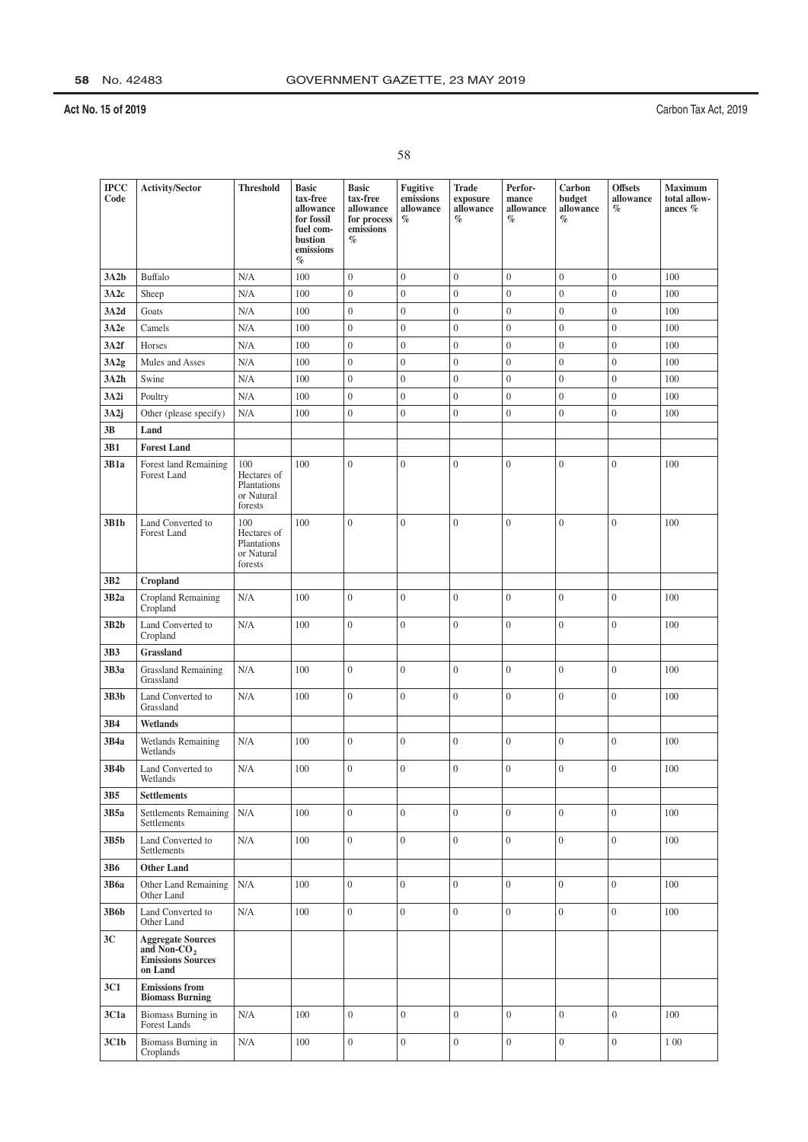| <b>IPCC</b><br>Code | <b>Activity/Sector</b>                                                              | <b>Threshold</b>                                                  | <b>Basic</b><br>tax-free<br>allowance<br>for fossil<br>fuel com-<br>bustion<br>emissions<br>$\%$ | <b>Basic</b><br>tax-free<br>allowance<br>for process<br>emissions<br>$\%$ | Fugitive<br>emissions<br>allowance<br>$\%$ | <b>Trade</b><br>exposure<br>allowance<br>$\%$ | Perfor-<br>mance<br>allowance<br>$\%$ | Carbon<br>budget<br>allowance<br>$\%$ | <b>Offsets</b><br>allowance<br>$\%$ | Maximum<br>total allow-<br>ances % |
|---------------------|-------------------------------------------------------------------------------------|-------------------------------------------------------------------|--------------------------------------------------------------------------------------------------|---------------------------------------------------------------------------|--------------------------------------------|-----------------------------------------------|---------------------------------------|---------------------------------------|-------------------------------------|------------------------------------|
| 3A2b                | Buffalo                                                                             | N/A                                                               | 100                                                                                              | $\boldsymbol{0}$                                                          | $\boldsymbol{0}$                           | $\boldsymbol{0}$                              | $\boldsymbol{0}$                      | $\boldsymbol{0}$                      | $\overline{0}$                      | 100                                |
| 3A2c                | Sheep                                                                               | N/A                                                               | 100                                                                                              | $\boldsymbol{0}$                                                          | $\overline{0}$                             | $\overline{0}$                                | $\boldsymbol{0}$                      | $\overline{0}$                        | $\overline{0}$                      | 100                                |
| 3A2d                | Goats                                                                               | N/A                                                               | 100                                                                                              | $\boldsymbol{0}$                                                          | $\boldsymbol{0}$                           | $\boldsymbol{0}$                              | $\boldsymbol{0}$                      | $\boldsymbol{0}$                      | $\boldsymbol{0}$                    | 100                                |
| 3A2e                | Camels                                                                              | N/A                                                               | 100                                                                                              | $\boldsymbol{0}$                                                          | $\boldsymbol{0}$                           | $\boldsymbol{0}$                              | $\boldsymbol{0}$                      | $\mathbf{0}$                          | $\boldsymbol{0}$                    | 100                                |
| 3A2f                | Horses                                                                              | N/A                                                               | 100                                                                                              | $\boldsymbol{0}$                                                          | $\boldsymbol{0}$                           | $\boldsymbol{0}$                              | $\boldsymbol{0}$                      | $\boldsymbol{0}$                      | $\overline{0}$                      | 100                                |
| 3A2g                | Mules and Asses                                                                     | N/A                                                               | 100                                                                                              | $\boldsymbol{0}$                                                          | $\boldsymbol{0}$                           | $\boldsymbol{0}$                              | $\boldsymbol{0}$                      | $\boldsymbol{0}$                      | $\boldsymbol{0}$                    | 100                                |
| 3A2h                | Swine                                                                               | N/A                                                               | 100                                                                                              | $\boldsymbol{0}$                                                          | $\boldsymbol{0}$                           | $\boldsymbol{0}$                              | $\boldsymbol{0}$                      | $\boldsymbol{0}$                      | $\overline{0}$                      | 100                                |
| 3A2i                | Poultry                                                                             | N/A                                                               | 100                                                                                              | $\overline{0}$                                                            | $\boldsymbol{0}$                           | $\overline{0}$                                | $\mathbf{0}$                          | $\mathbf{0}$                          | $\overline{0}$                      | 100                                |
| 3A2j                | Other (please specify)                                                              | N/A                                                               | 100                                                                                              | $\overline{0}$                                                            | $\boldsymbol{0}$                           | $\overline{0}$                                | $\overline{0}$                        | $\boldsymbol{0}$                      | $\overline{0}$                      | 100                                |
| 3B                  | Land                                                                                |                                                                   |                                                                                                  |                                                                           |                                            |                                               |                                       |                                       |                                     |                                    |
| 3B1                 | <b>Forest Land</b>                                                                  |                                                                   |                                                                                                  |                                                                           |                                            |                                               |                                       |                                       |                                     |                                    |
| 3B1a<br>3B1b        | Forest land Remaining<br>Forest Land<br>Land Converted to                           | 100<br>Hectares of<br>Plantations<br>or Natural<br>forests<br>100 | 100<br>100                                                                                       | $\overline{0}$<br>$\overline{0}$                                          | $\overline{0}$<br>$\overline{0}$           | $\overline{0}$<br>$\overline{0}$              | $\mathbf{0}$<br>$\overline{0}$        | $\boldsymbol{0}$<br>$\overline{0}$    | $\overline{0}$<br>$\boldsymbol{0}$  | 100<br>100                         |
|                     | Forest Land                                                                         | Hectares of<br>Plantations<br>or Natural<br>forests               |                                                                                                  |                                                                           |                                            |                                               |                                       |                                       |                                     |                                    |
| 3B <sub>2</sub>     | Cropland                                                                            |                                                                   |                                                                                                  |                                                                           |                                            |                                               |                                       |                                       |                                     |                                    |
| 3B2a                | Cropland Remaining<br>Cropland                                                      | N/A                                                               | 100                                                                                              | $\overline{0}$                                                            | $\boldsymbol{0}$                           | $\boldsymbol{0}$                              | $\boldsymbol{0}$                      | $\boldsymbol{0}$                      | $\overline{0}$                      | 100                                |
| 3B2b                | Land Converted to<br>Cropland                                                       | N/A                                                               | 100                                                                                              | $\overline{0}$                                                            | $\overline{0}$                             | $\overline{0}$                                | $\overline{0}$                        | $\boldsymbol{0}$                      | $\overline{0}$                      | 100                                |
| 3B3                 | Grassland                                                                           |                                                                   |                                                                                                  |                                                                           |                                            |                                               |                                       |                                       |                                     |                                    |
| 3B3a                | <b>Grassland Remaining</b><br>Grassland                                             | N/A                                                               | 100                                                                                              | $\overline{0}$                                                            | $\boldsymbol{0}$                           | $\overline{0}$                                | $\mathbf{0}$                          | $\boldsymbol{0}$                      | $\overline{0}$                      | 100                                |
| 3B3b                | Land Converted to<br>Grassland                                                      | N/A                                                               | 100                                                                                              | $\overline{0}$                                                            | $\overline{0}$                             | $\mathbf{0}$                                  | $\mathbf{0}$                          | $\mathbf{0}$                          | $\overline{0}$                      | 100                                |
| 3B4                 | Wetlands                                                                            |                                                                   |                                                                                                  |                                                                           |                                            |                                               |                                       |                                       |                                     |                                    |
| 3B4a                | Wetlands Remaining<br>Wetlands                                                      | N/A                                                               | 100                                                                                              | $\overline{0}$                                                            | $\overline{0}$                             | $\boldsymbol{0}$                              | $\overline{0}$                        | $\mathbf{0}$                          | $\mathbf{0}$                        | 100                                |
| 3B4b                | Land Converted to<br>Wetlands                                                       | N/A                                                               | 100                                                                                              | $\overline{0}$                                                            | $\overline{0}$                             | $\overline{0}$                                | $\overline{0}$                        | $\boldsymbol{0}$                      | $\overline{0}$                      | 100                                |
| 3B5                 | <b>Settlements</b>                                                                  |                                                                   |                                                                                                  |                                                                           |                                            |                                               |                                       |                                       |                                     |                                    |
| 3B5a                | <b>Settlements Remaining</b><br>Settlements                                         | N/A                                                               | 100                                                                                              | $\overline{0}$                                                            | $\overline{0}$                             | $\overline{0}$                                | $\overline{0}$                        | $\overline{0}$                        | $\overline{0}$                      | 100                                |
| 3B5b                | Land Converted to<br>Settlements                                                    | N/A                                                               | 100                                                                                              | $\theta$                                                                  | $\overline{0}$                             | $\overline{0}$                                | $\overline{0}$                        | $\boldsymbol{0}$                      | $\overline{0}$                      | 100                                |
| 3B6                 | <b>Other Land</b>                                                                   |                                                                   |                                                                                                  |                                                                           |                                            |                                               |                                       |                                       |                                     |                                    |
| 3B6a                | Other Land Remaining<br>Other Land                                                  | N/A                                                               | 100                                                                                              | $\boldsymbol{0}$                                                          | $\mathbf{0}$                               | $\boldsymbol{0}$                              | $\overline{0}$                        | $\boldsymbol{0}$                      | $\overline{0}$                      | 100                                |
| 3B6b                | Land Converted to<br>Other Land                                                     | N/A                                                               | 100                                                                                              | $\overline{0}$                                                            | $\overline{0}$                             | $\overline{0}$                                | $\overline{0}$                        | $\mathbf{0}$                          | $\overline{0}$                      | 100                                |
| 3C                  | <b>Aggregate Sources</b><br>and Non-CO <sub>2</sub><br>Emissions Sources<br>on Land |                                                                   |                                                                                                  |                                                                           |                                            |                                               |                                       |                                       |                                     |                                    |
| 3C1                 | <b>Emissions</b> from<br><b>Biomass Burning</b>                                     |                                                                   |                                                                                                  |                                                                           |                                            |                                               |                                       |                                       |                                     |                                    |
| 3C1a                | Biomass Burning in<br>Forest Lands                                                  | N/A                                                               | 100                                                                                              | $\mathbf{0}$                                                              | $\boldsymbol{0}$                           | $\overline{0}$                                | $\overline{0}$                        | $\boldsymbol{0}$                      | $\overline{0}$                      | 100                                |
| 3C1b                | Biomass Burning in<br>Croplands                                                     | N/A                                                               | 100                                                                                              | $\boldsymbol{0}$                                                          | $\mathbf{0}$                               | $\overline{0}$                                | $\boldsymbol{0}$                      | $\boldsymbol{0}$                      | $\overline{0}$                      | 1 0 0                              |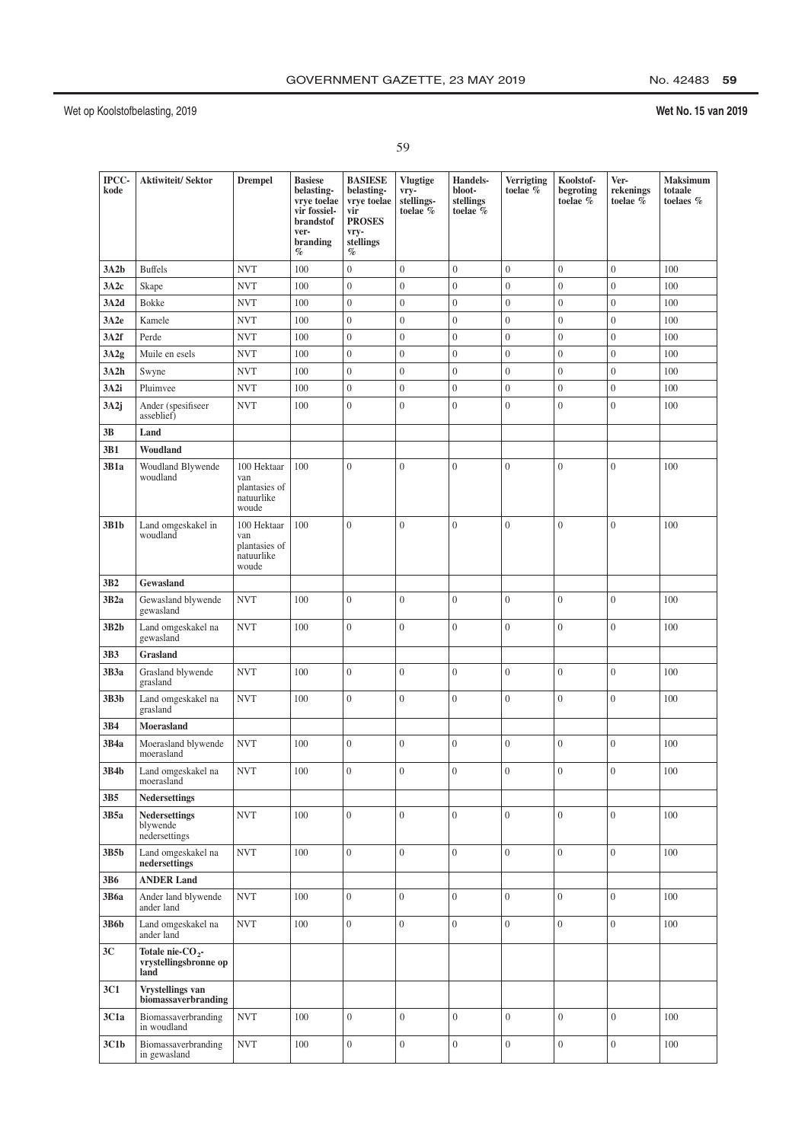|    | ٧  |
|----|----|
| ×. | ×  |
| i  | ۰. |

| IPCC-<br>kode   | <b>Aktiwiteit/Sektor</b>                                      | <b>Drempel</b>                                             | <b>Basiese</b><br>belasting-<br>vrye toelae<br>vir fossiel-<br>brandstof<br>ver-<br>branding<br>$\%$ | <b>BASIESE</b><br>belasting-<br>vrye toelae<br>vir<br><b>PROSES</b><br>vry-<br>stellings<br>$\%$ | <b>Vlugtige</b><br>vry-<br>stellings-<br>toelae % | <b>Handels-</b><br>bloot-<br>stellings<br>toelae % | Verrigting<br>toelae % | Koolstof-<br>begroting<br>toelae % | Ver-<br>rekenings<br>toelae $\bar{\%}$ | <b>Maksimum</b><br>totaale<br>toelaes % |
|-----------------|---------------------------------------------------------------|------------------------------------------------------------|------------------------------------------------------------------------------------------------------|--------------------------------------------------------------------------------------------------|---------------------------------------------------|----------------------------------------------------|------------------------|------------------------------------|----------------------------------------|-----------------------------------------|
| 3A2b            | <b>Buffels</b>                                                | <b>NVT</b>                                                 | 100                                                                                                  | $\boldsymbol{0}$                                                                                 | $\boldsymbol{0}$                                  | $\overline{0}$                                     | $\overline{0}$         | $\overline{0}$                     | $\overline{0}$                         | 100                                     |
| 3A2c            | Skape                                                         | <b>NVT</b>                                                 | 100                                                                                                  | $\boldsymbol{0}$                                                                                 | $\boldsymbol{0}$                                  | $\boldsymbol{0}$                                   | $\overline{0}$         | $\boldsymbol{0}$                   | $\overline{0}$                         | 100                                     |
| 3A2d            | Bokke                                                         | <b>NVT</b>                                                 | 100                                                                                                  | $\boldsymbol{0}$                                                                                 | $\mathbf{0}$                                      | $\boldsymbol{0}$                                   | $\boldsymbol{0}$       | $\boldsymbol{0}$                   | $\boldsymbol{0}$                       | 100                                     |
| 3A2e            | Kamele                                                        | <b>NVT</b>                                                 | 100                                                                                                  | $\boldsymbol{0}$                                                                                 | $\mathbf{0}$                                      | $\overline{0}$                                     | $\overline{0}$         | $\overline{0}$                     | $\overline{0}$                         | 100                                     |
| 3A2f            | Perde                                                         | <b>NVT</b>                                                 | 100                                                                                                  | $\boldsymbol{0}$                                                                                 | $\mathbf{0}$                                      | $\boldsymbol{0}$                                   | $\overline{0}$         | $\boldsymbol{0}$                   | $\boldsymbol{0}$                       | 100                                     |
| 3A2g            | Muile en esels                                                | <b>NVT</b>                                                 | 100                                                                                                  | $\boldsymbol{0}$                                                                                 | $\boldsymbol{0}$                                  | $\overline{0}$                                     | $\boldsymbol{0}$       | $\boldsymbol{0}$                   | $\overline{0}$                         | 100                                     |
| 3A2h            | Swyne                                                         | <b>NVT</b>                                                 | 100                                                                                                  | $\boldsymbol{0}$                                                                                 | $\boldsymbol{0}$                                  | $\overline{0}$                                     | $\overline{0}$         | $\overline{0}$                     | $\boldsymbol{0}$                       | 100                                     |
| 3A2i            | Pluimvee                                                      | <b>NVT</b>                                                 | 100                                                                                                  | $\boldsymbol{0}$                                                                                 | $\boldsymbol{0}$                                  | $\boldsymbol{0}$                                   | $\boldsymbol{0}$       | $\boldsymbol{0}$                   | $\boldsymbol{0}$                       | 100                                     |
| 3A2j            | Ander (spesifiseer<br>asseblief)                              | <b>NVT</b>                                                 | 100                                                                                                  | $\overline{0}$                                                                                   | $\mathbf{0}$                                      | $\overline{0}$                                     | $\overline{0}$         | $\mathbf{0}$                       | $\overline{0}$                         | 100                                     |
| 3B              | Land                                                          |                                                            |                                                                                                      |                                                                                                  |                                                   |                                                    |                        |                                    |                                        |                                         |
| 3B1             | Woudland                                                      |                                                            |                                                                                                      |                                                                                                  |                                                   |                                                    |                        |                                    |                                        |                                         |
| 3B1a            | Woudland Blywende<br>woudland                                 | 100 Hektaar<br>van<br>plantasies of<br>natuurlike<br>woude | 100                                                                                                  | $\overline{0}$                                                                                   | $\mathbf{0}$                                      | $\overline{0}$                                     | $\overline{0}$         | $\overline{0}$                     | $\mathbf{0}$                           | 100                                     |
| 3B1b            | Land omgeskakel in<br>woudland                                | 100 Hektaar<br>van<br>plantasies of<br>natuurlike<br>woude | 100                                                                                                  | $\overline{0}$                                                                                   | $\overline{0}$                                    | $\overline{0}$                                     | $\overline{0}$         | $\boldsymbol{0}$                   | $\mathbf{0}$                           | 100                                     |
| 3B <sub>2</sub> | Gewasland                                                     |                                                            |                                                                                                      |                                                                                                  |                                                   |                                                    |                        |                                    |                                        |                                         |
| 3B2a            | Gewasland blywende<br>gewasland                               | <b>NVT</b>                                                 | 100                                                                                                  | $\overline{0}$                                                                                   | $\mathbf{0}$                                      | $\overline{0}$                                     | $\mathbf{0}$           | $\overline{0}$                     | $\mathbf{0}$                           | 100                                     |
| 3B2b            | Land omgeskakel na<br>gewasland                               | <b>NVT</b>                                                 | 100                                                                                                  | $\overline{0}$                                                                                   | $\overline{0}$                                    | $\overline{0}$                                     | $\theta$               | $\overline{0}$                     | $\overline{0}$                         | 100                                     |
| 3B3             | Grasland                                                      |                                                            |                                                                                                      |                                                                                                  |                                                   |                                                    |                        |                                    |                                        |                                         |
| 3B3a            | Grasland blywende<br>grasland                                 | <b>NVT</b>                                                 | 100                                                                                                  | $\overline{0}$                                                                                   | $\overline{0}$                                    | $\overline{0}$                                     | $\overline{0}$         | $\overline{0}$                     | $\overline{0}$                         | 100                                     |
| 3B3b            | Land omgeskakel na<br>grasland                                | <b>NVT</b>                                                 | 100                                                                                                  | $\overline{0}$                                                                                   | $\boldsymbol{0}$                                  | $\boldsymbol{0}$                                   | $\mathbf{0}$           | $\boldsymbol{0}$                   | $\boldsymbol{0}$                       | 100                                     |
| 3B4             | Moerasland                                                    |                                                            |                                                                                                      |                                                                                                  |                                                   |                                                    |                        |                                    |                                        |                                         |
| 3B4a            | Moerasland blywende<br>moerasland                             | <b>NVT</b>                                                 | 100                                                                                                  | $\overline{0}$                                                                                   | $\overline{0}$                                    | $\overline{0}$                                     | $\theta$               | $\overline{0}$                     | $\overline{0}$                         | 100                                     |
| 3B4b            | Land omgeskakel na<br>moerasland                              | <b>NVT</b>                                                 | 100                                                                                                  | $\mathbf{0}$                                                                                     | $\overline{0}$                                    | $\mathbf{0}$                                       | $\mathbf{0}$           | $\overline{0}$                     | $\mathbf{0}$                           | 100                                     |
| 3B5             | <b>Nedersettings</b>                                          |                                                            |                                                                                                      |                                                                                                  |                                                   |                                                    |                        |                                    |                                        |                                         |
| 3B5a            | <b>Nedersettings</b><br>blywende<br>nedersettings             | <b>NVT</b>                                                 | 100                                                                                                  | $\overline{0}$                                                                                   | $\boldsymbol{0}$                                  | $\overline{0}$                                     | $\overline{0}$         | $\overline{0}$                     | $\overline{0}$                         | 100                                     |
| 3B5b            | Land omgeskakel na<br>nedersettings                           | <b>NVT</b>                                                 | 100                                                                                                  | $\overline{0}$                                                                                   | $\overline{0}$                                    | $\overline{0}$                                     | $\overline{0}$         | $\overline{0}$                     | $\overline{0}$                         | 100                                     |
| 3B6             | <b>ANDER Land</b>                                             |                                                            |                                                                                                      |                                                                                                  |                                                   |                                                    |                        |                                    |                                        |                                         |
| 3B6a            | Ander land blywende<br>ander land                             | <b>NVT</b>                                                 | 100                                                                                                  | $\overline{0}$                                                                                   | $\overline{0}$                                    | $\overline{0}$                                     | $\overline{0}$         | $\overline{0}$                     | $\boldsymbol{0}$                       | 100                                     |
| 3B6b            | Land omgeskakel na<br>ander land                              | <b>NVT</b>                                                 | 100                                                                                                  | $\overline{0}$                                                                                   | $\overline{0}$                                    | $\overline{0}$                                     | $\overline{0}$         | $\overline{0}$                     | $\overline{0}$                         | 100                                     |
| 3C              | Totale nie-CO <sub>2</sub> -<br>vrystellingsbronne op<br>land |                                                            |                                                                                                      |                                                                                                  |                                                   |                                                    |                        |                                    |                                        |                                         |
| 3C1             | Vrystellings van<br>biomassaverbranding                       |                                                            |                                                                                                      |                                                                                                  |                                                   |                                                    |                        |                                    |                                        |                                         |
| 3C1a            | Biomassaverbranding<br>in woudland                            | <b>NVT</b>                                                 | 100                                                                                                  | $\overline{0}$                                                                                   | $\overline{0}$                                    | $\overline{0}$                                     | $\overline{0}$         | $\boldsymbol{0}$                   | $\overline{0}$                         | 100                                     |
| 3C1b            | Biomassaverbranding<br>in gewasland                           | <b>NVT</b>                                                 | 100                                                                                                  | $\boldsymbol{0}$                                                                                 | $\overline{0}$                                    | $\overline{0}$                                     | $\overline{0}$         | $\overline{0}$                     | $\boldsymbol{0}$                       | 100                                     |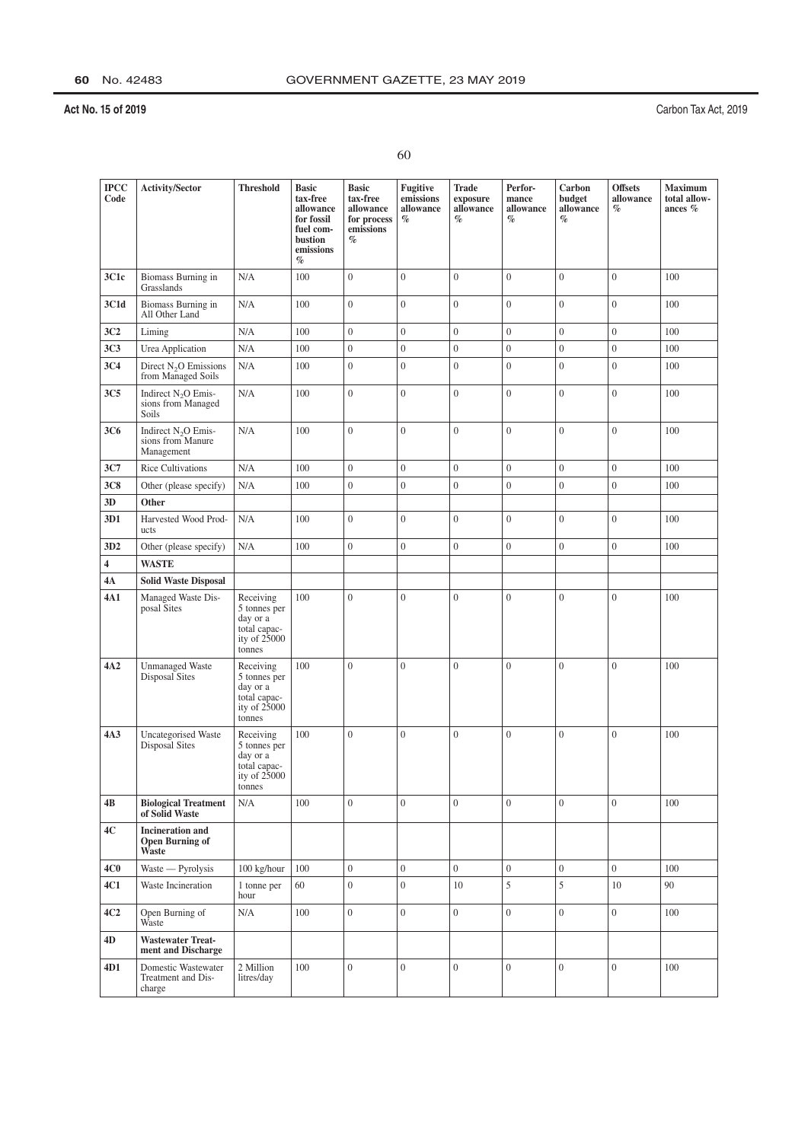| ۰.     |   |
|--------|---|
|        |   |
| ×<br>I | I |

| $_{\mathrm{IPCC}}$<br>Code | Activity/Sector                                                    | <b>Threshold</b>                                                                  | <b>Basic</b><br>tax-free<br>allowance<br>for fossil<br>fuel com-<br>bustion<br>emissions<br>$\%$ | <b>Basic</b><br>tax-free<br>allowance<br>for process<br>emissions<br>$\%$ | Fugitive<br>emissions<br>allowance<br>$\%$ | Trade<br>exposure<br>allowance<br>$\%$ | Perfor-<br>mance<br>allowance<br>$\%$ | Carbon<br>budget<br>allowance<br>$\%$ | <b>Offsets</b><br>allowance<br>$\%$ | Maximum<br>total allow-<br>ances $%$ |
|----------------------------|--------------------------------------------------------------------|-----------------------------------------------------------------------------------|--------------------------------------------------------------------------------------------------|---------------------------------------------------------------------------|--------------------------------------------|----------------------------------------|---------------------------------------|---------------------------------------|-------------------------------------|--------------------------------------|
| 3C1c                       | Biomass Burning in<br>Grasslands                                   | N/A                                                                               | 100                                                                                              | $\overline{0}$                                                            | $\overline{0}$                             | $\overline{0}$                         | $\overline{0}$                        | $\overline{0}$                        | $\boldsymbol{0}$                    | 100                                  |
| 3C1d                       | Biomass Burning in<br>All Other Land                               | N/A                                                                               | 100                                                                                              | $\overline{0}$                                                            | $\overline{0}$                             | $\overline{0}$                         | $\overline{0}$                        | $\overline{0}$                        | $\boldsymbol{0}$                    | 100                                  |
| 3C2                        | Liming                                                             | N/A                                                                               | 100                                                                                              | $\overline{0}$                                                            | $\boldsymbol{0}$                           | $\overline{0}$                         | $\boldsymbol{0}$                      | $\overline{0}$                        | $\overline{0}$                      | 100                                  |
| <b>3C3</b>                 | Urea Application                                                   | N/A                                                                               | 100                                                                                              | $\boldsymbol{0}$                                                          | $\boldsymbol{0}$                           | $\overline{0}$                         | $\boldsymbol{0}$                      | $\boldsymbol{0}$                      | $\boldsymbol{0}$                    | 100                                  |
| 3C4                        | Direct $N_2O$ Emissions<br>from Managed Soils                      | N/A                                                                               | 100                                                                                              | $\overline{0}$                                                            | $\boldsymbol{0}$                           | $\overline{0}$                         | $\boldsymbol{0}$                      | $\overline{0}$                        | $\boldsymbol{0}$                    | 100                                  |
| 3C <sub>5</sub>            | Indirect N <sub>2</sub> O Emis-<br>sions from Managed<br>Soils     | N/A                                                                               | 100                                                                                              | $\overline{0}$                                                            | $\mathbf{0}$                               | $\overline{0}$                         | $\overline{0}$                        | $\overline{0}$                        | $\mathbf{0}$                        | 100                                  |
| 3C <sub>6</sub>            | Indirect N <sub>2</sub> O Emis-<br>sions from Manure<br>Management | N/A                                                                               | 100                                                                                              | $\overline{0}$                                                            | $\boldsymbol{0}$                           | $\overline{0}$                         | $\overline{0}$                        | $\boldsymbol{0}$                      | $\boldsymbol{0}$                    | 100                                  |
| 3C7                        | <b>Rice Cultivations</b>                                           | N/A                                                                               | 100                                                                                              | $\boldsymbol{0}$                                                          | $\mathbf{0}$                               | $\overline{0}$                         | $\overline{0}$                        | $\overline{0}$                        | $\boldsymbol{0}$                    | 100                                  |
| <b>3C8</b>                 | Other (please specify)                                             | N/A                                                                               | 100                                                                                              | $\boldsymbol{0}$                                                          | $\boldsymbol{0}$                           | $\boldsymbol{0}$                       | $\boldsymbol{0}$                      | $\boldsymbol{0}$                      | $\boldsymbol{0}$                    | 100                                  |
| 3D                         | Other                                                              |                                                                                   |                                                                                                  |                                                                           |                                            |                                        |                                       |                                       |                                     |                                      |
| 3D1                        | Harvested Wood Prod-<br>ucts                                       | N/A                                                                               | 100                                                                                              | $\overline{0}$                                                            | $\boldsymbol{0}$                           | $\overline{0}$                         | $\overline{0}$                        | $\overline{0}$                        | $\mathbf{0}$                        | 100                                  |
| 3D2                        | Other (please specify)                                             | N/A                                                                               | 100                                                                                              | $\overline{0}$                                                            | $\boldsymbol{0}$                           | $\overline{0}$                         | $\boldsymbol{0}$                      | $\boldsymbol{0}$                      | $\boldsymbol{0}$                    | 100                                  |
| $\overline{\mathbf{4}}$    | <b>WASTE</b>                                                       |                                                                                   |                                                                                                  |                                                                           |                                            |                                        |                                       |                                       |                                     |                                      |
| 4A                         | <b>Solid Waste Disposal</b>                                        |                                                                                   |                                                                                                  |                                                                           |                                            |                                        |                                       |                                       |                                     |                                      |
| 4A1                        | Managed Waste Dis-<br>posal Sites                                  | Receiving<br>5 tonnes per<br>day or a<br>total capac-<br>ity of 25000<br>tonnes   | 100                                                                                              | $\overline{0}$                                                            | $\boldsymbol{0}$                           | $\overline{0}$                         | $\overline{0}$                        | $\mathbf{0}$                          | $\boldsymbol{0}$                    | 100                                  |
| 4A2                        | <b>Unmanaged Waste</b><br><b>Disposal Sites</b>                    | Receiving<br>5 tonnes per<br>day or a<br>total capac-<br>ity of $25000$<br>tonnes | 100                                                                                              | $\overline{0}$                                                            | $\boldsymbol{0}$                           | $\overline{0}$                         | $\overline{0}$                        | $\mathbf{0}$                          | $\mathbf{0}$                        | 100                                  |
| 4A3                        | <b>Uncategorised Waste</b><br>Disposal Sites                       | Receiving<br>5 tonnes per<br>day or a<br>total capac-<br>ity of $25000$<br>tonnes | 100                                                                                              | $\overline{0}$                                                            | $\overline{0}$                             | $\overline{0}$                         | $\overline{0}$                        | $\mathbf{0}$                          | $\mathbf{0}$                        | 100                                  |
| 4B                         | <b>Biological Treatment</b><br>of Solid Waste                      | N/A                                                                               | 100                                                                                              | $\overline{0}$                                                            | $\overline{0}$                             | $\overline{0}$                         | $\overline{0}$                        | $\overline{0}$                        | $\overline{0}$                      | 100                                  |
| 4C                         | <b>Incineration and</b><br><b>Open Burning of</b><br>Waste         |                                                                                   |                                                                                                  |                                                                           |                                            |                                        |                                       |                                       |                                     |                                      |
| 4C0                        | Waste - Pyrolysis                                                  | 100 kg/hour                                                                       | 100                                                                                              | $\overline{0}$                                                            | $\boldsymbol{0}$                           | $\overline{0}$                         | $\boldsymbol{0}$                      | $\overline{0}$                        | $\overline{0}$                      | 100                                  |
| 4C1                        | Waste Incineration                                                 | 1 tonne per<br>hour                                                               | 60                                                                                               | $\boldsymbol{0}$                                                          | $\overline{0}$                             | 10                                     | 5                                     | 5                                     | 10                                  | 90                                   |
| 4C2                        | Open Burning of<br>Waste                                           | N/A                                                                               | 100                                                                                              | $\overline{0}$                                                            | $\overline{0}$                             | $\overline{0}$                         | $\overline{0}$                        | $\overline{0}$                        | $\overline{0}$                      | 100                                  |
| 4D                         | <b>Wastewater Treat-</b><br>ment and Discharge                     |                                                                                   |                                                                                                  |                                                                           |                                            |                                        |                                       |                                       |                                     |                                      |
| 4D1                        | Domestic Wastewater<br>Treatment and Dis-<br>charge                | 2 Million<br>litres/day                                                           | 100                                                                                              | $\boldsymbol{0}$                                                          | $\boldsymbol{0}$                           | $\overline{0}$                         | $\overline{0}$                        | $\overline{0}$                        | $\boldsymbol{0}$                    | 100                                  |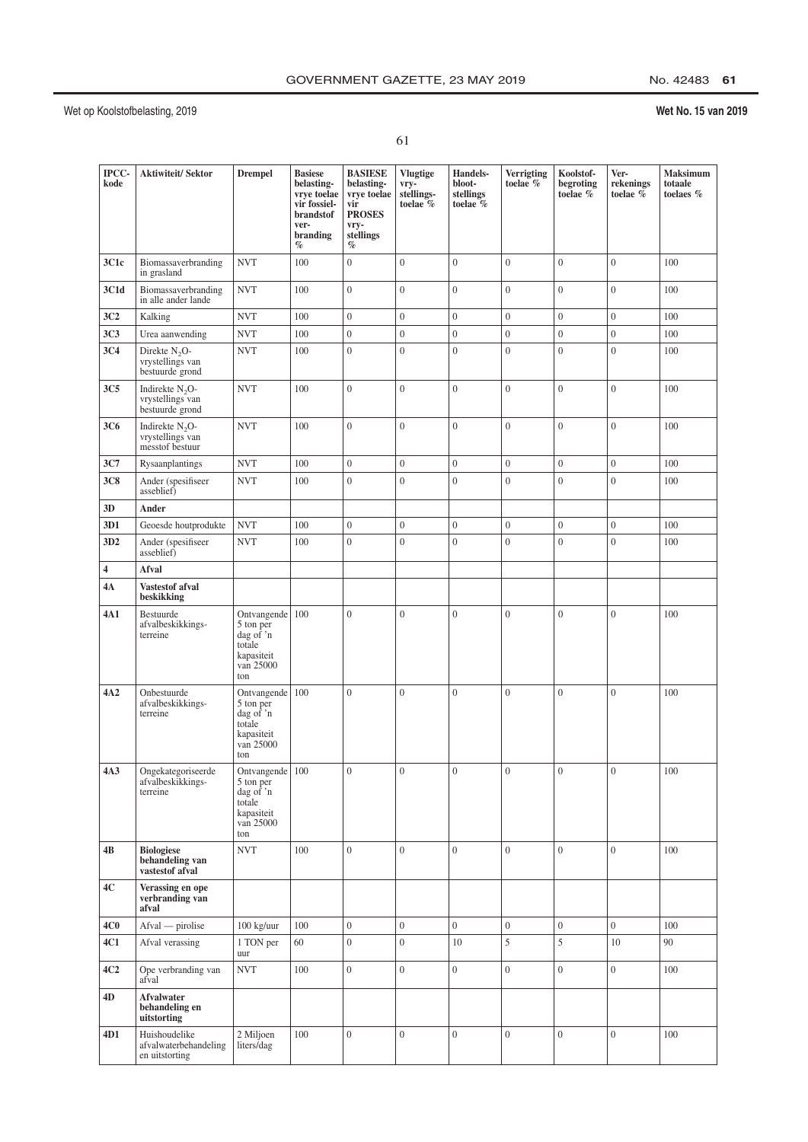## No. 42483 61

| ۰.<br>٠<br>٠  |  |
|---------------|--|
| ×<br>۰,<br>۰, |  |

| IPCC-<br>kode   | <b>Aktiwiteit/Sektor</b>                                  | <b>Drempel</b>                                                                          | <b>Basiese</b><br>belasting-<br>vrye toelae<br>vir fossiel-<br>brandstof<br>ver-<br>branding<br>$\%$ | <b>BASIESE</b><br>belasting-<br>vrye toelae<br>vir<br><b>PROSES</b><br>vry-<br>stellings<br>$\%$ | <b>Vlugtige</b><br>$vry-$<br>stellings-<br>toelae $\%$ | Handels-<br>bloot-<br>stellings<br>toelae % | Verrigting<br>toelae $%$ | Koolstof-<br>begroting<br>to<br>elae $\%$ | Ver-<br>rekenings<br>toelae $\breve{\%}$ | Maksimum<br>totaale<br>toelaes % |
|-----------------|-----------------------------------------------------------|-----------------------------------------------------------------------------------------|------------------------------------------------------------------------------------------------------|--------------------------------------------------------------------------------------------------|--------------------------------------------------------|---------------------------------------------|--------------------------|-------------------------------------------|------------------------------------------|----------------------------------|
| 3C1c            | Biomassaverbranding<br>in grasland                        | <b>NVT</b>                                                                              | 100                                                                                                  | $\overline{0}$                                                                                   | $\overline{0}$                                         | $\overline{0}$                              | $\overline{0}$           | $\overline{0}$                            | $\mathbf{0}$                             | 100                              |
| 3C1d            | Biomassaverbranding<br>in alle ander lande                | <b>NVT</b>                                                                              | 100                                                                                                  | $\boldsymbol{0}$                                                                                 | $\boldsymbol{0}$                                       | $\boldsymbol{0}$                            | $\overline{0}$           | $\overline{0}$                            | $\overline{0}$                           | 100                              |
| 3C <sub>2</sub> | Kalking                                                   | <b>NVT</b>                                                                              | 100                                                                                                  | $\boldsymbol{0}$                                                                                 | $\boldsymbol{0}$                                       | $\overline{0}$                              | $\boldsymbol{0}$         | $\overline{0}$                            | $\overline{0}$                           | 100                              |
| 3C <sub>3</sub> | Urea aanwending                                           | <b>NVT</b>                                                                              | 100                                                                                                  | $\boldsymbol{0}$                                                                                 | $\boldsymbol{0}$                                       | $\boldsymbol{0}$                            | $\mathbf{0}$             | $\boldsymbol{0}$                          | $\boldsymbol{0}$                         | 100                              |
| 3C <sub>4</sub> | Direkte $N_2O$ -<br>vrystellings van<br>bestuurde grond   | <b>NVT</b>                                                                              | 100                                                                                                  | $\overline{0}$                                                                                   | $\overline{0}$                                         | $\overline{0}$                              | $\overline{0}$           | $\overline{0}$                            | $\mathbf{0}$                             | 100                              |
| 3C <sub>5</sub> | Indirekte $N_2O$ -<br>vrystellings van<br>bestuurde grond | <b>NVT</b>                                                                              | 100                                                                                                  | $\overline{0}$                                                                                   | $\overline{0}$                                         | $\overline{0}$                              | $\overline{0}$           | $\overline{0}$                            | $\overline{0}$                           | 100                              |
| 3C6             | Indirekte $N_2O$ -<br>vrystellings van<br>messtof bestuur | <b>NVT</b>                                                                              | 100                                                                                                  | $\boldsymbol{0}$                                                                                 | $\boldsymbol{0}$                                       | $\boldsymbol{0}$                            | $\boldsymbol{0}$         | $\mathbf{0}$                              | $\boldsymbol{0}$                         | 100                              |
| 3C7             | Rysaanplantings                                           | <b>NVT</b>                                                                              | 100                                                                                                  | $\boldsymbol{0}$                                                                                 | $\boldsymbol{0}$                                       | $\boldsymbol{0}$                            | $\boldsymbol{0}$         | $\mathbf{0}$                              | $\boldsymbol{0}$                         | 100                              |
| 3C8             | Ander (spesifiseer<br>asseblief)                          | <b>NVT</b>                                                                              | 100                                                                                                  | $\boldsymbol{0}$                                                                                 | $\overline{0}$                                         | $\overline{0}$                              | $\overline{0}$           | $\overline{0}$                            | $\mathbf{0}$                             | 100                              |
| 3D              | Ander                                                     |                                                                                         |                                                                                                      |                                                                                                  |                                                        |                                             |                          |                                           |                                          |                                  |
| 3D1             | Geoesde houtprodukte                                      | <b>NVT</b>                                                                              | 100                                                                                                  | $\boldsymbol{0}$                                                                                 | $\boldsymbol{0}$                                       | $\boldsymbol{0}$                            | $\boldsymbol{0}$         | $\boldsymbol{0}$                          | $\boldsymbol{0}$                         | 100                              |
| 3D <sub>2</sub> | Ander (spesifiseer<br>asseblief)                          | <b>NVT</b>                                                                              | 100                                                                                                  | $\boldsymbol{0}$                                                                                 | $\overline{0}$                                         | $\overline{0}$                              | $\overline{0}$           | $\overline{0}$                            | $\overline{0}$                           | 100                              |
| 4               | Afval                                                     |                                                                                         |                                                                                                      |                                                                                                  |                                                        |                                             |                          |                                           |                                          |                                  |
| 4А              | Vastestof afval<br>beskikking                             |                                                                                         |                                                                                                      |                                                                                                  |                                                        |                                             |                          |                                           |                                          |                                  |
| 4A 1            | Bestuurde<br>afvalbeskikkings-<br>terreine                | Ontvangende<br>5 ton per<br>dag of 'n<br>totale<br>kapasiteit<br>van 25000<br>ton       | 100                                                                                                  | $\overline{0}$                                                                                   | $\mathbf{0}$                                           | $\mathbf{0}$                                | $\overline{0}$           | $\overline{0}$                            | $\overline{0}$                           | 100                              |
| 4A <sub>2</sub> | Onbestuurde<br>afvalbeskikkings-<br>terreine              | Ontvangende<br>5 ton per<br>dag of 'n<br>totale<br>kapasiteit<br>van 25000<br>ton       | 100                                                                                                  | $\overline{0}$                                                                                   | $\overline{0}$                                         | $\theta$                                    | $\overline{0}$           | $\overline{0}$                            | $\overline{0}$                           | 100                              |
| 4A3             | Ongekategoriseerde<br>afvalbeskikkings-<br>terreine       | Ontvangende 100<br>5 ton per<br>dag of $'n$<br>totale<br>kapasiteit<br>van 25000<br>ton |                                                                                                      | $\Omega$                                                                                         | $\Omega$                                               | $\Omega$                                    | $\Omega$                 | $\theta$                                  | $\Omega$                                 | $100\,$                          |
| 4В              | <b>Biologiese</b><br>behandeling van<br>vastestof afval   | <b>NVT</b>                                                                              | 100                                                                                                  | $\overline{0}$                                                                                   | $\overline{0}$                                         | $\overline{0}$                              | $\overline{0}$           | $\overline{0}$                            | $\overline{0}$                           | 100                              |
| 4C              | Verassing en ope<br>verbranding van<br>afval              |                                                                                         |                                                                                                      |                                                                                                  |                                                        |                                             |                          |                                           |                                          |                                  |
| 4C0             | Afval — pirolise                                          | 100 kg/uur                                                                              | 100                                                                                                  | $\overline{0}$                                                                                   | $\boldsymbol{0}$                                       | $\overline{0}$                              | $\boldsymbol{0}$         | $\overline{0}$                            | $\overline{0}$                           | 100                              |
| 4C1             | Afval verassing                                           | 1 TON per<br>uur                                                                        | $60\,$                                                                                               | $\boldsymbol{0}$                                                                                 | $\boldsymbol{0}$                                       | 10                                          | 5                        | 5                                         | 10                                       | 90                               |
| 4C2             | Ope verbranding van<br>afval                              | <b>NVT</b>                                                                              | 100                                                                                                  | $\overline{0}$                                                                                   | $\overline{0}$                                         | $\overline{0}$                              | $\overline{0}$           | $\mathbf{0}$                              | $\overline{0}$                           | 100                              |
| 4D              | Afvalwater<br>behandeling en<br>uitstorting               |                                                                                         |                                                                                                      |                                                                                                  |                                                        |                                             |                          |                                           |                                          |                                  |
| 4D1             | Huishoudelike<br>afvalwaterbehandeling<br>en uitstorting  | 2 Miljoen<br>liters/dag                                                                 | 100                                                                                                  | $\overline{0}$                                                                                   | $\overline{0}$                                         | $\overline{0}$                              | $\boldsymbol{0}$         | $\overline{0}$                            | $\mathbf{0}$                             | 100                              |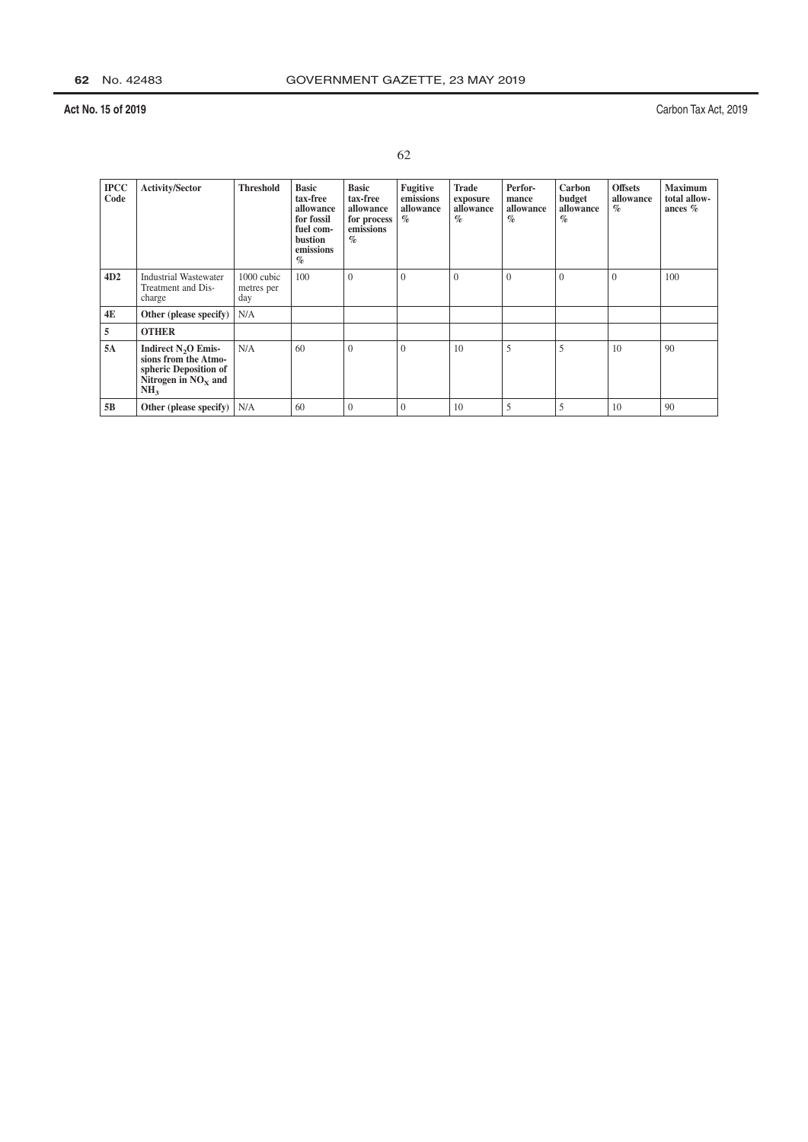| ٠       |
|---------|
| ×<br>۰. |

| <b>IPCC</b><br>Code | <b>Activity/Sector</b>                                                                                             | <b>Threshold</b>                | <b>Basic</b><br>tax-free<br>allowance<br>for fossil<br>fuel com-<br><b>bustion</b><br>emissions<br>$\%$ | <b>Basic</b><br>tax-free<br>allowance<br>for process<br>emissions<br>$\%$ | Fugitive<br>emissions<br>allowance<br>$\mathscr{A}_{\Omega}$ | <b>Trade</b><br>exposure<br>allowance<br>$\%$ | Perfor-<br>mance<br>allowance<br>$\%$ | Carbon<br>budget<br>allowance<br>$\%$ | <b>Offsets</b><br>allowance<br>$\%$ | <b>Maximum</b><br>total allow-<br>ances $%$ |
|---------------------|--------------------------------------------------------------------------------------------------------------------|---------------------------------|---------------------------------------------------------------------------------------------------------|---------------------------------------------------------------------------|--------------------------------------------------------------|-----------------------------------------------|---------------------------------------|---------------------------------------|-------------------------------------|---------------------------------------------|
| 4D2                 | <b>Industrial Wastewater</b><br>Treatment and Dis-<br>charge                                                       | 1000 cubic<br>metres per<br>day | 100                                                                                                     | $\theta$                                                                  | $\theta$                                                     | $\overline{0}$                                | $\theta$                              | $\theta$                              | $\theta$                            | 100                                         |
| 4E                  | Other (please specify)                                                                                             | N/A                             |                                                                                                         |                                                                           |                                                              |                                               |                                       |                                       |                                     |                                             |
| 5                   | <b>OTHER</b>                                                                                                       |                                 |                                                                                                         |                                                                           |                                                              |                                               |                                       |                                       |                                     |                                             |
| 5A                  | Indirect $N_2O$ Emis-<br>sions from the Atmo-<br>spheric Deposition of<br>Nitrogen in $NOx$ and<br>NH <sub>3</sub> | N/A                             | 60                                                                                                      | $\theta$                                                                  | $\Omega$                                                     | 10                                            | 5                                     | 5                                     | 10                                  | 90                                          |
| 5B                  | Other (please specify) $  N/A  $                                                                                   |                                 | 60                                                                                                      | $\mathbf{0}$                                                              | $\theta$                                                     | 10                                            | 5                                     | 5                                     | 10                                  | 90                                          |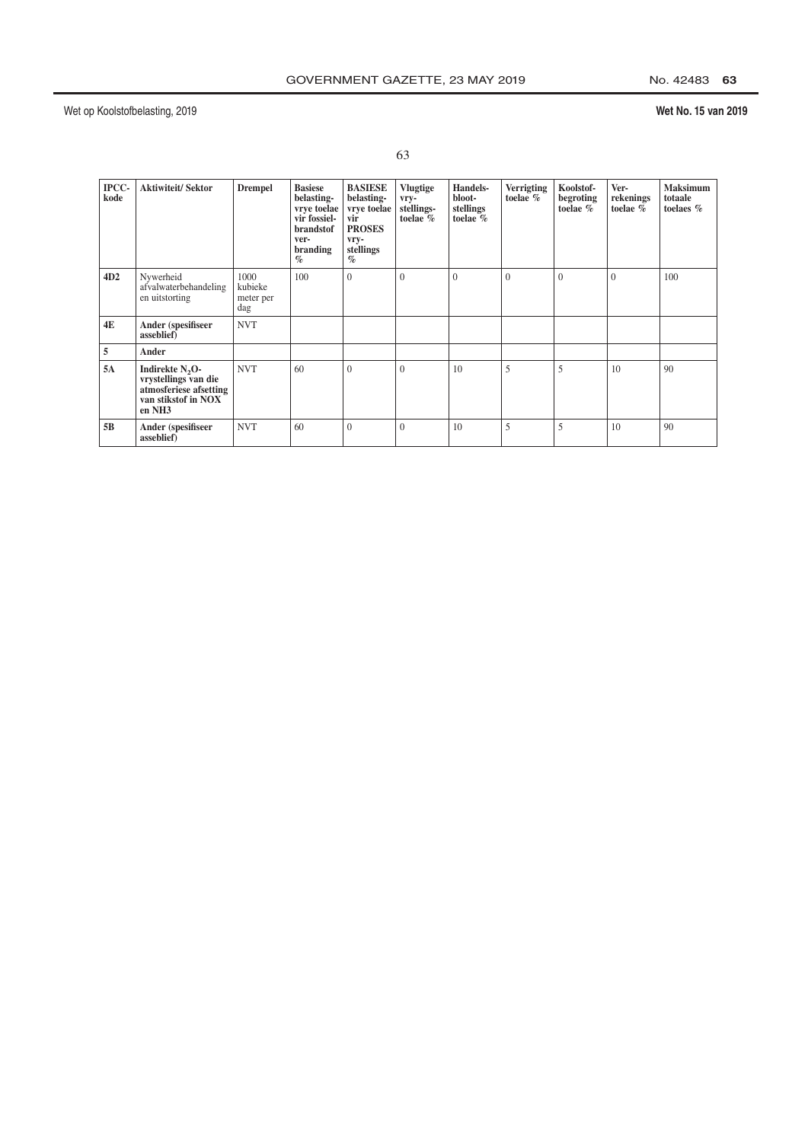## Wet No. 15 van 2019

| IPCC-<br>kode | <b>Aktiwiteit/Sektor</b>                                                                                                   | <b>Drempel</b>                      | <b>Basiese</b><br>belasting-<br>vrye toelae<br>vir fossiel-<br>brandstof<br>ver-<br>branding<br>$\%$ | <b>BASIESE</b><br>belasting-<br>vrve toelae<br>vir<br><b>PROSES</b><br>vry-<br>stellings<br>$\%$ | <b>Vlugtige</b><br>vry-<br>stellings-<br>toelae $%$ | Handels-<br>bloot-<br>stellings<br>toelae $\%$ | <b>Verrigting</b><br>toelae % | Koolstof-<br>begroting<br>toelae % | Ver-<br>rekenings<br>toelae $\%$ | <b>Maksimum</b><br>totaale<br>toelaes $%$ |
|---------------|----------------------------------------------------------------------------------------------------------------------------|-------------------------------------|------------------------------------------------------------------------------------------------------|--------------------------------------------------------------------------------------------------|-----------------------------------------------------|------------------------------------------------|-------------------------------|------------------------------------|----------------------------------|-------------------------------------------|
| 4D2           | Nywerheid<br>afvalwaterbehandeling<br>en uitstorting                                                                       | 1000<br>kubieke<br>meter per<br>dag | 100                                                                                                  | $\theta$                                                                                         | $\theta$                                            | $\mathbf{0}$                                   | $\theta$                      | $\mathbf{0}$                       | $\theta$                         | 100                                       |
| 4E            | Ander (spesifiseer<br>asseblief)                                                                                           | <b>NVT</b>                          |                                                                                                      |                                                                                                  |                                                     |                                                |                               |                                    |                                  |                                           |
| 5             | Ander                                                                                                                      |                                     |                                                                                                      |                                                                                                  |                                                     |                                                |                               |                                    |                                  |                                           |
| 5A            | Indirekte N <sub>2</sub> O-<br>vrystellings van die<br>atmosferiese afsetting<br>van stikstof in NOX<br>en NH <sub>3</sub> | <b>NVT</b>                          | 60                                                                                                   | $\theta$                                                                                         | $\theta$                                            | 10                                             | 5                             | 5                                  | 10                               | 90                                        |
| 5B            | Ander (spesifiseer<br>asseblief)                                                                                           | <b>NVT</b>                          | 60                                                                                                   | $\theta$                                                                                         | $\theta$                                            | 10                                             | 5                             | 5                                  | 10                               | 90                                        |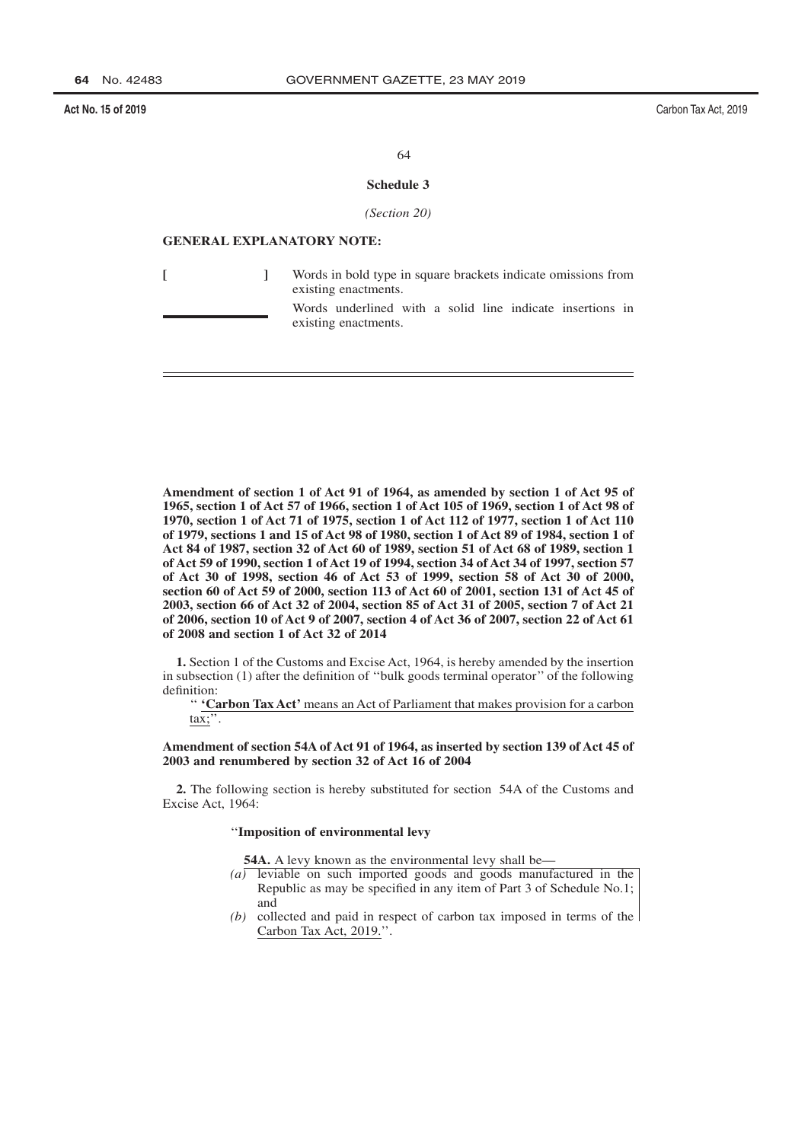Carbon Tax Act, 2019

64

#### Schedule 3

(Section 20)

## **GENERAL EXPLANATORY NOTE:**

 $\mathbf{I}$ 

 $\Gamma$ 

Words in bold type in square brackets indicate omissions from existing enactments.

Words underlined with a solid line indicate insertions in existing enactments.

Amendment of section 1 of Act 91 of 1964, as amended by section 1 of Act 95 of 1965, section 1 of Act 57 of 1966, section 1 of Act 105 of 1969, section 1 of Act 98 of 1970, section 1 of Act 71 of 1975, section 1 of Act 112 of 1977, section 1 of Act 110 of 1979, sections 1 and 15 of Act 98 of 1980, section 1 of Act 89 of 1984, section 1 of Act 84 of 1987, section 32 of Act 60 of 1989, section 51 of Act 68 of 1989, section 1 of Act 59 of 1990, section 1 of Act 19 of 1994, section 34 of Act 34 of 1997, section 57 of Act 30 of 1998, section 46 of Act 53 of 1999, section 58 of Act 30 of 2000, section 60 of Act 59 of 2000, section 113 of Act 60 of 2001, section 131 of Act 45 of 2003, section 66 of Act 32 of 2004, section 85 of Act 31 of 2005, section 7 of Act 21 of 2006, section 10 of Act 9 of 2007, section 4 of Act 36 of 2007, section 22 of Act 61 of 2008 and section 1 of Act 32 of 2014

1. Section 1 of the Customs and Excise Act. 1964, is hereby amended by the insertion in subsection  $(1)$  after the definition of "bulk goods terminal operator" of the following definition:

" 'Carbon Tax Act' means an Act of Parliament that makes provision for a carbon  $\text{tax};$ ".

#### Amendment of section 54A of Act 91 of 1964, as inserted by section 139 of Act 45 of 2003 and renumbered by section 32 of Act 16 of 2004

2. The following section is hereby substituted for section 54A of the Customs and Excise Act. 1964:

#### "Imposition of environmental levy

54A. A levy known as the environmental levy shall be—

- $(a)$  leviable on such imported goods and goods manufactured in the Republic as may be specified in any item of Part 3 of Schedule No.1; and
- $(b)$  collected and paid in respect of carbon tax imposed in terms of the Carbon Tax Act, 2019.".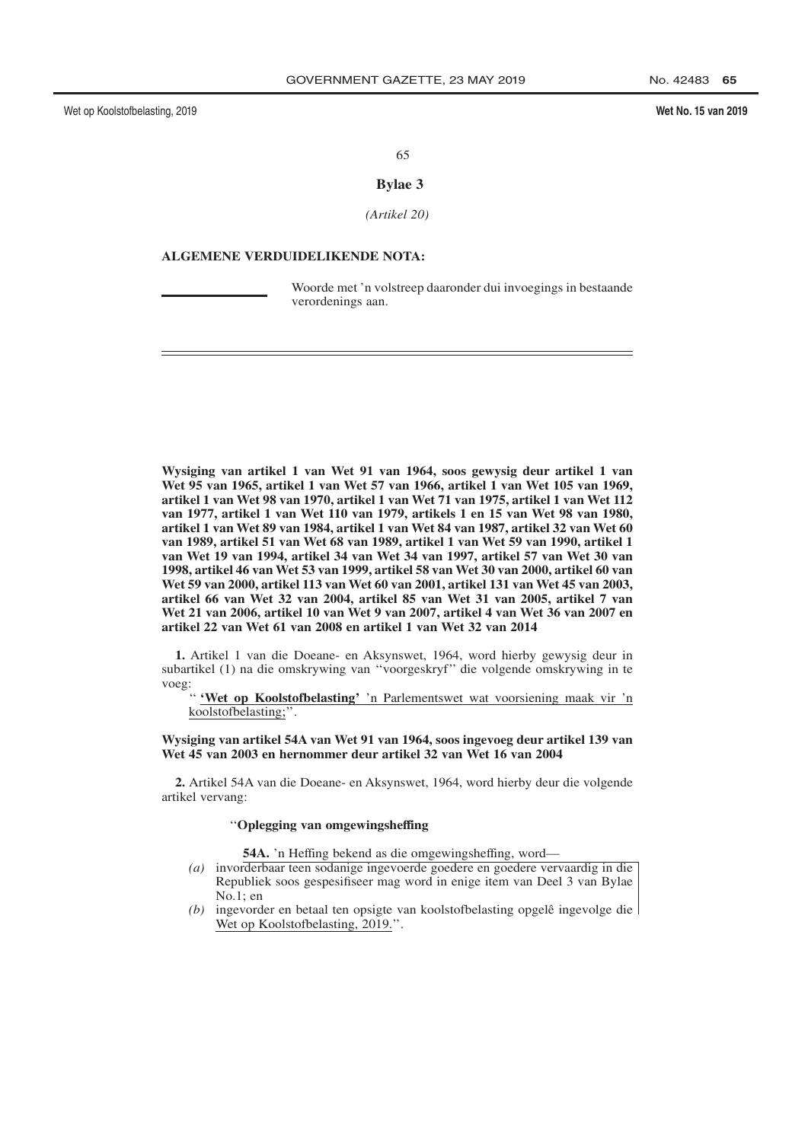Wet No. 15 van 2019

65

## **Bylae 3**

 $(Aritikel 20)$ 

## **ALGEMENE VERDUIDELIKENDE NOTA:**

Woorde met 'n volstreep daaronder dui invoegings in bestaande verordenings aan.

Wysiging van artikel 1 van Wet 91 van 1964, soos gewysig deur artikel 1 van Wet 95 van 1965, artikel 1 van Wet 57 van 1966, artikel 1 van Wet 105 van 1969, artikel 1 van Wet 98 van 1970, artikel 1 van Wet 71 van 1975, artikel 1 van Wet 112 van 1977, artikel 1 van Wet 110 van 1979, artikels 1 en 15 van Wet 98 van 1980, artikel 1 van Wet 89 van 1984, artikel 1 van Wet 84 van 1987, artikel 32 van Wet 60 van 1989, artikel 51 van Wet 68 van 1989, artikel 1 van Wet 59 van 1990, artikel 1 van Wet 19 van 1994, artikel 34 van Wet 34 van 1997, artikel 57 van Wet 30 van 1998, artikel 46 van Wet 53 van 1999, artikel 58 van Wet 30 van 2000, artikel 60 van Wet 59 van 2000, artikel 113 van Wet 60 van 2001, artikel 131 van Wet 45 van 2003, artikel 66 van Wet 32 van 2004, artikel 85 van Wet 31 van 2005, artikel 7 van Wet 21 van 2006, artikel 10 van Wet 9 van 2007, artikel 4 van Wet 36 van 2007 en artikel 22 van Wet 61 van 2008 en artikel 1 van Wet 32 van 2014

1. Artikel 1 van die Doeane- en Aksynswet, 1964, word hierby gewysig deur in subartikel (1) na die omskrywing van "voorgeskryf" die volgende omskrywing in te voeg:

" 'Wet op Koolstofbelasting' 'n Parlementswet wat voorsiening maak vir 'n koolstofbelasting;".

#### Wysiging van artikel 54A van Wet 91 van 1964, soos ingevoeg deur artikel 139 van Wet 45 van 2003 en hernommer deur artikel 32 van Wet 16 van 2004

2. Artikel 54A van die Doeane- en Aksynswet, 1964, word hierby deur die volgende artikel vervang:

#### "Oplegging van omgewingsheffing

54A. 'n Heffing bekend as die omgewingsheffing, word-

- (a) invorderbaar teen sodanige ingevoerde goedere en goedere vervaardig in die Republiek soos gespesifiseer mag word in enige item van Deel 3 van Bylae  $No.1$ ; en
- (b) ingevorder en betaal ten opsigte van koolstofbelasting opgelê ingevolge die Wet op Koolstofbelasting, 2019.".